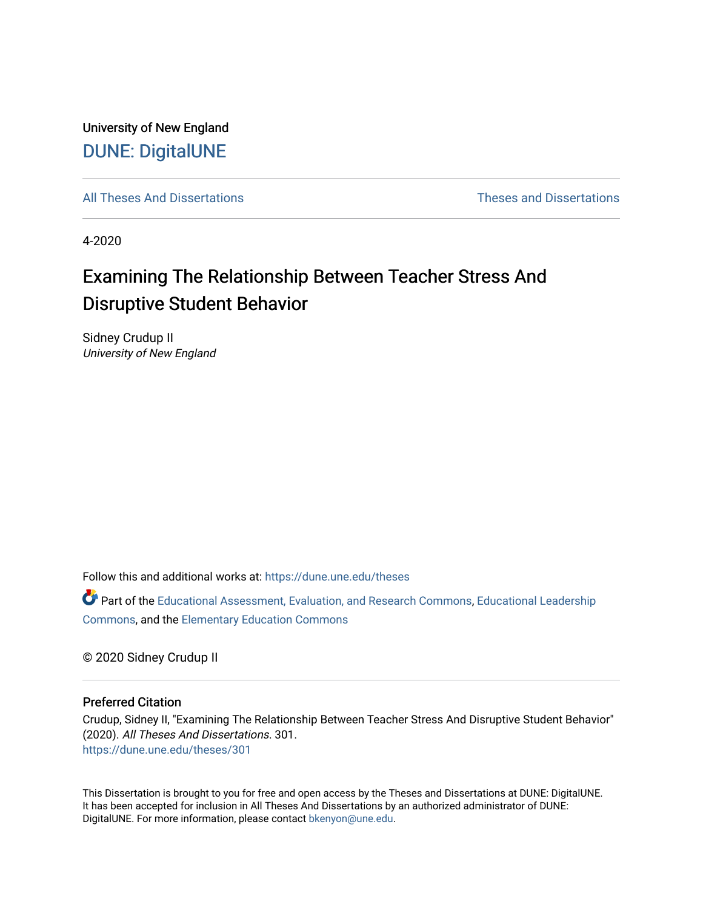University of New England [DUNE: DigitalUNE](https://dune.une.edu/) 

[All Theses And Dissertations](https://dune.une.edu/theses) [Theses and Dissertations](https://dune.une.edu/theses_dissertations) 

4-2020

# Examining The Relationship Between Teacher Stress And Disruptive Student Behavior

Sidney Crudup II University of New England

Follow this and additional works at: [https://dune.une.edu/theses](https://dune.une.edu/theses?utm_source=dune.une.edu%2Ftheses%2F301&utm_medium=PDF&utm_campaign=PDFCoverPages) 

Part of the [Educational Assessment, Evaluation, and Research Commons](http://network.bepress.com/hgg/discipline/796?utm_source=dune.une.edu%2Ftheses%2F301&utm_medium=PDF&utm_campaign=PDFCoverPages), [Educational Leadership](http://network.bepress.com/hgg/discipline/1230?utm_source=dune.une.edu%2Ftheses%2F301&utm_medium=PDF&utm_campaign=PDFCoverPages) [Commons](http://network.bepress.com/hgg/discipline/1230?utm_source=dune.une.edu%2Ftheses%2F301&utm_medium=PDF&utm_campaign=PDFCoverPages), and the [Elementary Education Commons](http://network.bepress.com/hgg/discipline/1378?utm_source=dune.une.edu%2Ftheses%2F301&utm_medium=PDF&utm_campaign=PDFCoverPages)

© 2020 Sidney Crudup II

#### Preferred Citation

Crudup, Sidney II, "Examining The Relationship Between Teacher Stress And Disruptive Student Behavior" (2020). All Theses And Dissertations. 301. [https://dune.une.edu/theses/301](https://dune.une.edu/theses/301?utm_source=dune.une.edu%2Ftheses%2F301&utm_medium=PDF&utm_campaign=PDFCoverPages)

This Dissertation is brought to you for free and open access by the Theses and Dissertations at DUNE: DigitalUNE. It has been accepted for inclusion in All Theses And Dissertations by an authorized administrator of DUNE: DigitalUNE. For more information, please contact [bkenyon@une.edu.](mailto:bkenyon@une.edu)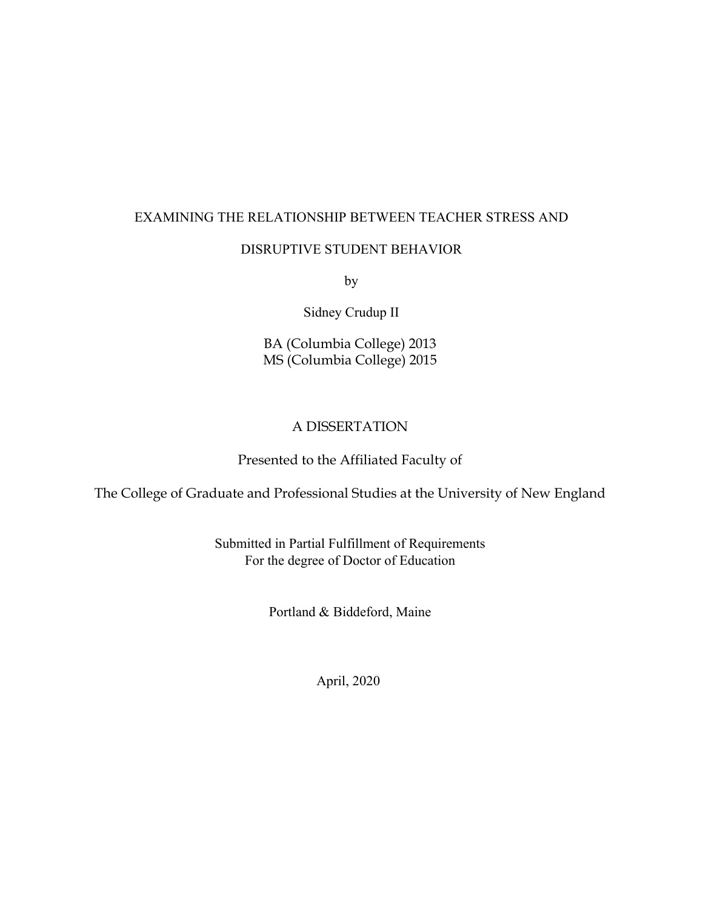# EXAMINING THE RELATIONSHIP BETWEEN TEACHER STRESS AND

## DISRUPTIVE STUDENT BEHAVIOR

by

Sidney Crudup II

BA (Columbia College) 2013 MS (Columbia College) 2015

# A DISSERTATION

# Presented to the Affiliated Faculty of

The College of Graduate and Professional Studies at the University of New England

Submitted in Partial Fulfillment of Requirements For the degree of Doctor of Education

Portland & Biddeford, Maine

April, 2020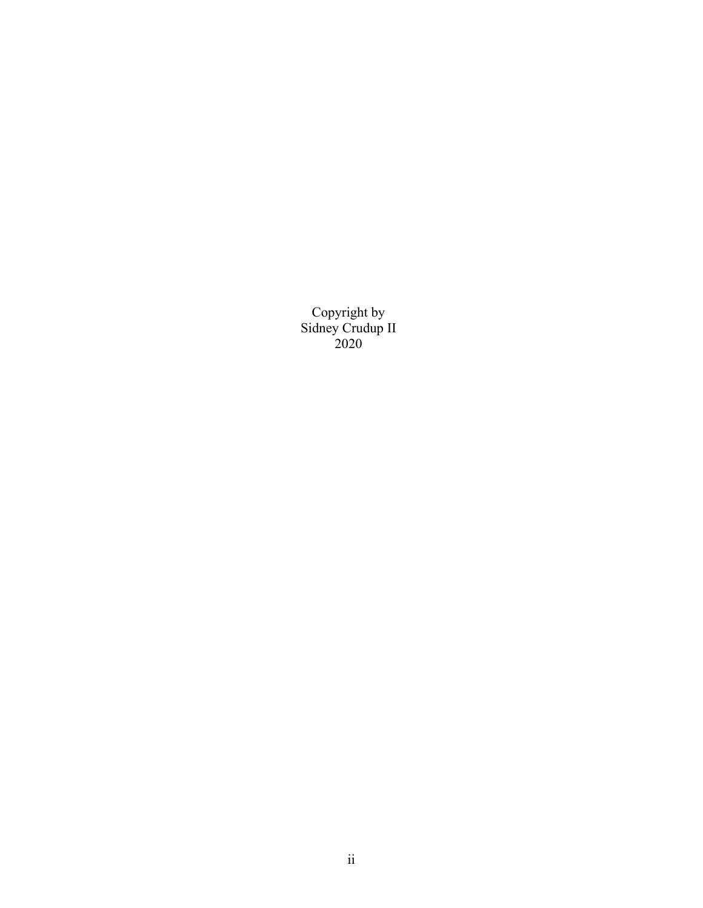Copyright by Sidney Crudup II 2020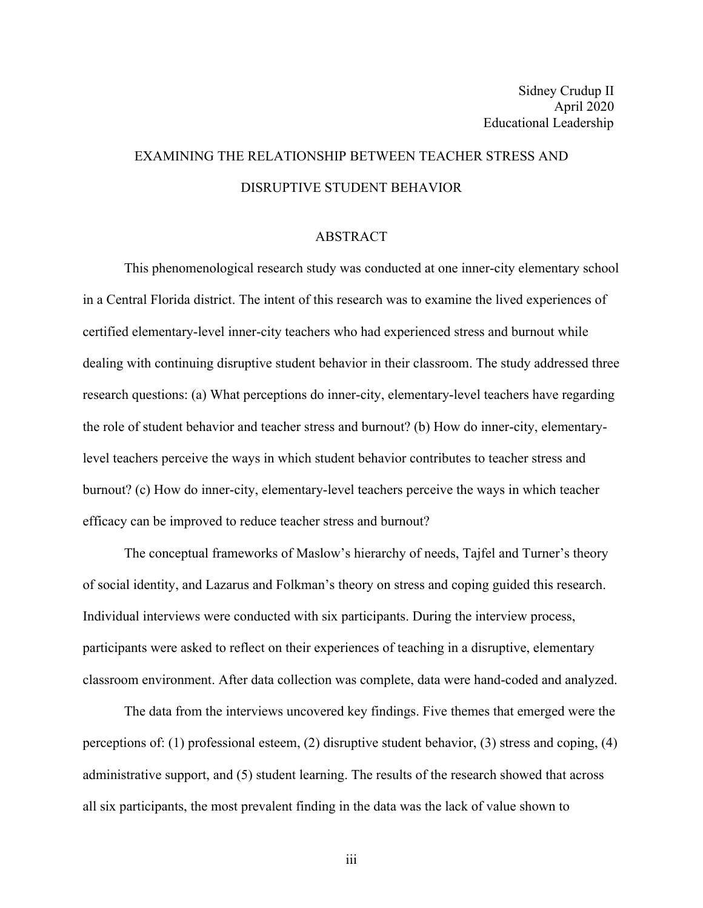# EXAMINING THE RELATIONSHIP BETWEEN TEACHER STRESS AND DISRUPTIVE STUDENT BEHAVIOR

#### ABSTRACT

This phenomenological research study was conducted at one inner-city elementary school in a Central Florida district. The intent of this research was to examine the lived experiences of certified elementary-level inner-city teachers who had experienced stress and burnout while dealing with continuing disruptive student behavior in their classroom. The study addressed three research questions: (a) What perceptions do inner-city, elementary-level teachers have regarding the role of student behavior and teacher stress and burnout? (b) How do inner-city, elementarylevel teachers perceive the ways in which student behavior contributes to teacher stress and burnout? (c) How do inner-city, elementary-level teachers perceive the ways in which teacher efficacy can be improved to reduce teacher stress and burnout?

The conceptual frameworks of Maslow's hierarchy of needs, Tajfel and Turner's theory of social identity, and Lazarus and Folkman's theory on stress and coping guided this research. Individual interviews were conducted with six participants. During the interview process, participants were asked to reflect on their experiences of teaching in a disruptive, elementary classroom environment. After data collection was complete, data were hand-coded and analyzed.

The data from the interviews uncovered key findings. Five themes that emerged were the perceptions of: (1) professional esteem, (2) disruptive student behavior, (3) stress and coping, (4) administrative support, and (5) student learning. The results of the research showed that across all six participants, the most prevalent finding in the data was the lack of value shown to

iii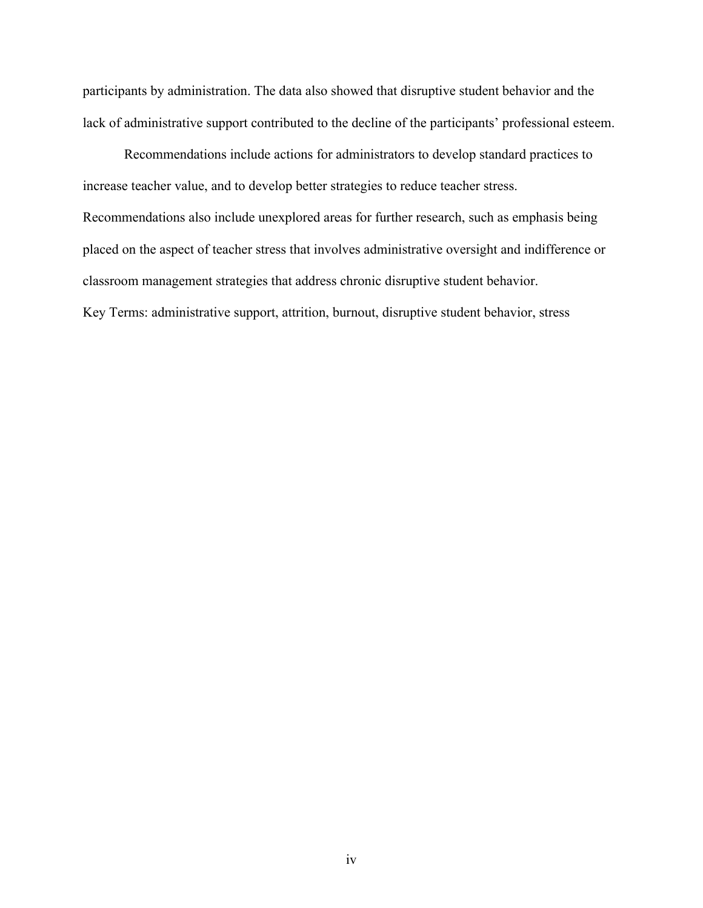participants by administration. The data also showed that disruptive student behavior and the lack of administrative support contributed to the decline of the participants' professional esteem.

Recommendations include actions for administrators to develop standard practices to increase teacher value, and to develop better strategies to reduce teacher stress. Recommendations also include unexplored areas for further research, such as emphasis being placed on the aspect of teacher stress that involves administrative oversight and indifference or classroom management strategies that address chronic disruptive student behavior. Key Terms: administrative support, attrition, burnout, disruptive student behavior, stress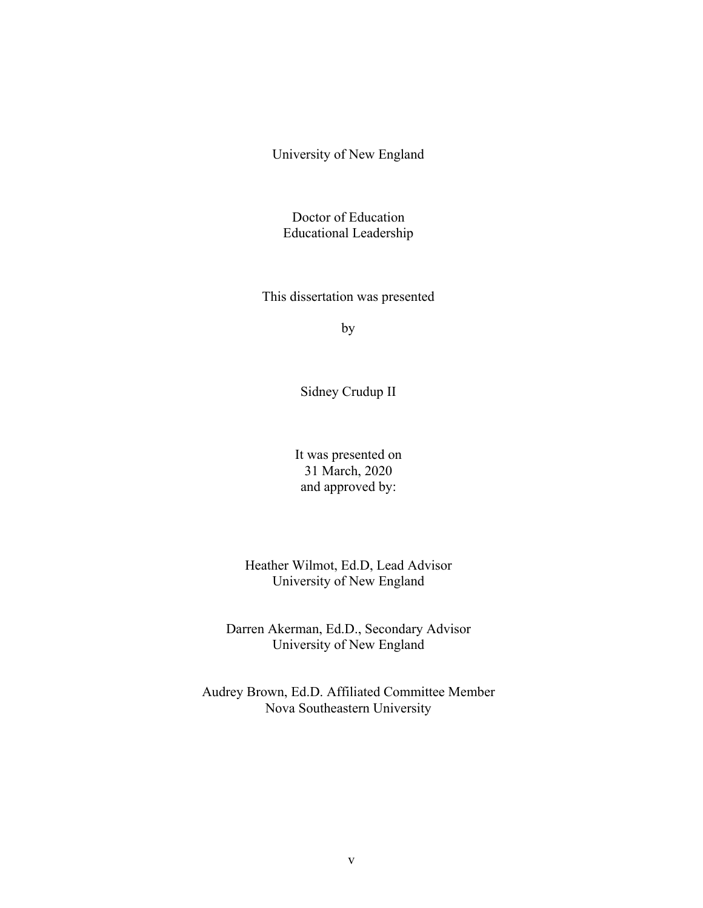University of New England

Doctor of Education Educational Leadership

This dissertation was presented

by

Sidney Crudup II

It was presented on 31 March, 2020 and approved by:

Heather Wilmot, Ed.D, Lead Advisor University of New England

Darren Akerman, Ed.D., Secondary Advisor University of New England

Audrey Brown, Ed.D. Affiliated Committee Member Nova Southeastern University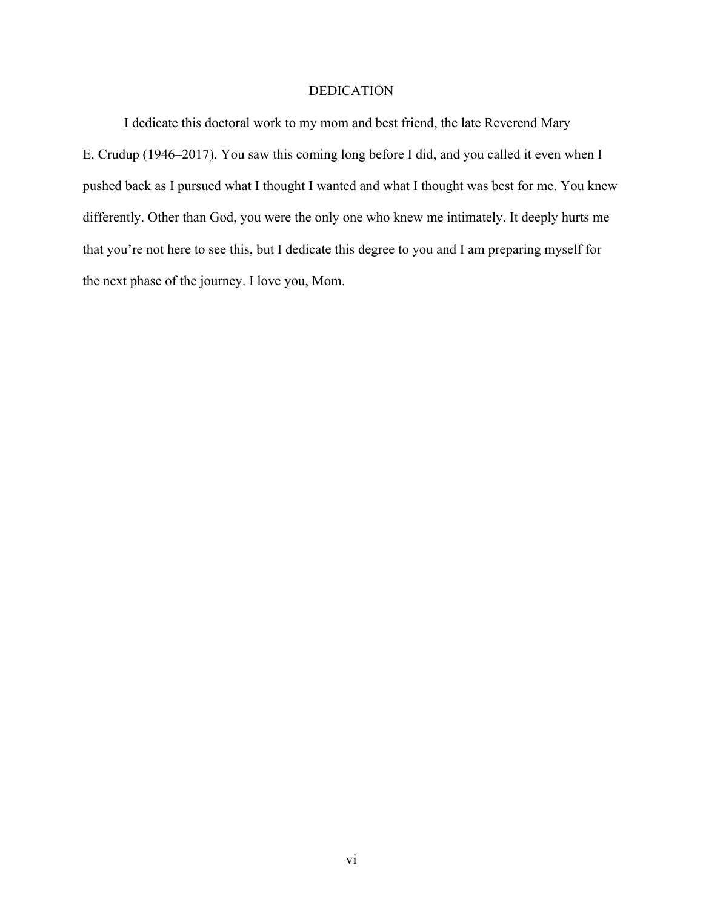# DEDICATION

I dedicate this doctoral work to my mom and best friend, the late Reverend Mary E. Crudup (1946–2017). You saw this coming long before I did, and you called it even when I pushed back as I pursued what I thought I wanted and what I thought was best for me. You knew differently. Other than God, you were the only one who knew me intimately. It deeply hurts me that you're not here to see this, but I dedicate this degree to you and I am preparing myself for the next phase of the journey. I love you, Mom.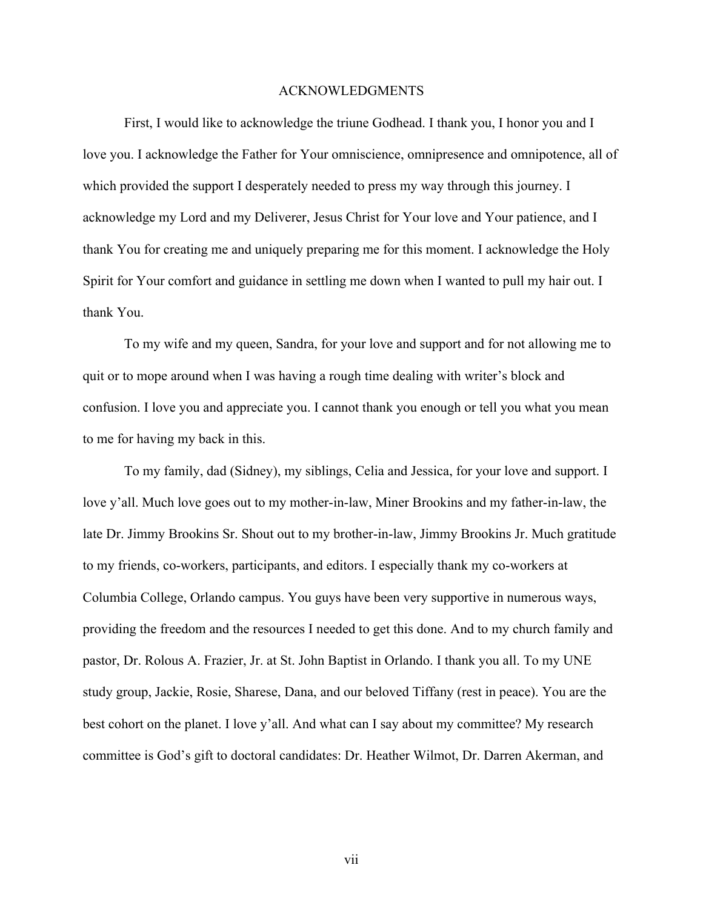#### ACKNOWLEDGMENTS

First, I would like to acknowledge the triune Godhead. I thank you, I honor you and I love you. I acknowledge the Father for Your omniscience, omnipresence and omnipotence, all of which provided the support I desperately needed to press my way through this journey. I acknowledge my Lord and my Deliverer, Jesus Christ for Your love and Your patience, and I thank You for creating me and uniquely preparing me for this moment. I acknowledge the Holy Spirit for Your comfort and guidance in settling me down when I wanted to pull my hair out. I thank You.

To my wife and my queen, Sandra, for your love and support and for not allowing me to quit or to mope around when I was having a rough time dealing with writer's block and confusion. I love you and appreciate you. I cannot thank you enough or tell you what you mean to me for having my back in this.

To my family, dad (Sidney), my siblings, Celia and Jessica, for your love and support. I love y'all. Much love goes out to my mother-in-law, Miner Brookins and my father-in-law, the late Dr. Jimmy Brookins Sr. Shout out to my brother-in-law, Jimmy Brookins Jr. Much gratitude to my friends, co-workers, participants, and editors. I especially thank my co-workers at Columbia College, Orlando campus. You guys have been very supportive in numerous ways, providing the freedom and the resources I needed to get this done. And to my church family and pastor, Dr. Rolous A. Frazier, Jr. at St. John Baptist in Orlando. I thank you all. To my UNE study group, Jackie, Rosie, Sharese, Dana, and our beloved Tiffany (rest in peace). You are the best cohort on the planet. I love y'all. And what can I say about my committee? My research committee is God's gift to doctoral candidates: Dr. Heather Wilmot, Dr. Darren Akerman, and

vii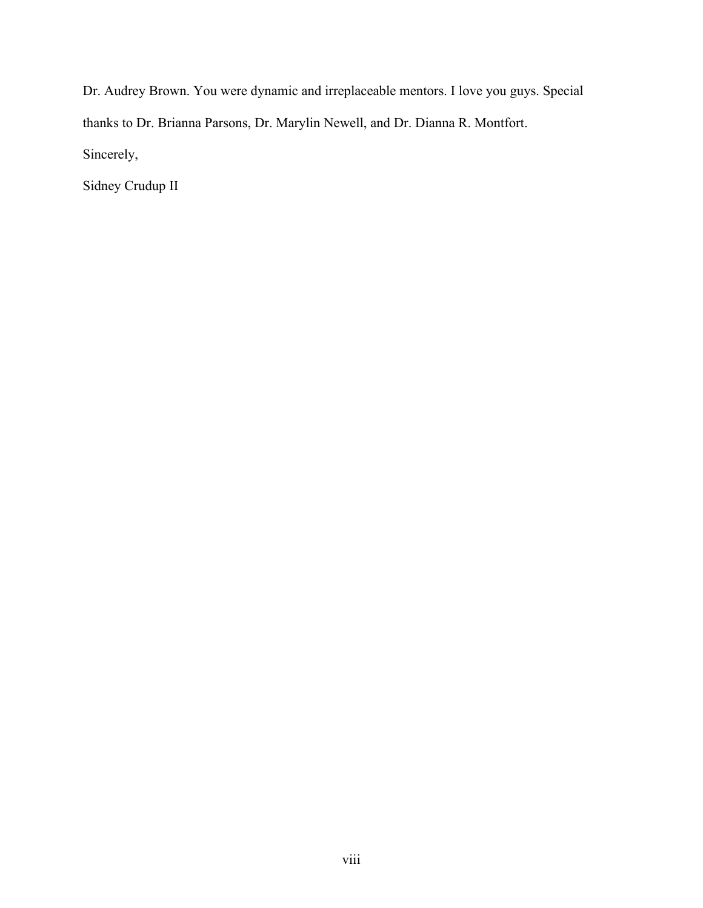Dr. Audrey Brown. You were dynamic and irreplaceable mentors. I love you guys. Special thanks to Dr. Brianna Parsons, Dr. Marylin Newell, and Dr. Dianna R. Montfort. Sincerely,

Sidney Crudup II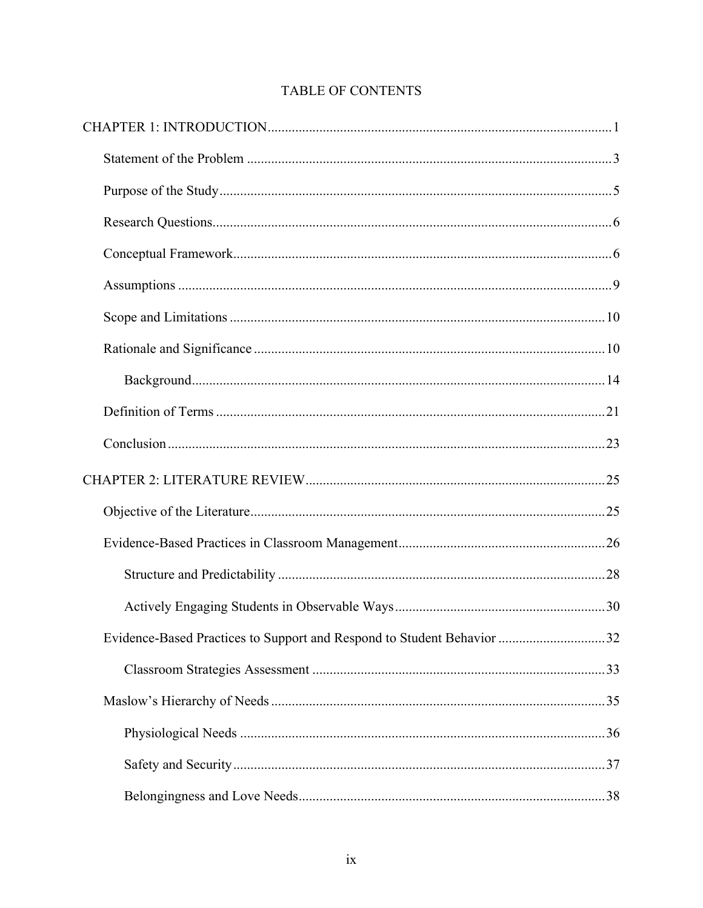| Evidence-Based Practices to Support and Respond to Student Behavior 32 |  |
|------------------------------------------------------------------------|--|
|                                                                        |  |
|                                                                        |  |
|                                                                        |  |
|                                                                        |  |
|                                                                        |  |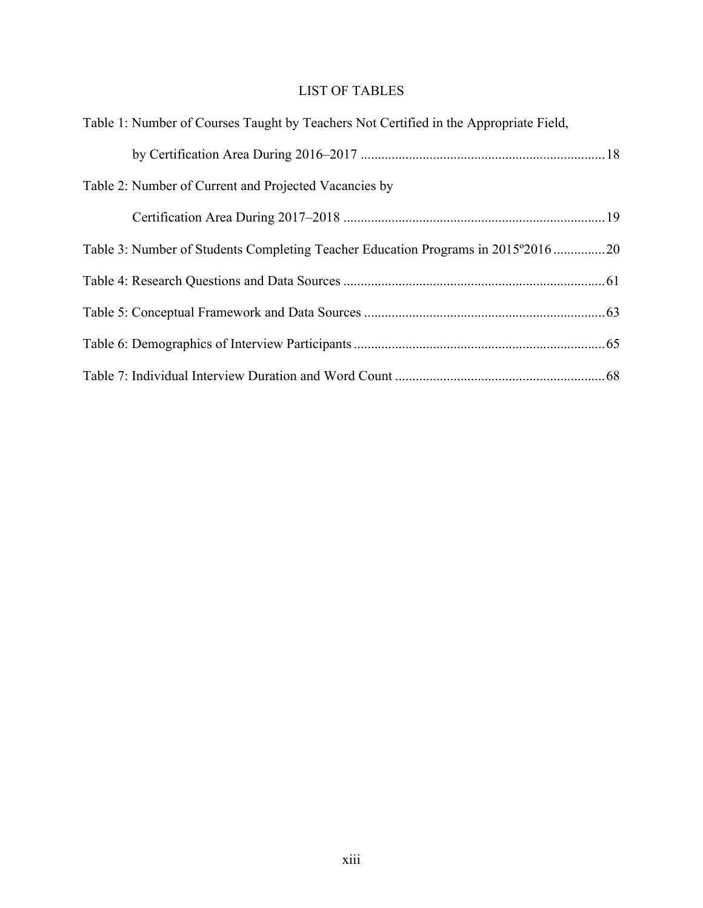# LIST OF TABLES

| Table 1: Number of Courses Taught by Teachers Not Certified in the Appropriate Field, |  |
|---------------------------------------------------------------------------------------|--|
|                                                                                       |  |
| Table 2: Number of Current and Projected Vacancies by                                 |  |
|                                                                                       |  |
| Table 3: Number of Students Completing Teacher Education Programs in 2015°2016 20     |  |
|                                                                                       |  |
|                                                                                       |  |
|                                                                                       |  |
|                                                                                       |  |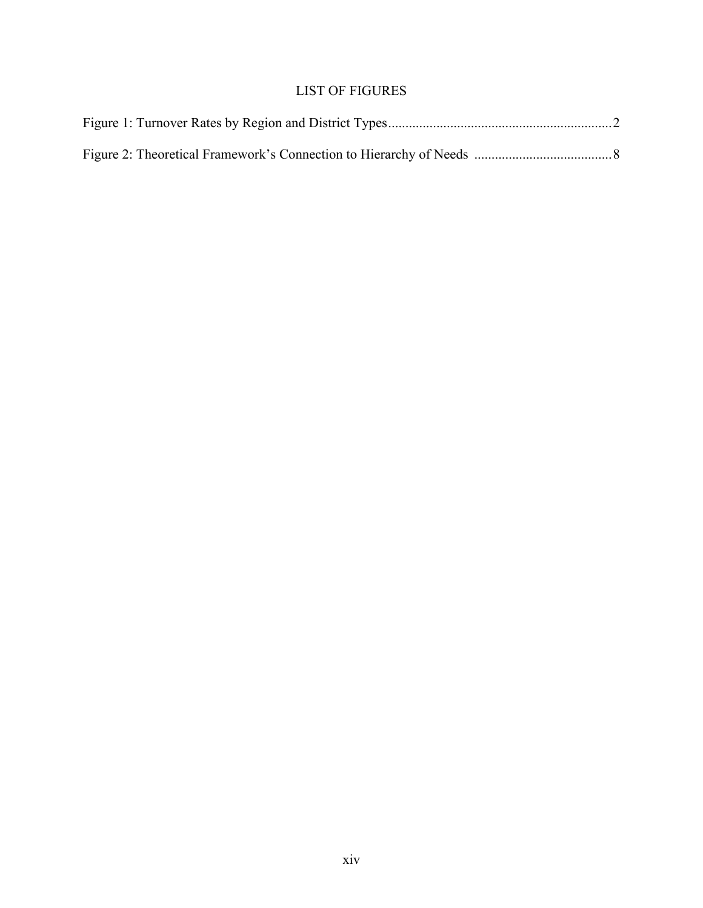# LIST OF FIGURES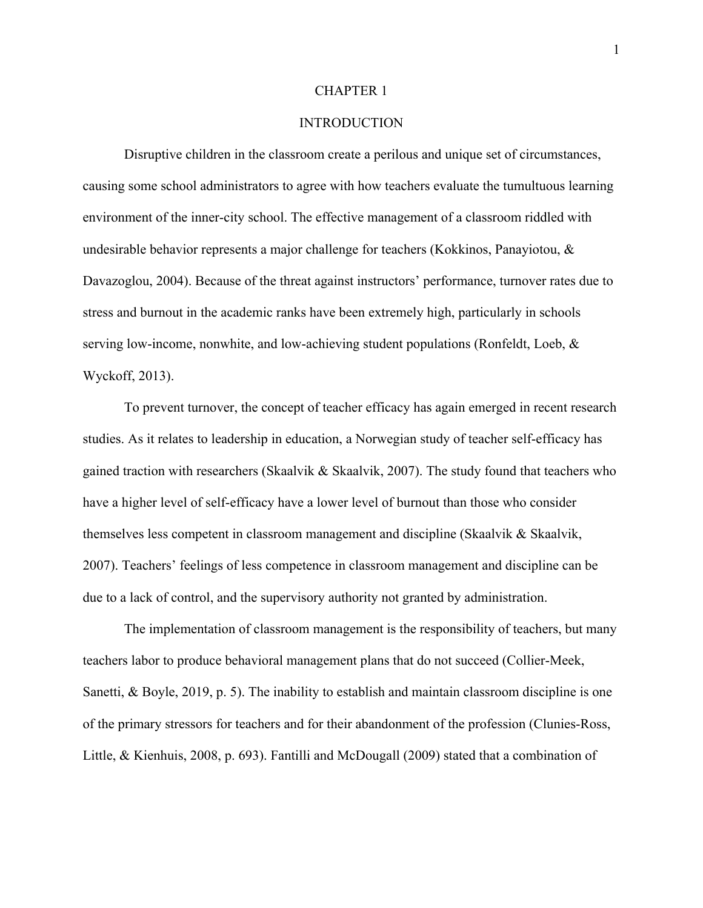#### CHAPTER 1

## **INTRODUCTION**

Disruptive children in the classroom create a perilous and unique set of circumstances, causing some school administrators to agree with how teachers evaluate the tumultuous learning environment of the inner-city school. The effective management of a classroom riddled with undesirable behavior represents a major challenge for teachers (Kokkinos, Panayiotou, & Davazoglou, 2004). Because of the threat against instructors' performance, turnover rates due to stress and burnout in the academic ranks have been extremely high, particularly in schools serving low-income, nonwhite, and low-achieving student populations (Ronfeldt, Loeb, & Wyckoff, 2013).

To prevent turnover, the concept of teacher efficacy has again emerged in recent research studies. As it relates to leadership in education, a Norwegian study of teacher self-efficacy has gained traction with researchers (Skaalvik & Skaalvik, 2007). The study found that teachers who have a higher level of self-efficacy have a lower level of burnout than those who consider themselves less competent in classroom management and discipline (Skaalvik & Skaalvik, 2007). Teachers' feelings of less competence in classroom management and discipline can be due to a lack of control, and the supervisory authority not granted by administration.

The implementation of classroom management is the responsibility of teachers, but many teachers labor to produce behavioral management plans that do not succeed (Collier-Meek, Sanetti, & Boyle, 2019, p. 5). The inability to establish and maintain classroom discipline is one of the primary stressors for teachers and for their abandonment of the profession (Clunies-Ross, Little, & Kienhuis, 2008, p. 693). Fantilli and McDougall (2009) stated that a combination of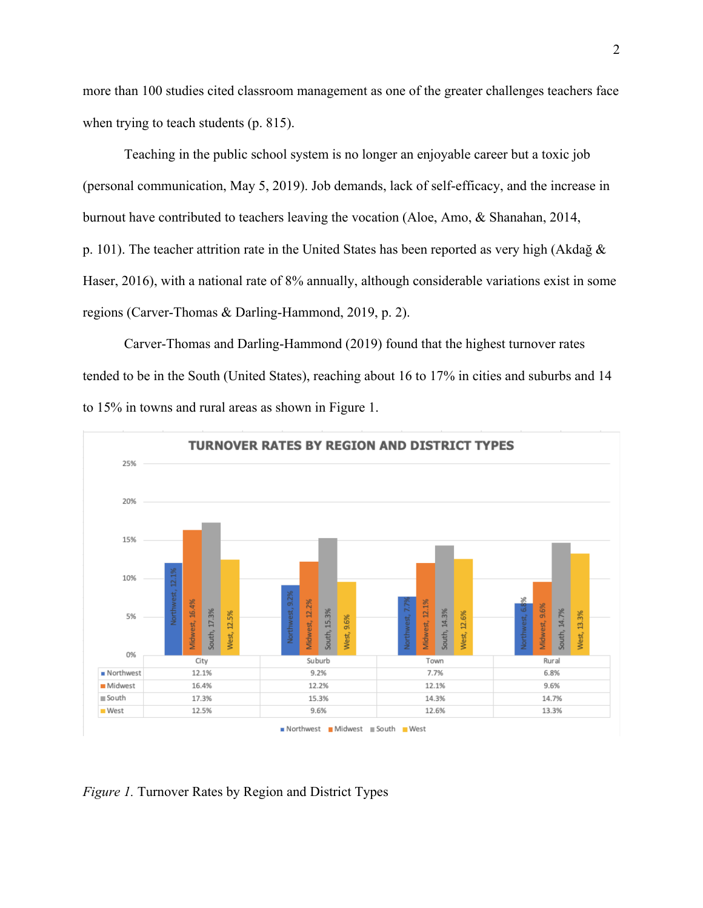more than 100 studies cited classroom management as one of the greater challenges teachers face when trying to teach students (p. 815).

Teaching in the public school system is no longer an enjoyable career but a toxic job (personal communication, May 5, 2019). Job demands, lack of self-efficacy, and the increase in burnout have contributed to teachers leaving the vocation (Aloe, Amo, & Shanahan, 2014, p. 101). The teacher attrition rate in the United States has been reported as very high (Akdağ & Haser, 2016), with a national rate of 8% annually, although considerable variations exist in some regions (Carver-Thomas & Darling-Hammond, 2019, p. 2).

Carver-Thomas and Darling-Hammond (2019) found that the highest turnover rates tended to be in the South (United States), reaching about 16 to 17% in cities and suburbs and 14 to 15% in towns and rural areas as shown in Figure 1.



*Figure 1.* Turnover Rates by Region and District Types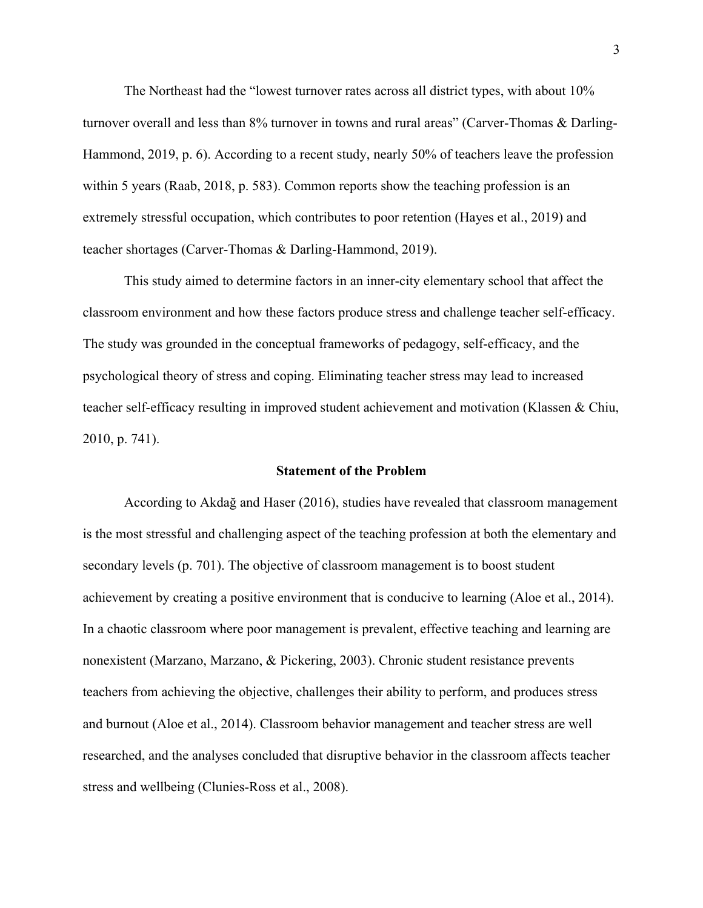The Northeast had the "lowest turnover rates across all district types, with about 10% turnover overall and less than 8% turnover in towns and rural areas" (Carver-Thomas & Darling-Hammond, 2019, p. 6). According to a recent study, nearly 50% of teachers leave the profession within 5 years (Raab, 2018, p. 583). Common reports show the teaching profession is an extremely stressful occupation, which contributes to poor retention (Hayes et al., 2019) and teacher shortages (Carver-Thomas & Darling-Hammond, 2019).

This study aimed to determine factors in an inner-city elementary school that affect the classroom environment and how these factors produce stress and challenge teacher self-efficacy. The study was grounded in the conceptual frameworks of pedagogy, self-efficacy, and the psychological theory of stress and coping. Eliminating teacher stress may lead to increased teacher self-efficacy resulting in improved student achievement and motivation (Klassen & Chiu, 2010, p. 741).

#### **Statement of the Problem**

According to Akdağ and Haser (2016), studies have revealed that classroom management is the most stressful and challenging aspect of the teaching profession at both the elementary and secondary levels (p. 701). The objective of classroom management is to boost student achievement by creating a positive environment that is conducive to learning (Aloe et al., 2014). In a chaotic classroom where poor management is prevalent, effective teaching and learning are nonexistent (Marzano, Marzano, & Pickering, 2003). Chronic student resistance prevents teachers from achieving the objective, challenges their ability to perform, and produces stress and burnout (Aloe et al., 2014). Classroom behavior management and teacher stress are well researched, and the analyses concluded that disruptive behavior in the classroom affects teacher stress and wellbeing (Clunies-Ross et al., 2008).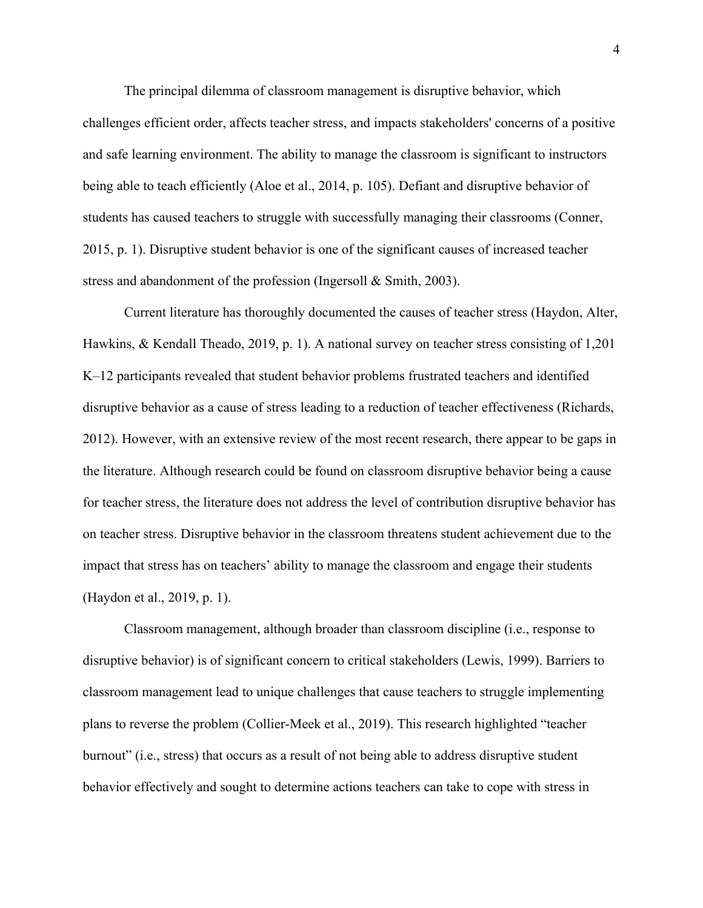The principal dilemma of classroom management is disruptive behavior, which challenges efficient order, affects teacher stress, and impacts stakeholders' concerns of a positive and safe learning environment. The ability to manage the classroom is significant to instructors being able to teach efficiently (Aloe et al., 2014, p. 105). Defiant and disruptive behavior of students has caused teachers to struggle with successfully managing their classrooms (Conner, 2015, p. 1). Disruptive student behavior is one of the significant causes of increased teacher stress and abandonment of the profession (Ingersoll & Smith, 2003).

Current literature has thoroughly documented the causes of teacher stress (Haydon, Alter, Hawkins, & Kendall Theado, 2019, p. 1). A national survey on teacher stress consisting of 1,201 K–12 participants revealed that student behavior problems frustrated teachers and identified disruptive behavior as a cause of stress leading to a reduction of teacher effectiveness (Richards, 2012). However, with an extensive review of the most recent research, there appear to be gaps in the literature. Although research could be found on classroom disruptive behavior being a cause for teacher stress, the literature does not address the level of contribution disruptive behavior has on teacher stress. Disruptive behavior in the classroom threatens student achievement due to the impact that stress has on teachers' ability to manage the classroom and engage their students (Haydon et al., 2019, p. 1).

Classroom management, although broader than classroom discipline (i.e., response to disruptive behavior) is of significant concern to critical stakeholders (Lewis, 1999). Barriers to classroom management lead to unique challenges that cause teachers to struggle implementing plans to reverse the problem (Collier-Meek et al., 2019). This research highlighted "teacher burnout" (i.e., stress) that occurs as a result of not being able to address disruptive student behavior effectively and sought to determine actions teachers can take to cope with stress in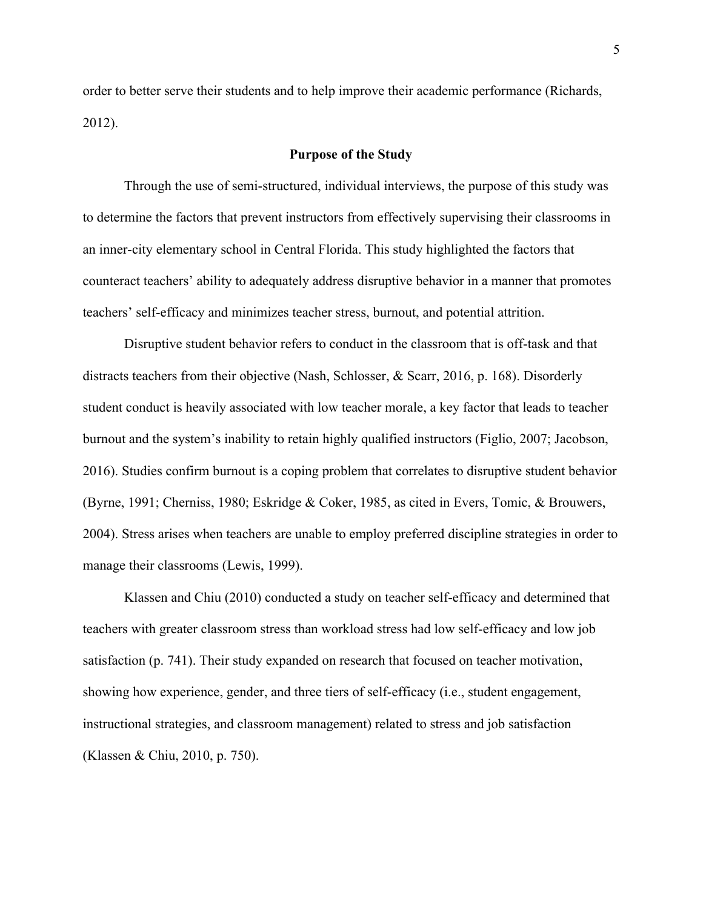order to better serve their students and to help improve their academic performance (Richards, 2012).

#### **Purpose of the Study**

Through the use of semi-structured, individual interviews, the purpose of this study was to determine the factors that prevent instructors from effectively supervising their classrooms in an inner-city elementary school in Central Florida. This study highlighted the factors that counteract teachers' ability to adequately address disruptive behavior in a manner that promotes teachers' self-efficacy and minimizes teacher stress, burnout, and potential attrition.

Disruptive student behavior refers to conduct in the classroom that is off-task and that distracts teachers from their objective (Nash, Schlosser, & Scarr, 2016, p. 168). Disorderly student conduct is heavily associated with low teacher morale, a key factor that leads to teacher burnout and the system's inability to retain highly qualified instructors (Figlio, 2007; Jacobson, 2016). Studies confirm burnout is a coping problem that correlates to disruptive student behavior (Byrne, 1991; Cherniss, 1980; Eskridge & Coker, 1985, as cited in Evers, Tomic, & Brouwers, 2004). Stress arises when teachers are unable to employ preferred discipline strategies in order to manage their classrooms (Lewis, 1999).

Klassen and Chiu (2010) conducted a study on teacher self-efficacy and determined that teachers with greater classroom stress than workload stress had low self-efficacy and low job satisfaction (p. 741). Their study expanded on research that focused on teacher motivation, showing how experience, gender, and three tiers of self-efficacy (i.e., student engagement, instructional strategies, and classroom management) related to stress and job satisfaction (Klassen & Chiu, 2010, p. 750).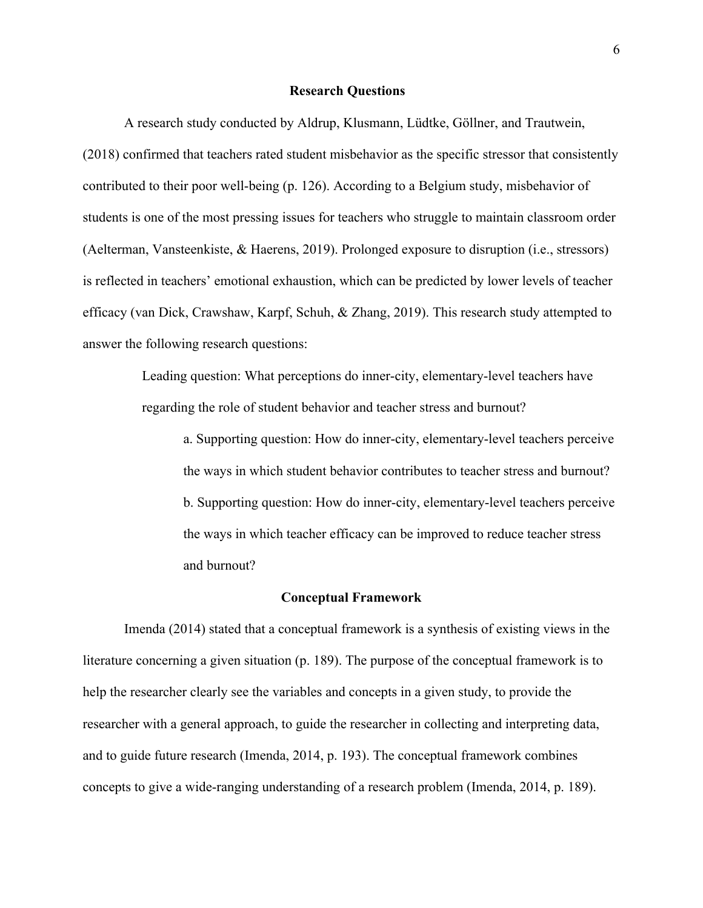#### **Research Questions**

A research study conducted by Aldrup, Klusmann, Lüdtke, Göllner, and Trautwein, (2018) confirmed that teachers rated student misbehavior as the specific stressor that consistently contributed to their poor well-being (p. 126). According to a Belgium study, misbehavior of students is one of the most pressing issues for teachers who struggle to maintain classroom order (Aelterman, Vansteenkiste, & Haerens, 2019). Prolonged exposure to disruption (i.e., stressors) is reflected in teachers' emotional exhaustion, which can be predicted by lower levels of teacher efficacy (van Dick, Crawshaw, Karpf, Schuh, & Zhang, 2019). This research study attempted to answer the following research questions:

> Leading question: What perceptions do inner-city, elementary-level teachers have regarding the role of student behavior and teacher stress and burnout?

a. Supporting question: How do inner-city, elementary-level teachers perceive the ways in which student behavior contributes to teacher stress and burnout? b. Supporting question: How do inner-city, elementary-level teachers perceive the ways in which teacher efficacy can be improved to reduce teacher stress and burnout?

### **Conceptual Framework**

Imenda (2014) stated that a conceptual framework is a synthesis of existing views in the literature concerning a given situation (p. 189). The purpose of the conceptual framework is to help the researcher clearly see the variables and concepts in a given study, to provide the researcher with a general approach, to guide the researcher in collecting and interpreting data, and to guide future research (Imenda, 2014, p. 193). The conceptual framework combines concepts to give a wide-ranging understanding of a research problem (Imenda, 2014, p. 189).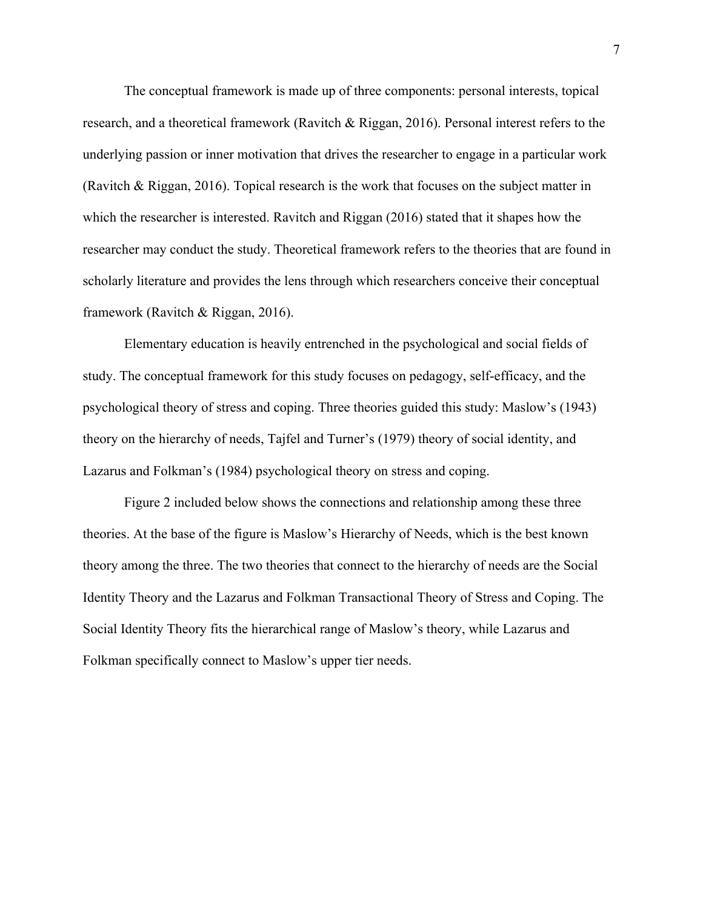The conceptual framework is made up of three components: personal interests, topical research, and a theoretical framework (Ravitch & Riggan, 2016). Personal interest refers to the underlying passion or inner motivation that drives the researcher to engage in a particular work (Ravitch & Riggan, 2016). Topical research is the work that focuses on the subject matter in which the researcher is interested. Ravitch and Riggan (2016) stated that it shapes how the researcher may conduct the study. Theoretical framework refers to the theories that are found in scholarly literature and provides the lens through which researchers conceive their conceptual framework (Ravitch & Riggan, 2016).

Elementary education is heavily entrenched in the psychological and social fields of study. The conceptual framework for this study focuses on pedagogy, self-efficacy, and the psychological theory of stress and coping. Three theories guided this study: Maslow's (1943) theory on the hierarchy of needs, Tajfel and Turner's (1979) theory of social identity, and Lazarus and Folkman's (1984) psychological theory on stress and coping.

Figure 2 included below shows the connections and relationship among these three theories. At the base of the figure is Maslow's Hierarchy of Needs, which is the best known theory among the three. The two theories that connect to the hierarchy of needs are the Social Identity Theory and the Lazarus and Folkman Transactional Theory of Stress and Coping. The Social Identity Theory fits the hierarchical range of Maslow's theory, while Lazarus and Folkman specifically connect to Maslow's upper tier needs.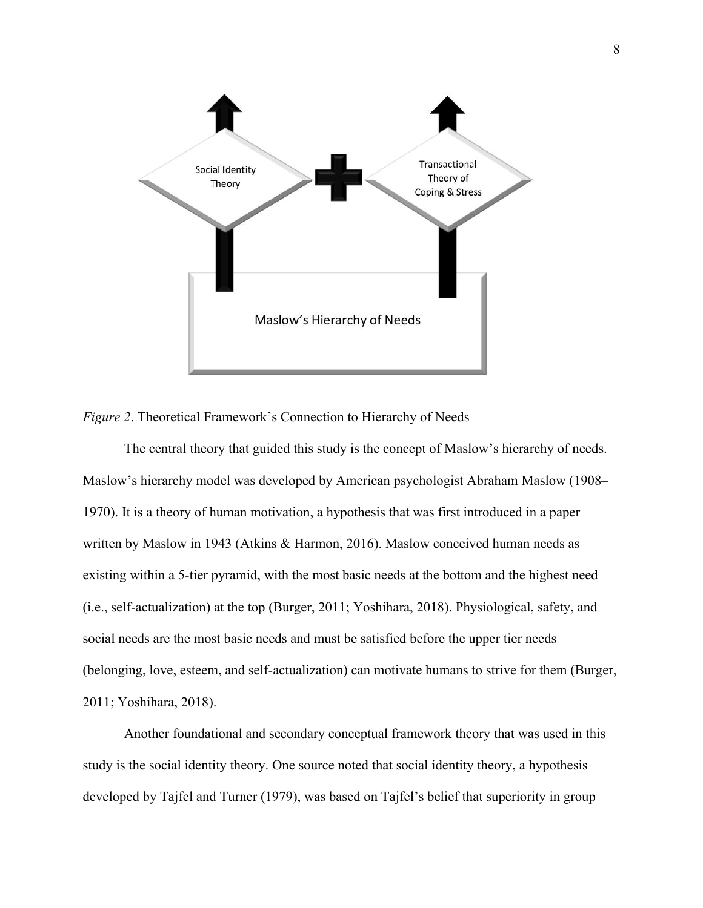

*Figure 2*. Theoretical Framework's Connection to Hierarchy of Needs

The central theory that guided this study is the concept of Maslow's hierarchy of needs. Maslow's hierarchy model was developed by American psychologist Abraham Maslow (1908– 1970). It is a theory of human motivation, a hypothesis that was first introduced in a paper written by Maslow in 1943 (Atkins & Harmon, 2016). Maslow conceived human needs as existing within a 5-tier pyramid, with the most basic needs at the bottom and the highest need (i.e., self-actualization) at the top (Burger, 2011; Yoshihara, 2018). Physiological, safety, and social needs are the most basic needs and must be satisfied before the upper tier needs (belonging, love, esteem, and self-actualization) can motivate humans to strive for them (Burger, 2011; Yoshihara, 2018).

Another foundational and secondary conceptual framework theory that was used in this study is the social identity theory. One source noted that social identity theory, a hypothesis developed by Tajfel and Turner (1979), was based on Tajfel's belief that superiority in group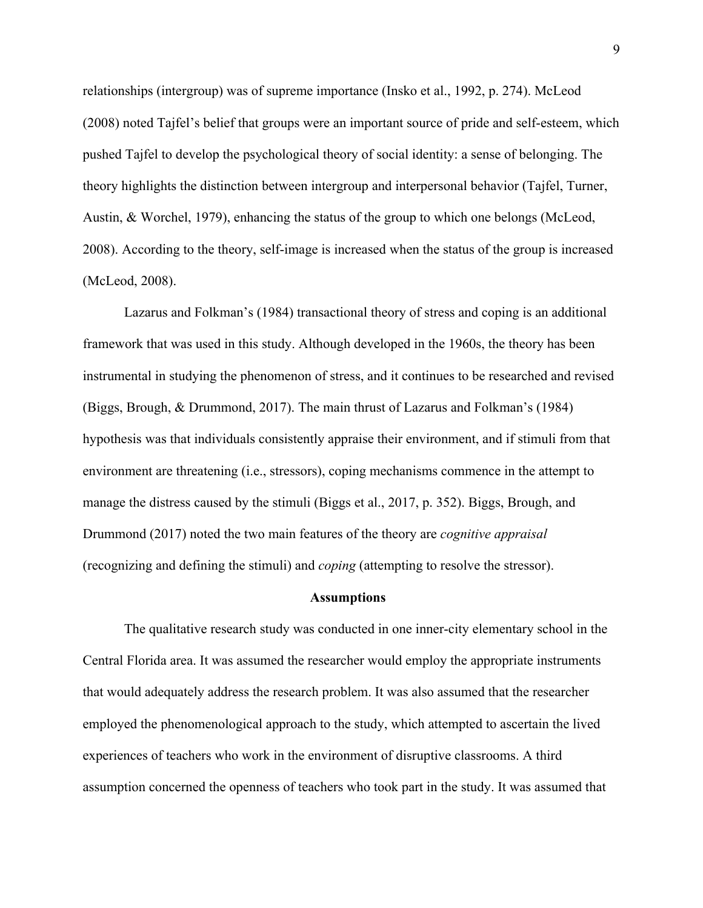relationships (intergroup) was of supreme importance (Insko et al., 1992, p. 274). McLeod (2008) noted Tajfel's belief that groups were an important source of pride and self-esteem, which pushed Tajfel to develop the psychological theory of social identity: a sense of belonging. The theory highlights the distinction between intergroup and interpersonal behavior (Tajfel, Turner, Austin, & Worchel, 1979), enhancing the status of the group to which one belongs (McLeod, 2008). According to the theory, self-image is increased when the status of the group is increased (McLeod, 2008).

Lazarus and Folkman's (1984) transactional theory of stress and coping is an additional framework that was used in this study. Although developed in the 1960s, the theory has been instrumental in studying the phenomenon of stress, and it continues to be researched and revised (Biggs, Brough, & Drummond, 2017). The main thrust of Lazarus and Folkman's (1984) hypothesis was that individuals consistently appraise their environment, and if stimuli from that environment are threatening (i.e., stressors), coping mechanisms commence in the attempt to manage the distress caused by the stimuli (Biggs et al., 2017, p. 352). Biggs, Brough, and Drummond (2017) noted the two main features of the theory are *cognitive appraisal* (recognizing and defining the stimuli) and *coping* (attempting to resolve the stressor).

#### **Assumptions**

The qualitative research study was conducted in one inner-city elementary school in the Central Florida area. It was assumed the researcher would employ the appropriate instruments that would adequately address the research problem. It was also assumed that the researcher employed the phenomenological approach to the study, which attempted to ascertain the lived experiences of teachers who work in the environment of disruptive classrooms. A third assumption concerned the openness of teachers who took part in the study. It was assumed that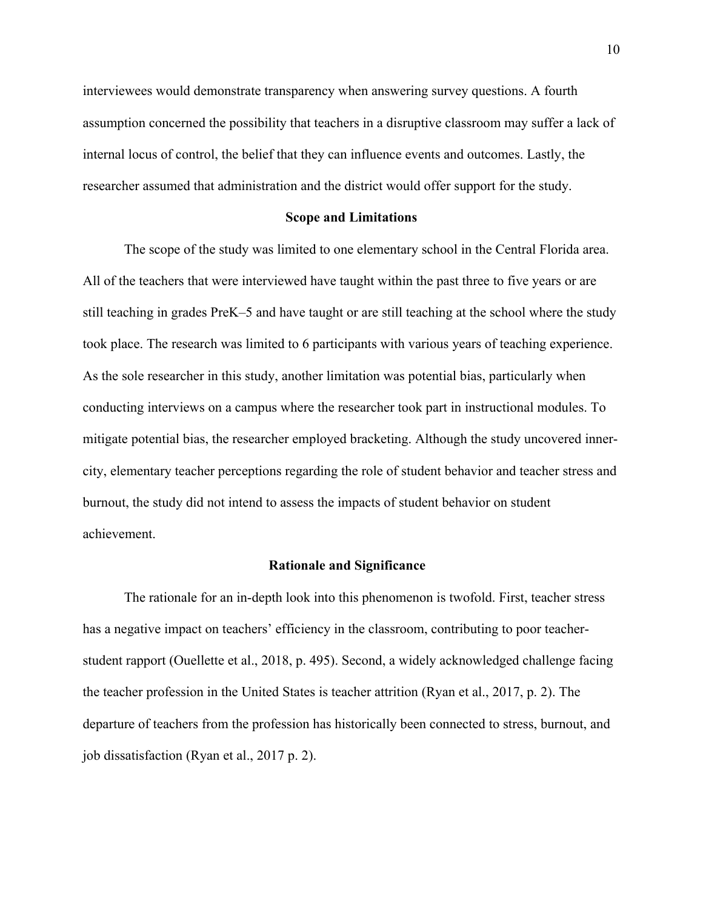interviewees would demonstrate transparency when answering survey questions. A fourth assumption concerned the possibility that teachers in a disruptive classroom may suffer a lack of internal locus of control, the belief that they can influence events and outcomes. Lastly, the researcher assumed that administration and the district would offer support for the study.

#### **Scope and Limitations**

The scope of the study was limited to one elementary school in the Central Florida area. All of the teachers that were interviewed have taught within the past three to five years or are still teaching in grades PreK–5 and have taught or are still teaching at the school where the study took place. The research was limited to 6 participants with various years of teaching experience. As the sole researcher in this study, another limitation was potential bias, particularly when conducting interviews on a campus where the researcher took part in instructional modules. To mitigate potential bias, the researcher employed bracketing. Although the study uncovered innercity, elementary teacher perceptions regarding the role of student behavior and teacher stress and burnout, the study did not intend to assess the impacts of student behavior on student achievement.

#### **Rationale and Significance**

The rationale for an in-depth look into this phenomenon is twofold. First, teacher stress has a negative impact on teachers' efficiency in the classroom, contributing to poor teacherstudent rapport (Ouellette et al., 2018, p. 495). Second, a widely acknowledged challenge facing the teacher profession in the United States is teacher attrition (Ryan et al., 2017, p. 2). The departure of teachers from the profession has historically been connected to stress, burnout, and job dissatisfaction (Ryan et al., 2017 p. 2).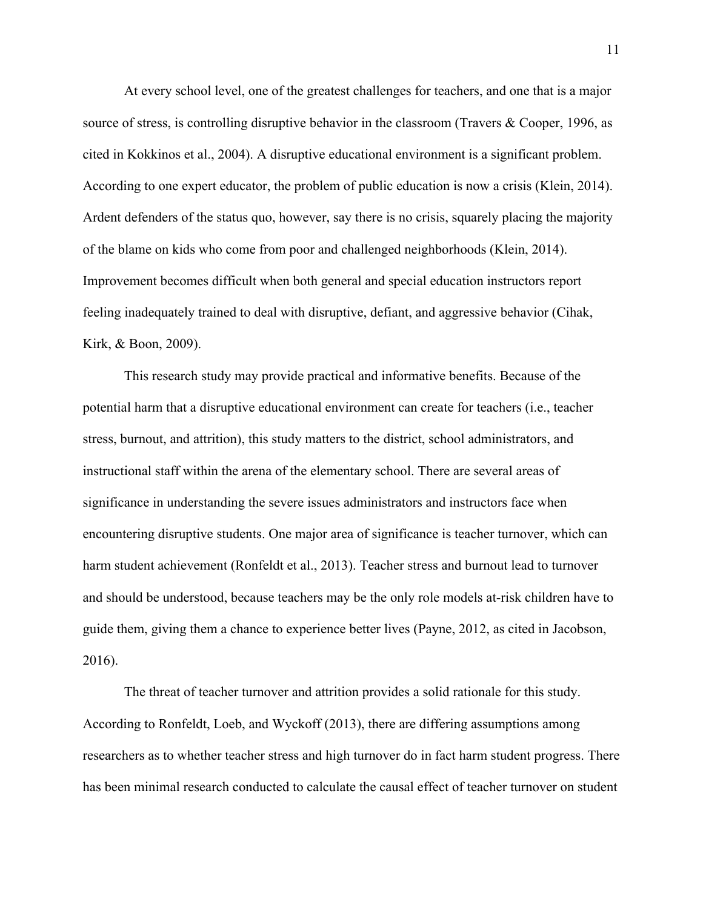At every school level, one of the greatest challenges for teachers, and one that is a major source of stress, is controlling disruptive behavior in the classroom (Travers & Cooper, 1996, as cited in Kokkinos et al., 2004). A disruptive educational environment is a significant problem. According to one expert educator, the problem of public education is now a crisis (Klein, 2014). Ardent defenders of the status quo, however, say there is no crisis, squarely placing the majority of the blame on kids who come from poor and challenged neighborhoods (Klein, 2014). Improvement becomes difficult when both general and special education instructors report feeling inadequately trained to deal with disruptive, defiant, and aggressive behavior (Cihak, Kirk, & Boon, 2009).

This research study may provide practical and informative benefits. Because of the potential harm that a disruptive educational environment can create for teachers (i.e., teacher stress, burnout, and attrition), this study matters to the district, school administrators, and instructional staff within the arena of the elementary school. There are several areas of significance in understanding the severe issues administrators and instructors face when encountering disruptive students. One major area of significance is teacher turnover, which can harm student achievement (Ronfeldt et al., 2013). Teacher stress and burnout lead to turnover and should be understood, because teachers may be the only role models at-risk children have to guide them, giving them a chance to experience better lives (Payne, 2012, as cited in Jacobson, 2016).

The threat of teacher turnover and attrition provides a solid rationale for this study. According to Ronfeldt, Loeb, and Wyckoff (2013), there are differing assumptions among researchers as to whether teacher stress and high turnover do in fact harm student progress. There has been minimal research conducted to calculate the causal effect of teacher turnover on student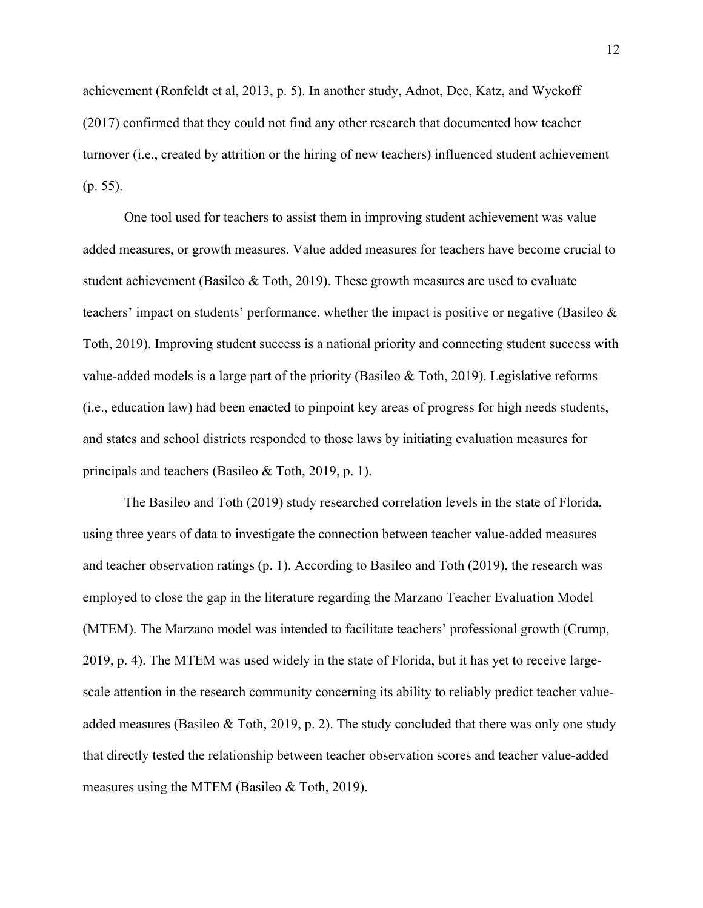achievement (Ronfeldt et al, 2013, p. 5). In another study, Adnot, Dee, Katz, and Wyckoff (2017) confirmed that they could not find any other research that documented how teacher turnover (i.e., created by attrition or the hiring of new teachers) influenced student achievement (p. 55).

One tool used for teachers to assist them in improving student achievement was value added measures, or growth measures. Value added measures for teachers have become crucial to student achievement (Basileo & Toth, 2019). These growth measures are used to evaluate teachers' impact on students' performance, whether the impact is positive or negative (Basileo & Toth, 2019). Improving student success is a national priority and connecting student success with value-added models is a large part of the priority (Basileo & Toth, 2019). Legislative reforms (i.e., education law) had been enacted to pinpoint key areas of progress for high needs students, and states and school districts responded to those laws by initiating evaluation measures for principals and teachers (Basileo & Toth, 2019, p. 1).

The Basileo and Toth (2019) study researched correlation levels in the state of Florida, using three years of data to investigate the connection between teacher value-added measures and teacher observation ratings (p. 1). According to Basileo and Toth (2019), the research was employed to close the gap in the literature regarding the Marzano Teacher Evaluation Model (MTEM). The Marzano model was intended to facilitate teachers' professional growth (Crump, 2019, p. 4). The MTEM was used widely in the state of Florida, but it has yet to receive largescale attention in the research community concerning its ability to reliably predict teacher valueadded measures (Basileo & Toth, 2019, p. 2). The study concluded that there was only one study that directly tested the relationship between teacher observation scores and teacher value-added measures using the MTEM (Basileo & Toth, 2019).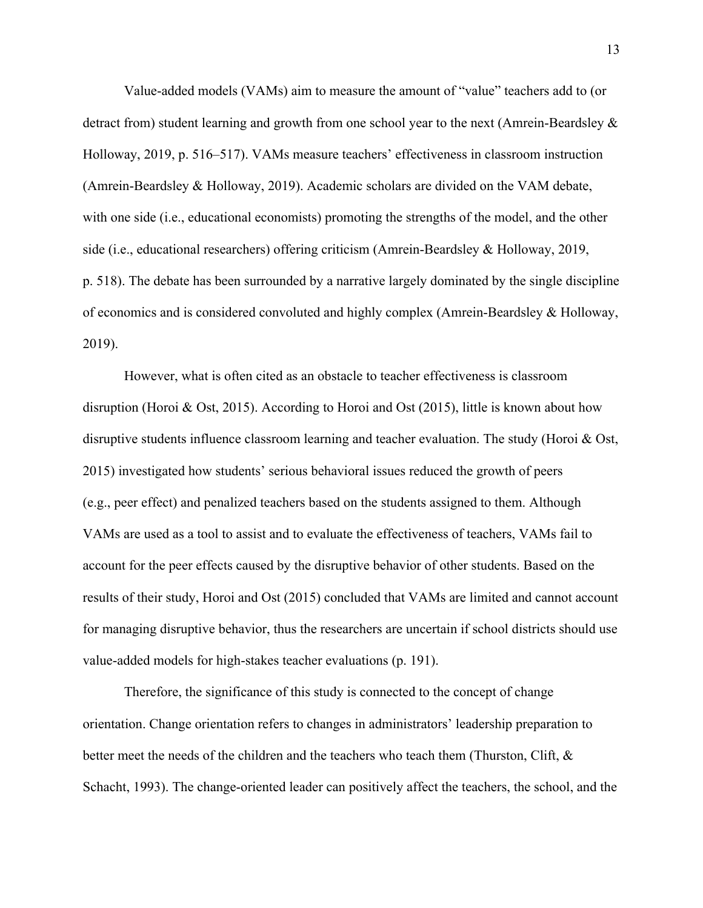Value-added models (VAMs) aim to measure the amount of "value" teachers add to (or detract from) student learning and growth from one school year to the next (Amrein-Beardsley & Holloway, 2019, p. 516–517). VAMs measure teachers' effectiveness in classroom instruction (Amrein-Beardsley & Holloway, 2019). Academic scholars are divided on the VAM debate, with one side (i.e., educational economists) promoting the strengths of the model, and the other side (i.e., educational researchers) offering criticism (Amrein-Beardsley & Holloway, 2019, p. 518). The debate has been surrounded by a narrative largely dominated by the single discipline of economics and is considered convoluted and highly complex (Amrein-Beardsley & Holloway, 2019).

However, what is often cited as an obstacle to teacher effectiveness is classroom disruption (Horoi & Ost, 2015). According to Horoi and Ost (2015), little is known about how disruptive students influence classroom learning and teacher evaluation. The study (Horoi & Ost, 2015) investigated how students' serious behavioral issues reduced the growth of peers (e.g., peer effect) and penalized teachers based on the students assigned to them. Although VAMs are used as a tool to assist and to evaluate the effectiveness of teachers, VAMs fail to account for the peer effects caused by the disruptive behavior of other students. Based on the results of their study, Horoi and Ost (2015) concluded that VAMs are limited and cannot account for managing disruptive behavior, thus the researchers are uncertain if school districts should use value-added models for high-stakes teacher evaluations (p. 191).

Therefore, the significance of this study is connected to the concept of change orientation. Change orientation refers to changes in administrators' leadership preparation to better meet the needs of the children and the teachers who teach them (Thurston, Clift, & Schacht, 1993). The change-oriented leader can positively affect the teachers, the school, and the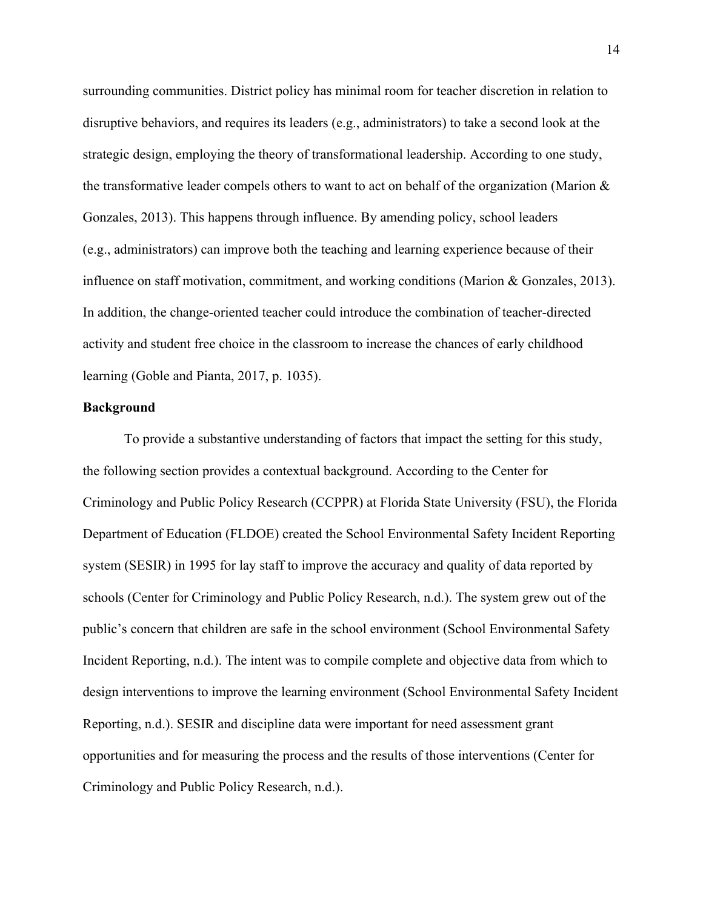surrounding communities. District policy has minimal room for teacher discretion in relation to disruptive behaviors, and requires its leaders (e.g., administrators) to take a second look at the strategic design, employing the theory of transformational leadership. According to one study, the transformative leader compels others to want to act on behalf of the organization (Marion & Gonzales, 2013). This happens through influence. By amending policy, school leaders (e.g., administrators) can improve both the teaching and learning experience because of their influence on staff motivation, commitment, and working conditions (Marion & Gonzales, 2013). In addition, the change-oriented teacher could introduce the combination of teacher-directed activity and student free choice in the classroom to increase the chances of early childhood learning (Goble and Pianta, 2017, p. 1035).

#### **Background**

To provide a substantive understanding of factors that impact the setting for this study, the following section provides a contextual background. According to the Center for Criminology and Public Policy Research (CCPPR) at Florida State University (FSU), the Florida Department of Education (FLDOE) created the School Environmental Safety Incident Reporting system (SESIR) in 1995 for lay staff to improve the accuracy and quality of data reported by schools (Center for Criminology and Public Policy Research, n.d.). The system grew out of the public's concern that children are safe in the school environment (School Environmental Safety Incident Reporting, n.d.). The intent was to compile complete and objective data from which to design interventions to improve the learning environment (School Environmental Safety Incident Reporting, n.d.). SESIR and discipline data were important for need assessment grant opportunities and for measuring the process and the results of those interventions (Center for Criminology and Public Policy Research, n.d.).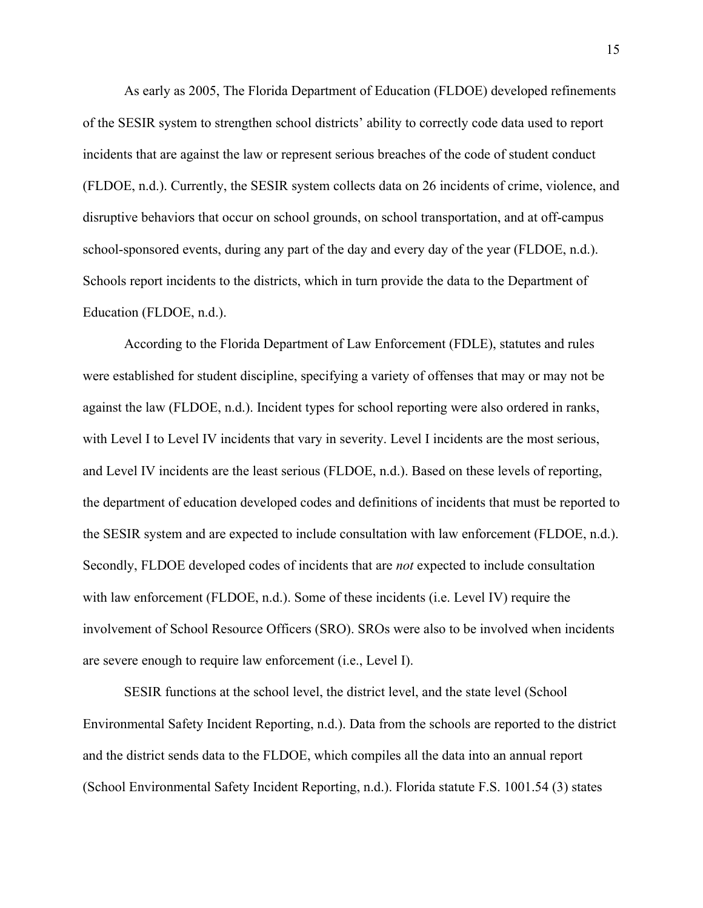As early as 2005, The Florida Department of Education (FLDOE) developed refinements of the SESIR system to strengthen school districts' ability to correctly code data used to report incidents that are against the law or represent serious breaches of the code of student conduct (FLDOE, n.d.). Currently, the SESIR system collects data on 26 incidents of crime, violence, and disruptive behaviors that occur on school grounds, on school transportation, and at off-campus school-sponsored events, during any part of the day and every day of the year (FLDOE, n.d.). Schools report incidents to the districts, which in turn provide the data to the Department of Education (FLDOE, n.d.).

According to the Florida Department of Law Enforcement (FDLE), statutes and rules were established for student discipline, specifying a variety of offenses that may or may not be against the law (FLDOE, n.d.). Incident types for school reporting were also ordered in ranks, with Level I to Level IV incidents that vary in severity. Level I incidents are the most serious, and Level IV incidents are the least serious (FLDOE, n.d.). Based on these levels of reporting, the department of education developed codes and definitions of incidents that must be reported to the SESIR system and are expected to include consultation with law enforcement (FLDOE, n.d.). Secondly, FLDOE developed codes of incidents that are *not* expected to include consultation with law enforcement (FLDOE, n.d.). Some of these incidents (i.e. Level IV) require the involvement of School Resource Officers (SRO). SROs were also to be involved when incidents are severe enough to require law enforcement (i.e., Level I).

SESIR functions at the school level, the district level, and the state level (School Environmental Safety Incident Reporting, n.d.). Data from the schools are reported to the district and the district sends data to the FLDOE, which compiles all the data into an annual report (School Environmental Safety Incident Reporting, n.d.). Florida statute F.S. 1001.54 (3) states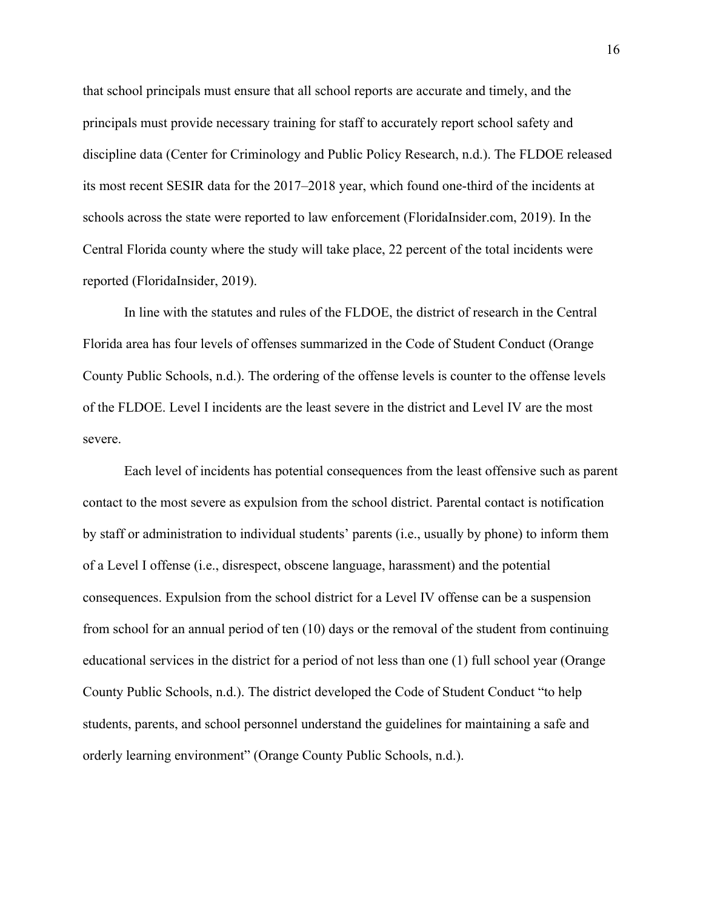that school principals must ensure that all school reports are accurate and timely, and the principals must provide necessary training for staff to accurately report school safety and discipline data (Center for Criminology and Public Policy Research, n.d.). The FLDOE released its most recent SESIR data for the 2017–2018 year, which found one-third of the incidents at schools across the state were reported to law enforcement (FloridaInsider.com, 2019). In the Central Florida county where the study will take place, 22 percent of the total incidents were reported (FloridaInsider, 2019).

In line with the statutes and rules of the FLDOE, the district of research in the Central Florida area has four levels of offenses summarized in the Code of Student Conduct (Orange County Public Schools, n.d.). The ordering of the offense levels is counter to the offense levels of the FLDOE. Level I incidents are the least severe in the district and Level IV are the most severe.

Each level of incidents has potential consequences from the least offensive such as parent contact to the most severe as expulsion from the school district. Parental contact is notification by staff or administration to individual students' parents (i.e., usually by phone) to inform them of a Level I offense (i.e., disrespect, obscene language, harassment) and the potential consequences. Expulsion from the school district for a Level IV offense can be a suspension from school for an annual period of ten (10) days or the removal of the student from continuing educational services in the district for a period of not less than one (1) full school year (Orange County Public Schools, n.d.). The district developed the Code of Student Conduct "to help students, parents, and school personnel understand the guidelines for maintaining a safe and orderly learning environment" (Orange County Public Schools, n.d.).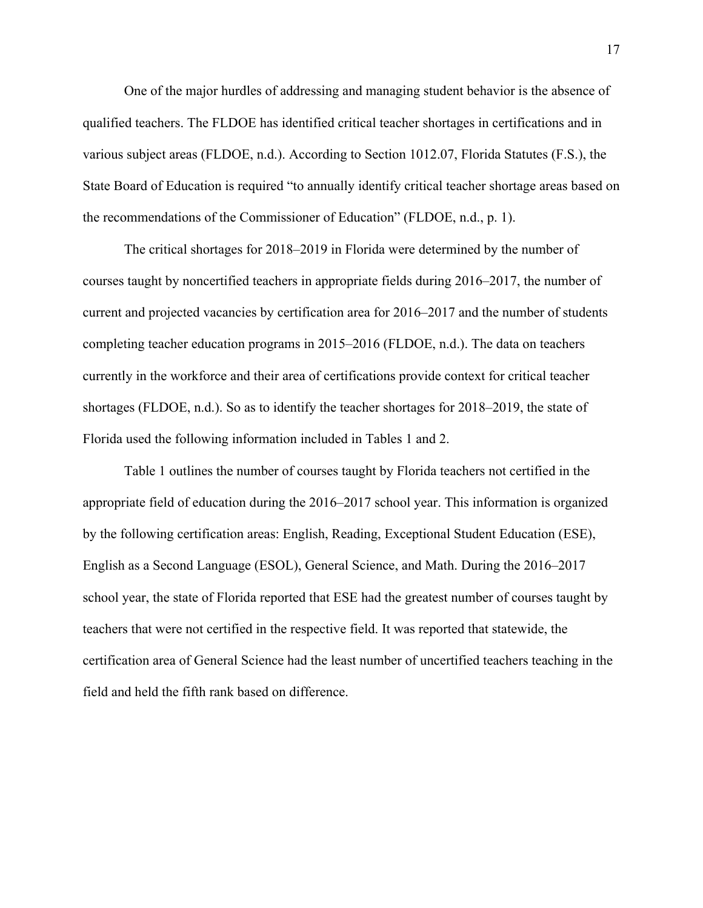One of the major hurdles of addressing and managing student behavior is the absence of qualified teachers. The FLDOE has identified critical teacher shortages in certifications and in various subject areas (FLDOE, n.d.). According to Section 1012.07, Florida Statutes (F.S.), the State Board of Education is required "to annually identify critical teacher shortage areas based on the recommendations of the Commissioner of Education" (FLDOE, n.d., p. 1).

The critical shortages for 2018–2019 in Florida were determined by the number of courses taught by noncertified teachers in appropriate fields during 2016–2017, the number of current and projected vacancies by certification area for 2016–2017 and the number of students completing teacher education programs in 2015–2016 (FLDOE, n.d.). The data on teachers currently in the workforce and their area of certifications provide context for critical teacher shortages (FLDOE, n.d.). So as to identify the teacher shortages for 2018–2019, the state of Florida used the following information included in Tables 1 and 2.

Table 1 outlines the number of courses taught by Florida teachers not certified in the appropriate field of education during the 2016–2017 school year. This information is organized by the following certification areas: English, Reading, Exceptional Student Education (ESE), English as a Second Language (ESOL), General Science, and Math. During the 2016–2017 school year, the state of Florida reported that ESE had the greatest number of courses taught by teachers that were not certified in the respective field. It was reported that statewide, the certification area of General Science had the least number of uncertified teachers teaching in the field and held the fifth rank based on difference.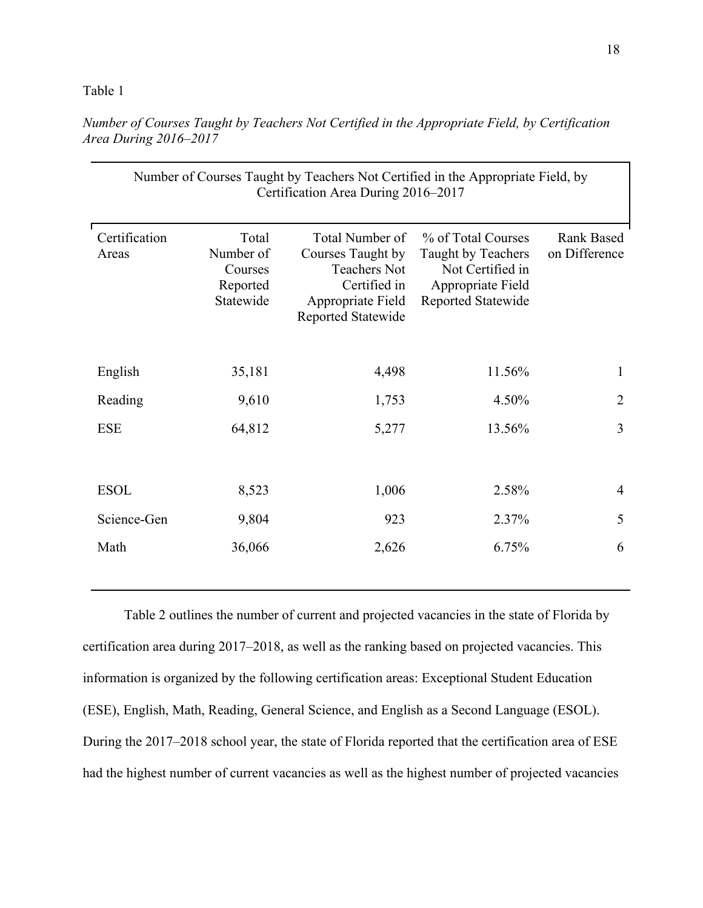#### Table 1

| Number of Courses Taught by Teachers Not Certified in the Appropriate Field, by<br>Certification Area During 2016–2017 |                                                        |                                                                                                                        |                                                                                                         |                                    |
|------------------------------------------------------------------------------------------------------------------------|--------------------------------------------------------|------------------------------------------------------------------------------------------------------------------------|---------------------------------------------------------------------------------------------------------|------------------------------------|
| Certification<br>Areas                                                                                                 | Total<br>Number of<br>Courses<br>Reported<br>Statewide | Total Number of<br>Courses Taught by<br><b>Teachers Not</b><br>Certified in<br>Appropriate Field<br>Reported Statewide | % of Total Courses<br>Taught by Teachers<br>Not Certified in<br>Appropriate Field<br>Reported Statewide | <b>Rank Based</b><br>on Difference |
| English                                                                                                                | 35,181                                                 | 4,498                                                                                                                  | 11.56%                                                                                                  | $\mathbf{1}$                       |
| Reading                                                                                                                | 9,610                                                  | 1,753                                                                                                                  | 4.50%                                                                                                   | $\overline{2}$                     |
| <b>ESE</b>                                                                                                             | 64,812                                                 | 5,277                                                                                                                  | 13.56%                                                                                                  | 3                                  |
| <b>ESOL</b>                                                                                                            | 8,523                                                  | 1,006                                                                                                                  | 2.58%                                                                                                   | $\overline{4}$                     |
| Science-Gen                                                                                                            | 9,804                                                  | 923                                                                                                                    | 2.37%                                                                                                   | 5                                  |
| Math                                                                                                                   | 36,066                                                 | 2,626                                                                                                                  | 6.75%                                                                                                   | 6                                  |

*Number of Courses Taught by Teachers Not Certified in the Appropriate Field, by Certification Area During 2016–2017*

Table 2 outlines the number of current and projected vacancies in the state of Florida by certification area during 2017–2018, as well as the ranking based on projected vacancies. This information is organized by the following certification areas: Exceptional Student Education (ESE), English, Math, Reading, General Science, and English as a Second Language (ESOL). During the 2017–2018 school year, the state of Florida reported that the certification area of ESE had the highest number of current vacancies as well as the highest number of projected vacancies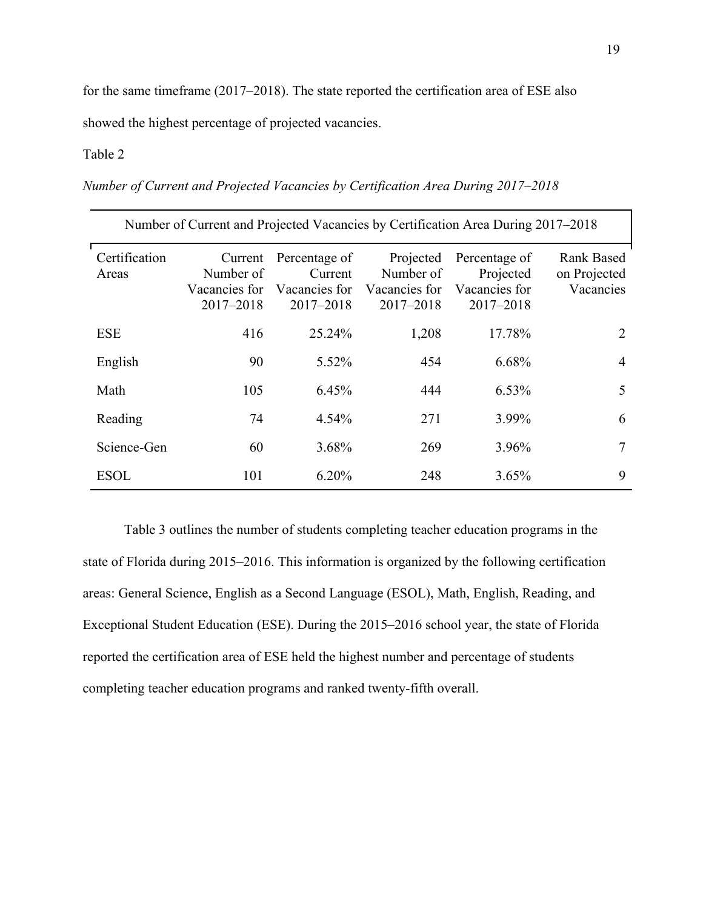for the same timeframe (2017–2018). The state reported the certification area of ESE also

showed the highest percentage of projected vacancies.

### Table 2

*Number of Current and Projected Vacancies by Certification Area During 2017–2018*

| Number of Current and Projected Vacancies by Certification Area During 2017–2018 |                                                    |                                                        |                                                          |                                                              |                                                |
|----------------------------------------------------------------------------------|----------------------------------------------------|--------------------------------------------------------|----------------------------------------------------------|--------------------------------------------------------------|------------------------------------------------|
| Certification<br>Areas                                                           | Current<br>Number of<br>Vacancies for<br>2017-2018 | Percentage of<br>Current<br>Vacancies for<br>2017-2018 | Projected<br>Number of<br>Vacancies for<br>$2017 - 2018$ | Percentage of<br>Projected<br>Vacancies for<br>$2017 - 2018$ | <b>Rank Based</b><br>on Projected<br>Vacancies |
| <b>ESE</b>                                                                       | 416                                                | 25.24%                                                 | 1,208                                                    | 17.78%                                                       | 2                                              |
| English                                                                          | 90                                                 | 5.52%                                                  | 454                                                      | 6.68%                                                        | $\overline{4}$                                 |
| Math                                                                             | 105                                                | 6.45%                                                  | 444                                                      | $6.53\%$                                                     | 5                                              |
| Reading                                                                          | 74                                                 | 4.54%                                                  | 271                                                      | 3.99%                                                        | 6                                              |
| Science-Gen                                                                      | 60                                                 | 3.68%                                                  | 269                                                      | 3.96%                                                        | 7                                              |
| <b>ESOL</b>                                                                      | 101                                                | 6.20%                                                  | 248                                                      | 3.65%                                                        | 9                                              |

Table 3 outlines the number of students completing teacher education programs in the state of Florida during 2015–2016. This information is organized by the following certification areas: General Science, English as a Second Language (ESOL), Math, English, Reading, and Exceptional Student Education (ESE). During the 2015–2016 school year, the state of Florida reported the certification area of ESE held the highest number and percentage of students completing teacher education programs and ranked twenty-fifth overall.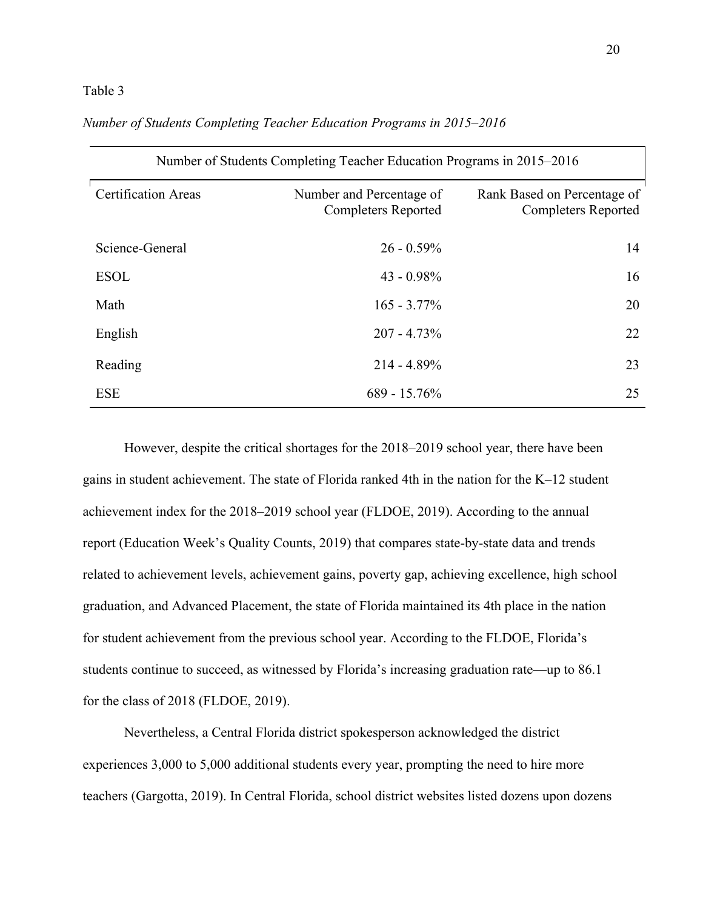#### Table 3

| Number of Students Completing Teacher Education Programs in 2015–2016 |                                                        |                                                           |  |
|-----------------------------------------------------------------------|--------------------------------------------------------|-----------------------------------------------------------|--|
| <b>Certification Areas</b>                                            | Number and Percentage of<br><b>Completers Reported</b> | Rank Based on Percentage of<br><b>Completers Reported</b> |  |
| Science-General                                                       | $26 - 0.59\%$                                          | 14                                                        |  |
| <b>ESOL</b>                                                           | $43 - 0.98\%$                                          | 16                                                        |  |
| Math                                                                  | $165 - 3.77\%$                                         | 20                                                        |  |
| English                                                               | $207 - 4.73\%$                                         | 22                                                        |  |
| Reading                                                               | $214 - 4.89\%$                                         | 23                                                        |  |
| <b>ESE</b>                                                            | $689 - 15.76\%$                                        | 25                                                        |  |

*Number of Students Completing Teacher Education Programs in 2015–2016*

However, despite the critical shortages for the 2018–2019 school year, there have been gains in student achievement. The state of Florida ranked 4th in the nation for the K–12 student achievement index for the 2018–2019 school year (FLDOE, 2019). According to the annual report (Education Week's Quality Counts, 2019) that compares state-by-state data and trends related to achievement levels, achievement gains, poverty gap, achieving excellence, high school graduation, and Advanced Placement, the state of Florida maintained its 4th place in the nation for student achievement from the previous school year. According to the FLDOE, Florida's students continue to succeed, as witnessed by Florida's increasing graduation rate—up to 86.1 for the class of 2018 (FLDOE, 2019).

Nevertheless, a Central Florida district spokesperson acknowledged the district experiences 3,000 to 5,000 additional students every year, prompting the need to hire more teachers (Gargotta, 2019). In Central Florida, school district websites listed dozens upon dozens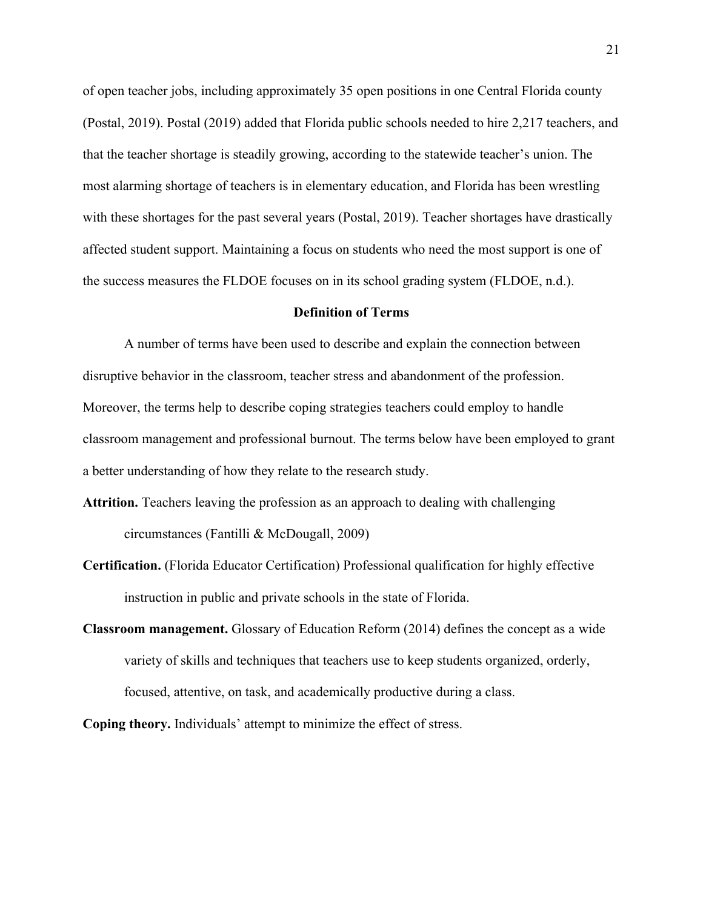of open teacher jobs, including approximately 35 open positions in one Central Florida county (Postal, 2019). Postal (2019) added that Florida public schools needed to hire 2,217 teachers, and that the teacher shortage is steadily growing, according to the statewide teacher's union. The most alarming shortage of teachers is in elementary education, and Florida has been wrestling with these shortages for the past several years (Postal, 2019). Teacher shortages have drastically affected student support. Maintaining a focus on students who need the most support is one of the success measures the FLDOE focuses on in its school grading system (FLDOE, n.d.).

#### **Definition of Terms**

A number of terms have been used to describe and explain the connection between disruptive behavior in the classroom, teacher stress and abandonment of the profession. Moreover, the terms help to describe coping strategies teachers could employ to handle classroom management and professional burnout. The terms below have been employed to grant a better understanding of how they relate to the research study.

- **Attrition.** Teachers leaving the profession as an approach to dealing with challenging circumstances (Fantilli & McDougall, 2009)
- **Certification.** (Florida Educator Certification) Professional qualification for highly effective instruction in public and private schools in the state of Florida.
- **Classroom management.** Glossary of Education Reform (2014) defines the concept as a wide variety of skills and techniques that teachers use to keep students organized, orderly, focused, attentive, on task, and academically productive during a class.

**Coping theory.** Individuals' attempt to minimize the effect of stress.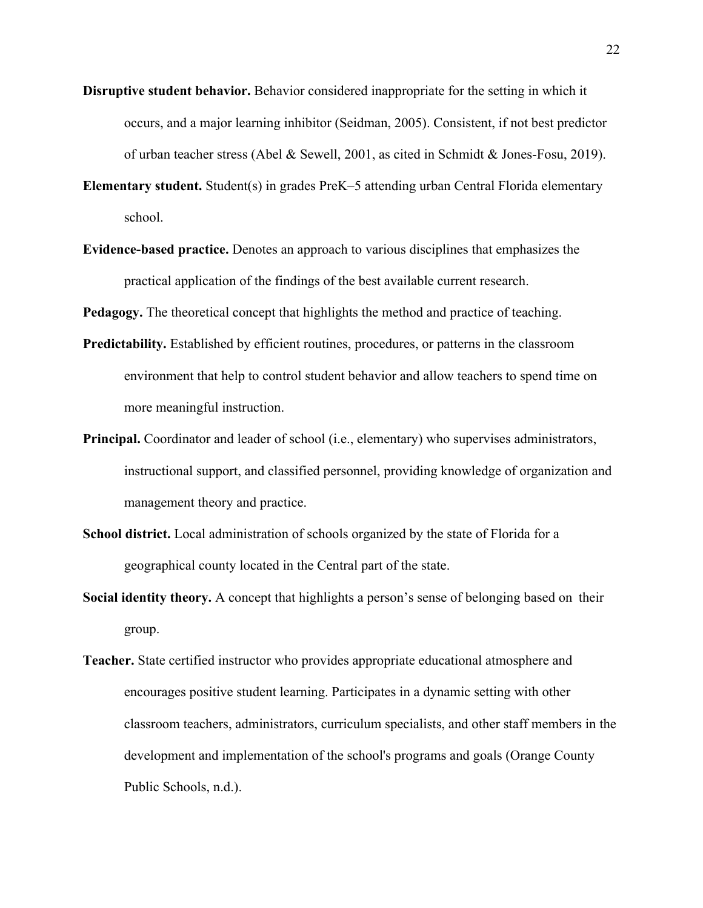- **Disruptive student behavior.** Behavior considered inappropriate for the setting in which it occurs, and a major learning inhibitor (Seidman, 2005). Consistent, if not best predictor of urban teacher stress (Abel & Sewell, 2001, as cited in Schmidt & Jones-Fosu, 2019).
- **Elementary student.** Student(s) in grades PreK–5 attending urban Central Florida elementary school.
- **Evidence-based practice.** Denotes an approach to various disciplines that emphasizes the practical application of the findings of the best available current research.

**Pedagogy.** The theoretical concept that highlights the method and practice of teaching.

- **Predictability.** Established by efficient routines, procedures, or patterns in the classroom environment that help to control student behavior and allow teachers to spend time on more meaningful instruction.
- **Principal.** Coordinator and leader of school (i.e., elementary) who supervises administrators, instructional support, and classified personnel, providing knowledge of organization and management theory and practice.
- **School district.** Local administration of schools organized by the state of Florida for a geographical county located in the Central part of the state.
- **Social identity theory.** A concept that highlights a person's sense of belonging based on their group.
- **Teacher.** State certified instructor who provides appropriate educational atmosphere and encourages positive student learning. Participates in a dynamic setting with other classroom teachers, administrators, curriculum specialists, and other staff members in the development and implementation of the school's programs and goals (Orange County Public Schools, n.d.).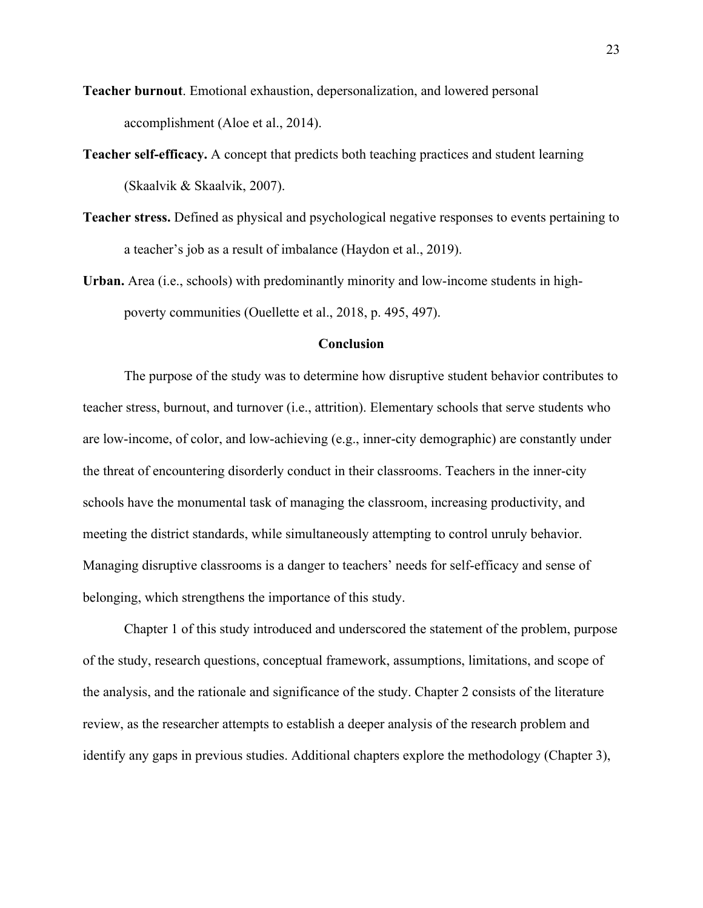- **Teacher burnout**. Emotional exhaustion, depersonalization, and lowered personal accomplishment (Aloe et al., 2014).
- **Teacher self-efficacy.** A concept that predicts both teaching practices and student learning (Skaalvik & Skaalvik, 2007).
- **Teacher stress.** Defined as physical and psychological negative responses to events pertaining to a teacher's job as a result of imbalance (Haydon et al., 2019).
- **Urban.** Area (i.e., schools) with predominantly minority and low-income students in highpoverty communities (Ouellette et al., 2018, p. 495, 497).

# **Conclusion**

The purpose of the study was to determine how disruptive student behavior contributes to teacher stress, burnout, and turnover (i.e., attrition). Elementary schools that serve students who are low-income, of color, and low-achieving (e.g., inner-city demographic) are constantly under the threat of encountering disorderly conduct in their classrooms. Teachers in the inner-city schools have the monumental task of managing the classroom, increasing productivity, and meeting the district standards, while simultaneously attempting to control unruly behavior. Managing disruptive classrooms is a danger to teachers' needs for self-efficacy and sense of belonging, which strengthens the importance of this study.

Chapter 1 of this study introduced and underscored the statement of the problem, purpose of the study, research questions, conceptual framework, assumptions, limitations, and scope of the analysis, and the rationale and significance of the study. Chapter 2 consists of the literature review, as the researcher attempts to establish a deeper analysis of the research problem and identify any gaps in previous studies. Additional chapters explore the methodology (Chapter 3),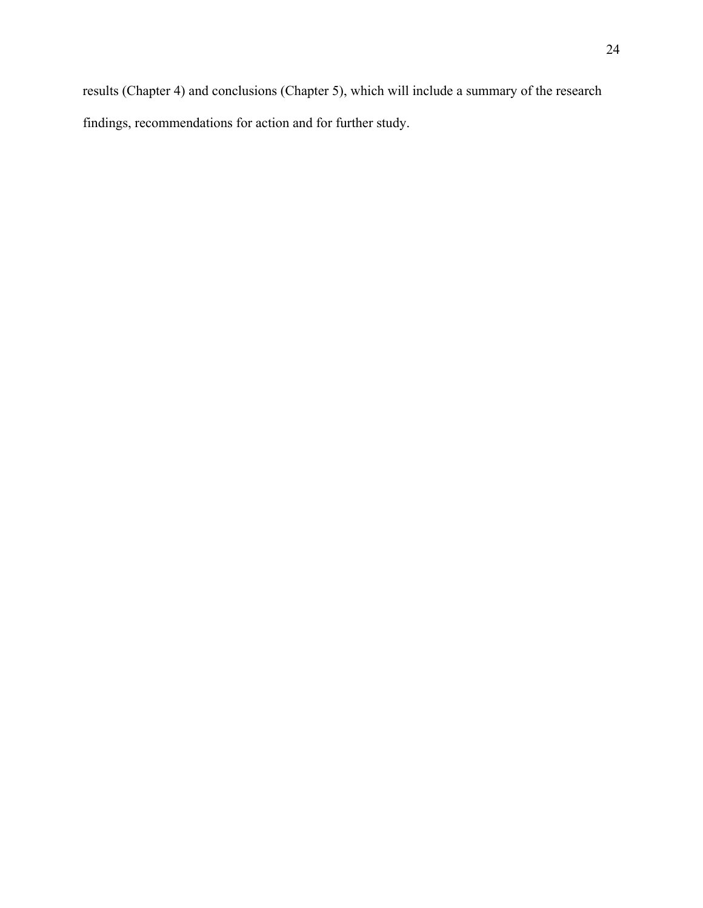results (Chapter 4) and conclusions (Chapter 5), which will include a summary of the research findings, recommendations for action and for further study.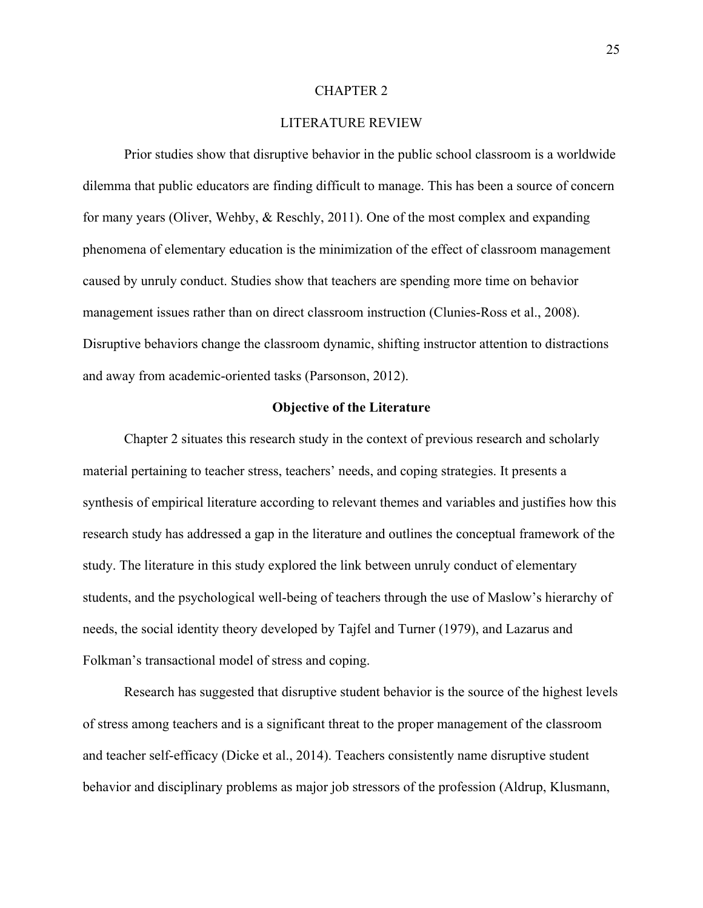#### CHAPTER 2

# LITERATURE REVIEW

Prior studies show that disruptive behavior in the public school classroom is a worldwide dilemma that public educators are finding difficult to manage. This has been a source of concern for many years (Oliver, Wehby, & Reschly, 2011). One of the most complex and expanding phenomena of elementary education is the minimization of the effect of classroom management caused by unruly conduct. Studies show that teachers are spending more time on behavior management issues rather than on direct classroom instruction (Clunies-Ross et al., 2008). Disruptive behaviors change the classroom dynamic, shifting instructor attention to distractions and away from academic-oriented tasks (Parsonson, 2012).

# **Objective of the Literature**

Chapter 2 situates this research study in the context of previous research and scholarly material pertaining to teacher stress, teachers' needs, and coping strategies. It presents a synthesis of empirical literature according to relevant themes and variables and justifies how this research study has addressed a gap in the literature and outlines the conceptual framework of the study. The literature in this study explored the link between unruly conduct of elementary students, and the psychological well-being of teachers through the use of Maslow's hierarchy of needs, the social identity theory developed by Tajfel and Turner (1979), and Lazarus and Folkman's transactional model of stress and coping.

Research has suggested that disruptive student behavior is the source of the highest levels of stress among teachers and is a significant threat to the proper management of the classroom and teacher self-efficacy (Dicke et al., 2014). Teachers consistently name disruptive student behavior and disciplinary problems as major job stressors of the profession (Aldrup, Klusmann,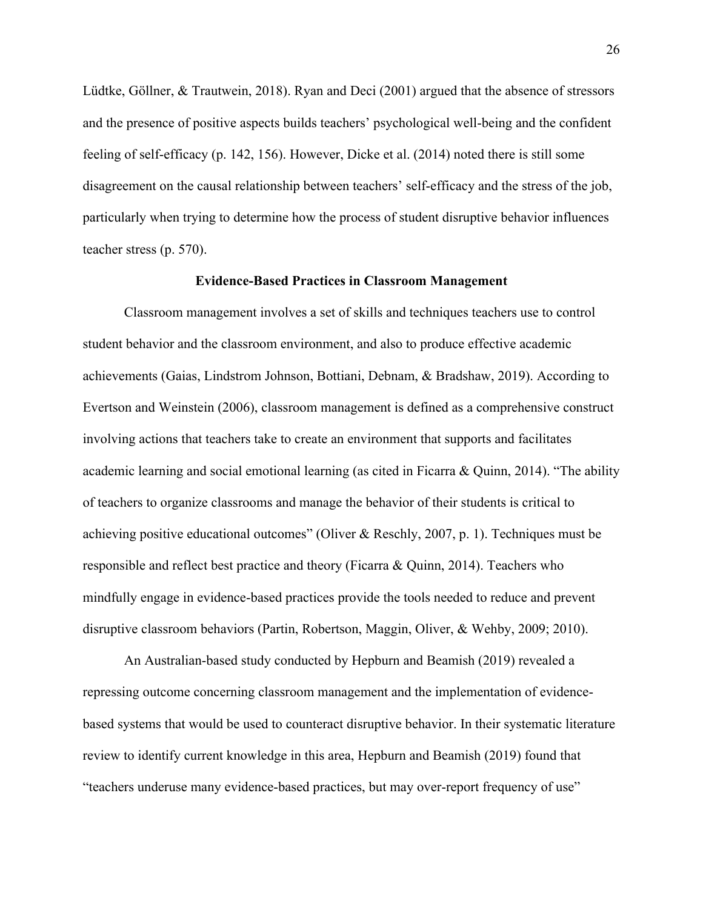Lüdtke, Göllner, & Trautwein, 2018). Ryan and Deci (2001) argued that the absence of stressors and the presence of positive aspects builds teachers' psychological well-being and the confident feeling of self-efficacy (p. 142, 156). However, Dicke et al. (2014) noted there is still some disagreement on the causal relationship between teachers' self-efficacy and the stress of the job, particularly when trying to determine how the process of student disruptive behavior influences teacher stress (p. 570).

## **Evidence-Based Practices in Classroom Management**

Classroom management involves a set of skills and techniques teachers use to control student behavior and the classroom environment, and also to produce effective academic achievements (Gaias, Lindstrom Johnson, Bottiani, Debnam, & Bradshaw, 2019). According to Evertson and Weinstein (2006), classroom management is defined as a comprehensive construct involving actions that teachers take to create an environment that supports and facilitates academic learning and social emotional learning (as cited in Ficarra & Quinn, 2014). "The ability of teachers to organize classrooms and manage the behavior of their students is critical to achieving positive educational outcomes" (Oliver & Reschly, 2007, p. 1). Techniques must be responsible and reflect best practice and theory (Ficarra & Quinn, 2014). Teachers who mindfully engage in evidence-based practices provide the tools needed to reduce and prevent disruptive classroom behaviors (Partin, Robertson, Maggin, Oliver, & Wehby, 2009; 2010).

An Australian-based study conducted by Hepburn and Beamish (2019) revealed a repressing outcome concerning classroom management and the implementation of evidencebased systems that would be used to counteract disruptive behavior. In their systematic literature review to identify current knowledge in this area, Hepburn and Beamish (2019) found that "teachers underuse many evidence-based practices, but may over-report frequency of use"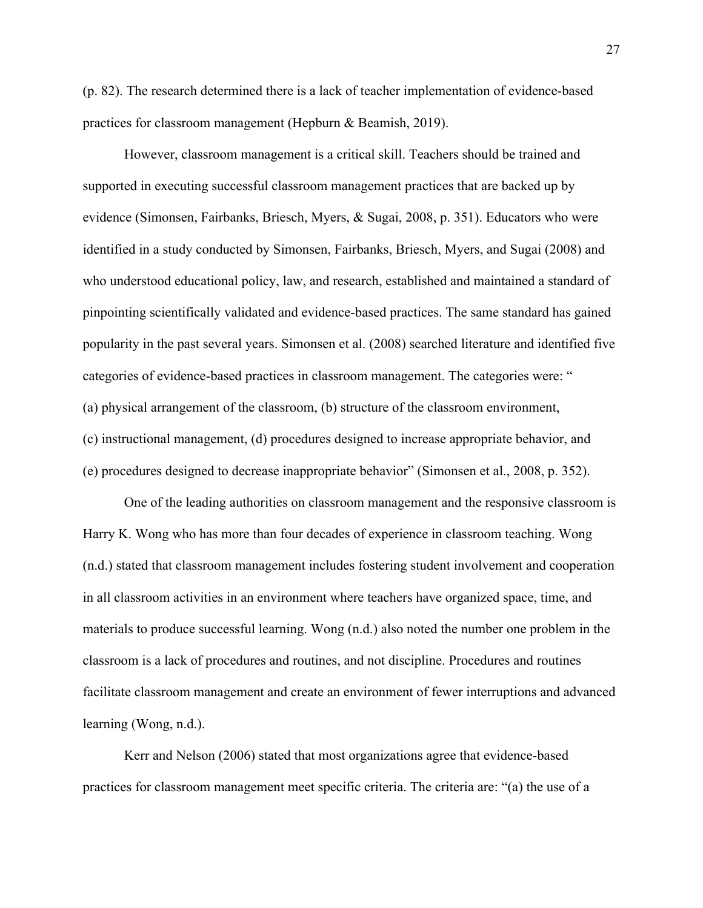(p. 82). The research determined there is a lack of teacher implementation of evidence-based practices for classroom management (Hepburn & Beamish, 2019).

However, classroom management is a critical skill. Teachers should be trained and supported in executing successful classroom management practices that are backed up by evidence (Simonsen, Fairbanks, Briesch, Myers, & Sugai, 2008, p. 351). Educators who were identified in a study conducted by Simonsen, Fairbanks, Briesch, Myers, and Sugai (2008) and who understood educational policy, law, and research, established and maintained a standard of pinpointing scientifically validated and evidence-based practices. The same standard has gained popularity in the past several years. Simonsen et al. (2008) searched literature and identified five categories of evidence-based practices in classroom management. The categories were: " (a) physical arrangement of the classroom, (b) structure of the classroom environment, (c) instructional management, (d) procedures designed to increase appropriate behavior, and (e) procedures designed to decrease inappropriate behavior" (Simonsen et al., 2008, p. 352).

One of the leading authorities on classroom management and the responsive classroom is Harry K. Wong who has more than four decades of experience in classroom teaching. Wong (n.d.) stated that classroom management includes fostering student involvement and cooperation in all classroom activities in an environment where teachers have organized space, time, and materials to produce successful learning. Wong (n.d.) also noted the number one problem in the classroom is a lack of procedures and routines, and not discipline. Procedures and routines facilitate classroom management and create an environment of fewer interruptions and advanced learning (Wong, n.d.).

Kerr and Nelson (2006) stated that most organizations agree that evidence-based practices for classroom management meet specific criteria. The criteria are: "(a) the use of a 27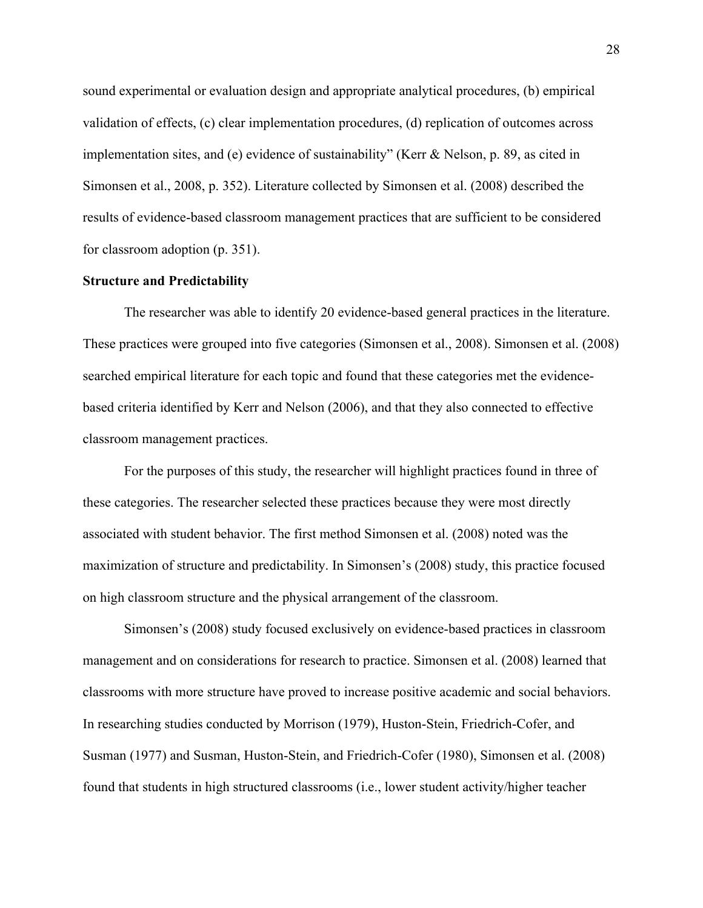sound experimental or evaluation design and appropriate analytical procedures, (b) empirical validation of effects, (c) clear implementation procedures, (d) replication of outcomes across implementation sites, and (e) evidence of sustainability" (Kerr & Nelson, p. 89, as cited in Simonsen et al., 2008, p. 352). Literature collected by Simonsen et al. (2008) described the results of evidence-based classroom management practices that are sufficient to be considered for classroom adoption (p. 351).

## **Structure and Predictability**

The researcher was able to identify 20 evidence-based general practices in the literature. These practices were grouped into five categories (Simonsen et al., 2008). Simonsen et al. (2008) searched empirical literature for each topic and found that these categories met the evidencebased criteria identified by Kerr and Nelson (2006), and that they also connected to effective classroom management practices.

For the purposes of this study, the researcher will highlight practices found in three of these categories. The researcher selected these practices because they were most directly associated with student behavior. The first method Simonsen et al. (2008) noted was the maximization of structure and predictability. In Simonsen's (2008) study, this practice focused on high classroom structure and the physical arrangement of the classroom.

Simonsen's (2008) study focused exclusively on evidence-based practices in classroom management and on considerations for research to practice. Simonsen et al. (2008) learned that classrooms with more structure have proved to increase positive academic and social behaviors. In researching studies conducted by Morrison (1979), Huston-Stein, Friedrich-Cofer, and Susman (1977) and Susman, Huston-Stein, and Friedrich-Cofer (1980), Simonsen et al. (2008) found that students in high structured classrooms (i.e., lower student activity/higher teacher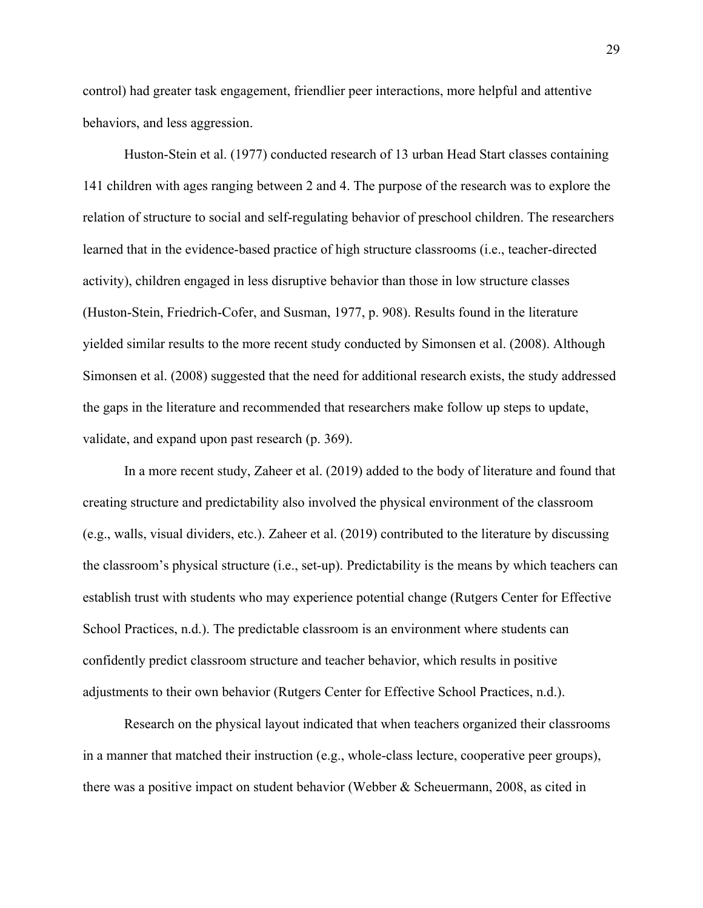control) had greater task engagement, friendlier peer interactions, more helpful and attentive behaviors, and less aggression.

Huston-Stein et al. (1977) conducted research of 13 urban Head Start classes containing 141 children with ages ranging between 2 and 4. The purpose of the research was to explore the relation of structure to social and self-regulating behavior of preschool children. The researchers learned that in the evidence-based practice of high structure classrooms (i.e., teacher-directed activity), children engaged in less disruptive behavior than those in low structure classes (Huston-Stein, Friedrich-Cofer, and Susman, 1977, p. 908). Results found in the literature yielded similar results to the more recent study conducted by Simonsen et al. (2008). Although Simonsen et al. (2008) suggested that the need for additional research exists, the study addressed the gaps in the literature and recommended that researchers make follow up steps to update, validate, and expand upon past research (p. 369).

In a more recent study, Zaheer et al. (2019) added to the body of literature and found that creating structure and predictability also involved the physical environment of the classroom (e.g., walls, visual dividers, etc.). Zaheer et al. (2019) contributed to the literature by discussing the classroom's physical structure (i.e., set-up). Predictability is the means by which teachers can establish trust with students who may experience potential change (Rutgers Center for Effective School Practices, n.d.). The predictable classroom is an environment where students can confidently predict classroom structure and teacher behavior, which results in positive adjustments to their own behavior (Rutgers Center for Effective School Practices, n.d.).

Research on the physical layout indicated that when teachers organized their classrooms in a manner that matched their instruction (e.g., whole-class lecture, cooperative peer groups), there was a positive impact on student behavior (Webber & Scheuermann, 2008, as cited in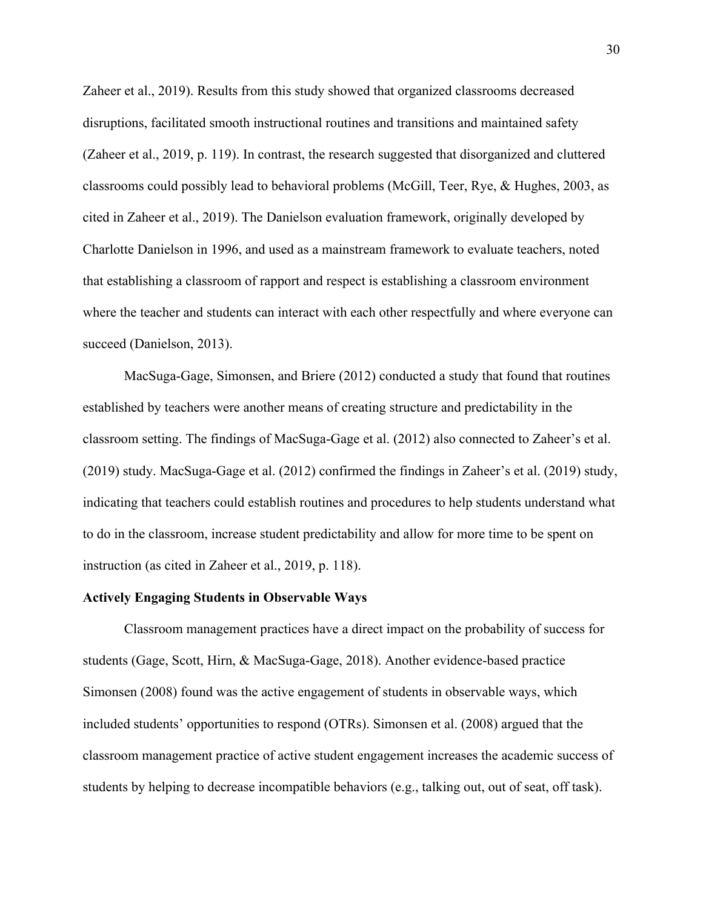Zaheer et al., 2019). Results from this study showed that organized classrooms decreased disruptions, facilitated smooth instructional routines and transitions and maintained safety (Zaheer et al., 2019, p. 119). In contrast, the research suggested that disorganized and cluttered classrooms could possibly lead to behavioral problems (McGill, Teer, Rye, & Hughes, 2003, as cited in Zaheer et al., 2019). The Danielson evaluation framework, originally developed by Charlotte Danielson in 1996, and used as a mainstream framework to evaluate teachers, noted that establishing a classroom of rapport and respect is establishing a classroom environment where the teacher and students can interact with each other respectfully and where everyone can succeed (Danielson, 2013).

MacSuga-Gage, Simonsen, and Briere (2012) conducted a study that found that routines established by teachers were another means of creating structure and predictability in the classroom setting. The findings of MacSuga-Gage et al. (2012) also connected to Zaheer's et al. (2019) study. MacSuga-Gage et al. (2012) confirmed the findings in Zaheer's et al. (2019) study, indicating that teachers could establish routines and procedures to help students understand what to do in the classroom, increase student predictability and allow for more time to be spent on instruction (as cited in Zaheer et al., 2019, p. 118).

### **Actively Engaging Students in Observable Ways**

Classroom management practices have a direct impact on the probability of success for students (Gage, Scott, Hirn, & MacSuga-Gage, 2018). Another evidence-based practice Simonsen (2008) found was the active engagement of students in observable ways, which included students' opportunities to respond (OTRs). Simonsen et al. (2008) argued that the classroom management practice of active student engagement increases the academic success of students by helping to decrease incompatible behaviors (e.g., talking out, out of seat, off task).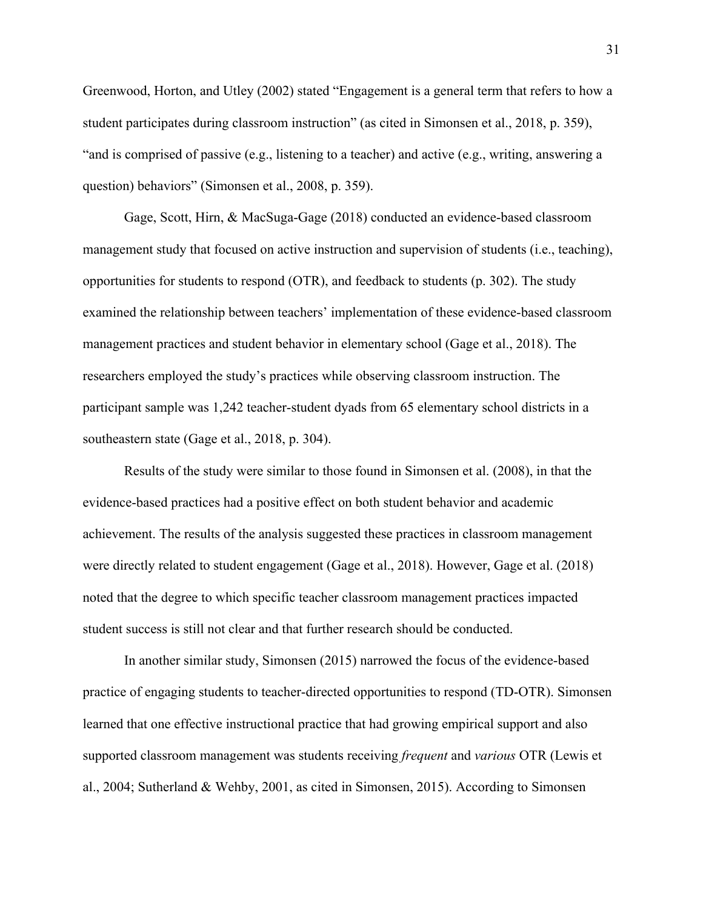Greenwood, Horton, and Utley (2002) stated "Engagement is a general term that refers to how a student participates during classroom instruction" (as cited in Simonsen et al., 2018, p. 359), "and is comprised of passive (e.g., listening to a teacher) and active (e.g., writing, answering a question) behaviors" (Simonsen et al., 2008, p. 359).

Gage, Scott, Hirn, & MacSuga-Gage (2018) conducted an evidence-based classroom management study that focused on active instruction and supervision of students (i.e., teaching), opportunities for students to respond (OTR), and feedback to students (p. 302). The study examined the relationship between teachers' implementation of these evidence-based classroom management practices and student behavior in elementary school (Gage et al., 2018). The researchers employed the study's practices while observing classroom instruction. The participant sample was 1,242 teacher-student dyads from 65 elementary school districts in a southeastern state (Gage et al., 2018, p. 304).

Results of the study were similar to those found in Simonsen et al. (2008), in that the evidence-based practices had a positive effect on both student behavior and academic achievement. The results of the analysis suggested these practices in classroom management were directly related to student engagement (Gage et al., 2018). However, Gage et al. (2018) noted that the degree to which specific teacher classroom management practices impacted student success is still not clear and that further research should be conducted.

In another similar study, Simonsen (2015) narrowed the focus of the evidence-based practice of engaging students to teacher-directed opportunities to respond (TD-OTR). Simonsen learned that one effective instructional practice that had growing empirical support and also supported classroom management was students receiving *frequent* and *various* OTR (Lewis et al., 2004; Sutherland & Wehby, 2001, as cited in Simonsen, 2015). According to Simonsen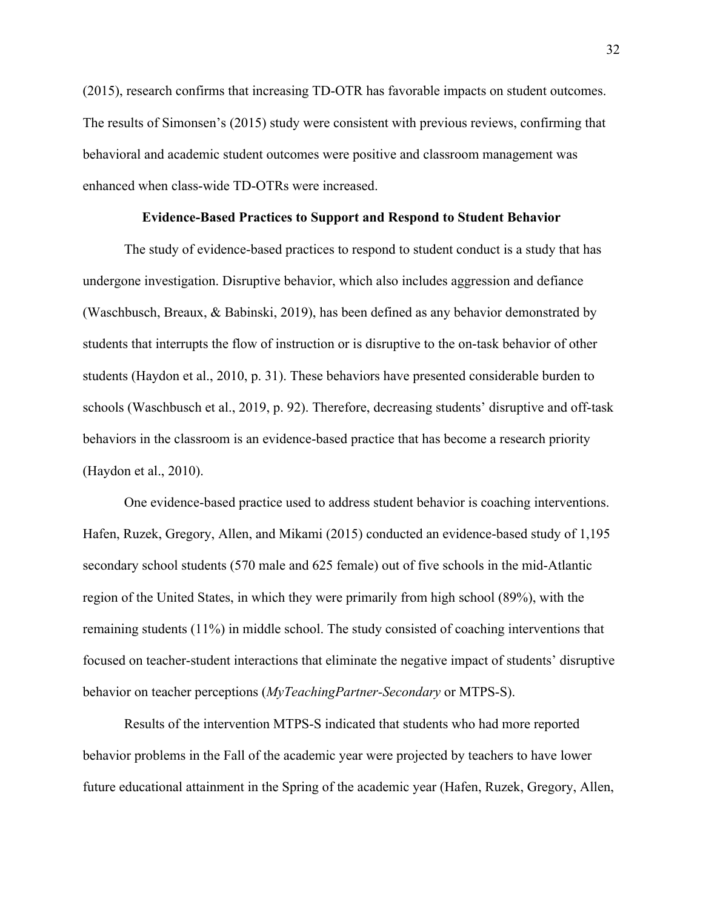(2015), research confirms that increasing TD-OTR has favorable impacts on student outcomes. The results of Simonsen's (2015) study were consistent with previous reviews, confirming that behavioral and academic student outcomes were positive and classroom management was enhanced when class-wide TD-OTRs were increased.

#### **Evidence-Based Practices to Support and Respond to Student Behavior**

The study of evidence-based practices to respond to student conduct is a study that has undergone investigation. Disruptive behavior, which also includes aggression and defiance (Waschbusch, Breaux, & Babinski, 2019), has been defined as any behavior demonstrated by students that interrupts the flow of instruction or is disruptive to the on-task behavior of other students (Haydon et al., 2010, p. 31). These behaviors have presented considerable burden to schools (Waschbusch et al., 2019, p. 92). Therefore, decreasing students' disruptive and off-task behaviors in the classroom is an evidence-based practice that has become a research priority (Haydon et al., 2010).

One evidence-based practice used to address student behavior is coaching interventions. Hafen, Ruzek, Gregory, Allen, and Mikami (2015) conducted an evidence-based study of 1,195 secondary school students (570 male and 625 female) out of five schools in the mid-Atlantic region of the United States, in which they were primarily from high school (89%), with the remaining students (11%) in middle school. The study consisted of coaching interventions that focused on teacher-student interactions that eliminate the negative impact of students' disruptive behavior on teacher perceptions (*MyTeachingPartner-Secondary* or MTPS-S).

Results of the intervention MTPS-S indicated that students who had more reported behavior problems in the Fall of the academic year were projected by teachers to have lower future educational attainment in the Spring of the academic year (Hafen, Ruzek, Gregory, Allen,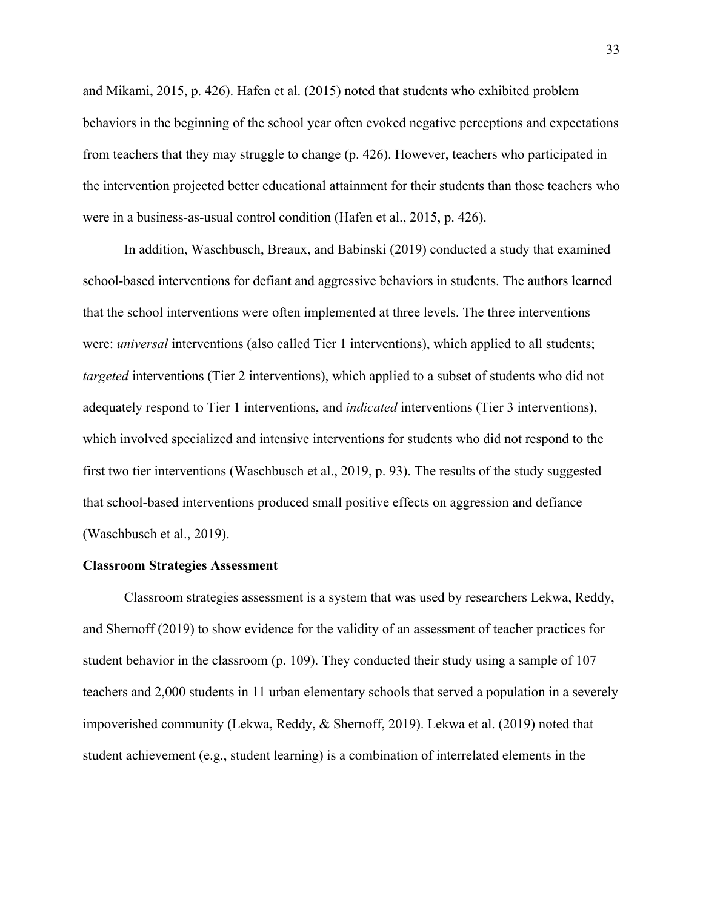and Mikami, 2015, p. 426). Hafen et al. (2015) noted that students who exhibited problem behaviors in the beginning of the school year often evoked negative perceptions and expectations from teachers that they may struggle to change (p. 426). However, teachers who participated in the intervention projected better educational attainment for their students than those teachers who were in a business-as-usual control condition (Hafen et al., 2015, p. 426).

In addition, Waschbusch, Breaux, and Babinski (2019) conducted a study that examined school-based interventions for defiant and aggressive behaviors in students. The authors learned that the school interventions were often implemented at three levels. The three interventions were: *universal* interventions (also called Tier 1 interventions), which applied to all students; *targeted* interventions (Tier 2 interventions), which applied to a subset of students who did not adequately respond to Tier 1 interventions, and *indicated* interventions (Tier 3 interventions), which involved specialized and intensive interventions for students who did not respond to the first two tier interventions (Waschbusch et al., 2019, p. 93). The results of the study suggested that school-based interventions produced small positive effects on aggression and defiance (Waschbusch et al., 2019).

#### **Classroom Strategies Assessment**

Classroom strategies assessment is a system that was used by researchers Lekwa, Reddy, and Shernoff (2019) to show evidence for the validity of an assessment of teacher practices for student behavior in the classroom (p. 109). They conducted their study using a sample of 107 teachers and 2,000 students in 11 urban elementary schools that served a population in a severely impoverished community (Lekwa, Reddy, & Shernoff, 2019). Lekwa et al. (2019) noted that student achievement (e.g., student learning) is a combination of interrelated elements in the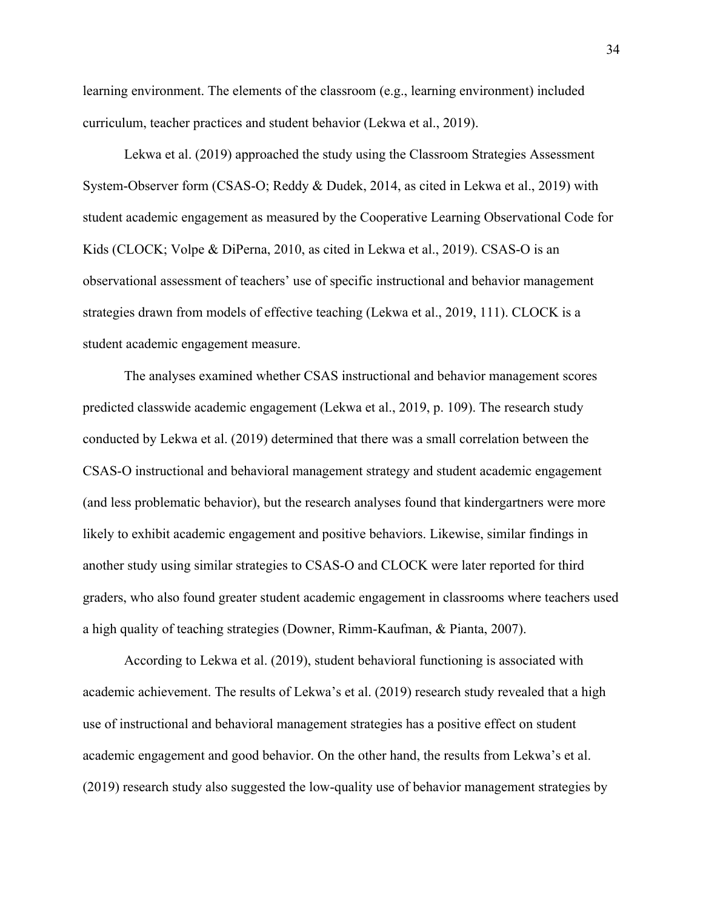learning environment. The elements of the classroom (e.g., learning environment) included curriculum, teacher practices and student behavior (Lekwa et al., 2019).

Lekwa et al. (2019) approached the study using the Classroom Strategies Assessment System-Observer form (CSAS-O; Reddy & Dudek, 2014, as cited in Lekwa et al., 2019) with student academic engagement as measured by the Cooperative Learning Observational Code for Kids (CLOCK; Volpe & DiPerna, 2010, as cited in Lekwa et al., 2019). CSAS-O is an observational assessment of teachers' use of specific instructional and behavior management strategies drawn from models of effective teaching (Lekwa et al., 2019, 111). CLOCK is a student academic engagement measure.

The analyses examined whether CSAS instructional and behavior management scores predicted classwide academic engagement (Lekwa et al., 2019, p. 109). The research study conducted by Lekwa et al. (2019) determined that there was a small correlation between the CSAS-O instructional and behavioral management strategy and student academic engagement (and less problematic behavior), but the research analyses found that kindergartners were more likely to exhibit academic engagement and positive behaviors. Likewise, similar findings in another study using similar strategies to CSAS-O and CLOCK were later reported for third graders, who also found greater student academic engagement in classrooms where teachers used a high quality of teaching strategies (Downer, Rimm-Kaufman, & Pianta, 2007).

According to Lekwa et al. (2019), student behavioral functioning is associated with academic achievement. The results of Lekwa's et al. (2019) research study revealed that a high use of instructional and behavioral management strategies has a positive effect on student academic engagement and good behavior. On the other hand, the results from Lekwa's et al. (2019) research study also suggested the low-quality use of behavior management strategies by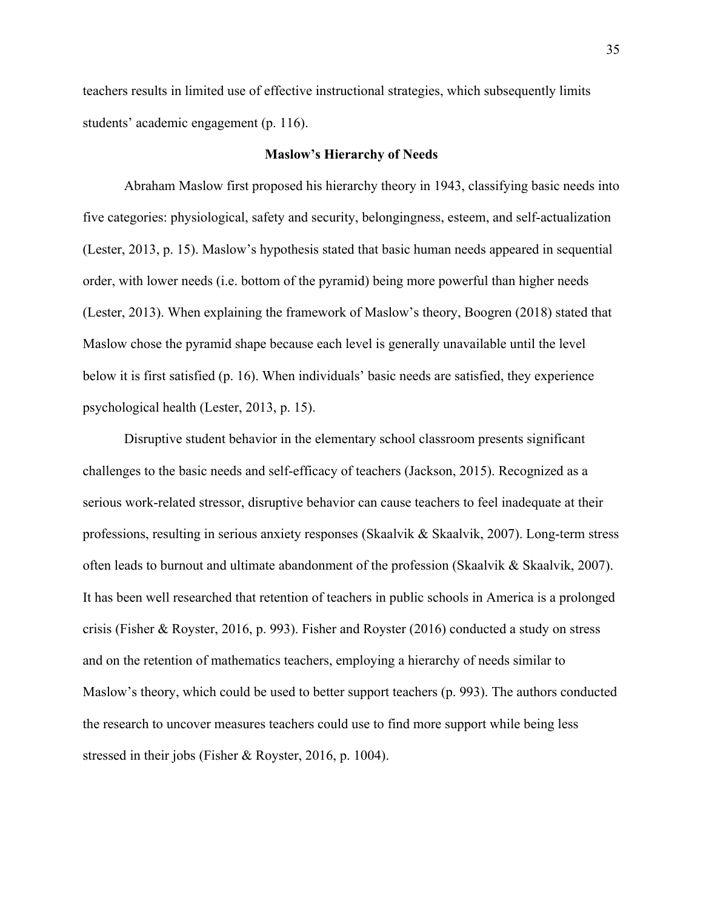teachers results in limited use of effective instructional strategies, which subsequently limits students' academic engagement (p. 116).

#### **Maslow's Hierarchy of Needs**

Abraham Maslow first proposed his hierarchy theory in 1943, classifying basic needs into five categories: physiological, safety and security, belongingness, esteem, and self-actualization (Lester, 2013, p. 15). Maslow's hypothesis stated that basic human needs appeared in sequential order, with lower needs (i.e. bottom of the pyramid) being more powerful than higher needs (Lester, 2013). When explaining the framework of Maslow's theory, Boogren (2018) stated that Maslow chose the pyramid shape because each level is generally unavailable until the level below it is first satisfied (p. 16). When individuals' basic needs are satisfied, they experience psychological health (Lester, 2013, p. 15).

Disruptive student behavior in the elementary school classroom presents significant challenges to the basic needs and self-efficacy of teachers (Jackson, 2015). Recognized as a serious work-related stressor, disruptive behavior can cause teachers to feel inadequate at their professions, resulting in serious anxiety responses (Skaalvik & Skaalvik, 2007). Long-term stress often leads to burnout and ultimate abandonment of the profession (Skaalvik & Skaalvik, 2007). It has been well researched that retention of teachers in public schools in America is a prolonged crisis (Fisher & Royster, 2016, p. 993). Fisher and Royster (2016) conducted a study on stress and on the retention of mathematics teachers, employing a hierarchy of needs similar to Maslow's theory, which could be used to better support teachers (p. 993). The authors conducted the research to uncover measures teachers could use to find more support while being less stressed in their jobs (Fisher & Royster, 2016, p. 1004).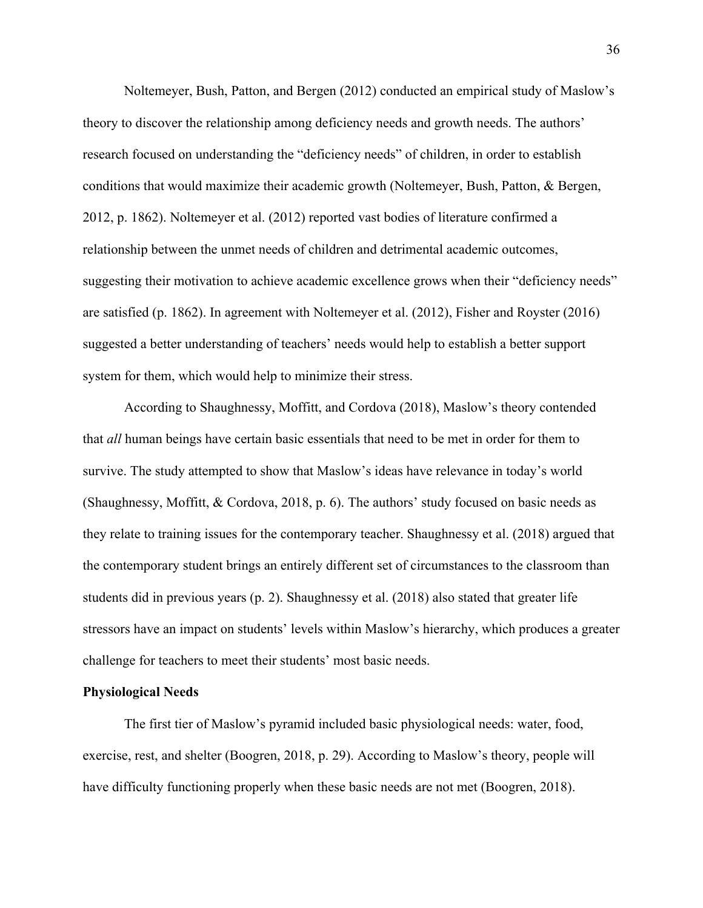Noltemeyer, Bush, Patton, and Bergen (2012) conducted an empirical study of Maslow's theory to discover the relationship among deficiency needs and growth needs. The authors' research focused on understanding the "deficiency needs" of children, in order to establish conditions that would maximize their academic growth (Noltemeyer, Bush, Patton, & Bergen, 2012, p. 1862). Noltemeyer et al. (2012) reported vast bodies of literature confirmed a relationship between the unmet needs of children and detrimental academic outcomes, suggesting their motivation to achieve academic excellence grows when their "deficiency needs" are satisfied (p. 1862). In agreement with Noltemeyer et al. (2012), Fisher and Royster (2016) suggested a better understanding of teachers' needs would help to establish a better support system for them, which would help to minimize their stress.

According to Shaughnessy, Moffitt, and Cordova (2018), Maslow's theory contended that *all* human beings have certain basic essentials that need to be met in order for them to survive. The study attempted to show that Maslow's ideas have relevance in today's world (Shaughnessy, Moffitt, & Cordova, 2018, p. 6). The authors' study focused on basic needs as they relate to training issues for the contemporary teacher. Shaughnessy et al. (2018) argued that the contemporary student brings an entirely different set of circumstances to the classroom than students did in previous years (p. 2). Shaughnessy et al. (2018) also stated that greater life stressors have an impact on students' levels within Maslow's hierarchy, which produces a greater challenge for teachers to meet their students' most basic needs.

#### **Physiological Needs**

The first tier of Maslow's pyramid included basic physiological needs: water, food, exercise, rest, and shelter (Boogren, 2018, p. 29). According to Maslow's theory, people will have difficulty functioning properly when these basic needs are not met (Boogren, 2018).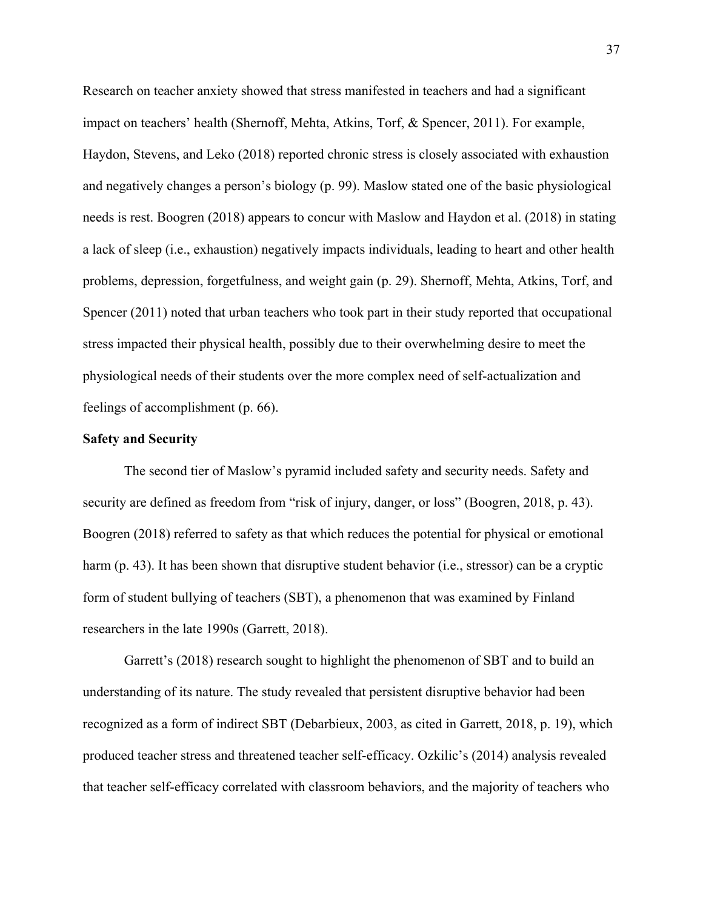Research on teacher anxiety showed that stress manifested in teachers and had a significant impact on teachers' health (Shernoff, Mehta, Atkins, Torf, & Spencer, 2011). For example, Haydon, Stevens, and Leko (2018) reported chronic stress is closely associated with exhaustion and negatively changes a person's biology (p. 99). Maslow stated one of the basic physiological needs is rest. Boogren (2018) appears to concur with Maslow and Haydon et al. (2018) in stating a lack of sleep (i.e., exhaustion) negatively impacts individuals, leading to heart and other health problems, depression, forgetfulness, and weight gain (p. 29). Shernoff, Mehta, Atkins, Torf, and Spencer (2011) noted that urban teachers who took part in their study reported that occupational stress impacted their physical health, possibly due to their overwhelming desire to meet the physiological needs of their students over the more complex need of self-actualization and feelings of accomplishment (p. 66).

# **Safety and Security**

The second tier of Maslow's pyramid included safety and security needs. Safety and security are defined as freedom from "risk of injury, danger, or loss" (Boogren, 2018, p. 43). Boogren (2018) referred to safety as that which reduces the potential for physical or emotional harm (p. 43). It has been shown that disruptive student behavior (i.e., stressor) can be a cryptic form of student bullying of teachers (SBT), a phenomenon that was examined by Finland researchers in the late 1990s (Garrett, 2018).

Garrett's (2018) research sought to highlight the phenomenon of SBT and to build an understanding of its nature. The study revealed that persistent disruptive behavior had been recognized as a form of indirect SBT (Debarbieux, 2003, as cited in Garrett, 2018, p. 19), which produced teacher stress and threatened teacher self-efficacy. Ozkilic's (2014) analysis revealed that teacher self-efficacy correlated with classroom behaviors, and the majority of teachers who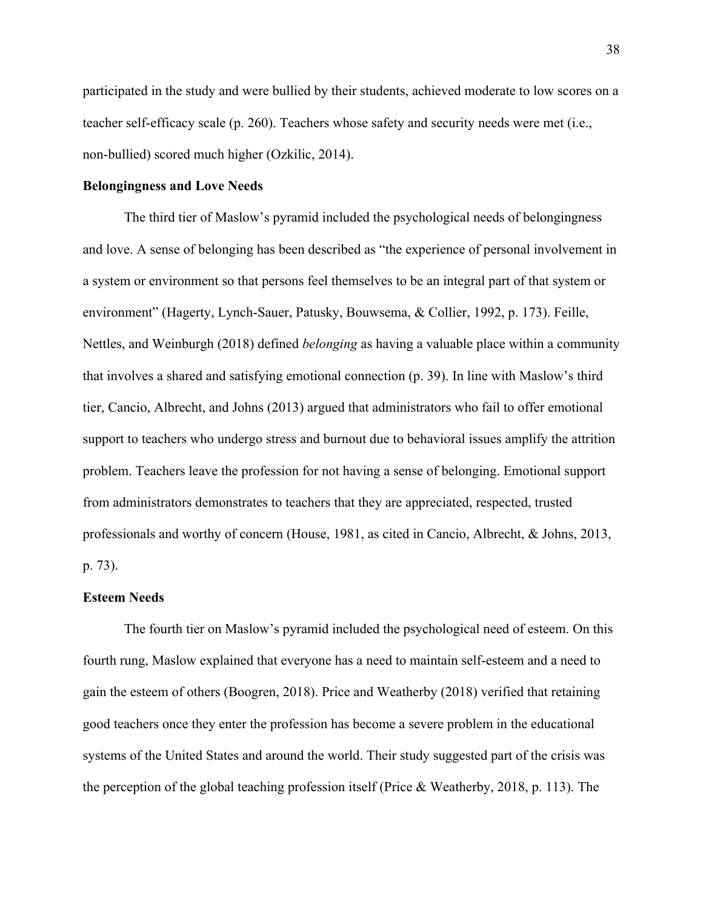participated in the study and were bullied by their students, achieved moderate to low scores on a teacher self-efficacy scale (p. 260). Teachers whose safety and security needs were met (i.e., non-bullied) scored much higher (Ozkilic, 2014).

## **Belongingness and Love Needs**

The third tier of Maslow's pyramid included the psychological needs of belongingness and love. A sense of belonging has been described as "the experience of personal involvement in a system or environment so that persons feel themselves to be an integral part of that system or environment" (Hagerty, Lynch-Sauer, Patusky, Bouwsema, & Collier, 1992, p. 173). Feille, Nettles, and Weinburgh (2018) defined *belonging* as having a valuable place within a community that involves a shared and satisfying emotional connection (p. 39). In line with Maslow's third tier, Cancio, Albrecht, and Johns (2013) argued that administrators who fail to offer emotional support to teachers who undergo stress and burnout due to behavioral issues amplify the attrition problem. Teachers leave the profession for not having a sense of belonging. Emotional support from administrators demonstrates to teachers that they are appreciated, respected, trusted professionals and worthy of concern (House, 1981, as cited in Cancio, Albrecht, & Johns, 2013, p. 73).

# **Esteem Needs**

The fourth tier on Maslow's pyramid included the psychological need of esteem. On this fourth rung, Maslow explained that everyone has a need to maintain self-esteem and a need to gain the esteem of others (Boogren, 2018). Price and Weatherby (2018) verified that retaining good teachers once they enter the profession has become a severe problem in the educational systems of the United States and around the world. Their study suggested part of the crisis was the perception of the global teaching profession itself (Price & Weatherby, 2018, p. 113). The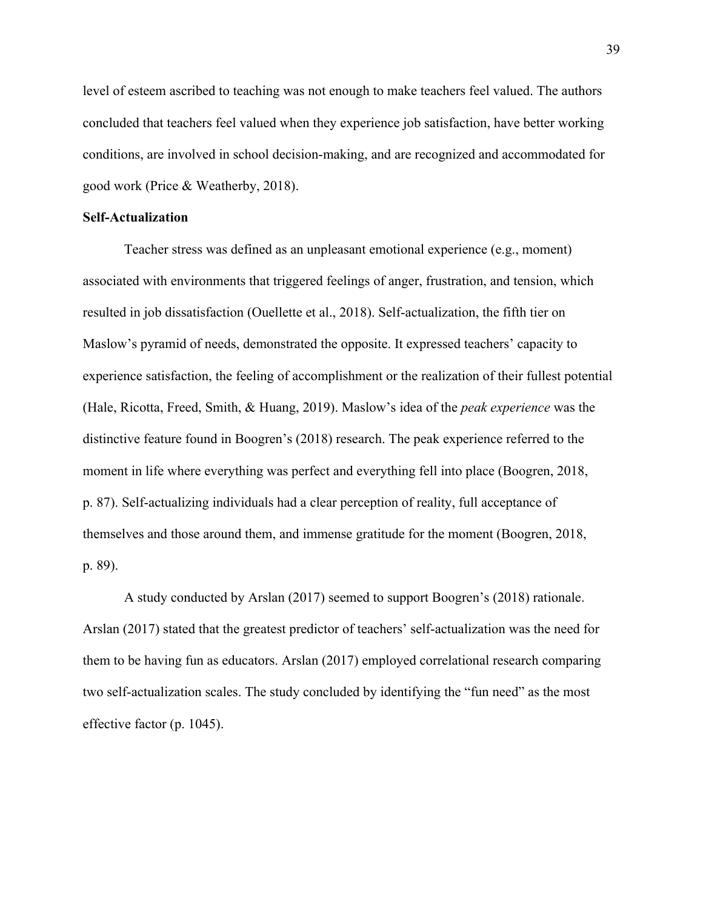level of esteem ascribed to teaching was not enough to make teachers feel valued. The authors concluded that teachers feel valued when they experience job satisfaction, have better working conditions, are involved in school decision-making, and are recognized and accommodated for good work (Price & Weatherby, 2018).

# **Self-Actualization**

Teacher stress was defined as an unpleasant emotional experience (e.g., moment) associated with environments that triggered feelings of anger, frustration, and tension, which resulted in job dissatisfaction (Ouellette et al., 2018). Self-actualization, the fifth tier on Maslow's pyramid of needs, demonstrated the opposite. It expressed teachers' capacity to experience satisfaction, the feeling of accomplishment or the realization of their fullest potential (Hale, Ricotta, Freed, Smith, & Huang, 2019). Maslow's idea of the *peak experience* was the distinctive feature found in Boogren's (2018) research. The peak experience referred to the moment in life where everything was perfect and everything fell into place (Boogren, 2018, p. 87). Self-actualizing individuals had a clear perception of reality, full acceptance of themselves and those around them, and immense gratitude for the moment (Boogren, 2018, p. 89).

A study conducted by Arslan (2017) seemed to support Boogren's (2018) rationale. Arslan (2017) stated that the greatest predictor of teachers' self-actualization was the need for them to be having fun as educators. Arslan (2017) employed correlational research comparing two self-actualization scales. The study concluded by identifying the "fun need" as the most effective factor (p. 1045).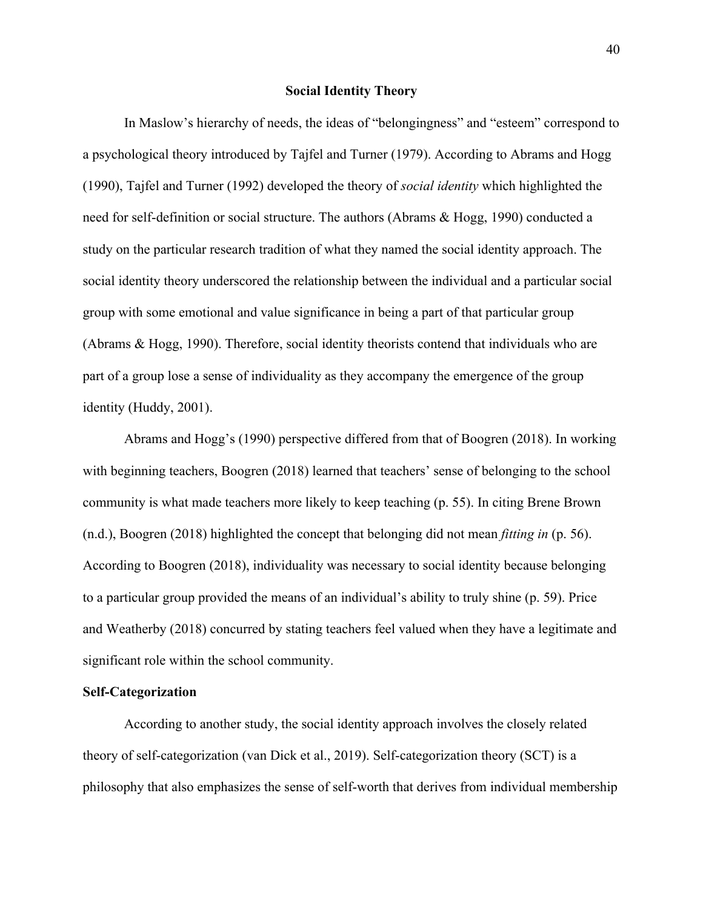#### **Social Identity Theory**

In Maslow's hierarchy of needs, the ideas of "belongingness" and "esteem" correspond to a psychological theory introduced by Tajfel and Turner (1979). According to Abrams and Hogg (1990), Tajfel and Turner (1992) developed the theory of *social identity* which highlighted the need for self-definition or social structure. The authors (Abrams & Hogg, 1990) conducted a study on the particular research tradition of what they named the social identity approach. The social identity theory underscored the relationship between the individual and a particular social group with some emotional and value significance in being a part of that particular group (Abrams & Hogg, 1990). Therefore, social identity theorists contend that individuals who are part of a group lose a sense of individuality as they accompany the emergence of the group identity (Huddy, 2001).

Abrams and Hogg's (1990) perspective differed from that of Boogren (2018). In working with beginning teachers, Boogren (2018) learned that teachers' sense of belonging to the school community is what made teachers more likely to keep teaching (p. 55). In citing Brene Brown (n.d.), Boogren (2018) highlighted the concept that belonging did not mean *fitting in* (p. 56). According to Boogren (2018), individuality was necessary to social identity because belonging to a particular group provided the means of an individual's ability to truly shine (p. 59). Price and Weatherby (2018) concurred by stating teachers feel valued when they have a legitimate and significant role within the school community.

# **Self-Categorization**

According to another study, the social identity approach involves the closely related theory of self-categorization (van Dick et al., 2019). Self-categorization theory (SCT) is a philosophy that also emphasizes the sense of self-worth that derives from individual membership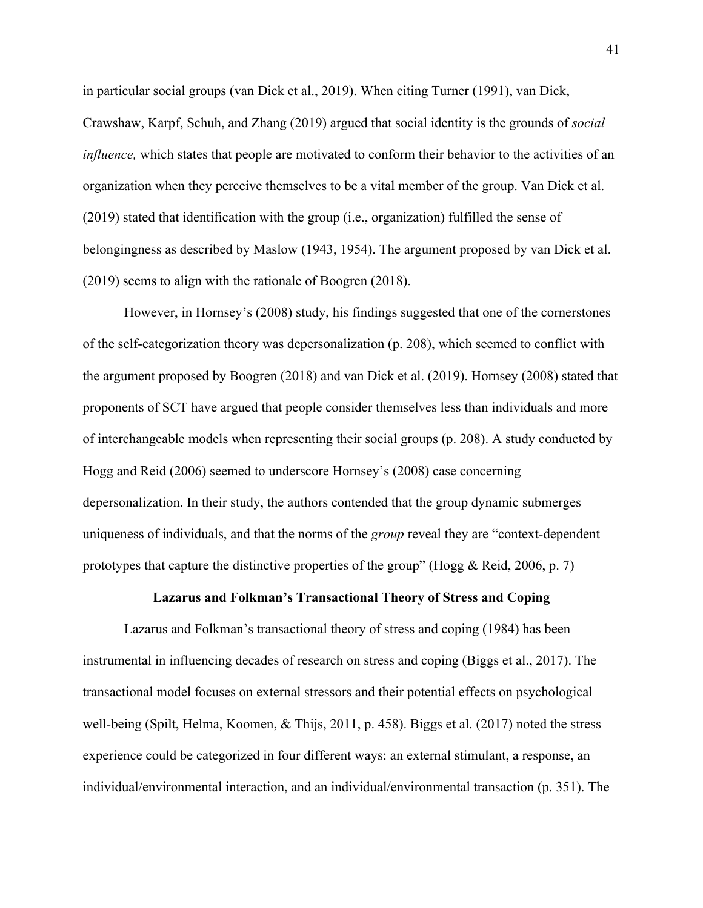in particular social groups (van Dick et al., 2019). When citing Turner (1991), van Dick, Crawshaw, Karpf, Schuh, and Zhang (2019) argued that social identity is the grounds of *social influence*, which states that people are motivated to conform their behavior to the activities of an organization when they perceive themselves to be a vital member of the group. Van Dick et al. (2019) stated that identification with the group (i.e., organization) fulfilled the sense of belongingness as described by Maslow (1943, 1954). The argument proposed by van Dick et al. (2019) seems to align with the rationale of Boogren (2018).

However, in Hornsey's (2008) study, his findings suggested that one of the cornerstones of the self-categorization theory was depersonalization (p. 208), which seemed to conflict with the argument proposed by Boogren (2018) and van Dick et al. (2019). Hornsey (2008) stated that proponents of SCT have argued that people consider themselves less than individuals and more of interchangeable models when representing their social groups (p. 208). A study conducted by Hogg and Reid (2006) seemed to underscore Hornsey's (2008) case concerning depersonalization. In their study, the authors contended that the group dynamic submerges uniqueness of individuals, and that the norms of the *group* reveal they are "context-dependent prototypes that capture the distinctive properties of the group" (Hogg  $\&$  Reid, 2006, p. 7)

### **Lazarus and Folkman's Transactional Theory of Stress and Coping**

Lazarus and Folkman's transactional theory of stress and coping (1984) has been instrumental in influencing decades of research on stress and coping (Biggs et al., 2017). The transactional model focuses on external stressors and their potential effects on psychological well-being (Spilt, Helma, Koomen, & Thijs, 2011, p. 458). Biggs et al. (2017) noted the stress experience could be categorized in four different ways: an external stimulant, a response, an individual/environmental interaction, and an individual/environmental transaction (p. 351). The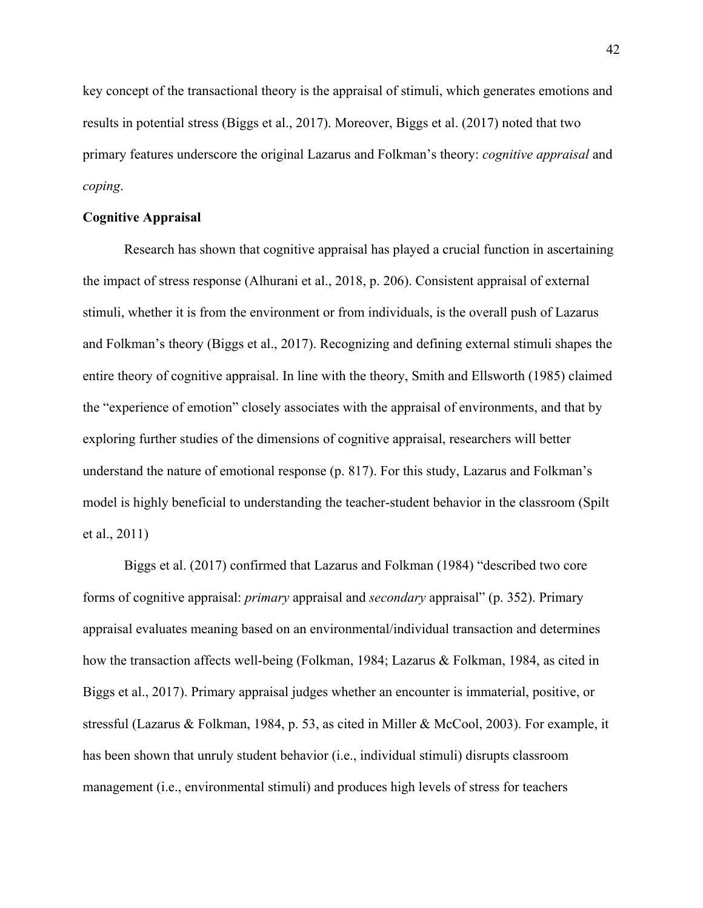key concept of the transactional theory is the appraisal of stimuli, which generates emotions and results in potential stress (Biggs et al., 2017). Moreover, Biggs et al. (2017) noted that two primary features underscore the original Lazarus and Folkman's theory: *cognitive appraisal* and *coping*.

#### **Cognitive Appraisal**

Research has shown that cognitive appraisal has played a crucial function in ascertaining the impact of stress response (Alhurani et al., 2018, p. 206). Consistent appraisal of external stimuli, whether it is from the environment or from individuals, is the overall push of Lazarus and Folkman's theory (Biggs et al., 2017). Recognizing and defining external stimuli shapes the entire theory of cognitive appraisal. In line with the theory, Smith and Ellsworth (1985) claimed the "experience of emotion" closely associates with the appraisal of environments, and that by exploring further studies of the dimensions of cognitive appraisal, researchers will better understand the nature of emotional response (p. 817). For this study, Lazarus and Folkman's model is highly beneficial to understanding the teacher-student behavior in the classroom (Spilt et al., 2011)

Biggs et al. (2017) confirmed that Lazarus and Folkman (1984) "described two core forms of cognitive appraisal: *primary* appraisal and *secondary* appraisal" (p. 352). Primary appraisal evaluates meaning based on an environmental/individual transaction and determines how the transaction affects well-being (Folkman, 1984; Lazarus & Folkman, 1984, as cited in Biggs et al., 2017). Primary appraisal judges whether an encounter is immaterial, positive, or stressful (Lazarus & Folkman, 1984, p. 53, as cited in Miller & McCool, 2003). For example, it has been shown that unruly student behavior (i.e., individual stimuli) disrupts classroom management (i.e., environmental stimuli) and produces high levels of stress for teachers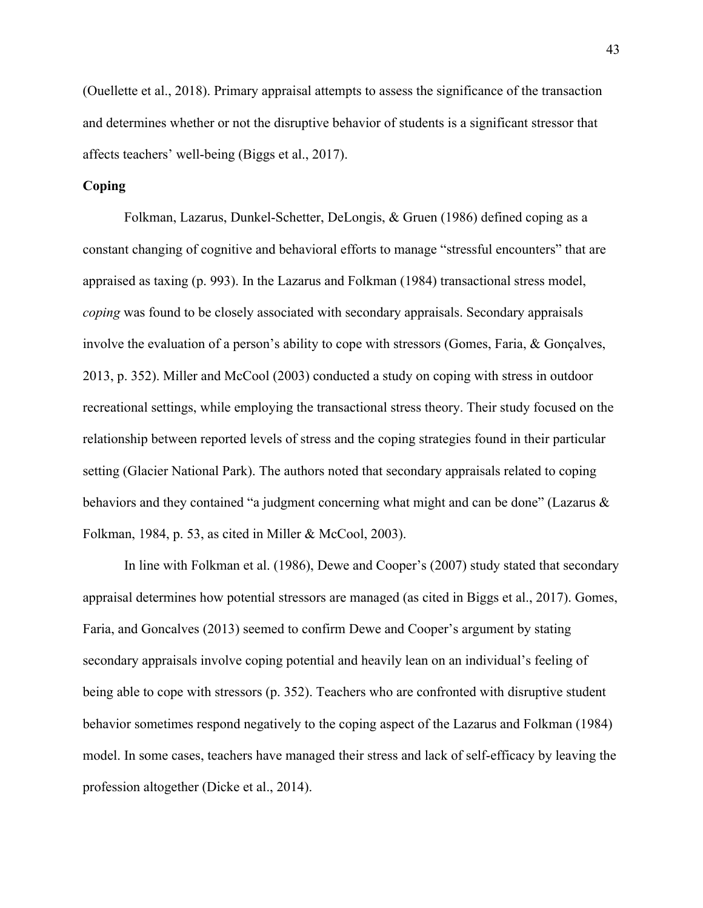(Ouellette et al., 2018). Primary appraisal attempts to assess the significance of the transaction and determines whether or not the disruptive behavior of students is a significant stressor that affects teachers' well-being (Biggs et al., 2017).

# **Coping**

Folkman, Lazarus, Dunkel-Schetter, DeLongis, & Gruen (1986) defined coping as a constant changing of cognitive and behavioral efforts to manage "stressful encounters" that are appraised as taxing (p. 993). In the Lazarus and Folkman (1984) transactional stress model, *coping* was found to be closely associated with secondary appraisals. Secondary appraisals involve the evaluation of a person's ability to cope with stressors (Gomes, Faria, & Gonçalves, 2013, p. 352). Miller and McCool (2003) conducted a study on coping with stress in outdoor recreational settings, while employing the transactional stress theory. Their study focused on the relationship between reported levels of stress and the coping strategies found in their particular setting (Glacier National Park). The authors noted that secondary appraisals related to coping behaviors and they contained "a judgment concerning what might and can be done" (Lazarus & Folkman, 1984, p. 53, as cited in Miller & McCool, 2003).

In line with Folkman et al. (1986), Dewe and Cooper's (2007) study stated that secondary appraisal determines how potential stressors are managed (as cited in Biggs et al., 2017). Gomes, Faria, and Goncalves (2013) seemed to confirm Dewe and Cooper's argument by stating secondary appraisals involve coping potential and heavily lean on an individual's feeling of being able to cope with stressors (p. 352). Teachers who are confronted with disruptive student behavior sometimes respond negatively to the coping aspect of the Lazarus and Folkman (1984) model. In some cases, teachers have managed their stress and lack of self-efficacy by leaving the profession altogether (Dicke et al., 2014).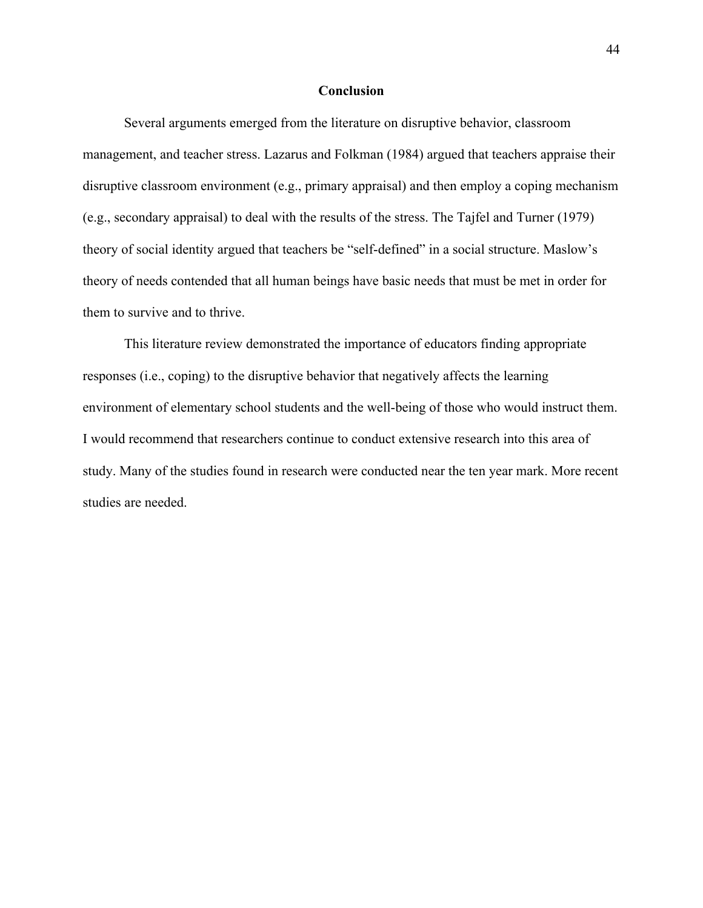### **Conclusion**

Several arguments emerged from the literature on disruptive behavior, classroom management, and teacher stress. Lazarus and Folkman (1984) argued that teachers appraise their disruptive classroom environment (e.g., primary appraisal) and then employ a coping mechanism (e.g., secondary appraisal) to deal with the results of the stress. The Tajfel and Turner (1979) theory of social identity argued that teachers be "self-defined" in a social structure. Maslow's theory of needs contended that all human beings have basic needs that must be met in order for them to survive and to thrive.

This literature review demonstrated the importance of educators finding appropriate responses (i.e., coping) to the disruptive behavior that negatively affects the learning environment of elementary school students and the well-being of those who would instruct them. I would recommend that researchers continue to conduct extensive research into this area of study. Many of the studies found in research were conducted near the ten year mark. More recent studies are needed.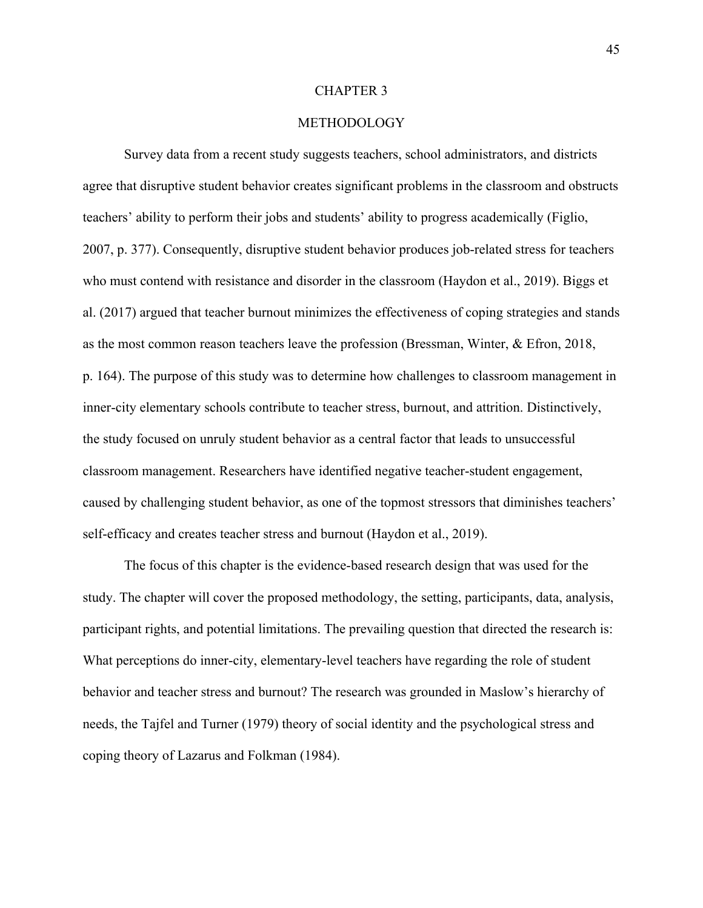#### CHAPTER 3

# METHODOLOGY

Survey data from a recent study suggests teachers, school administrators, and districts agree that disruptive student behavior creates significant problems in the classroom and obstructs teachers' ability to perform their jobs and students' ability to progress academically (Figlio, 2007, p. 377). Consequently, disruptive student behavior produces job-related stress for teachers who must contend with resistance and disorder in the classroom (Haydon et al., 2019). Biggs et al. (2017) argued that teacher burnout minimizes the effectiveness of coping strategies and stands as the most common reason teachers leave the profession (Bressman, Winter, & Efron, 2018, p. 164). The purpose of this study was to determine how challenges to classroom management in inner-city elementary schools contribute to teacher stress, burnout, and attrition. Distinctively, the study focused on unruly student behavior as a central factor that leads to unsuccessful classroom management. Researchers have identified negative teacher-student engagement, caused by challenging student behavior, as one of the topmost stressors that diminishes teachers' self-efficacy and creates teacher stress and burnout (Haydon et al., 2019).

The focus of this chapter is the evidence-based research design that was used for the study. The chapter will cover the proposed methodology, the setting, participants, data, analysis, participant rights, and potential limitations. The prevailing question that directed the research is: What perceptions do inner-city, elementary-level teachers have regarding the role of student behavior and teacher stress and burnout? The research was grounded in Maslow's hierarchy of needs, the Tajfel and Turner (1979) theory of social identity and the psychological stress and coping theory of Lazarus and Folkman (1984).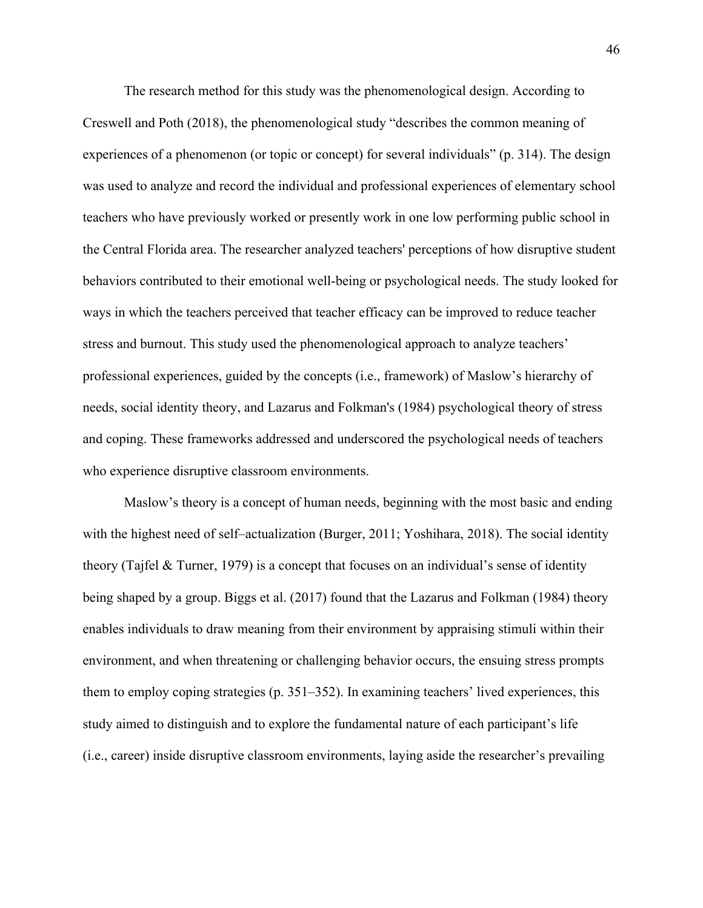The research method for this study was the phenomenological design. According to Creswell and Poth (2018), the phenomenological study "describes the common meaning of experiences of a phenomenon (or topic or concept) for several individuals" (p. 314). The design was used to analyze and record the individual and professional experiences of elementary school teachers who have previously worked or presently work in one low performing public school in the Central Florida area. The researcher analyzed teachers' perceptions of how disruptive student behaviors contributed to their emotional well-being or psychological needs. The study looked for ways in which the teachers perceived that teacher efficacy can be improved to reduce teacher stress and burnout. This study used the phenomenological approach to analyze teachers' professional experiences, guided by the concepts (i.e., framework) of Maslow's hierarchy of needs, social identity theory, and Lazarus and Folkman's (1984) psychological theory of stress and coping. These frameworks addressed and underscored the psychological needs of teachers who experience disruptive classroom environments.

Maslow's theory is a concept of human needs, beginning with the most basic and ending with the highest need of self–actualization (Burger, 2011; Yoshihara, 2018). The social identity theory (Tajfel & Turner, 1979) is a concept that focuses on an individual's sense of identity being shaped by a group. Biggs et al. (2017) found that the Lazarus and Folkman (1984) theory enables individuals to draw meaning from their environment by appraising stimuli within their environment, and when threatening or challenging behavior occurs, the ensuing stress prompts them to employ coping strategies (p. 351–352). In examining teachers' lived experiences, this study aimed to distinguish and to explore the fundamental nature of each participant's life (i.e., career) inside disruptive classroom environments, laying aside the researcher's prevailing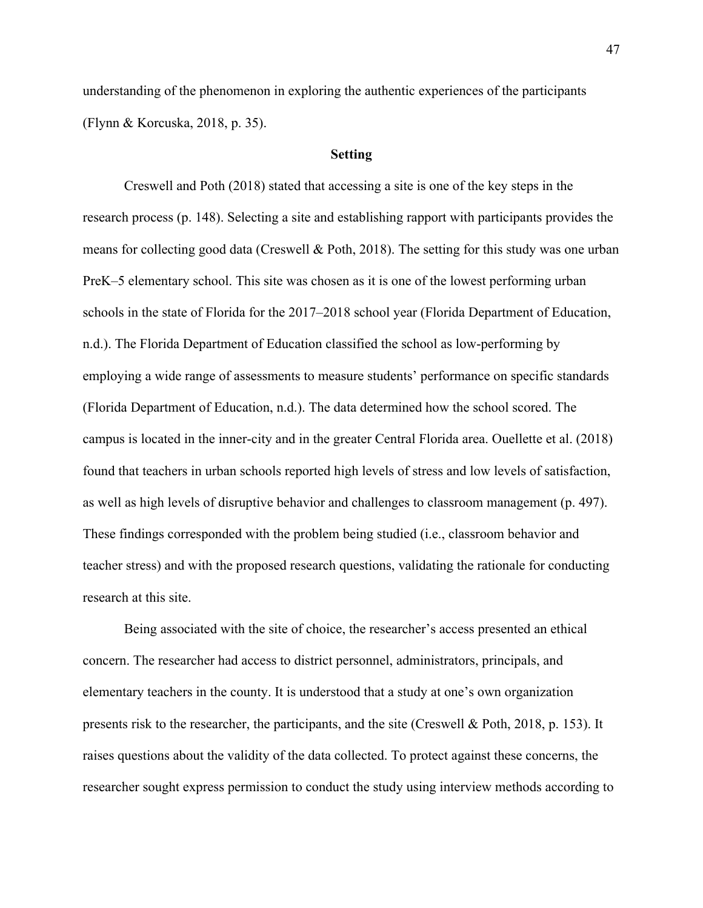understanding of the phenomenon in exploring the authentic experiences of the participants (Flynn & Korcuska, 2018, p. 35).

# **Setting**

Creswell and Poth (2018) stated that accessing a site is one of the key steps in the research process (p. 148). Selecting a site and establishing rapport with participants provides the means for collecting good data (Creswell & Poth, 2018). The setting for this study was one urban PreK–5 elementary school. This site was chosen as it is one of the lowest performing urban schools in the state of Florida for the 2017–2018 school year (Florida Department of Education, n.d.). The Florida Department of Education classified the school as low-performing by employing a wide range of assessments to measure students' performance on specific standards (Florida Department of Education, n.d.). The data determined how the school scored. The campus is located in the inner-city and in the greater Central Florida area. Ouellette et al. (2018) found that teachers in urban schools reported high levels of stress and low levels of satisfaction, as well as high levels of disruptive behavior and challenges to classroom management (p. 497). These findings corresponded with the problem being studied (i.e., classroom behavior and teacher stress) and with the proposed research questions, validating the rationale for conducting research at this site.

Being associated with the site of choice, the researcher's access presented an ethical concern. The researcher had access to district personnel, administrators, principals, and elementary teachers in the county. It is understood that a study at one's own organization presents risk to the researcher, the participants, and the site (Creswell & Poth, 2018, p. 153). It raises questions about the validity of the data collected. To protect against these concerns, the researcher sought express permission to conduct the study using interview methods according to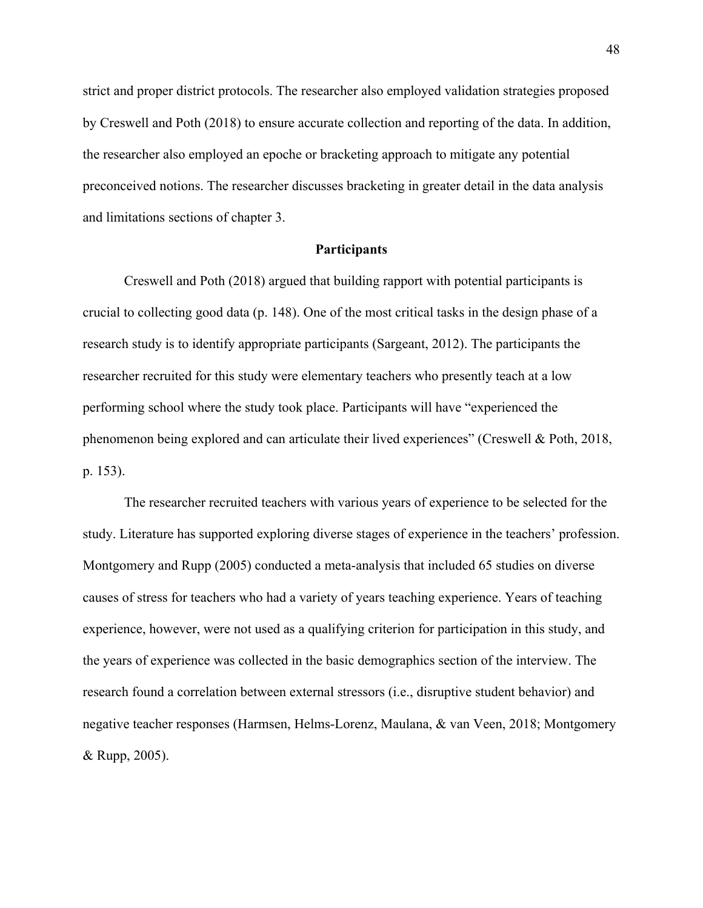strict and proper district protocols. The researcher also employed validation strategies proposed by Creswell and Poth (2018) to ensure accurate collection and reporting of the data. In addition, the researcher also employed an epoche or bracketing approach to mitigate any potential preconceived notions. The researcher discusses bracketing in greater detail in the data analysis and limitations sections of chapter 3.

## **Participants**

Creswell and Poth (2018) argued that building rapport with potential participants is crucial to collecting good data (p. 148). One of the most critical tasks in the design phase of a research study is to identify appropriate participants (Sargeant, 2012). The participants the researcher recruited for this study were elementary teachers who presently teach at a low performing school where the study took place. Participants will have "experienced the phenomenon being explored and can articulate their lived experiences" (Creswell & Poth, 2018, p. 153).

The researcher recruited teachers with various years of experience to be selected for the study. Literature has supported exploring diverse stages of experience in the teachers' profession. Montgomery and Rupp (2005) conducted a meta-analysis that included 65 studies on diverse causes of stress for teachers who had a variety of years teaching experience. Years of teaching experience, however, were not used as a qualifying criterion for participation in this study, and the years of experience was collected in the basic demographics section of the interview. The research found a correlation between external stressors (i.e., disruptive student behavior) and negative teacher responses (Harmsen, Helms-Lorenz, Maulana, & van Veen, 2018; Montgomery & Rupp, 2005).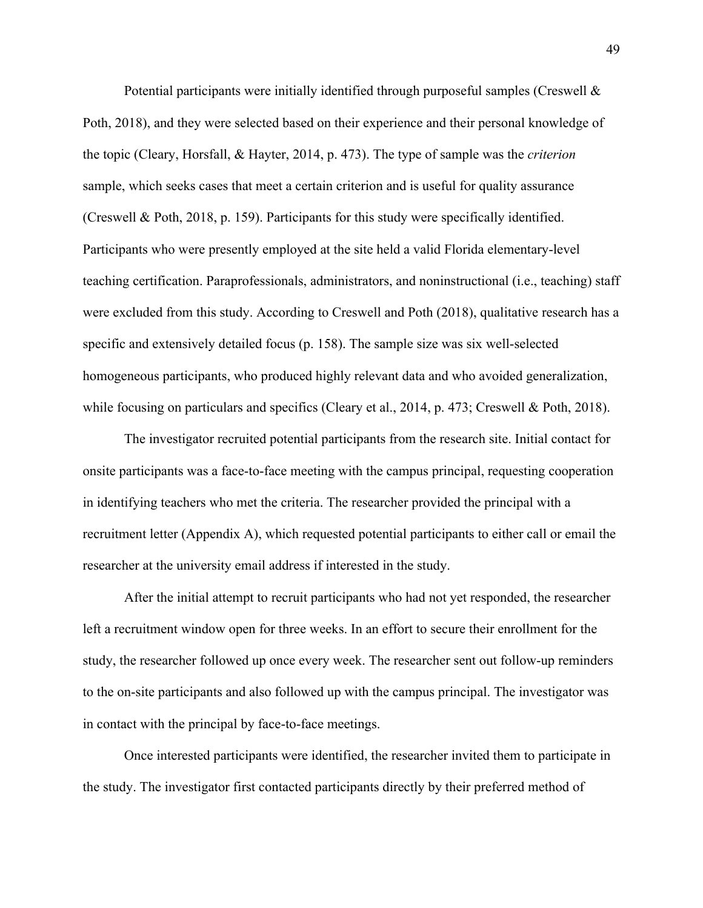Potential participants were initially identified through purposeful samples (Creswell  $\&$ Poth, 2018), and they were selected based on their experience and their personal knowledge of the topic (Cleary, Horsfall, & Hayter, 2014, p. 473). The type of sample was the *criterion* sample, which seeks cases that meet a certain criterion and is useful for quality assurance (Creswell & Poth, 2018, p. 159). Participants for this study were specifically identified. Participants who were presently employed at the site held a valid Florida elementary-level teaching certification. Paraprofessionals, administrators, and noninstructional (i.e., teaching) staff were excluded from this study. According to Creswell and Poth (2018), qualitative research has a specific and extensively detailed focus (p. 158). The sample size was six well-selected homogeneous participants, who produced highly relevant data and who avoided generalization, while focusing on particulars and specifics (Cleary et al., 2014, p. 473; Creswell & Poth, 2018).

The investigator recruited potential participants from the research site. Initial contact for onsite participants was a face-to-face meeting with the campus principal, requesting cooperation in identifying teachers who met the criteria. The researcher provided the principal with a recruitment letter (Appendix A), which requested potential participants to either call or email the researcher at the university email address if interested in the study.

After the initial attempt to recruit participants who had not yet responded, the researcher left a recruitment window open for three weeks. In an effort to secure their enrollment for the study, the researcher followed up once every week. The researcher sent out follow-up reminders to the on-site participants and also followed up with the campus principal. The investigator was in contact with the principal by face-to-face meetings.

Once interested participants were identified, the researcher invited them to participate in the study. The investigator first contacted participants directly by their preferred method of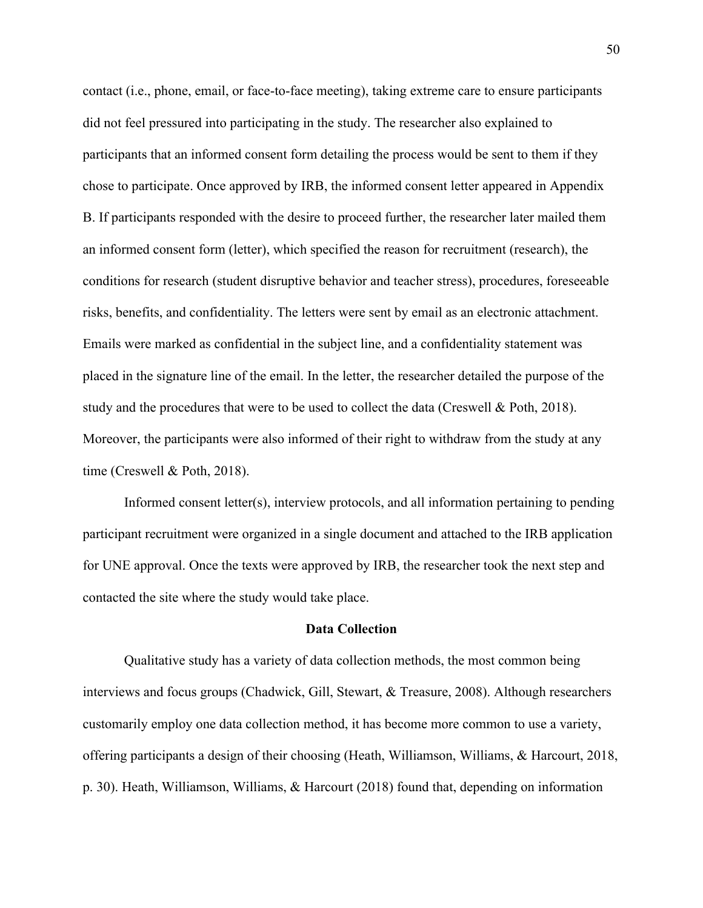contact (i.e., phone, email, or face-to-face meeting), taking extreme care to ensure participants did not feel pressured into participating in the study. The researcher also explained to participants that an informed consent form detailing the process would be sent to them if they chose to participate. Once approved by IRB, the informed consent letter appeared in Appendix B. If participants responded with the desire to proceed further, the researcher later mailed them an informed consent form (letter), which specified the reason for recruitment (research), the conditions for research (student disruptive behavior and teacher stress), procedures, foreseeable risks, benefits, and confidentiality. The letters were sent by email as an electronic attachment. Emails were marked as confidential in the subject line, and a confidentiality statement was placed in the signature line of the email. In the letter, the researcher detailed the purpose of the study and the procedures that were to be used to collect the data (Creswell & Poth, 2018). Moreover, the participants were also informed of their right to withdraw from the study at any time (Creswell & Poth, 2018).

Informed consent letter(s), interview protocols, and all information pertaining to pending participant recruitment were organized in a single document and attached to the IRB application for UNE approval. Once the texts were approved by IRB, the researcher took the next step and contacted the site where the study would take place.

## **Data Collection**

Qualitative study has a variety of data collection methods, the most common being interviews and focus groups (Chadwick, Gill, Stewart, & Treasure, 2008). Although researchers customarily employ one data collection method, it has become more common to use a variety, offering participants a design of their choosing (Heath, Williamson, Williams, & Harcourt, 2018, p. 30). Heath, Williamson, Williams, & Harcourt (2018) found that, depending on information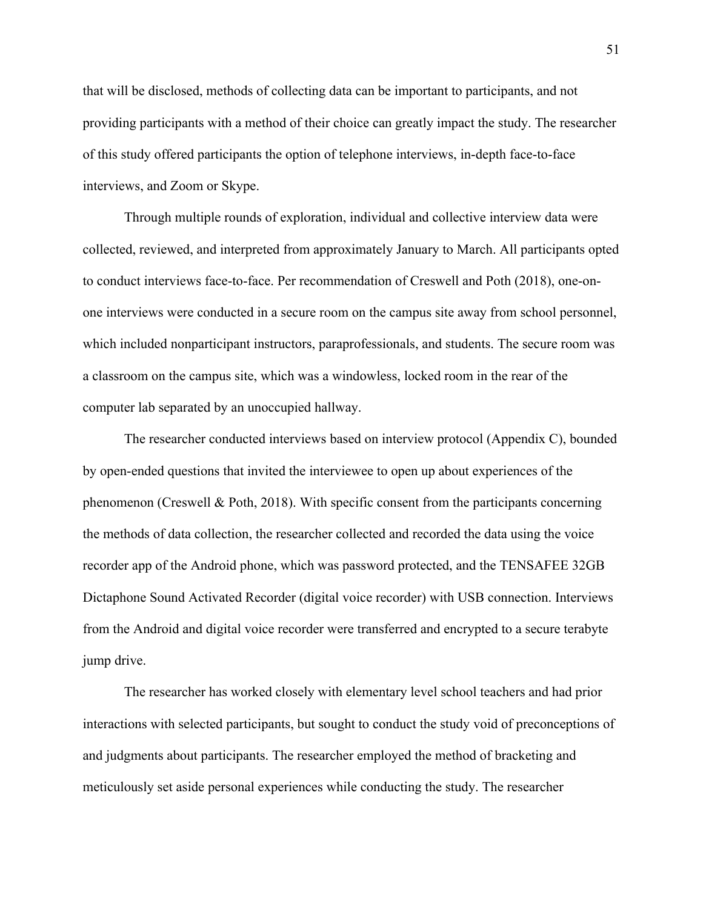that will be disclosed, methods of collecting data can be important to participants, and not providing participants with a method of their choice can greatly impact the study. The researcher of this study offered participants the option of telephone interviews, in-depth face-to-face interviews, and Zoom or Skype.

Through multiple rounds of exploration, individual and collective interview data were collected, reviewed, and interpreted from approximately January to March. All participants opted to conduct interviews face-to-face. Per recommendation of Creswell and Poth (2018), one-onone interviews were conducted in a secure room on the campus site away from school personnel, which included nonparticipant instructors, paraprofessionals, and students. The secure room was a classroom on the campus site, which was a windowless, locked room in the rear of the computer lab separated by an unoccupied hallway.

The researcher conducted interviews based on interview protocol (Appendix C), bounded by open-ended questions that invited the interviewee to open up about experiences of the phenomenon (Creswell & Poth, 2018). With specific consent from the participants concerning the methods of data collection, the researcher collected and recorded the data using the voice recorder app of the Android phone, which was password protected, and the TENSAFEE 32GB Dictaphone Sound Activated Recorder (digital voice recorder) with USB connection. Interviews from the Android and digital voice recorder were transferred and encrypted to a secure terabyte jump drive.

The researcher has worked closely with elementary level school teachers and had prior interactions with selected participants, but sought to conduct the study void of preconceptions of and judgments about participants. The researcher employed the method of bracketing and meticulously set aside personal experiences while conducting the study. The researcher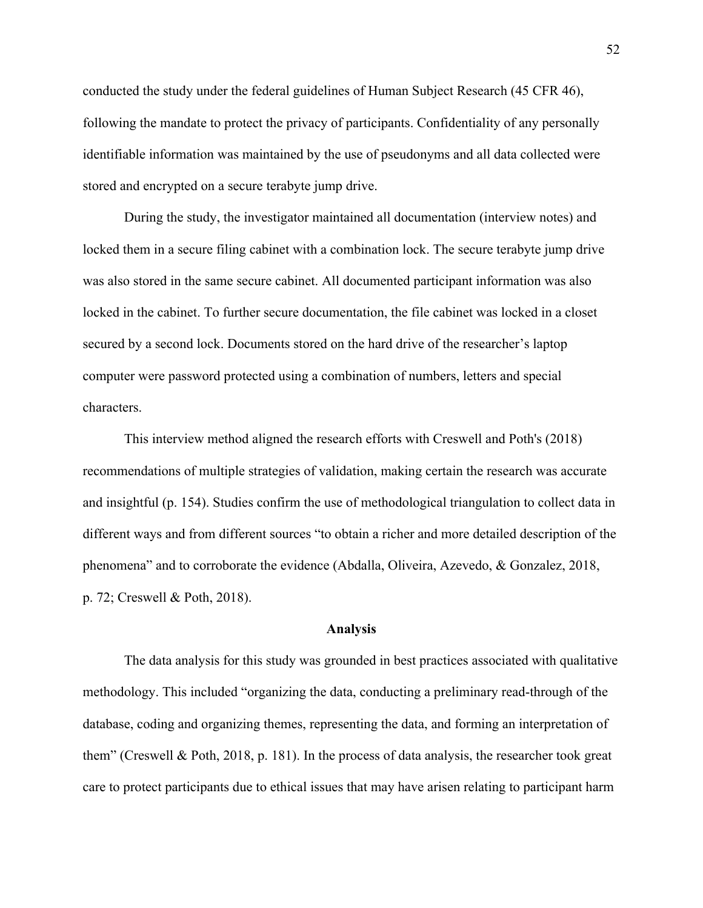conducted the study under the federal guidelines of Human Subject Research (45 CFR 46), following the mandate to protect the privacy of participants. Confidentiality of any personally identifiable information was maintained by the use of pseudonyms and all data collected were stored and encrypted on a secure terabyte jump drive.

During the study, the investigator maintained all documentation (interview notes) and locked them in a secure filing cabinet with a combination lock. The secure terabyte jump drive was also stored in the same secure cabinet. All documented participant information was also locked in the cabinet. To further secure documentation, the file cabinet was locked in a closet secured by a second lock. Documents stored on the hard drive of the researcher's laptop computer were password protected using a combination of numbers, letters and special characters.

This interview method aligned the research efforts with Creswell and Poth's (2018) recommendations of multiple strategies of validation, making certain the research was accurate and insightful (p. 154). Studies confirm the use of methodological triangulation to collect data in different ways and from different sources "to obtain a richer and more detailed description of the phenomena" and to corroborate the evidence (Abdalla, Oliveira, Azevedo, & Gonzalez, 2018, p. 72; Creswell & Poth, 2018).

#### **Analysis**

The data analysis for this study was grounded in best practices associated with qualitative methodology. This included "organizing the data, conducting a preliminary read-through of the database, coding and organizing themes, representing the data, and forming an interpretation of them" (Creswell & Poth, 2018, p. 181). In the process of data analysis, the researcher took great care to protect participants due to ethical issues that may have arisen relating to participant harm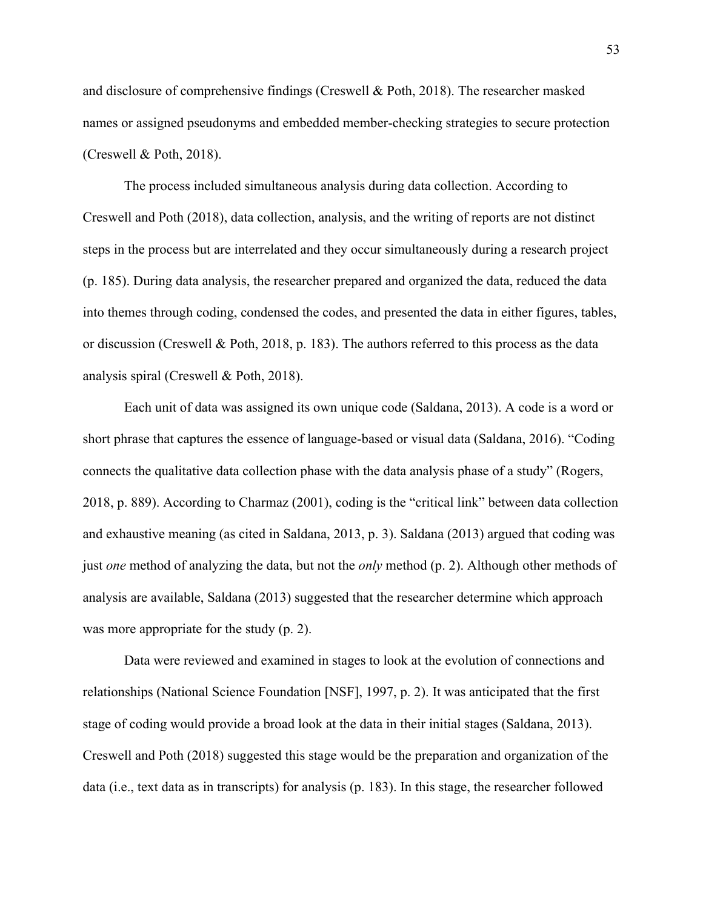and disclosure of comprehensive findings (Creswell & Poth, 2018). The researcher masked names or assigned pseudonyms and embedded member-checking strategies to secure protection (Creswell & Poth, 2018).

The process included simultaneous analysis during data collection. According to Creswell and Poth (2018), data collection, analysis, and the writing of reports are not distinct steps in the process but are interrelated and they occur simultaneously during a research project (p. 185). During data analysis, the researcher prepared and organized the data, reduced the data into themes through coding, condensed the codes, and presented the data in either figures, tables, or discussion (Creswell & Poth, 2018, p. 183). The authors referred to this process as the data analysis spiral (Creswell & Poth, 2018).

Each unit of data was assigned its own unique code (Saldana, 2013). A code is a word or short phrase that captures the essence of language-based or visual data (Saldana, 2016). "Coding connects the qualitative data collection phase with the data analysis phase of a study" (Rogers, 2018, p. 889). According to Charmaz (2001), coding is the "critical link" between data collection and exhaustive meaning (as cited in Saldana, 2013, p. 3). Saldana (2013) argued that coding was just *one* method of analyzing the data, but not the *only* method (p. 2). Although other methods of analysis are available, Saldana (2013) suggested that the researcher determine which approach was more appropriate for the study (p. 2).

Data were reviewed and examined in stages to look at the evolution of connections and relationships (National Science Foundation [NSF], 1997, p. 2). It was anticipated that the first stage of coding would provide a broad look at the data in their initial stages (Saldana, 2013). Creswell and Poth (2018) suggested this stage would be the preparation and organization of the data (i.e., text data as in transcripts) for analysis (p. 183). In this stage, the researcher followed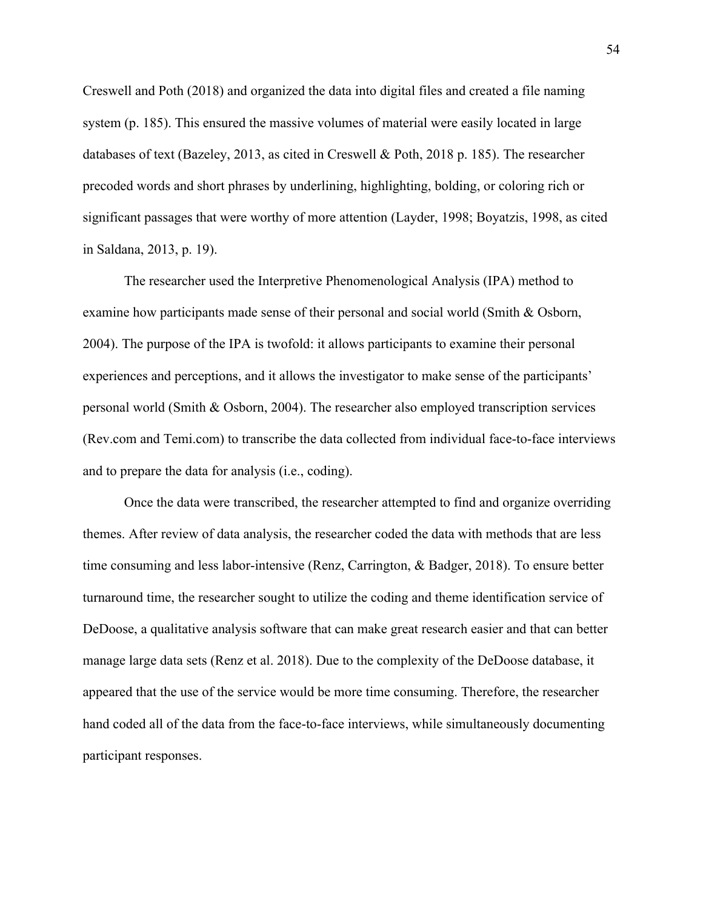Creswell and Poth (2018) and organized the data into digital files and created a file naming system (p. 185). This ensured the massive volumes of material were easily located in large databases of text (Bazeley, 2013, as cited in Creswell & Poth, 2018 p. 185). The researcher precoded words and short phrases by underlining, highlighting, bolding, or coloring rich or significant passages that were worthy of more attention (Layder, 1998; Boyatzis, 1998, as cited in Saldana, 2013, p. 19).

The researcher used the Interpretive Phenomenological Analysis (IPA) method to examine how participants made sense of their personal and social world (Smith & Osborn, 2004). The purpose of the IPA is twofold: it allows participants to examine their personal experiences and perceptions, and it allows the investigator to make sense of the participants' personal world (Smith & Osborn, 2004). The researcher also employed transcription services (Rev.com and Temi.com) to transcribe the data collected from individual face-to-face interviews and to prepare the data for analysis (i.e., coding).

Once the data were transcribed, the researcher attempted to find and organize overriding themes. After review of data analysis, the researcher coded the data with methods that are less time consuming and less labor-intensive (Renz, Carrington, & Badger, 2018). To ensure better turnaround time, the researcher sought to utilize the coding and theme identification service of DeDoose, a qualitative analysis software that can make great research easier and that can better manage large data sets (Renz et al. 2018). Due to the complexity of the DeDoose database, it appeared that the use of the service would be more time consuming. Therefore, the researcher hand coded all of the data from the face-to-face interviews, while simultaneously documenting participant responses.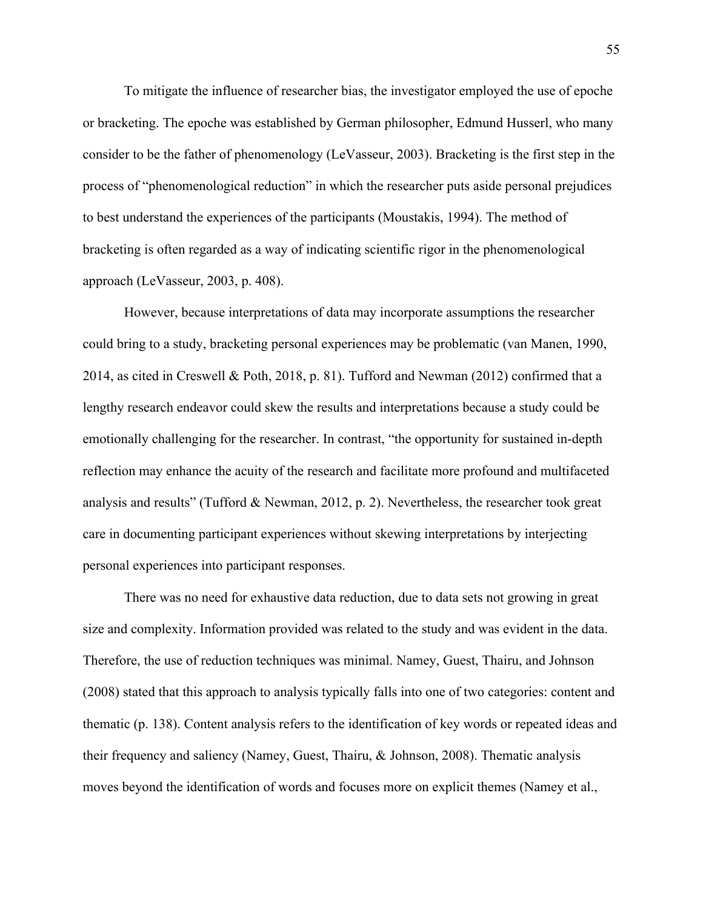To mitigate the influence of researcher bias, the investigator employed the use of epoche or bracketing. The epoche was established by German philosopher, Edmund Husserl, who many consider to be the father of phenomenology (LeVasseur, 2003). Bracketing is the first step in the process of "phenomenological reduction" in which the researcher puts aside personal prejudices to best understand the experiences of the participants (Moustakis, 1994). The method of bracketing is often regarded as a way of indicating scientific rigor in the phenomenological approach (LeVasseur, 2003, p. 408).

However, because interpretations of data may incorporate assumptions the researcher could bring to a study, bracketing personal experiences may be problematic (van Manen, 1990, 2014, as cited in Creswell & Poth, 2018, p. 81). Tufford and Newman (2012) confirmed that a lengthy research endeavor could skew the results and interpretations because a study could be emotionally challenging for the researcher. In contrast, "the opportunity for sustained in-depth reflection may enhance the acuity of the research and facilitate more profound and multifaceted analysis and results" (Tufford & Newman, 2012, p. 2). Nevertheless, the researcher took great care in documenting participant experiences without skewing interpretations by interjecting personal experiences into participant responses.

There was no need for exhaustive data reduction, due to data sets not growing in great size and complexity. Information provided was related to the study and was evident in the data. Therefore, the use of reduction techniques was minimal. Namey, Guest, Thairu, and Johnson (2008) stated that this approach to analysis typically falls into one of two categories: content and thematic (p. 138). Content analysis refers to the identification of key words or repeated ideas and their frequency and saliency (Namey, Guest, Thairu, & Johnson, 2008). Thematic analysis moves beyond the identification of words and focuses more on explicit themes (Namey et al.,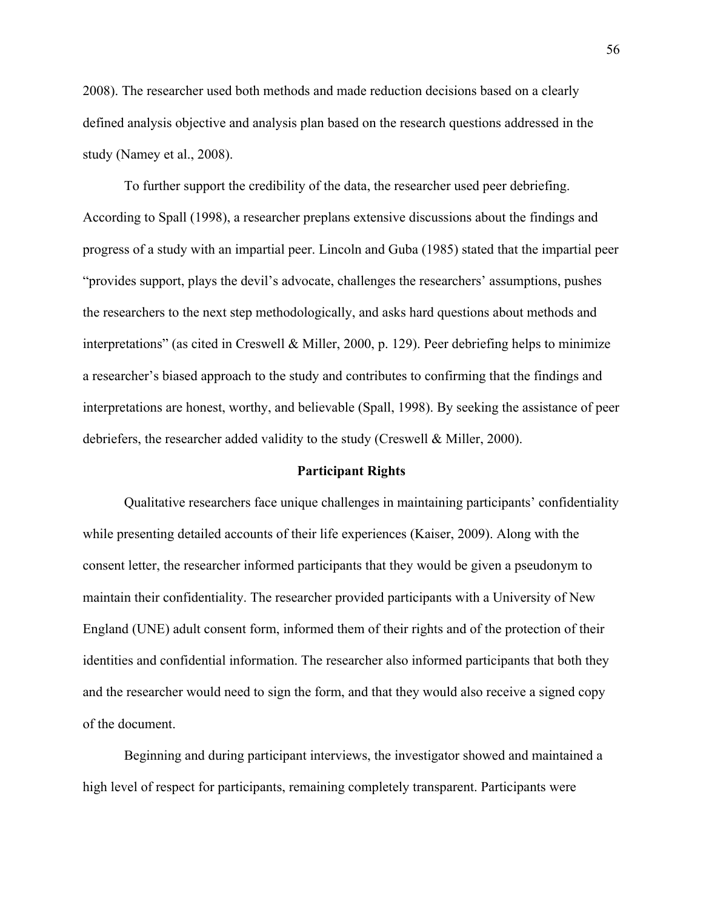2008). The researcher used both methods and made reduction decisions based on a clearly defined analysis objective and analysis plan based on the research questions addressed in the study (Namey et al., 2008).

To further support the credibility of the data, the researcher used peer debriefing. According to Spall (1998), a researcher preplans extensive discussions about the findings and progress of a study with an impartial peer. Lincoln and Guba (1985) stated that the impartial peer "provides support, plays the devil's advocate, challenges the researchers' assumptions, pushes the researchers to the next step methodologically, and asks hard questions about methods and interpretations" (as cited in Creswell & Miller, 2000, p. 129). Peer debriefing helps to minimize a researcher's biased approach to the study and contributes to confirming that the findings and interpretations are honest, worthy, and believable (Spall, 1998). By seeking the assistance of peer debriefers, the researcher added validity to the study (Creswell & Miller, 2000).

#### **Participant Rights**

Qualitative researchers face unique challenges in maintaining participants' confidentiality while presenting detailed accounts of their life experiences (Kaiser, 2009). Along with the consent letter, the researcher informed participants that they would be given a pseudonym to maintain their confidentiality. The researcher provided participants with a University of New England (UNE) adult consent form, informed them of their rights and of the protection of their identities and confidential information. The researcher also informed participants that both they and the researcher would need to sign the form, and that they would also receive a signed copy of the document.

Beginning and during participant interviews, the investigator showed and maintained a high level of respect for participants, remaining completely transparent. Participants were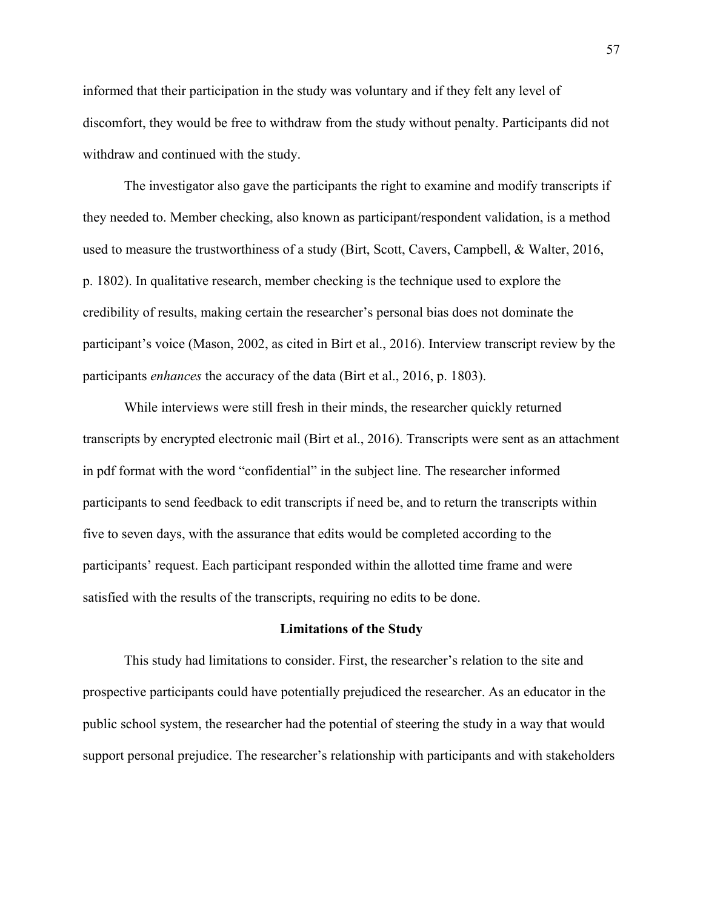informed that their participation in the study was voluntary and if they felt any level of discomfort, they would be free to withdraw from the study without penalty. Participants did not withdraw and continued with the study.

The investigator also gave the participants the right to examine and modify transcripts if they needed to. Member checking, also known as participant/respondent validation, is a method used to measure the trustworthiness of a study (Birt, Scott, Cavers, Campbell, & Walter, 2016, p. 1802). In qualitative research, member checking is the technique used to explore the credibility of results, making certain the researcher's personal bias does not dominate the participant's voice (Mason, 2002, as cited in Birt et al., 2016). Interview transcript review by the participants *enhances* the accuracy of the data (Birt et al., 2016, p. 1803).

While interviews were still fresh in their minds, the researcher quickly returned transcripts by encrypted electronic mail (Birt et al., 2016). Transcripts were sent as an attachment in pdf format with the word "confidential" in the subject line. The researcher informed participants to send feedback to edit transcripts if need be, and to return the transcripts within five to seven days, with the assurance that edits would be completed according to the participants' request. Each participant responded within the allotted time frame and were satisfied with the results of the transcripts, requiring no edits to be done.

#### **Limitations of the Study**

This study had limitations to consider. First, the researcher's relation to the site and prospective participants could have potentially prejudiced the researcher. As an educator in the public school system, the researcher had the potential of steering the study in a way that would support personal prejudice. The researcher's relationship with participants and with stakeholders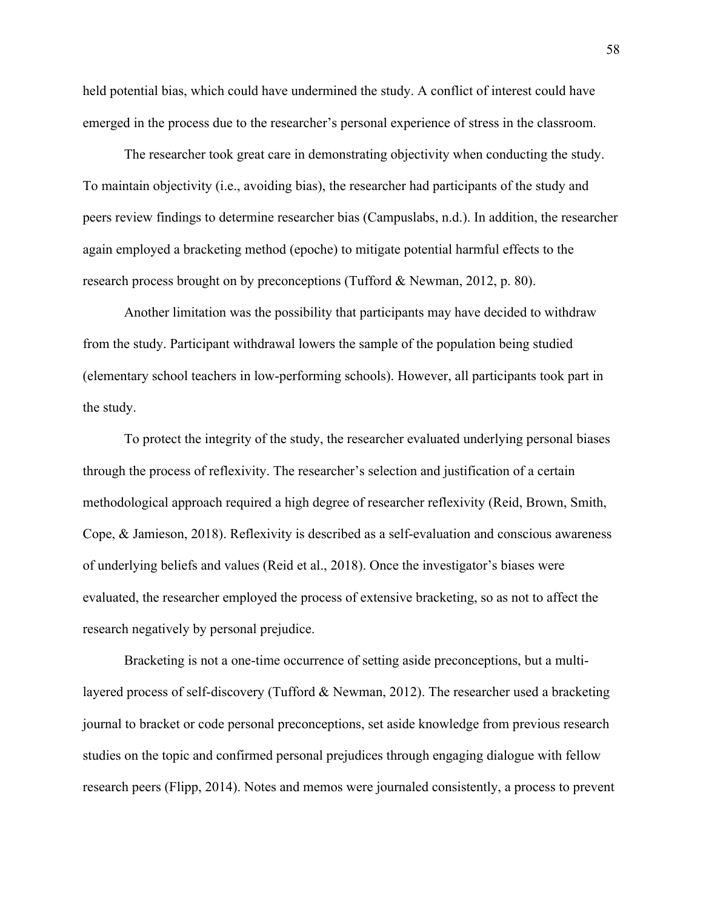held potential bias, which could have undermined the study. A conflict of interest could have emerged in the process due to the researcher's personal experience of stress in the classroom.

The researcher took great care in demonstrating objectivity when conducting the study. To maintain objectivity (i.e., avoiding bias), the researcher had participants of the study and peers review findings to determine researcher bias (Campuslabs, n.d.). In addition, the researcher again employed a bracketing method (epoche) to mitigate potential harmful effects to the research process brought on by preconceptions (Tufford & Newman, 2012, p. 80).

Another limitation was the possibility that participants may have decided to withdraw from the study. Participant withdrawal lowers the sample of the population being studied (elementary school teachers in low-performing schools). However, all participants took part in the study.

To protect the integrity of the study, the researcher evaluated underlying personal biases through the process of reflexivity. The researcher's selection and justification of a certain methodological approach required a high degree of researcher reflexivity (Reid, Brown, Smith, Cope, & Jamieson, 2018). Reflexivity is described as a self-evaluation and conscious awareness of underlying beliefs and values (Reid et al., 2018). Once the investigator's biases were evaluated, the researcher employed the process of extensive bracketing, so as not to affect the research negatively by personal prejudice.

Bracketing is not a one-time occurrence of setting aside preconceptions, but a multilayered process of self-discovery (Tufford & Newman, 2012). The researcher used a bracketing journal to bracket or code personal preconceptions, set aside knowledge from previous research studies on the topic and confirmed personal prejudices through engaging dialogue with fellow research peers (Flipp, 2014). Notes and memos were journaled consistently, a process to prevent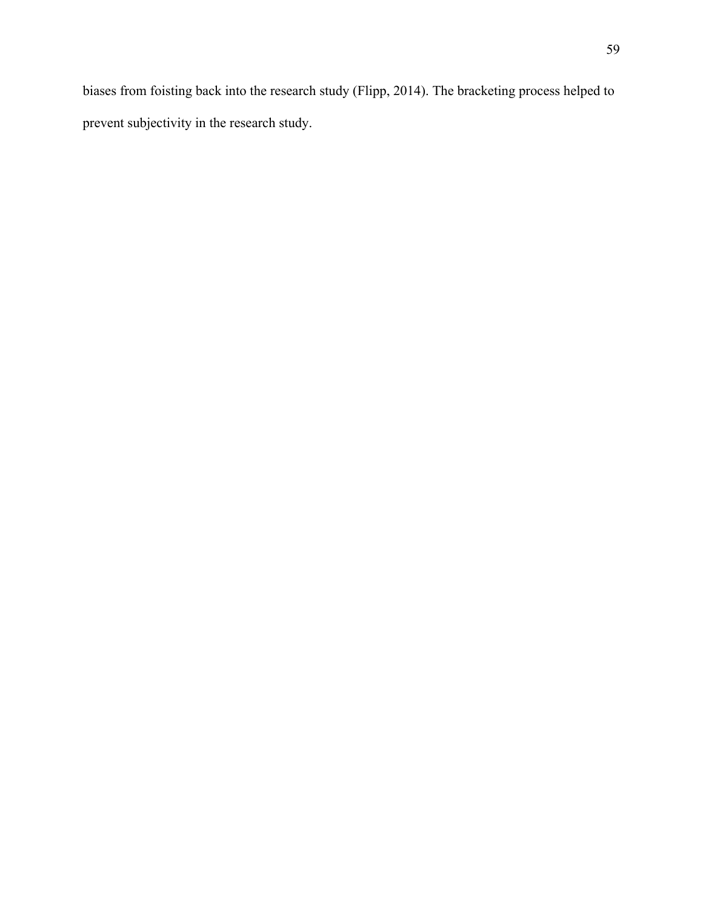biases from foisting back into the research study (Flipp, 2014). The bracketing process helped to prevent subjectivity in the research study.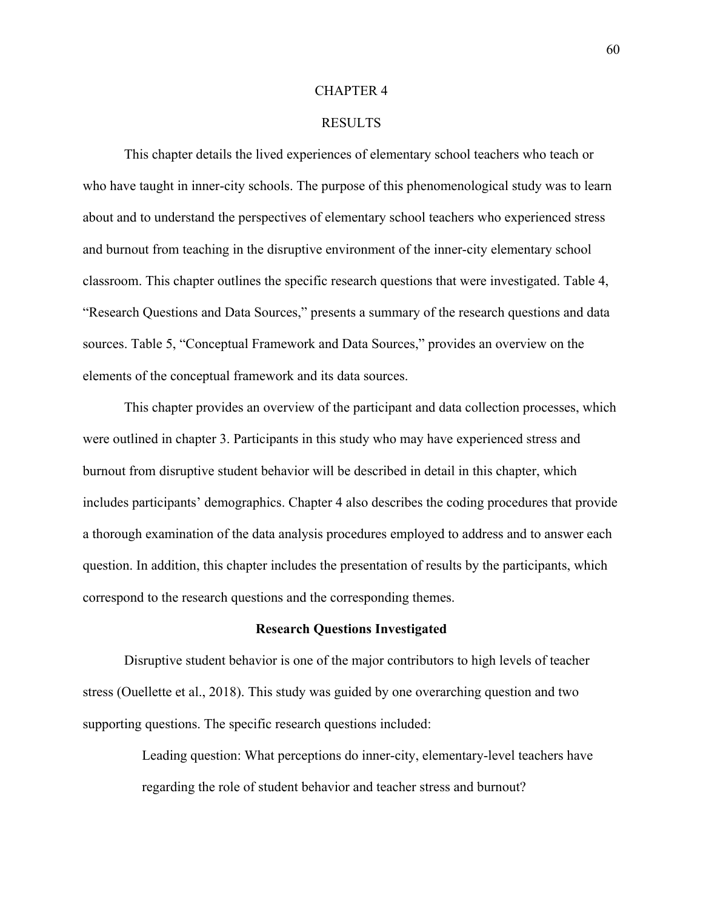#### CHAPTER 4

### RESULTS

This chapter details the lived experiences of elementary school teachers who teach or who have taught in inner-city schools. The purpose of this phenomenological study was to learn about and to understand the perspectives of elementary school teachers who experienced stress and burnout from teaching in the disruptive environment of the inner-city elementary school classroom. This chapter outlines the specific research questions that were investigated. Table 4, "Research Questions and Data Sources," presents a summary of the research questions and data sources. Table 5, "Conceptual Framework and Data Sources," provides an overview on the elements of the conceptual framework and its data sources.

This chapter provides an overview of the participant and data collection processes, which were outlined in chapter 3. Participants in this study who may have experienced stress and burnout from disruptive student behavior will be described in detail in this chapter, which includes participants' demographics. Chapter 4 also describes the coding procedures that provide a thorough examination of the data analysis procedures employed to address and to answer each question. In addition, this chapter includes the presentation of results by the participants, which correspond to the research questions and the corresponding themes.

#### **Research Questions Investigated**

Disruptive student behavior is one of the major contributors to high levels of teacher stress (Ouellette et al., 2018). This study was guided by one overarching question and two supporting questions. The specific research questions included:

> Leading question: What perceptions do inner-city, elementary-level teachers have regarding the role of student behavior and teacher stress and burnout?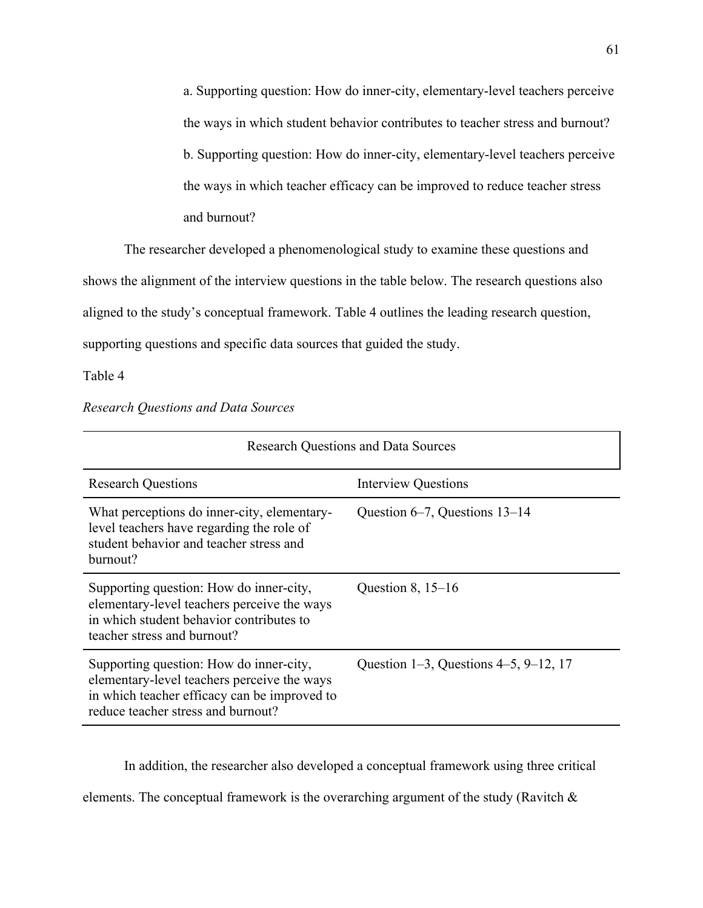a. Supporting question: How do inner-city, elementary-level teachers perceive the ways in which student behavior contributes to teacher stress and burnout? b. Supporting question: How do inner-city, elementary-level teachers perceive the ways in which teacher efficacy can be improved to reduce teacher stress and burnout?

The researcher developed a phenomenological study to examine these questions and shows the alignment of the interview questions in the table below. The research questions also aligned to the study's conceptual framework. Table 4 outlines the leading research question, supporting questions and specific data sources that guided the study.

Table 4

| <b>Research Questions and Data Sources</b>                                                                                                                                   |                                       |  |  |
|------------------------------------------------------------------------------------------------------------------------------------------------------------------------------|---------------------------------------|--|--|
| <b>Research Questions</b>                                                                                                                                                    | <b>Interview Questions</b>            |  |  |
| What perceptions do inner-city, elementary-<br>level teachers have regarding the role of<br>student behavior and teacher stress and<br>burnout?                              | Question $6-7$ , Questions $13-14$    |  |  |
| Supporting question: How do inner-city,<br>elementary-level teachers perceive the ways<br>in which student behavior contributes to<br>teacher stress and burnout?            | Question $8, 15-16$                   |  |  |
| Supporting question: How do inner-city,<br>elementary-level teachers perceive the ways<br>in which teacher efficacy can be improved to<br>reduce teacher stress and burnout? | Question 1–3, Questions 4–5, 9–12, 17 |  |  |

*Research Questions and Data Sources*

In addition, the researcher also developed a conceptual framework using three critical

elements. The conceptual framework is the overarching argument of the study (Ravitch &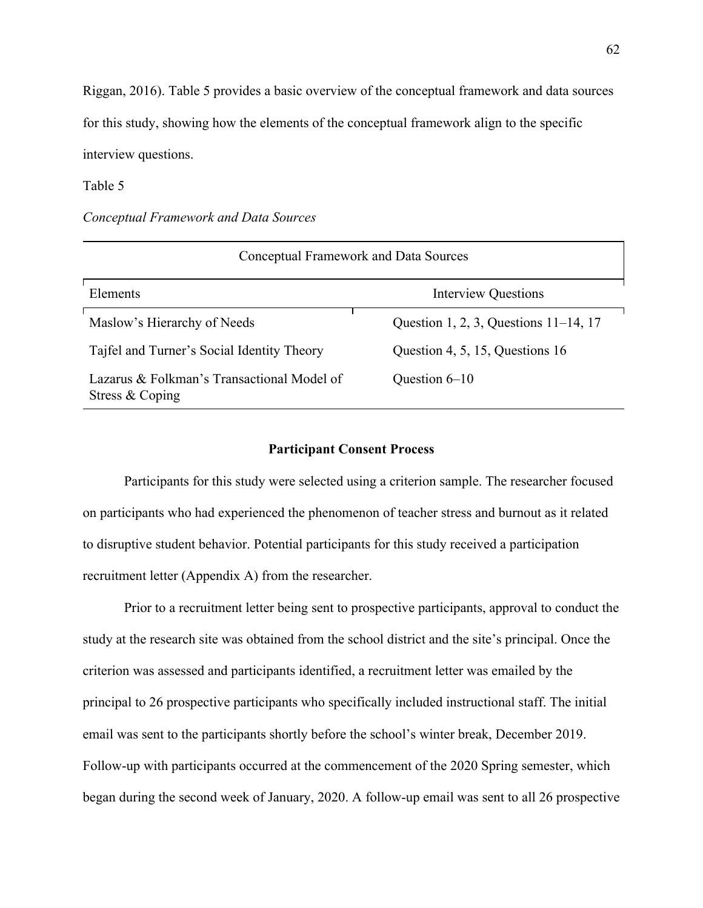Riggan, 2016). Table 5 provides a basic overview of the conceptual framework and data sources for this study, showing how the elements of the conceptual framework align to the specific interview questions.

Table 5

*Conceptual Framework and Data Sources*

| Conceptual Framework and Data Sources                         |                                          |  |  |  |
|---------------------------------------------------------------|------------------------------------------|--|--|--|
| Elements                                                      | <b>Interview Questions</b>               |  |  |  |
| Maslow's Hierarchy of Needs                                   | Question 1, 2, 3, Questions $11-14$ , 17 |  |  |  |
| Tajfel and Turner's Social Identity Theory                    | Question 4, 5, 15, Questions 16          |  |  |  |
| Lazarus & Folkman's Transactional Model of<br>Stress & Coping | Question $6-10$                          |  |  |  |

## **Participant Consent Process**

Participants for this study were selected using a criterion sample. The researcher focused on participants who had experienced the phenomenon of teacher stress and burnout as it related to disruptive student behavior. Potential participants for this study received a participation recruitment letter (Appendix A) from the researcher.

Prior to a recruitment letter being sent to prospective participants, approval to conduct the study at the research site was obtained from the school district and the site's principal. Once the criterion was assessed and participants identified, a recruitment letter was emailed by the principal to 26 prospective participants who specifically included instructional staff. The initial email was sent to the participants shortly before the school's winter break, December 2019. Follow-up with participants occurred at the commencement of the 2020 Spring semester, which began during the second week of January, 2020. A follow-up email was sent to all 26 prospective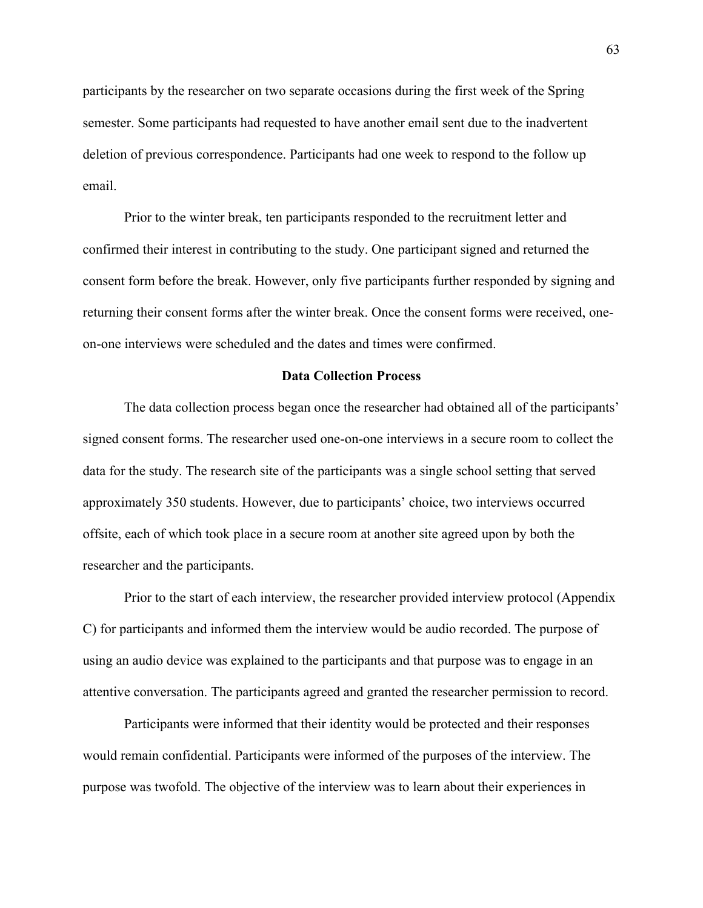participants by the researcher on two separate occasions during the first week of the Spring semester. Some participants had requested to have another email sent due to the inadvertent deletion of previous correspondence. Participants had one week to respond to the follow up email.

Prior to the winter break, ten participants responded to the recruitment letter and confirmed their interest in contributing to the study. One participant signed and returned the consent form before the break. However, only five participants further responded by signing and returning their consent forms after the winter break. Once the consent forms were received, oneon-one interviews were scheduled and the dates and times were confirmed.

# **Data Collection Process**

The data collection process began once the researcher had obtained all of the participants' signed consent forms. The researcher used one-on-one interviews in a secure room to collect the data for the study. The research site of the participants was a single school setting that served approximately 350 students. However, due to participants' choice, two interviews occurred offsite, each of which took place in a secure room at another site agreed upon by both the researcher and the participants.

Prior to the start of each interview, the researcher provided interview protocol (Appendix C) for participants and informed them the interview would be audio recorded. The purpose of using an audio device was explained to the participants and that purpose was to engage in an attentive conversation. The participants agreed and granted the researcher permission to record.

Participants were informed that their identity would be protected and their responses would remain confidential. Participants were informed of the purposes of the interview. The purpose was twofold. The objective of the interview was to learn about their experiences in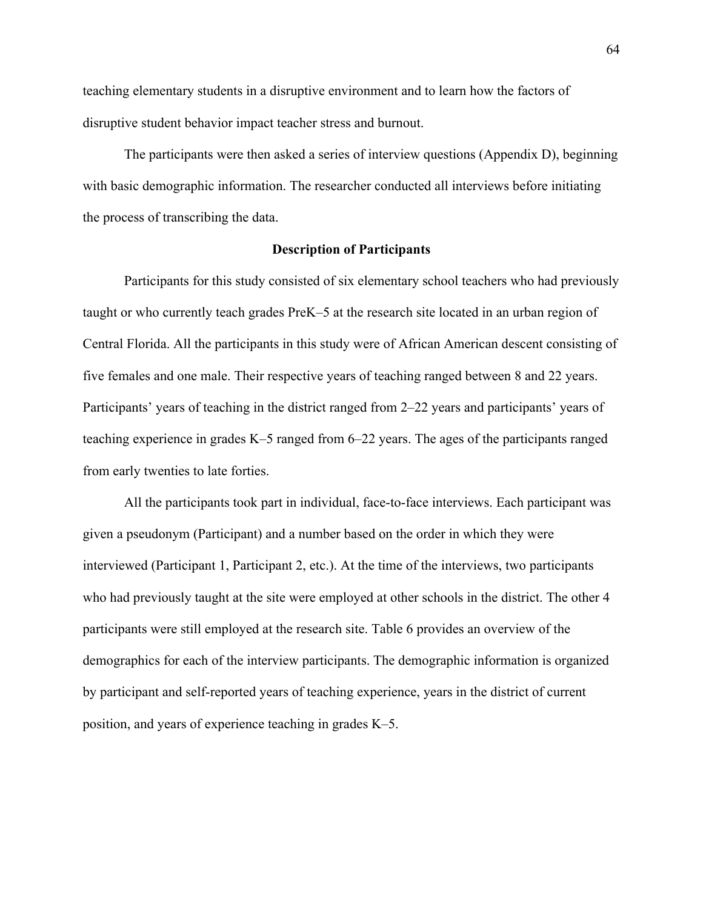teaching elementary students in a disruptive environment and to learn how the factors of disruptive student behavior impact teacher stress and burnout.

The participants were then asked a series of interview questions (Appendix D), beginning with basic demographic information. The researcher conducted all interviews before initiating the process of transcribing the data.

# **Description of Participants**

Participants for this study consisted of six elementary school teachers who had previously taught or who currently teach grades PreK–5 at the research site located in an urban region of Central Florida. All the participants in this study were of African American descent consisting of five females and one male. Their respective years of teaching ranged between 8 and 22 years. Participants' years of teaching in the district ranged from 2–22 years and participants' years of teaching experience in grades K–5 ranged from 6–22 years. The ages of the participants ranged from early twenties to late forties.

All the participants took part in individual, face-to-face interviews. Each participant was given a pseudonym (Participant) and a number based on the order in which they were interviewed (Participant 1, Participant 2, etc.). At the time of the interviews, two participants who had previously taught at the site were employed at other schools in the district. The other 4 participants were still employed at the research site. Table 6 provides an overview of the demographics for each of the interview participants. The demographic information is organized by participant and self-reported years of teaching experience, years in the district of current position, and years of experience teaching in grades K–5.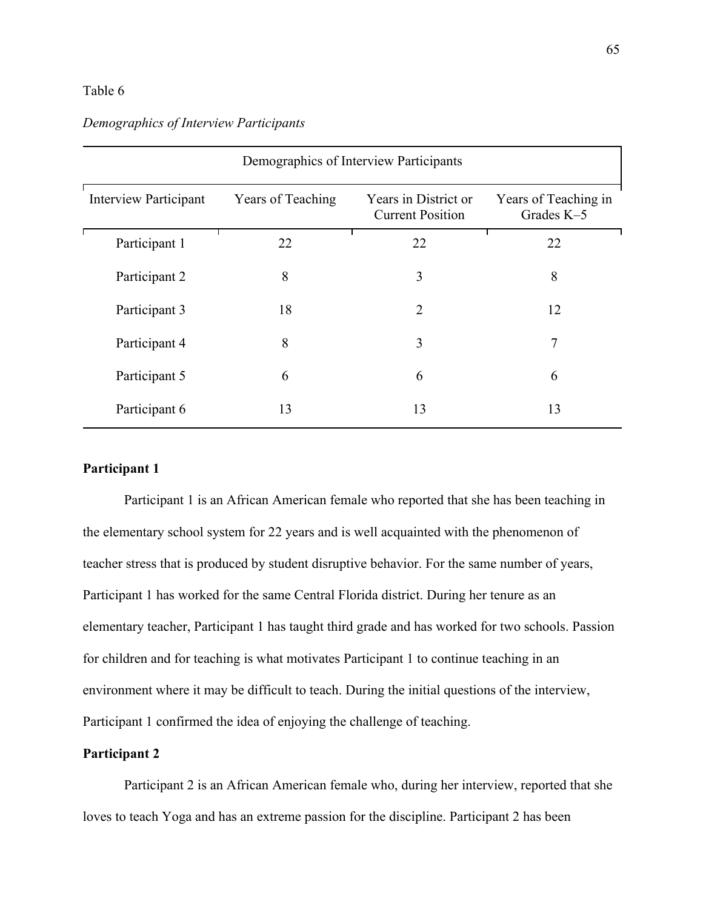# Table 6

| Demographics of Interview Participants |                   |                                                 |                                    |  |
|----------------------------------------|-------------------|-------------------------------------------------|------------------------------------|--|
| <b>Interview Participant</b>           | Years of Teaching | Years in District or<br><b>Current Position</b> | Years of Teaching in<br>Grades K-5 |  |
| Participant 1                          | 22                | 22                                              | 22                                 |  |
| Participant 2                          | 8                 | 3                                               | 8                                  |  |
| Participant 3                          | 18                | $\overline{2}$                                  | 12                                 |  |
| Participant 4                          | 8                 | 3                                               | 7                                  |  |
| Participant 5                          | 6                 | 6                                               | 6                                  |  |
| Participant 6                          | 13                | 13                                              | 13                                 |  |

# *Demographics of Interview Participants*

# **Participant 1**

Participant 1 is an African American female who reported that she has been teaching in the elementary school system for 22 years and is well acquainted with the phenomenon of teacher stress that is produced by student disruptive behavior. For the same number of years, Participant 1 has worked for the same Central Florida district. During her tenure as an elementary teacher, Participant 1 has taught third grade and has worked for two schools. Passion for children and for teaching is what motivates Participant 1 to continue teaching in an environment where it may be difficult to teach. During the initial questions of the interview, Participant 1 confirmed the idea of enjoying the challenge of teaching.

# **Participant 2**

Participant 2 is an African American female who, during her interview, reported that she loves to teach Yoga and has an extreme passion for the discipline. Participant 2 has been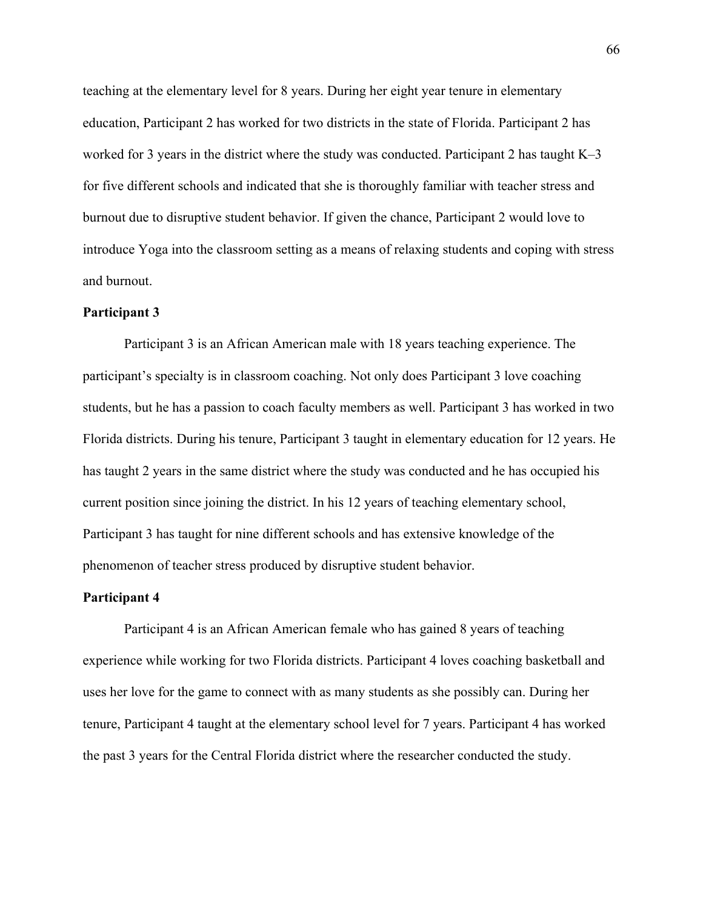teaching at the elementary level for 8 years. During her eight year tenure in elementary education, Participant 2 has worked for two districts in the state of Florida. Participant 2 has worked for 3 years in the district where the study was conducted. Participant 2 has taught K–3 for five different schools and indicated that she is thoroughly familiar with teacher stress and burnout due to disruptive student behavior. If given the chance, Participant 2 would love to introduce Yoga into the classroom setting as a means of relaxing students and coping with stress and burnout.

#### **Participant 3**

Participant 3 is an African American male with 18 years teaching experience. The participant's specialty is in classroom coaching. Not only does Participant 3 love coaching students, but he has a passion to coach faculty members as well. Participant 3 has worked in two Florida districts. During his tenure, Participant 3 taught in elementary education for 12 years. He has taught 2 years in the same district where the study was conducted and he has occupied his current position since joining the district. In his 12 years of teaching elementary school, Participant 3 has taught for nine different schools and has extensive knowledge of the phenomenon of teacher stress produced by disruptive student behavior.

### **Participant 4**

Participant 4 is an African American female who has gained 8 years of teaching experience while working for two Florida districts. Participant 4 loves coaching basketball and uses her love for the game to connect with as many students as she possibly can. During her tenure, Participant 4 taught at the elementary school level for 7 years. Participant 4 has worked the past 3 years for the Central Florida district where the researcher conducted the study.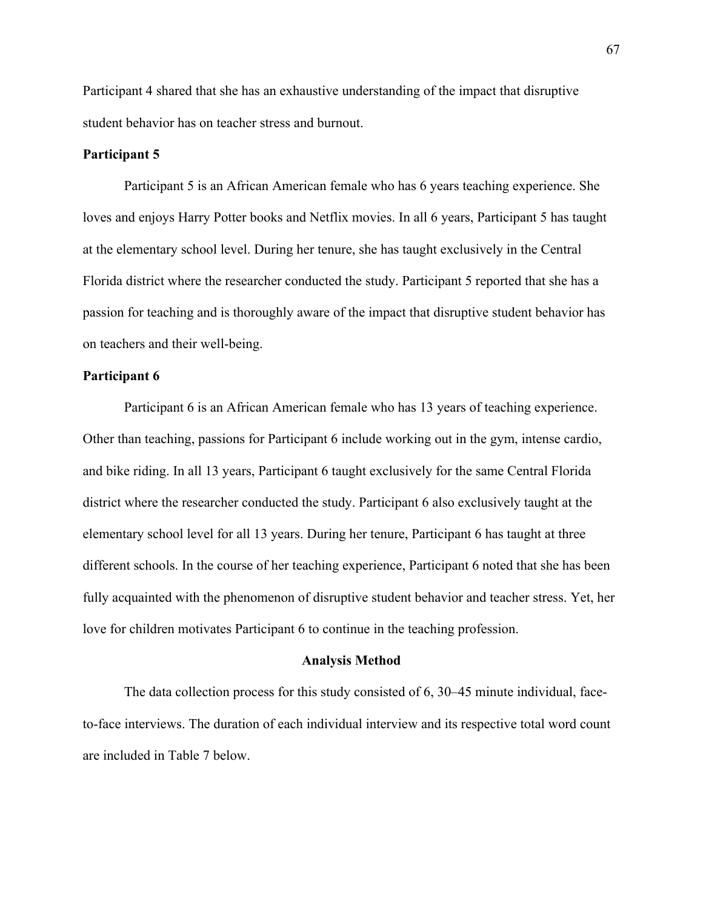Participant 4 shared that she has an exhaustive understanding of the impact that disruptive student behavior has on teacher stress and burnout.

# **Participant 5**

Participant 5 is an African American female who has 6 years teaching experience. She loves and enjoys Harry Potter books and Netflix movies. In all 6 years, Participant 5 has taught at the elementary school level. During her tenure, she has taught exclusively in the Central Florida district where the researcher conducted the study. Participant 5 reported that she has a passion for teaching and is thoroughly aware of the impact that disruptive student behavior has on teachers and their well-being.

# **Participant 6**

Participant 6 is an African American female who has 13 years of teaching experience. Other than teaching, passions for Participant 6 include working out in the gym, intense cardio, and bike riding. In all 13 years, Participant 6 taught exclusively for the same Central Florida district where the researcher conducted the study. Participant 6 also exclusively taught at the elementary school level for all 13 years. During her tenure, Participant 6 has taught at three different schools. In the course of her teaching experience, Participant 6 noted that she has been fully acquainted with the phenomenon of disruptive student behavior and teacher stress. Yet, her love for children motivates Participant 6 to continue in the teaching profession.

#### **Analysis Method**

The data collection process for this study consisted of 6, 30–45 minute individual, faceto-face interviews. The duration of each individual interview and its respective total word count are included in Table 7 below.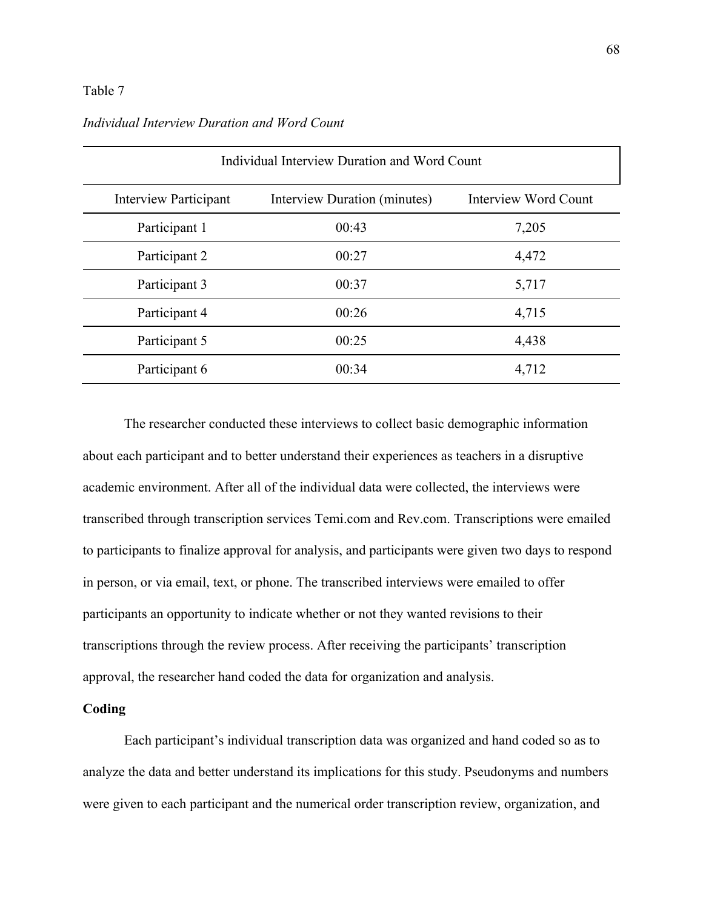### Table 7

| Individual Interview Duration and Word Count |                              |                             |  |  |
|----------------------------------------------|------------------------------|-----------------------------|--|--|
| <b>Interview Participant</b>                 | Interview Duration (minutes) | <b>Interview Word Count</b> |  |  |
| Participant 1                                | 00:43                        | 7,205                       |  |  |
| Participant 2                                | 00:27                        | 4,472                       |  |  |
| Participant 3                                | 00:37                        | 5,717                       |  |  |
| Participant 4                                | 00:26                        | 4,715                       |  |  |
| Participant 5                                | 00:25                        | 4,438                       |  |  |
| Participant 6                                | 00:34                        | 4,712                       |  |  |

# *Individual Interview Duration and Word Count*

The researcher conducted these interviews to collect basic demographic information about each participant and to better understand their experiences as teachers in a disruptive academic environment. After all of the individual data were collected, the interviews were transcribed through transcription services Temi.com and Rev.com. Transcriptions were emailed to participants to finalize approval for analysis, and participants were given two days to respond in person, or via email, text, or phone. The transcribed interviews were emailed to offer participants an opportunity to indicate whether or not they wanted revisions to their transcriptions through the review process. After receiving the participants' transcription approval, the researcher hand coded the data for organization and analysis.

# **Coding**

Each participant's individual transcription data was organized and hand coded so as to analyze the data and better understand its implications for this study. Pseudonyms and numbers were given to each participant and the numerical order transcription review, organization, and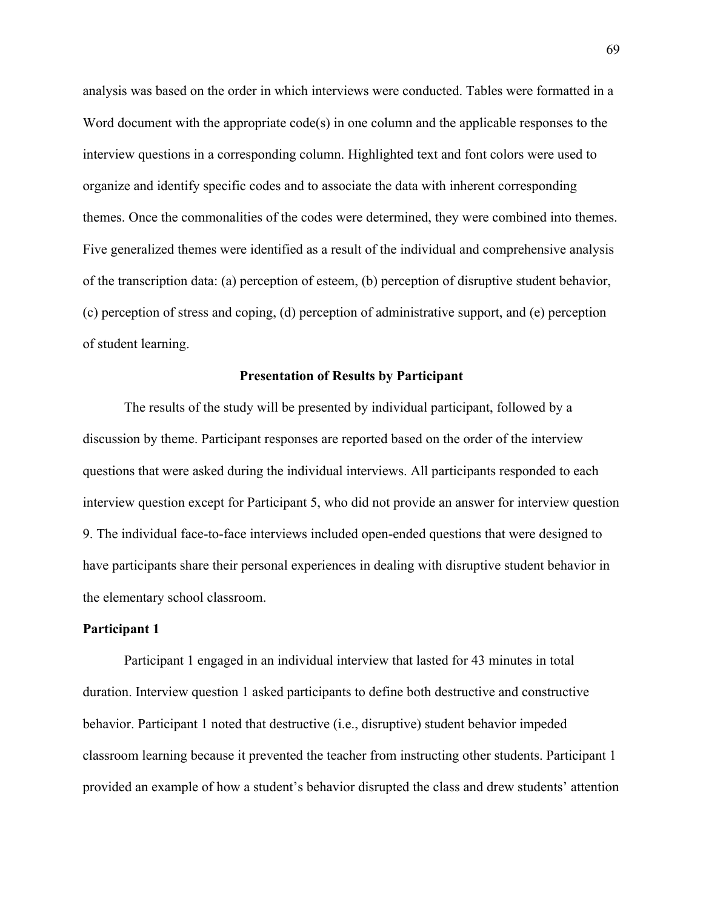analysis was based on the order in which interviews were conducted. Tables were formatted in a Word document with the appropriate code(s) in one column and the applicable responses to the interview questions in a corresponding column. Highlighted text and font colors were used to organize and identify specific codes and to associate the data with inherent corresponding themes. Once the commonalities of the codes were determined, they were combined into themes. Five generalized themes were identified as a result of the individual and comprehensive analysis of the transcription data: (a) perception of esteem, (b) perception of disruptive student behavior, (c) perception of stress and coping, (d) perception of administrative support, and (e) perception of student learning.

#### **Presentation of Results by Participant**

The results of the study will be presented by individual participant, followed by a discussion by theme. Participant responses are reported based on the order of the interview questions that were asked during the individual interviews. All participants responded to each interview question except for Participant 5, who did not provide an answer for interview question 9. The individual face-to-face interviews included open-ended questions that were designed to have participants share their personal experiences in dealing with disruptive student behavior in the elementary school classroom.

#### **Participant 1**

Participant 1 engaged in an individual interview that lasted for 43 minutes in total duration. Interview question 1 asked participants to define both destructive and constructive behavior. Participant 1 noted that destructive (i.e., disruptive) student behavior impeded classroom learning because it prevented the teacher from instructing other students. Participant 1 provided an example of how a student's behavior disrupted the class and drew students' attention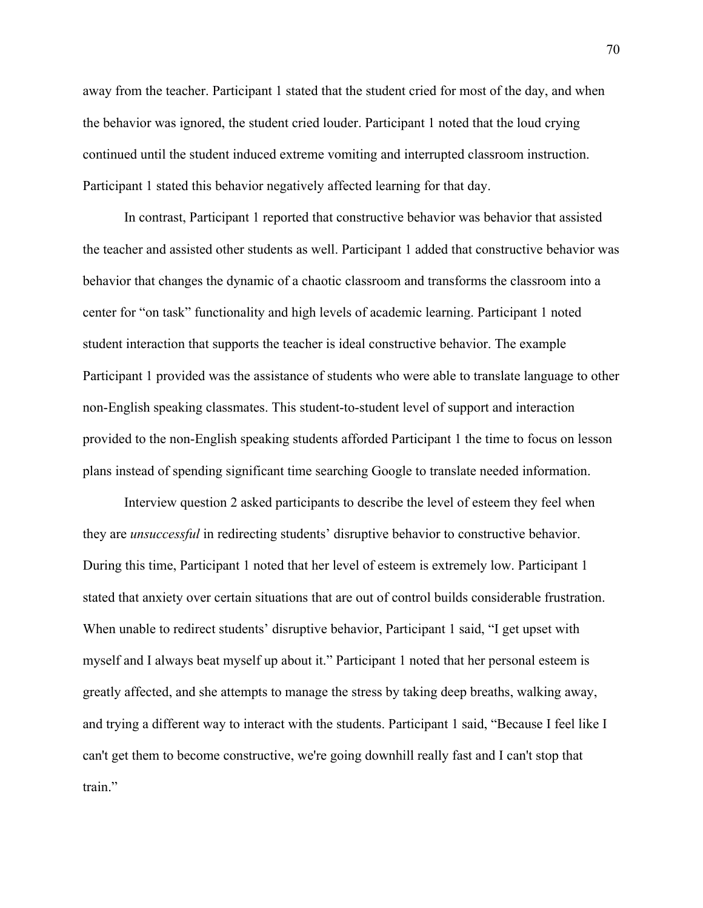away from the teacher. Participant 1 stated that the student cried for most of the day, and when the behavior was ignored, the student cried louder. Participant 1 noted that the loud crying continued until the student induced extreme vomiting and interrupted classroom instruction. Participant 1 stated this behavior negatively affected learning for that day.

In contrast, Participant 1 reported that constructive behavior was behavior that assisted the teacher and assisted other students as well. Participant 1 added that constructive behavior was behavior that changes the dynamic of a chaotic classroom and transforms the classroom into a center for "on task" functionality and high levels of academic learning. Participant 1 noted student interaction that supports the teacher is ideal constructive behavior. The example Participant 1 provided was the assistance of students who were able to translate language to other non-English speaking classmates. This student-to-student level of support and interaction provided to the non-English speaking students afforded Participant 1 the time to focus on lesson plans instead of spending significant time searching Google to translate needed information.

Interview question 2 asked participants to describe the level of esteem they feel when they are *unsuccessful* in redirecting students' disruptive behavior to constructive behavior. During this time, Participant 1 noted that her level of esteem is extremely low. Participant 1 stated that anxiety over certain situations that are out of control builds considerable frustration. When unable to redirect students' disruptive behavior, Participant 1 said, "I get upset with myself and I always beat myself up about it." Participant 1 noted that her personal esteem is greatly affected, and she attempts to manage the stress by taking deep breaths, walking away, and trying a different way to interact with the students. Participant 1 said, "Because I feel like I can't get them to become constructive, we're going downhill really fast and I can't stop that train."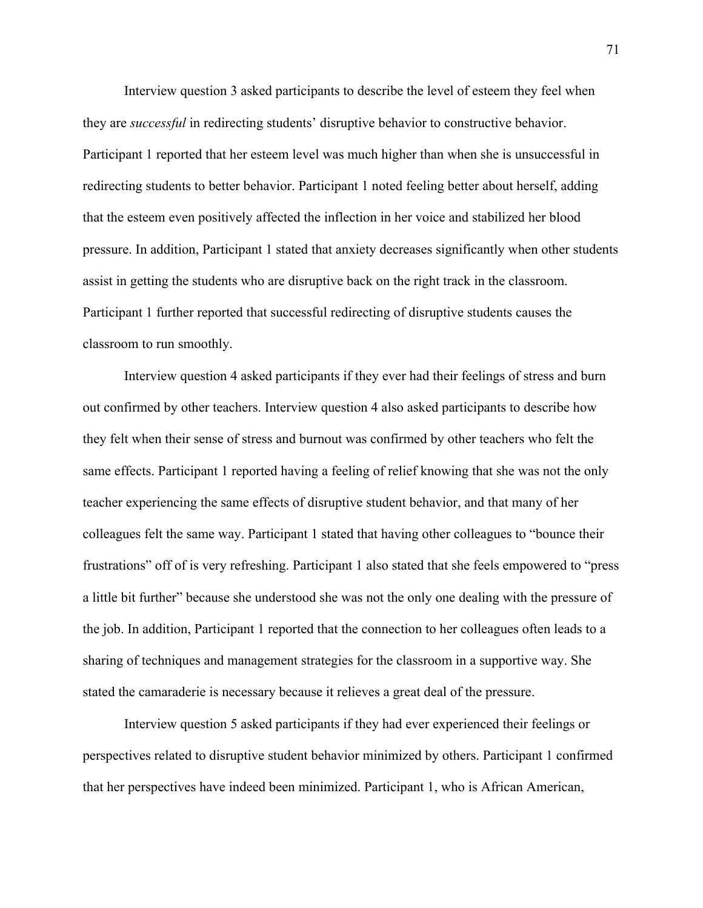Interview question 3 asked participants to describe the level of esteem they feel when they are *successful* in redirecting students' disruptive behavior to constructive behavior. Participant 1 reported that her esteem level was much higher than when she is unsuccessful in redirecting students to better behavior. Participant 1 noted feeling better about herself, adding that the esteem even positively affected the inflection in her voice and stabilized her blood pressure. In addition, Participant 1 stated that anxiety decreases significantly when other students assist in getting the students who are disruptive back on the right track in the classroom. Participant 1 further reported that successful redirecting of disruptive students causes the classroom to run smoothly.

Interview question 4 asked participants if they ever had their feelings of stress and burn out confirmed by other teachers. Interview question 4 also asked participants to describe how they felt when their sense of stress and burnout was confirmed by other teachers who felt the same effects. Participant 1 reported having a feeling of relief knowing that she was not the only teacher experiencing the same effects of disruptive student behavior, and that many of her colleagues felt the same way. Participant 1 stated that having other colleagues to "bounce their frustrations" off of is very refreshing. Participant 1 also stated that she feels empowered to "press a little bit further" because she understood she was not the only one dealing with the pressure of the job. In addition, Participant 1 reported that the connection to her colleagues often leads to a sharing of techniques and management strategies for the classroom in a supportive way. She stated the camaraderie is necessary because it relieves a great deal of the pressure.

Interview question 5 asked participants if they had ever experienced their feelings or perspectives related to disruptive student behavior minimized by others. Participant 1 confirmed that her perspectives have indeed been minimized. Participant 1, who is African American,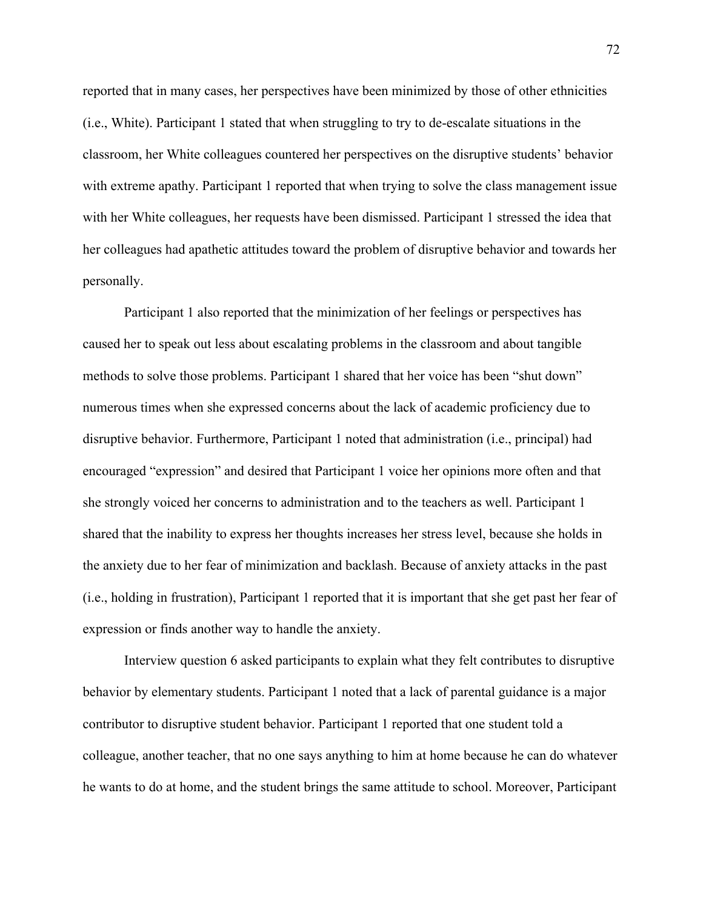reported that in many cases, her perspectives have been minimized by those of other ethnicities (i.e., White). Participant 1 stated that when struggling to try to de-escalate situations in the classroom, her White colleagues countered her perspectives on the disruptive students' behavior with extreme apathy. Participant 1 reported that when trying to solve the class management issue with her White colleagues, her requests have been dismissed. Participant 1 stressed the idea that her colleagues had apathetic attitudes toward the problem of disruptive behavior and towards her personally.

Participant 1 also reported that the minimization of her feelings or perspectives has caused her to speak out less about escalating problems in the classroom and about tangible methods to solve those problems. Participant 1 shared that her voice has been "shut down" numerous times when she expressed concerns about the lack of academic proficiency due to disruptive behavior. Furthermore, Participant 1 noted that administration (i.e., principal) had encouraged "expression" and desired that Participant 1 voice her opinions more often and that she strongly voiced her concerns to administration and to the teachers as well. Participant 1 shared that the inability to express her thoughts increases her stress level, because she holds in the anxiety due to her fear of minimization and backlash. Because of anxiety attacks in the past (i.e., holding in frustration), Participant 1 reported that it is important that she get past her fear of expression or finds another way to handle the anxiety.

Interview question 6 asked participants to explain what they felt contributes to disruptive behavior by elementary students. Participant 1 noted that a lack of parental guidance is a major contributor to disruptive student behavior. Participant 1 reported that one student told a colleague, another teacher, that no one says anything to him at home because he can do whatever he wants to do at home, and the student brings the same attitude to school. Moreover, Participant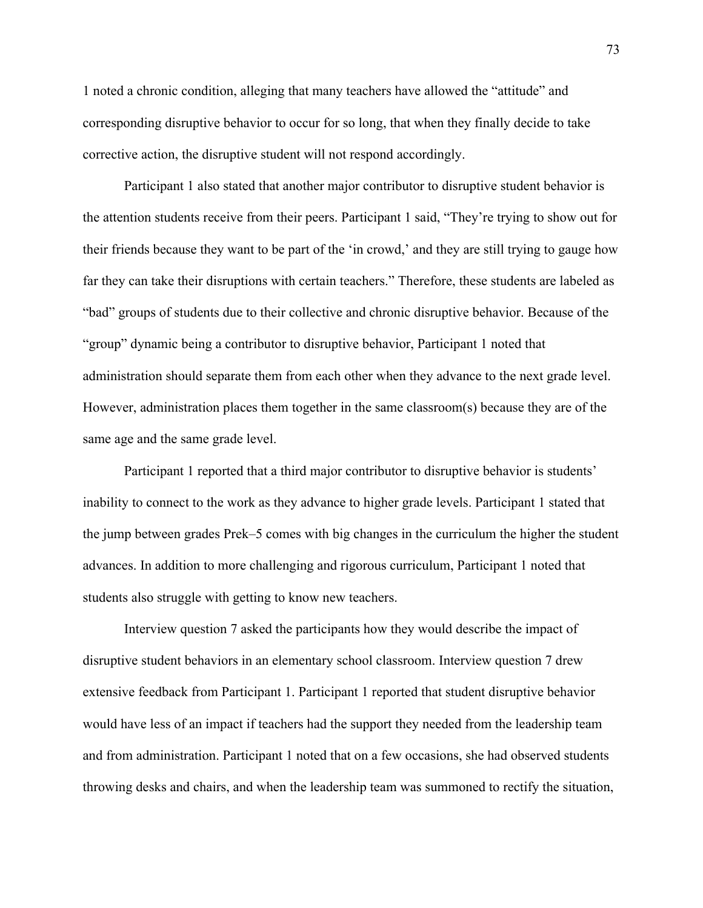1 noted a chronic condition, alleging that many teachers have allowed the "attitude" and corresponding disruptive behavior to occur for so long, that when they finally decide to take corrective action, the disruptive student will not respond accordingly.

Participant 1 also stated that another major contributor to disruptive student behavior is the attention students receive from their peers. Participant 1 said, "They're trying to show out for their friends because they want to be part of the 'in crowd,' and they are still trying to gauge how far they can take their disruptions with certain teachers." Therefore, these students are labeled as "bad" groups of students due to their collective and chronic disruptive behavior. Because of the "group" dynamic being a contributor to disruptive behavior, Participant 1 noted that administration should separate them from each other when they advance to the next grade level. However, administration places them together in the same classroom(s) because they are of the same age and the same grade level.

Participant 1 reported that a third major contributor to disruptive behavior is students' inability to connect to the work as they advance to higher grade levels. Participant 1 stated that the jump between grades Prek–5 comes with big changes in the curriculum the higher the student advances. In addition to more challenging and rigorous curriculum, Participant 1 noted that students also struggle with getting to know new teachers.

Interview question 7 asked the participants how they would describe the impact of disruptive student behaviors in an elementary school classroom. Interview question 7 drew extensive feedback from Participant 1. Participant 1 reported that student disruptive behavior would have less of an impact if teachers had the support they needed from the leadership team and from administration. Participant 1 noted that on a few occasions, she had observed students throwing desks and chairs, and when the leadership team was summoned to rectify the situation,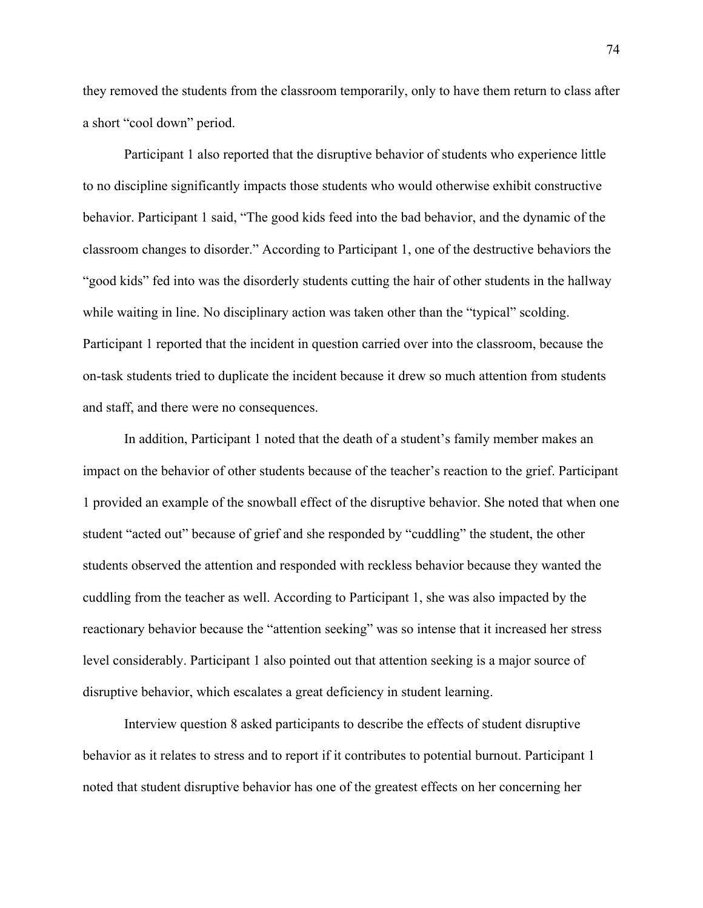they removed the students from the classroom temporarily, only to have them return to class after a short "cool down" period.

Participant 1 also reported that the disruptive behavior of students who experience little to no discipline significantly impacts those students who would otherwise exhibit constructive behavior. Participant 1 said, "The good kids feed into the bad behavior, and the dynamic of the classroom changes to disorder." According to Participant 1, one of the destructive behaviors the "good kids" fed into was the disorderly students cutting the hair of other students in the hallway while waiting in line. No disciplinary action was taken other than the "typical" scolding. Participant 1 reported that the incident in question carried over into the classroom, because the on-task students tried to duplicate the incident because it drew so much attention from students and staff, and there were no consequences.

In addition, Participant 1 noted that the death of a student's family member makes an impact on the behavior of other students because of the teacher's reaction to the grief. Participant 1 provided an example of the snowball effect of the disruptive behavior. She noted that when one student "acted out" because of grief and she responded by "cuddling" the student, the other students observed the attention and responded with reckless behavior because they wanted the cuddling from the teacher as well. According to Participant 1, she was also impacted by the reactionary behavior because the "attention seeking" was so intense that it increased her stress level considerably. Participant 1 also pointed out that attention seeking is a major source of disruptive behavior, which escalates a great deficiency in student learning.

Interview question 8 asked participants to describe the effects of student disruptive behavior as it relates to stress and to report if it contributes to potential burnout. Participant 1 noted that student disruptive behavior has one of the greatest effects on her concerning her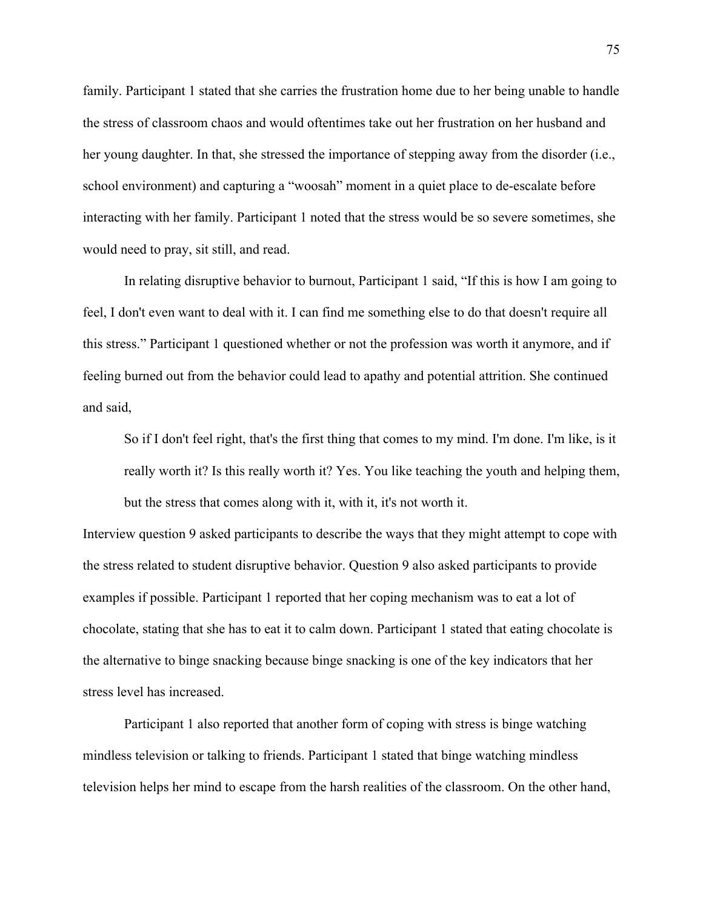family. Participant 1 stated that she carries the frustration home due to her being unable to handle the stress of classroom chaos and would oftentimes take out her frustration on her husband and her young daughter. In that, she stressed the importance of stepping away from the disorder (i.e., school environment) and capturing a "woosah" moment in a quiet place to de-escalate before interacting with her family. Participant 1 noted that the stress would be so severe sometimes, she would need to pray, sit still, and read.

In relating disruptive behavior to burnout, Participant 1 said, "If this is how I am going to feel, I don't even want to deal with it. I can find me something else to do that doesn't require all this stress." Participant 1 questioned whether or not the profession was worth it anymore, and if feeling burned out from the behavior could lead to apathy and potential attrition. She continued and said,

So if I don't feel right, that's the first thing that comes to my mind. I'm done. I'm like, is it really worth it? Is this really worth it? Yes. You like teaching the youth and helping them, but the stress that comes along with it, with it, it's not worth it.

Interview question 9 asked participants to describe the ways that they might attempt to cope with the stress related to student disruptive behavior. Question 9 also asked participants to provide examples if possible. Participant 1 reported that her coping mechanism was to eat a lot of chocolate, stating that she has to eat it to calm down. Participant 1 stated that eating chocolate is the alternative to binge snacking because binge snacking is one of the key indicators that her stress level has increased.

Participant 1 also reported that another form of coping with stress is binge watching mindless television or talking to friends. Participant 1 stated that binge watching mindless television helps her mind to escape from the harsh realities of the classroom. On the other hand,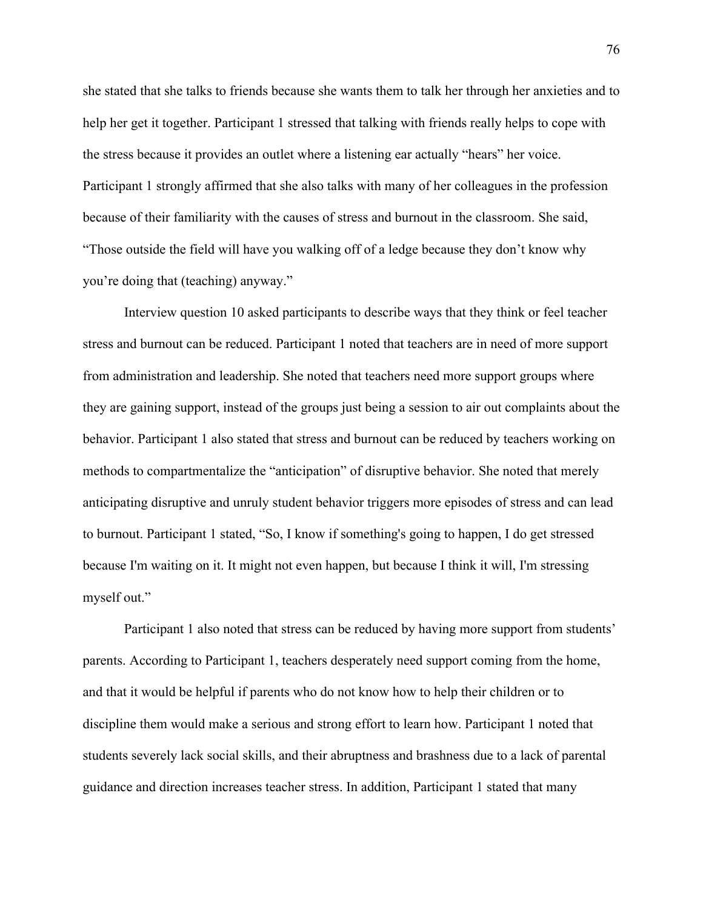she stated that she talks to friends because she wants them to talk her through her anxieties and to help her get it together. Participant 1 stressed that talking with friends really helps to cope with the stress because it provides an outlet where a listening ear actually "hears" her voice. Participant 1 strongly affirmed that she also talks with many of her colleagues in the profession because of their familiarity with the causes of stress and burnout in the classroom. She said, "Those outside the field will have you walking off of a ledge because they don't know why you're doing that (teaching) anyway."

Interview question 10 asked participants to describe ways that they think or feel teacher stress and burnout can be reduced. Participant 1 noted that teachers are in need of more support from administration and leadership. She noted that teachers need more support groups where they are gaining support, instead of the groups just being a session to air out complaints about the behavior. Participant 1 also stated that stress and burnout can be reduced by teachers working on methods to compartmentalize the "anticipation" of disruptive behavior. She noted that merely anticipating disruptive and unruly student behavior triggers more episodes of stress and can lead to burnout. Participant 1 stated, "So, I know if something's going to happen, I do get stressed because I'm waiting on it. It might not even happen, but because I think it will, I'm stressing myself out."

Participant 1 also noted that stress can be reduced by having more support from students' parents. According to Participant 1, teachers desperately need support coming from the home, and that it would be helpful if parents who do not know how to help their children or to discipline them would make a serious and strong effort to learn how. Participant 1 noted that students severely lack social skills, and their abruptness and brashness due to a lack of parental guidance and direction increases teacher stress. In addition, Participant 1 stated that many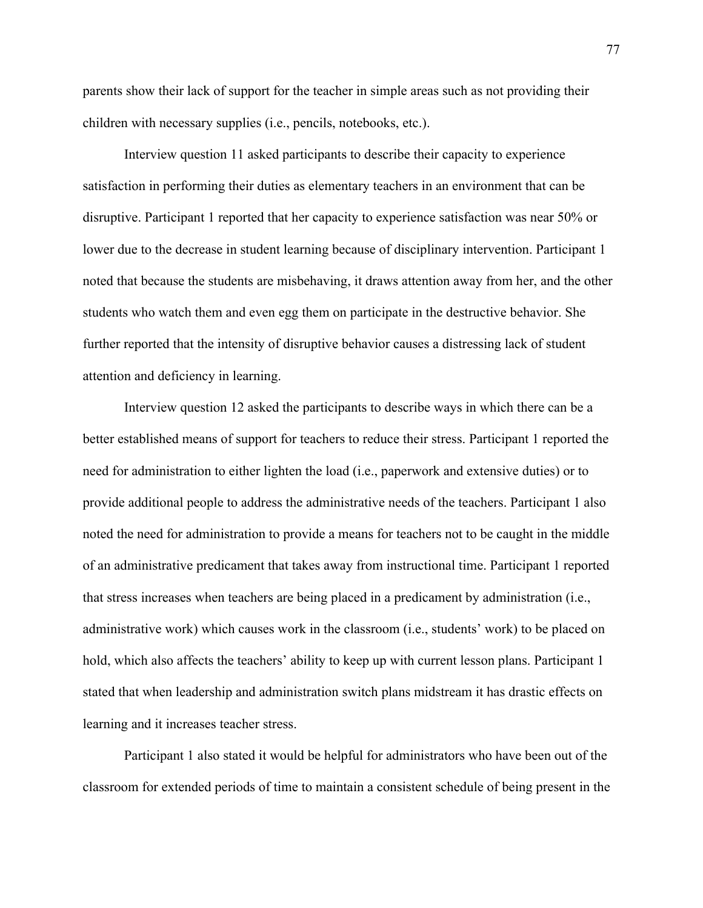parents show their lack of support for the teacher in simple areas such as not providing their children with necessary supplies (i.e., pencils, notebooks, etc.).

Interview question 11 asked participants to describe their capacity to experience satisfaction in performing their duties as elementary teachers in an environment that can be disruptive. Participant 1 reported that her capacity to experience satisfaction was near 50% or lower due to the decrease in student learning because of disciplinary intervention. Participant 1 noted that because the students are misbehaving, it draws attention away from her, and the other students who watch them and even egg them on participate in the destructive behavior. She further reported that the intensity of disruptive behavior causes a distressing lack of student attention and deficiency in learning.

Interview question 12 asked the participants to describe ways in which there can be a better established means of support for teachers to reduce their stress. Participant 1 reported the need for administration to either lighten the load (i.e., paperwork and extensive duties) or to provide additional people to address the administrative needs of the teachers. Participant 1 also noted the need for administration to provide a means for teachers not to be caught in the middle of an administrative predicament that takes away from instructional time. Participant 1 reported that stress increases when teachers are being placed in a predicament by administration (i.e., administrative work) which causes work in the classroom (i.e., students' work) to be placed on hold, which also affects the teachers' ability to keep up with current lesson plans. Participant 1 stated that when leadership and administration switch plans midstream it has drastic effects on learning and it increases teacher stress.

Participant 1 also stated it would be helpful for administrators who have been out of the classroom for extended periods of time to maintain a consistent schedule of being present in the

77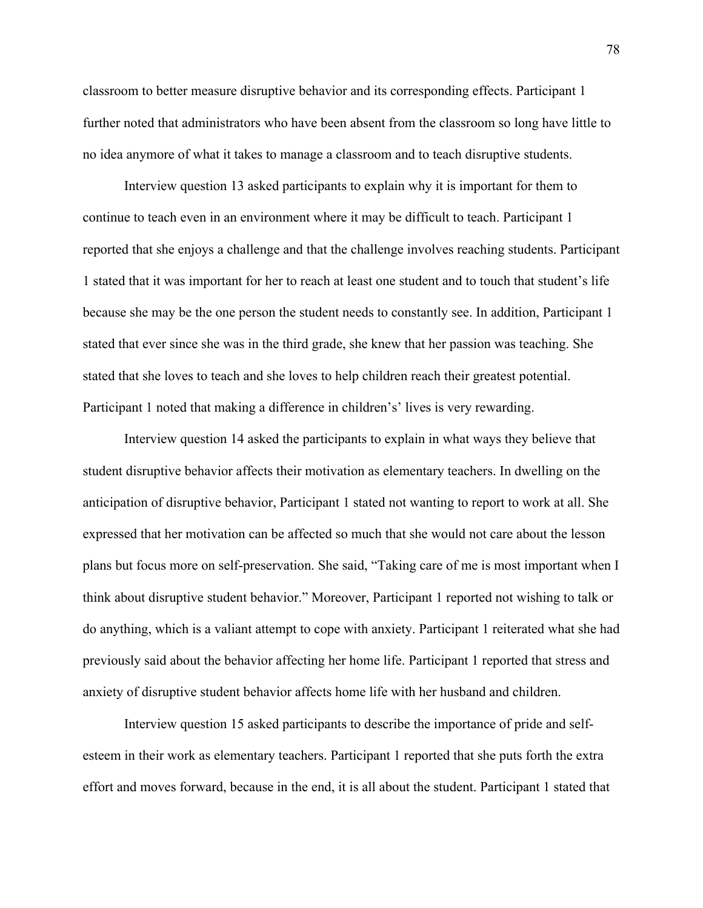classroom to better measure disruptive behavior and its corresponding effects. Participant 1 further noted that administrators who have been absent from the classroom so long have little to no idea anymore of what it takes to manage a classroom and to teach disruptive students.

Interview question 13 asked participants to explain why it is important for them to continue to teach even in an environment where it may be difficult to teach. Participant 1 reported that she enjoys a challenge and that the challenge involves reaching students. Participant 1 stated that it was important for her to reach at least one student and to touch that student's life because she may be the one person the student needs to constantly see. In addition, Participant 1 stated that ever since she was in the third grade, she knew that her passion was teaching. She stated that she loves to teach and she loves to help children reach their greatest potential. Participant 1 noted that making a difference in children's' lives is very rewarding.

Interview question 14 asked the participants to explain in what ways they believe that student disruptive behavior affects their motivation as elementary teachers. In dwelling on the anticipation of disruptive behavior, Participant 1 stated not wanting to report to work at all. She expressed that her motivation can be affected so much that she would not care about the lesson plans but focus more on self-preservation. She said, "Taking care of me is most important when I think about disruptive student behavior." Moreover, Participant 1 reported not wishing to talk or do anything, which is a valiant attempt to cope with anxiety. Participant 1 reiterated what she had previously said about the behavior affecting her home life. Participant 1 reported that stress and anxiety of disruptive student behavior affects home life with her husband and children.

Interview question 15 asked participants to describe the importance of pride and selfesteem in their work as elementary teachers. Participant 1 reported that she puts forth the extra effort and moves forward, because in the end, it is all about the student. Participant 1 stated that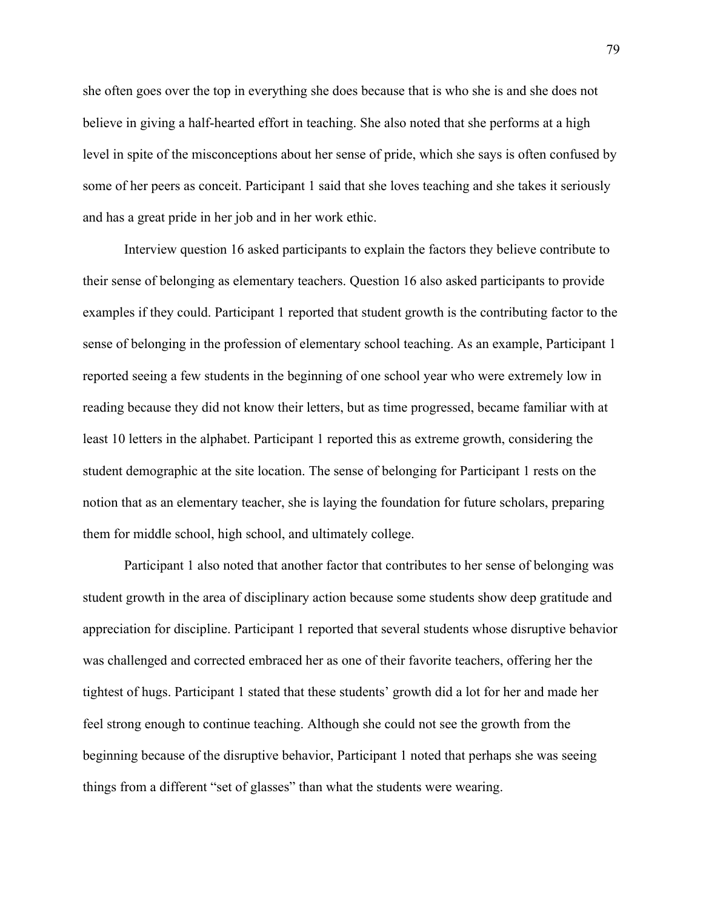she often goes over the top in everything she does because that is who she is and she does not believe in giving a half-hearted effort in teaching. She also noted that she performs at a high level in spite of the misconceptions about her sense of pride, which she says is often confused by some of her peers as conceit. Participant 1 said that she loves teaching and she takes it seriously and has a great pride in her job and in her work ethic.

Interview question 16 asked participants to explain the factors they believe contribute to their sense of belonging as elementary teachers. Question 16 also asked participants to provide examples if they could. Participant 1 reported that student growth is the contributing factor to the sense of belonging in the profession of elementary school teaching. As an example, Participant 1 reported seeing a few students in the beginning of one school year who were extremely low in reading because they did not know their letters, but as time progressed, became familiar with at least 10 letters in the alphabet. Participant 1 reported this as extreme growth, considering the student demographic at the site location. The sense of belonging for Participant 1 rests on the notion that as an elementary teacher, she is laying the foundation for future scholars, preparing them for middle school, high school, and ultimately college.

Participant 1 also noted that another factor that contributes to her sense of belonging was student growth in the area of disciplinary action because some students show deep gratitude and appreciation for discipline. Participant 1 reported that several students whose disruptive behavior was challenged and corrected embraced her as one of their favorite teachers, offering her the tightest of hugs. Participant 1 stated that these students' growth did a lot for her and made her feel strong enough to continue teaching. Although she could not see the growth from the beginning because of the disruptive behavior, Participant 1 noted that perhaps she was seeing things from a different "set of glasses" than what the students were wearing.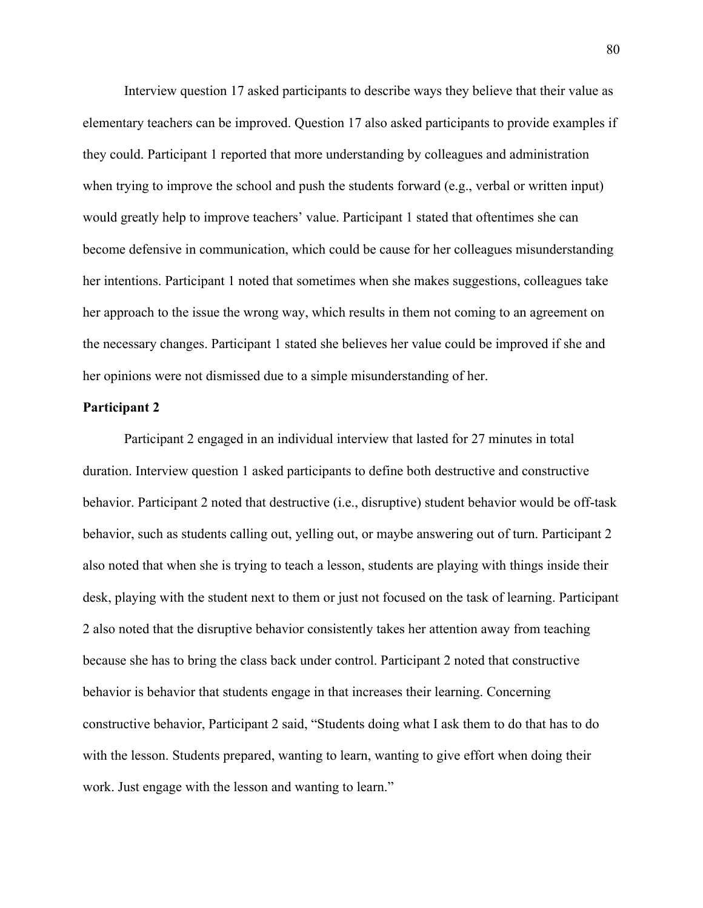Interview question 17 asked participants to describe ways they believe that their value as elementary teachers can be improved. Question 17 also asked participants to provide examples if they could. Participant 1 reported that more understanding by colleagues and administration when trying to improve the school and push the students forward (e.g., verbal or written input) would greatly help to improve teachers' value. Participant 1 stated that oftentimes she can become defensive in communication, which could be cause for her colleagues misunderstanding her intentions. Participant 1 noted that sometimes when she makes suggestions, colleagues take her approach to the issue the wrong way, which results in them not coming to an agreement on the necessary changes. Participant 1 stated she believes her value could be improved if she and her opinions were not dismissed due to a simple misunderstanding of her.

### **Participant 2**

Participant 2 engaged in an individual interview that lasted for 27 minutes in total duration. Interview question 1 asked participants to define both destructive and constructive behavior. Participant 2 noted that destructive (i.e., disruptive) student behavior would be off-task behavior, such as students calling out, yelling out, or maybe answering out of turn. Participant 2 also noted that when she is trying to teach a lesson, students are playing with things inside their desk, playing with the student next to them or just not focused on the task of learning. Participant 2 also noted that the disruptive behavior consistently takes her attention away from teaching because she has to bring the class back under control. Participant 2 noted that constructive behavior is behavior that students engage in that increases their learning. Concerning constructive behavior, Participant 2 said, "Students doing what I ask them to do that has to do with the lesson. Students prepared, wanting to learn, wanting to give effort when doing their work. Just engage with the lesson and wanting to learn."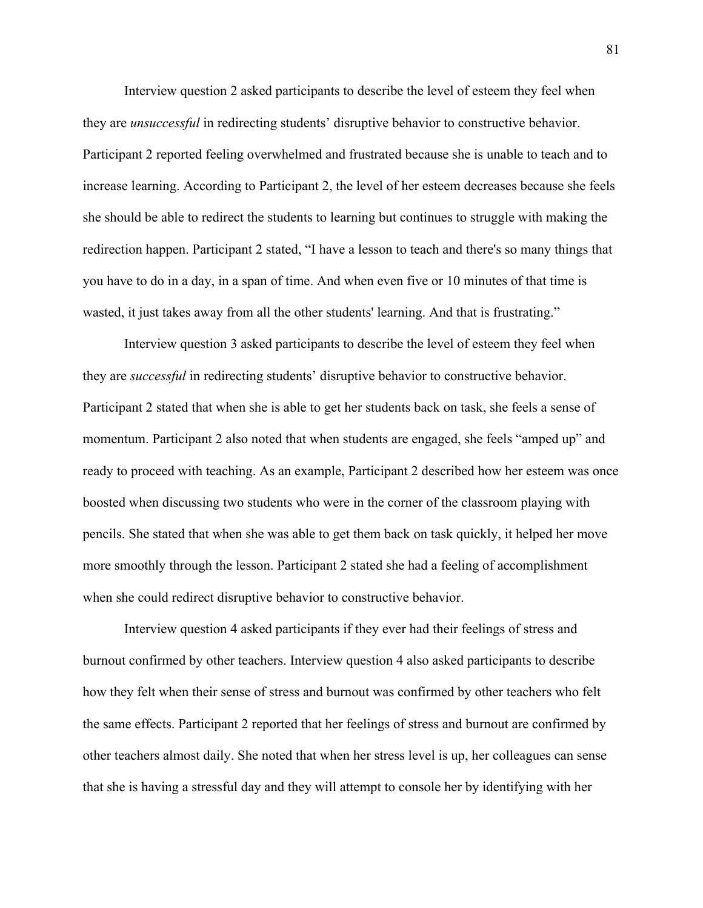Interview question 2 asked participants to describe the level of esteem they feel when they are *unsuccessful* in redirecting students' disruptive behavior to constructive behavior. Participant 2 reported feeling overwhelmed and frustrated because she is unable to teach and to increase learning. According to Participant 2, the level of her esteem decreases because she feels she should be able to redirect the students to learning but continues to struggle with making the redirection happen. Participant 2 stated, "I have a lesson to teach and there's so many things that you have to do in a day, in a span of time. And when even five or 10 minutes of that time is wasted, it just takes away from all the other students' learning. And that is frustrating."

Interview question 3 asked participants to describe the level of esteem they feel when they are *successful* in redirecting students' disruptive behavior to constructive behavior. Participant 2 stated that when she is able to get her students back on task, she feels a sense of momentum. Participant 2 also noted that when students are engaged, she feels "amped up" and ready to proceed with teaching. As an example, Participant 2 described how her esteem was once boosted when discussing two students who were in the corner of the classroom playing with pencils. She stated that when she was able to get them back on task quickly, it helped her move more smoothly through the lesson. Participant 2 stated she had a feeling of accomplishment when she could redirect disruptive behavior to constructive behavior.

Interview question 4 asked participants if they ever had their feelings of stress and burnout confirmed by other teachers. Interview question 4 also asked participants to describe how they felt when their sense of stress and burnout was confirmed by other teachers who felt the same effects. Participant 2 reported that her feelings of stress and burnout are confirmed by other teachers almost daily. She noted that when her stress level is up, her colleagues can sense that she is having a stressful day and they will attempt to console her by identifying with her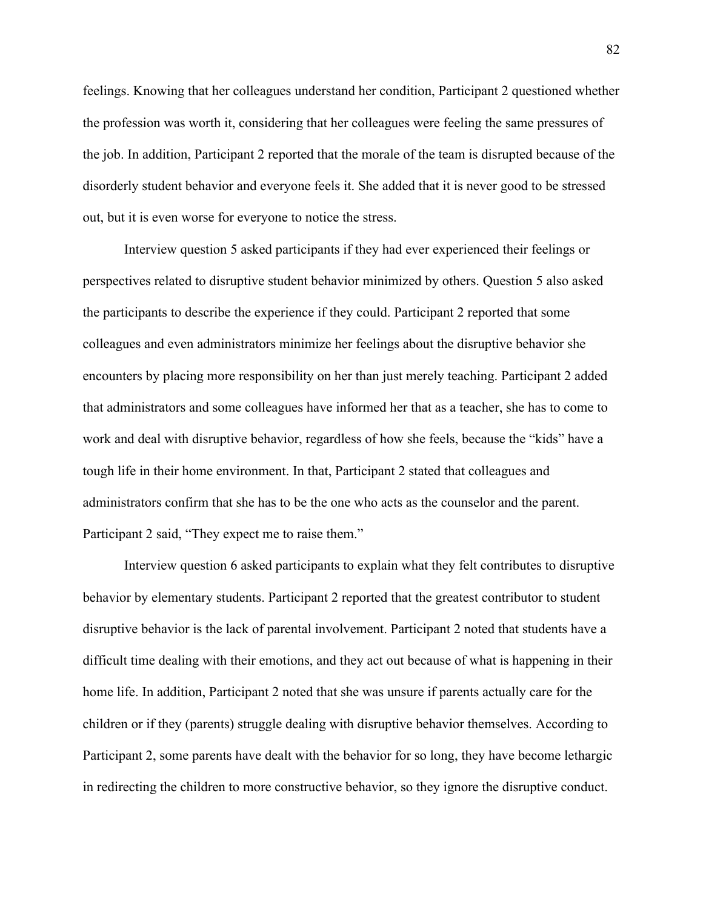feelings. Knowing that her colleagues understand her condition, Participant 2 questioned whether the profession was worth it, considering that her colleagues were feeling the same pressures of the job. In addition, Participant 2 reported that the morale of the team is disrupted because of the disorderly student behavior and everyone feels it. She added that it is never good to be stressed out, but it is even worse for everyone to notice the stress.

Interview question 5 asked participants if they had ever experienced their feelings or perspectives related to disruptive student behavior minimized by others. Question 5 also asked the participants to describe the experience if they could. Participant 2 reported that some colleagues and even administrators minimize her feelings about the disruptive behavior she encounters by placing more responsibility on her than just merely teaching. Participant 2 added that administrators and some colleagues have informed her that as a teacher, she has to come to work and deal with disruptive behavior, regardless of how she feels, because the "kids" have a tough life in their home environment. In that, Participant 2 stated that colleagues and administrators confirm that she has to be the one who acts as the counselor and the parent. Participant 2 said, "They expect me to raise them."

Interview question 6 asked participants to explain what they felt contributes to disruptive behavior by elementary students. Participant 2 reported that the greatest contributor to student disruptive behavior is the lack of parental involvement. Participant 2 noted that students have a difficult time dealing with their emotions, and they act out because of what is happening in their home life. In addition, Participant 2 noted that she was unsure if parents actually care for the children or if they (parents) struggle dealing with disruptive behavior themselves. According to Participant 2, some parents have dealt with the behavior for so long, they have become lethargic in redirecting the children to more constructive behavior, so they ignore the disruptive conduct.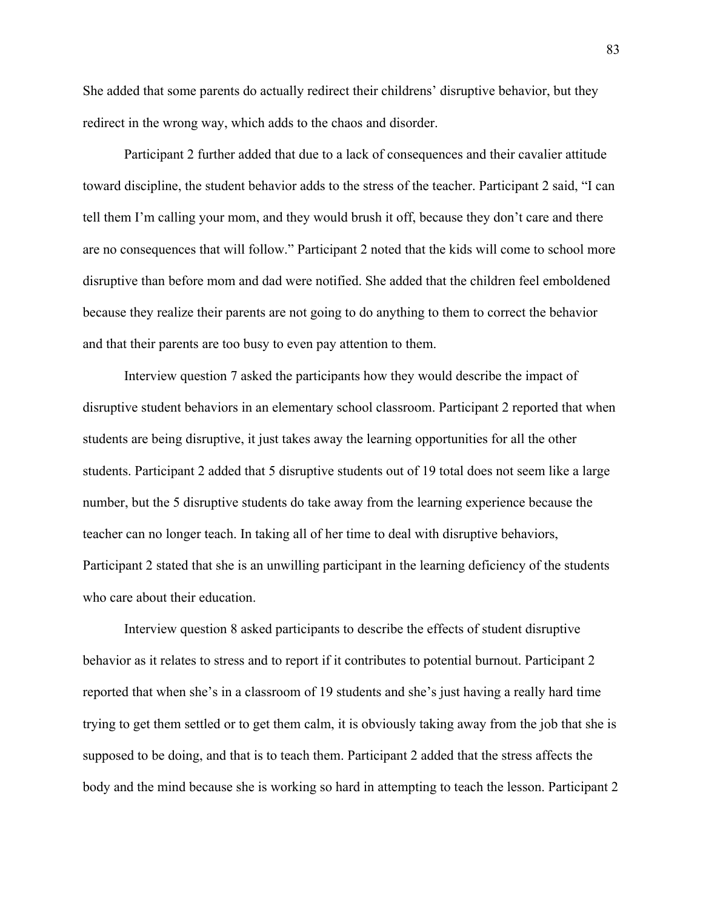She added that some parents do actually redirect their childrens' disruptive behavior, but they redirect in the wrong way, which adds to the chaos and disorder.

Participant 2 further added that due to a lack of consequences and their cavalier attitude toward discipline, the student behavior adds to the stress of the teacher. Participant 2 said, "I can tell them I'm calling your mom, and they would brush it off, because they don't care and there are no consequences that will follow." Participant 2 noted that the kids will come to school more disruptive than before mom and dad were notified. She added that the children feel emboldened because they realize their parents are not going to do anything to them to correct the behavior and that their parents are too busy to even pay attention to them.

Interview question 7 asked the participants how they would describe the impact of disruptive student behaviors in an elementary school classroom. Participant 2 reported that when students are being disruptive, it just takes away the learning opportunities for all the other students. Participant 2 added that 5 disruptive students out of 19 total does not seem like a large number, but the 5 disruptive students do take away from the learning experience because the teacher can no longer teach. In taking all of her time to deal with disruptive behaviors, Participant 2 stated that she is an unwilling participant in the learning deficiency of the students who care about their education.

Interview question 8 asked participants to describe the effects of student disruptive behavior as it relates to stress and to report if it contributes to potential burnout. Participant 2 reported that when she's in a classroom of 19 students and she's just having a really hard time trying to get them settled or to get them calm, it is obviously taking away from the job that she is supposed to be doing, and that is to teach them. Participant 2 added that the stress affects the body and the mind because she is working so hard in attempting to teach the lesson. Participant 2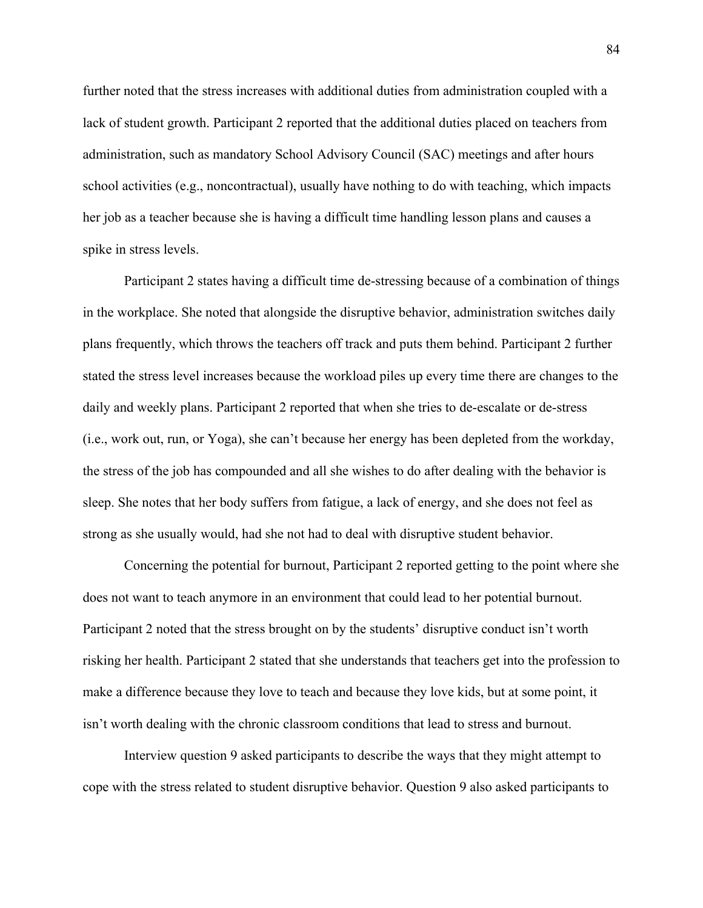further noted that the stress increases with additional duties from administration coupled with a lack of student growth. Participant 2 reported that the additional duties placed on teachers from administration, such as mandatory School Advisory Council (SAC) meetings and after hours school activities (e.g., noncontractual), usually have nothing to do with teaching, which impacts her job as a teacher because she is having a difficult time handling lesson plans and causes a spike in stress levels.

Participant 2 states having a difficult time de-stressing because of a combination of things in the workplace. She noted that alongside the disruptive behavior, administration switches daily plans frequently, which throws the teachers off track and puts them behind. Participant 2 further stated the stress level increases because the workload piles up every time there are changes to the daily and weekly plans. Participant 2 reported that when she tries to de-escalate or de-stress (i.e., work out, run, or Yoga), she can't because her energy has been depleted from the workday, the stress of the job has compounded and all she wishes to do after dealing with the behavior is sleep. She notes that her body suffers from fatigue, a lack of energy, and she does not feel as strong as she usually would, had she not had to deal with disruptive student behavior.

Concerning the potential for burnout, Participant 2 reported getting to the point where she does not want to teach anymore in an environment that could lead to her potential burnout. Participant 2 noted that the stress brought on by the students' disruptive conduct isn't worth risking her health. Participant 2 stated that she understands that teachers get into the profession to make a difference because they love to teach and because they love kids, but at some point, it isn't worth dealing with the chronic classroom conditions that lead to stress and burnout.

Interview question 9 asked participants to describe the ways that they might attempt to cope with the stress related to student disruptive behavior. Question 9 also asked participants to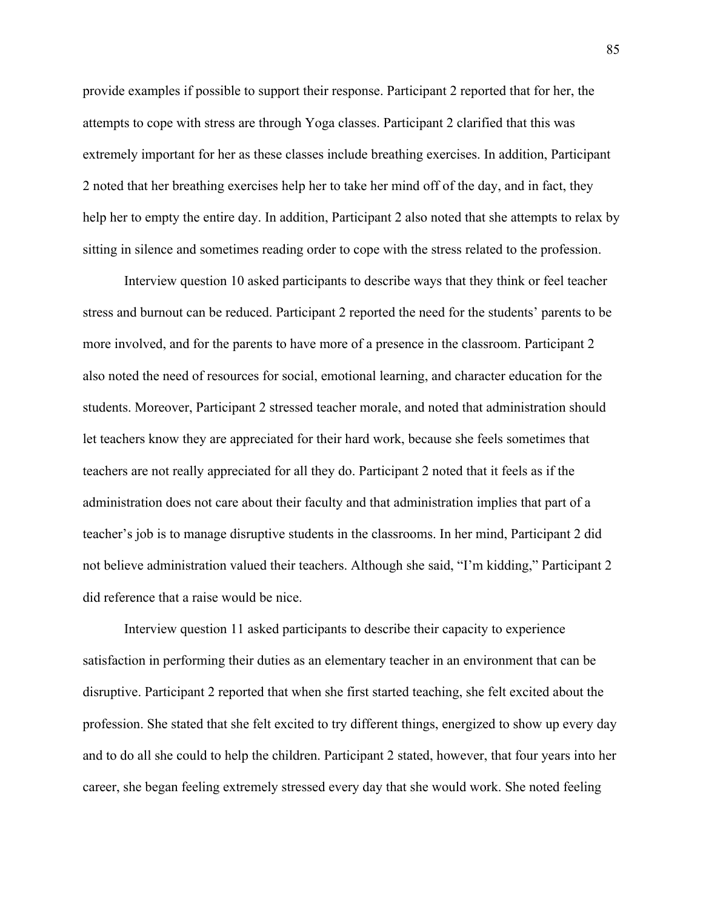provide examples if possible to support their response. Participant 2 reported that for her, the attempts to cope with stress are through Yoga classes. Participant 2 clarified that this was extremely important for her as these classes include breathing exercises. In addition, Participant 2 noted that her breathing exercises help her to take her mind off of the day, and in fact, they help her to empty the entire day. In addition, Participant 2 also noted that she attempts to relax by sitting in silence and sometimes reading order to cope with the stress related to the profession.

Interview question 10 asked participants to describe ways that they think or feel teacher stress and burnout can be reduced. Participant 2 reported the need for the students' parents to be more involved, and for the parents to have more of a presence in the classroom. Participant 2 also noted the need of resources for social, emotional learning, and character education for the students. Moreover, Participant 2 stressed teacher morale, and noted that administration should let teachers know they are appreciated for their hard work, because she feels sometimes that teachers are not really appreciated for all they do. Participant 2 noted that it feels as if the administration does not care about their faculty and that administration implies that part of a teacher's job is to manage disruptive students in the classrooms. In her mind, Participant 2 did not believe administration valued their teachers. Although she said, "I'm kidding," Participant 2 did reference that a raise would be nice.

Interview question 11 asked participants to describe their capacity to experience satisfaction in performing their duties as an elementary teacher in an environment that can be disruptive. Participant 2 reported that when she first started teaching, she felt excited about the profession. She stated that she felt excited to try different things, energized to show up every day and to do all she could to help the children. Participant 2 stated, however, that four years into her career, she began feeling extremely stressed every day that she would work. She noted feeling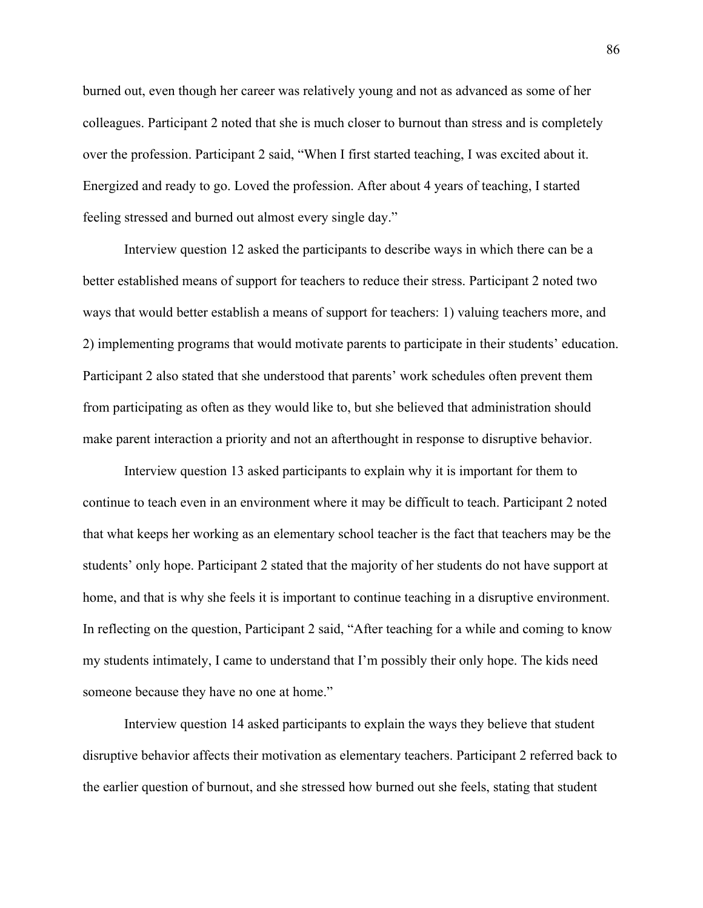burned out, even though her career was relatively young and not as advanced as some of her colleagues. Participant 2 noted that she is much closer to burnout than stress and is completely over the profession. Participant 2 said, "When I first started teaching, I was excited about it. Energized and ready to go. Loved the profession. After about 4 years of teaching, I started feeling stressed and burned out almost every single day."

Interview question 12 asked the participants to describe ways in which there can be a better established means of support for teachers to reduce their stress. Participant 2 noted two ways that would better establish a means of support for teachers: 1) valuing teachers more, and 2) implementing programs that would motivate parents to participate in their students' education. Participant 2 also stated that she understood that parents' work schedules often prevent them from participating as often as they would like to, but she believed that administration should make parent interaction a priority and not an afterthought in response to disruptive behavior.

Interview question 13 asked participants to explain why it is important for them to continue to teach even in an environment where it may be difficult to teach. Participant 2 noted that what keeps her working as an elementary school teacher is the fact that teachers may be the students' only hope. Participant 2 stated that the majority of her students do not have support at home, and that is why she feels it is important to continue teaching in a disruptive environment. In reflecting on the question, Participant 2 said, "After teaching for a while and coming to know my students intimately, I came to understand that I'm possibly their only hope. The kids need someone because they have no one at home."

Interview question 14 asked participants to explain the ways they believe that student disruptive behavior affects their motivation as elementary teachers. Participant 2 referred back to the earlier question of burnout, and she stressed how burned out she feels, stating that student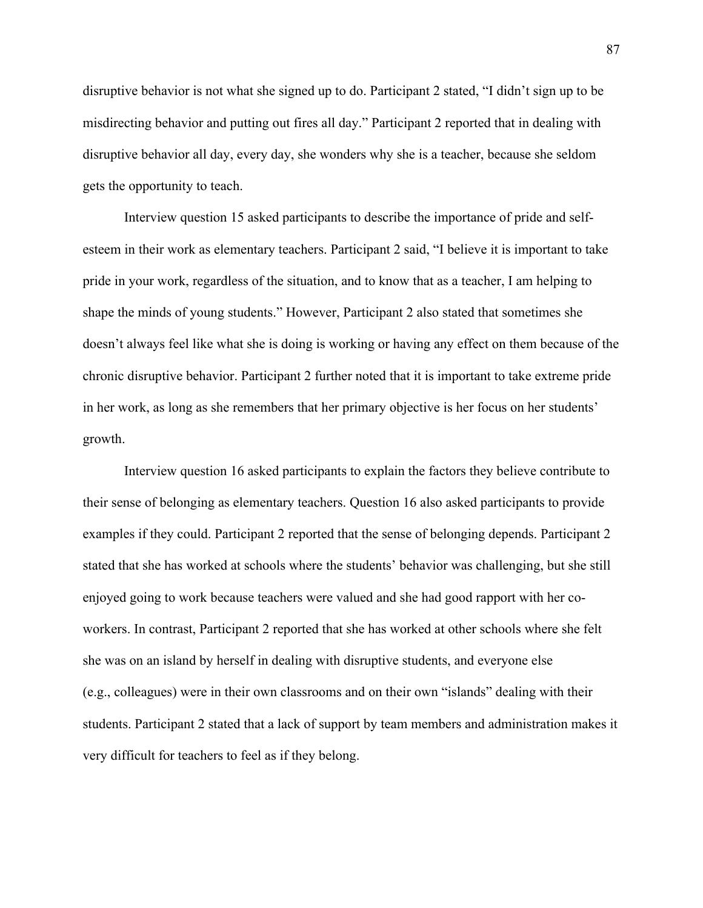disruptive behavior is not what she signed up to do. Participant 2 stated, "I didn't sign up to be misdirecting behavior and putting out fires all day." Participant 2 reported that in dealing with disruptive behavior all day, every day, she wonders why she is a teacher, because she seldom gets the opportunity to teach.

Interview question 15 asked participants to describe the importance of pride and selfesteem in their work as elementary teachers. Participant 2 said, "I believe it is important to take pride in your work, regardless of the situation, and to know that as a teacher, I am helping to shape the minds of young students." However, Participant 2 also stated that sometimes she doesn't always feel like what she is doing is working or having any effect on them because of the chronic disruptive behavior. Participant 2 further noted that it is important to take extreme pride in her work, as long as she remembers that her primary objective is her focus on her students' growth.

Interview question 16 asked participants to explain the factors they believe contribute to their sense of belonging as elementary teachers. Question 16 also asked participants to provide examples if they could. Participant 2 reported that the sense of belonging depends. Participant 2 stated that she has worked at schools where the students' behavior was challenging, but she still enjoyed going to work because teachers were valued and she had good rapport with her coworkers. In contrast, Participant 2 reported that she has worked at other schools where she felt she was on an island by herself in dealing with disruptive students, and everyone else (e.g., colleagues) were in their own classrooms and on their own "islands" dealing with their students. Participant 2 stated that a lack of support by team members and administration makes it very difficult for teachers to feel as if they belong.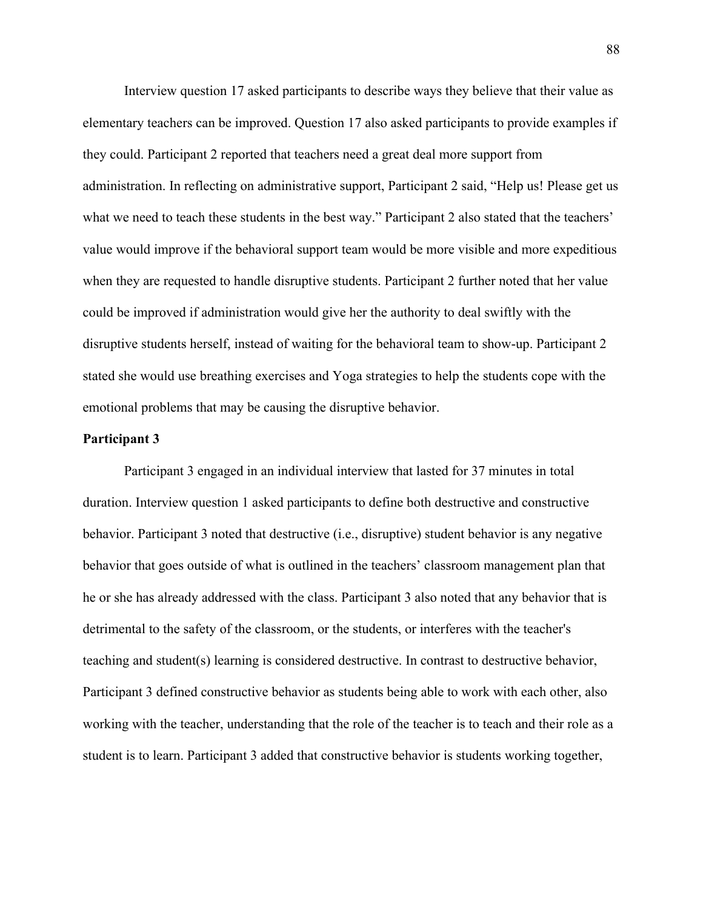Interview question 17 asked participants to describe ways they believe that their value as elementary teachers can be improved. Question 17 also asked participants to provide examples if they could. Participant 2 reported that teachers need a great deal more support from administration. In reflecting on administrative support, Participant 2 said, "Help us! Please get us what we need to teach these students in the best way." Participant 2 also stated that the teachers' value would improve if the behavioral support team would be more visible and more expeditious when they are requested to handle disruptive students. Participant 2 further noted that her value could be improved if administration would give her the authority to deal swiftly with the disruptive students herself, instead of waiting for the behavioral team to show-up. Participant 2 stated she would use breathing exercises and Yoga strategies to help the students cope with the emotional problems that may be causing the disruptive behavior.

#### **Participant 3**

Participant 3 engaged in an individual interview that lasted for 37 minutes in total duration. Interview question 1 asked participants to define both destructive and constructive behavior. Participant 3 noted that destructive (i.e., disruptive) student behavior is any negative behavior that goes outside of what is outlined in the teachers' classroom management plan that he or she has already addressed with the class. Participant 3 also noted that any behavior that is detrimental to the safety of the classroom, or the students, or interferes with the teacher's teaching and student(s) learning is considered destructive. In contrast to destructive behavior, Participant 3 defined constructive behavior as students being able to work with each other, also working with the teacher, understanding that the role of the teacher is to teach and their role as a student is to learn. Participant 3 added that constructive behavior is students working together,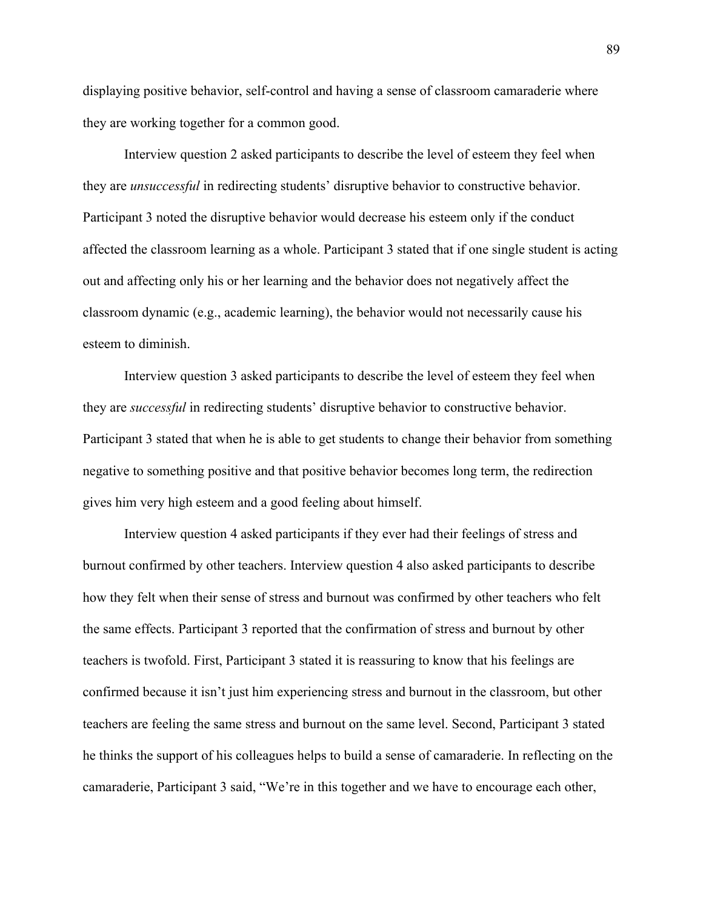displaying positive behavior, self-control and having a sense of classroom camaraderie where they are working together for a common good.

Interview question 2 asked participants to describe the level of esteem they feel when they are *unsuccessful* in redirecting students' disruptive behavior to constructive behavior. Participant 3 noted the disruptive behavior would decrease his esteem only if the conduct affected the classroom learning as a whole. Participant 3 stated that if one single student is acting out and affecting only his or her learning and the behavior does not negatively affect the classroom dynamic (e.g., academic learning), the behavior would not necessarily cause his esteem to diminish.

Interview question 3 asked participants to describe the level of esteem they feel when they are *successful* in redirecting students' disruptive behavior to constructive behavior. Participant 3 stated that when he is able to get students to change their behavior from something negative to something positive and that positive behavior becomes long term, the redirection gives him very high esteem and a good feeling about himself.

Interview question 4 asked participants if they ever had their feelings of stress and burnout confirmed by other teachers. Interview question 4 also asked participants to describe how they felt when their sense of stress and burnout was confirmed by other teachers who felt the same effects. Participant 3 reported that the confirmation of stress and burnout by other teachers is twofold. First, Participant 3 stated it is reassuring to know that his feelings are confirmed because it isn't just him experiencing stress and burnout in the classroom, but other teachers are feeling the same stress and burnout on the same level. Second, Participant 3 stated he thinks the support of his colleagues helps to build a sense of camaraderie. In reflecting on the camaraderie, Participant 3 said, "We're in this together and we have to encourage each other,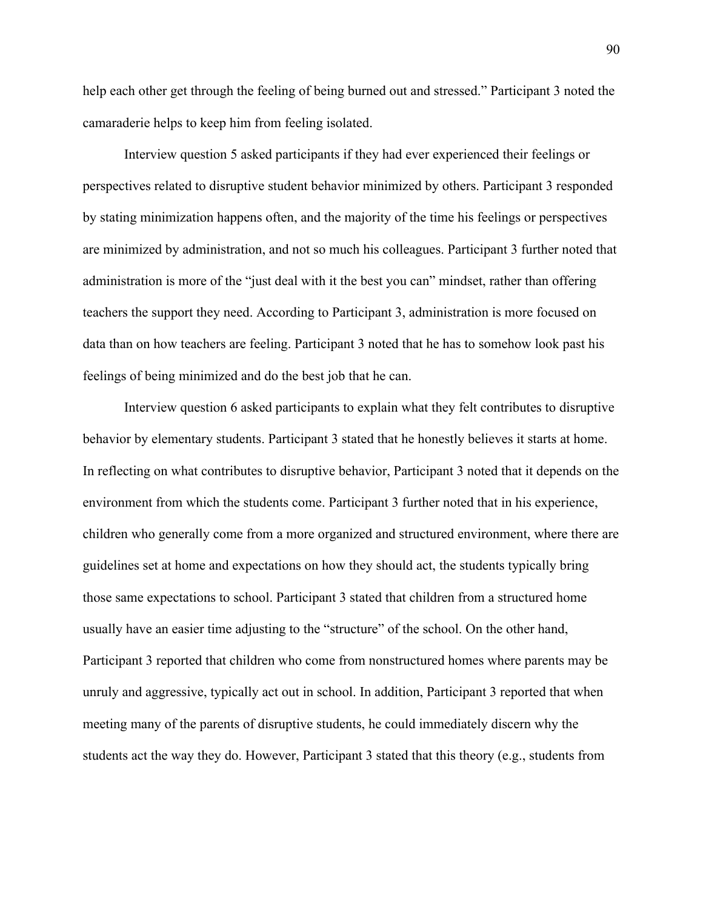help each other get through the feeling of being burned out and stressed." Participant 3 noted the camaraderie helps to keep him from feeling isolated.

Interview question 5 asked participants if they had ever experienced their feelings or perspectives related to disruptive student behavior minimized by others. Participant 3 responded by stating minimization happens often, and the majority of the time his feelings or perspectives are minimized by administration, and not so much his colleagues. Participant 3 further noted that administration is more of the "just deal with it the best you can" mindset, rather than offering teachers the support they need. According to Participant 3, administration is more focused on data than on how teachers are feeling. Participant 3 noted that he has to somehow look past his feelings of being minimized and do the best job that he can.

Interview question 6 asked participants to explain what they felt contributes to disruptive behavior by elementary students. Participant 3 stated that he honestly believes it starts at home. In reflecting on what contributes to disruptive behavior, Participant 3 noted that it depends on the environment from which the students come. Participant 3 further noted that in his experience, children who generally come from a more organized and structured environment, where there are guidelines set at home and expectations on how they should act, the students typically bring those same expectations to school. Participant 3 stated that children from a structured home usually have an easier time adjusting to the "structure" of the school. On the other hand, Participant 3 reported that children who come from nonstructured homes where parents may be unruly and aggressive, typically act out in school. In addition, Participant 3 reported that when meeting many of the parents of disruptive students, he could immediately discern why the students act the way they do. However, Participant 3 stated that this theory (e.g., students from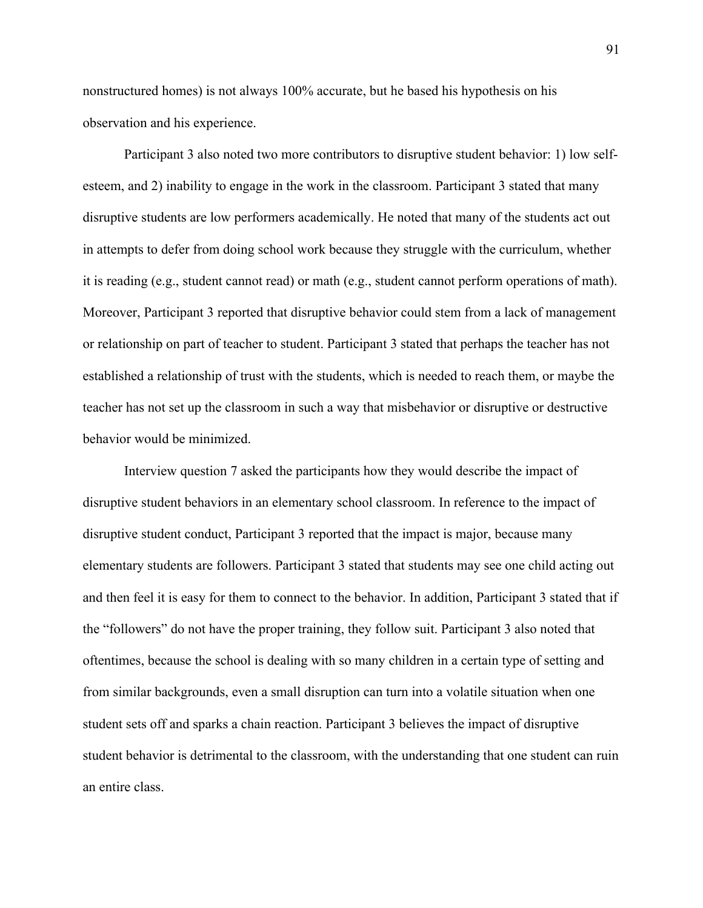nonstructured homes) is not always 100% accurate, but he based his hypothesis on his observation and his experience.

Participant 3 also noted two more contributors to disruptive student behavior: 1) low selfesteem, and 2) inability to engage in the work in the classroom. Participant 3 stated that many disruptive students are low performers academically. He noted that many of the students act out in attempts to defer from doing school work because they struggle with the curriculum, whether it is reading (e.g., student cannot read) or math (e.g., student cannot perform operations of math). Moreover, Participant 3 reported that disruptive behavior could stem from a lack of management or relationship on part of teacher to student. Participant 3 stated that perhaps the teacher has not established a relationship of trust with the students, which is needed to reach them, or maybe the teacher has not set up the classroom in such a way that misbehavior or disruptive or destructive behavior would be minimized.

Interview question 7 asked the participants how they would describe the impact of disruptive student behaviors in an elementary school classroom. In reference to the impact of disruptive student conduct, Participant 3 reported that the impact is major, because many elementary students are followers. Participant 3 stated that students may see one child acting out and then feel it is easy for them to connect to the behavior. In addition, Participant 3 stated that if the "followers" do not have the proper training, they follow suit. Participant 3 also noted that oftentimes, because the school is dealing with so many children in a certain type of setting and from similar backgrounds, even a small disruption can turn into a volatile situation when one student sets off and sparks a chain reaction. Participant 3 believes the impact of disruptive student behavior is detrimental to the classroom, with the understanding that one student can ruin an entire class.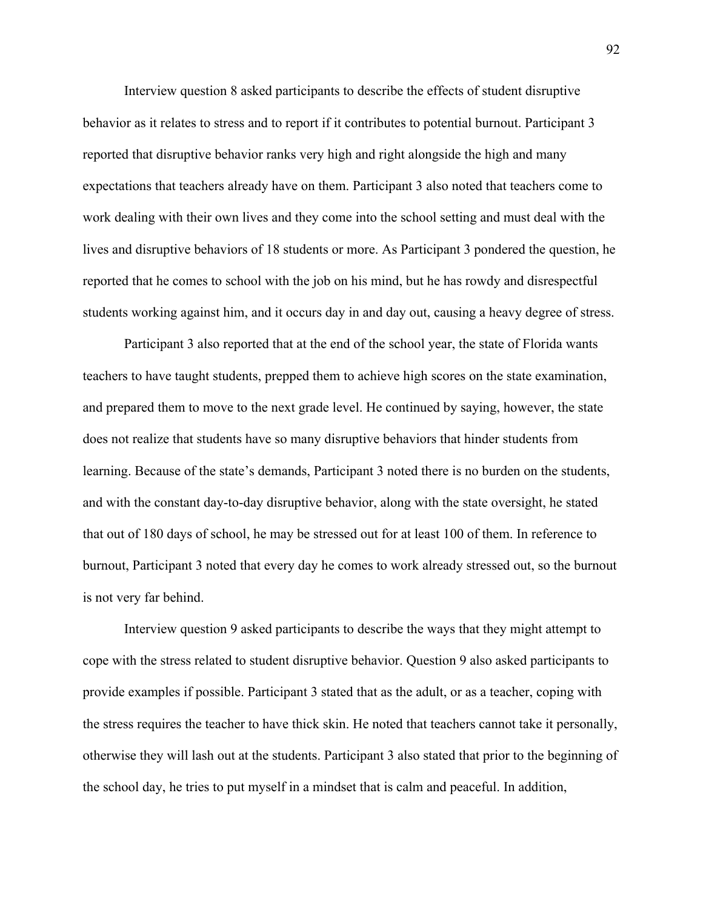Interview question 8 asked participants to describe the effects of student disruptive behavior as it relates to stress and to report if it contributes to potential burnout. Participant 3 reported that disruptive behavior ranks very high and right alongside the high and many expectations that teachers already have on them. Participant 3 also noted that teachers come to work dealing with their own lives and they come into the school setting and must deal with the lives and disruptive behaviors of 18 students or more. As Participant 3 pondered the question, he reported that he comes to school with the job on his mind, but he has rowdy and disrespectful students working against him, and it occurs day in and day out, causing a heavy degree of stress.

Participant 3 also reported that at the end of the school year, the state of Florida wants teachers to have taught students, prepped them to achieve high scores on the state examination, and prepared them to move to the next grade level. He continued by saying, however, the state does not realize that students have so many disruptive behaviors that hinder students from learning. Because of the state's demands, Participant 3 noted there is no burden on the students, and with the constant day-to-day disruptive behavior, along with the state oversight, he stated that out of 180 days of school, he may be stressed out for at least 100 of them. In reference to burnout, Participant 3 noted that every day he comes to work already stressed out, so the burnout is not very far behind.

Interview question 9 asked participants to describe the ways that they might attempt to cope with the stress related to student disruptive behavior. Question 9 also asked participants to provide examples if possible. Participant 3 stated that as the adult, or as a teacher, coping with the stress requires the teacher to have thick skin. He noted that teachers cannot take it personally, otherwise they will lash out at the students. Participant 3 also stated that prior to the beginning of the school day, he tries to put myself in a mindset that is calm and peaceful. In addition,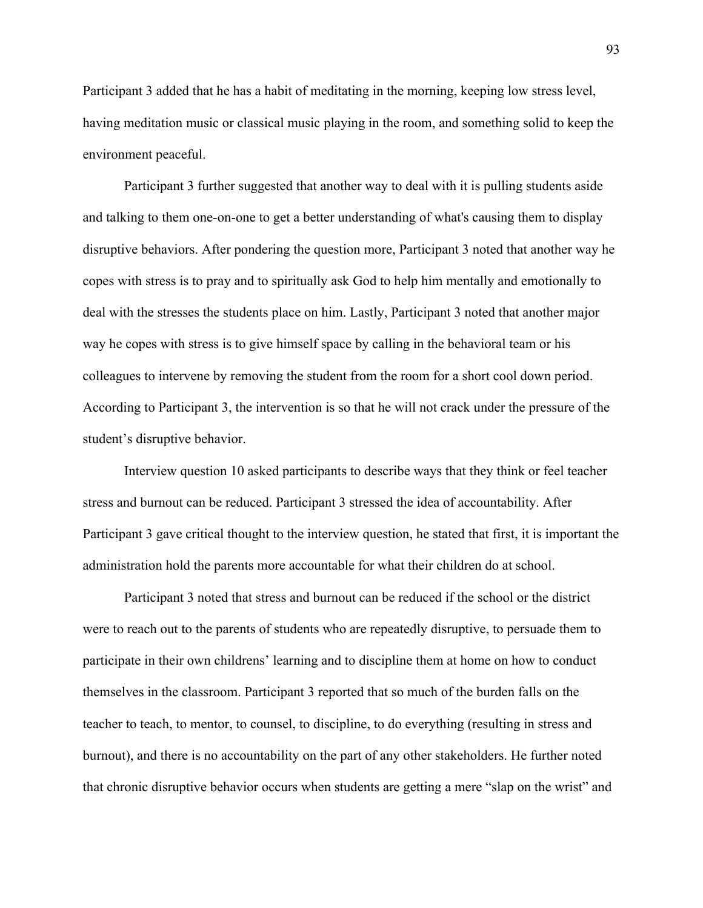Participant 3 added that he has a habit of meditating in the morning, keeping low stress level, having meditation music or classical music playing in the room, and something solid to keep the environment peaceful.

Participant 3 further suggested that another way to deal with it is pulling students aside and talking to them one-on-one to get a better understanding of what's causing them to display disruptive behaviors. After pondering the question more, Participant 3 noted that another way he copes with stress is to pray and to spiritually ask God to help him mentally and emotionally to deal with the stresses the students place on him. Lastly, Participant 3 noted that another major way he copes with stress is to give himself space by calling in the behavioral team or his colleagues to intervene by removing the student from the room for a short cool down period. According to Participant 3, the intervention is so that he will not crack under the pressure of the student's disruptive behavior.

Interview question 10 asked participants to describe ways that they think or feel teacher stress and burnout can be reduced. Participant 3 stressed the idea of accountability. After Participant 3 gave critical thought to the interview question, he stated that first, it is important the administration hold the parents more accountable for what their children do at school.

Participant 3 noted that stress and burnout can be reduced if the school or the district were to reach out to the parents of students who are repeatedly disruptive, to persuade them to participate in their own childrens' learning and to discipline them at home on how to conduct themselves in the classroom. Participant 3 reported that so much of the burden falls on the teacher to teach, to mentor, to counsel, to discipline, to do everything (resulting in stress and burnout), and there is no accountability on the part of any other stakeholders. He further noted that chronic disruptive behavior occurs when students are getting a mere "slap on the wrist" and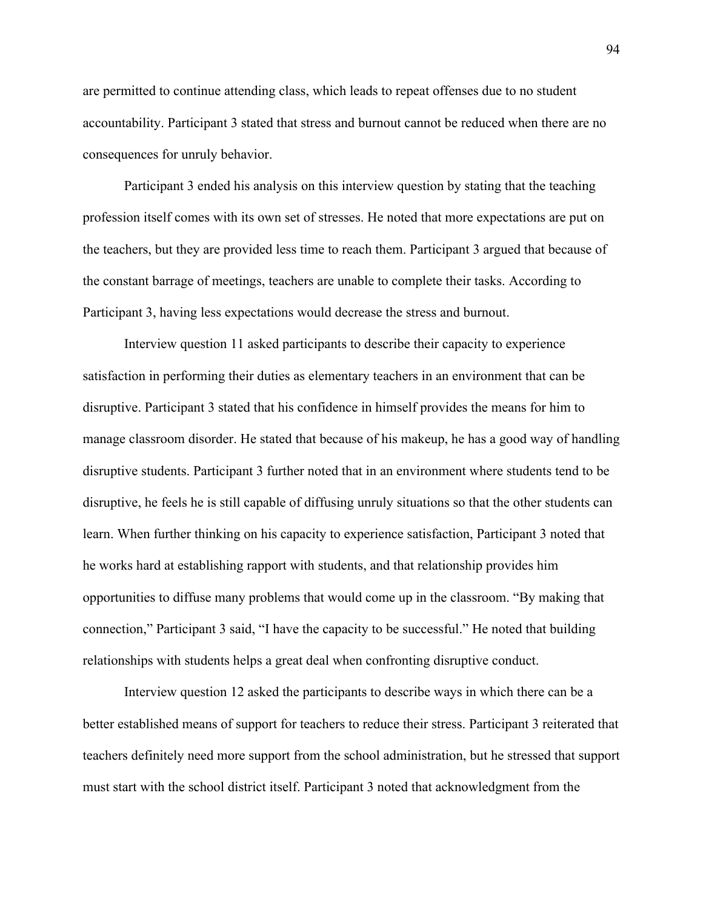are permitted to continue attending class, which leads to repeat offenses due to no student accountability. Participant 3 stated that stress and burnout cannot be reduced when there are no consequences for unruly behavior.

Participant 3 ended his analysis on this interview question by stating that the teaching profession itself comes with its own set of stresses. He noted that more expectations are put on the teachers, but they are provided less time to reach them. Participant 3 argued that because of the constant barrage of meetings, teachers are unable to complete their tasks. According to Participant 3, having less expectations would decrease the stress and burnout.

Interview question 11 asked participants to describe their capacity to experience satisfaction in performing their duties as elementary teachers in an environment that can be disruptive. Participant 3 stated that his confidence in himself provides the means for him to manage classroom disorder. He stated that because of his makeup, he has a good way of handling disruptive students. Participant 3 further noted that in an environment where students tend to be disruptive, he feels he is still capable of diffusing unruly situations so that the other students can learn. When further thinking on his capacity to experience satisfaction, Participant 3 noted that he works hard at establishing rapport with students, and that relationship provides him opportunities to diffuse many problems that would come up in the classroom. "By making that connection," Participant 3 said, "I have the capacity to be successful." He noted that building relationships with students helps a great deal when confronting disruptive conduct.

Interview question 12 asked the participants to describe ways in which there can be a better established means of support for teachers to reduce their stress. Participant 3 reiterated that teachers definitely need more support from the school administration, but he stressed that support must start with the school district itself. Participant 3 noted that acknowledgment from the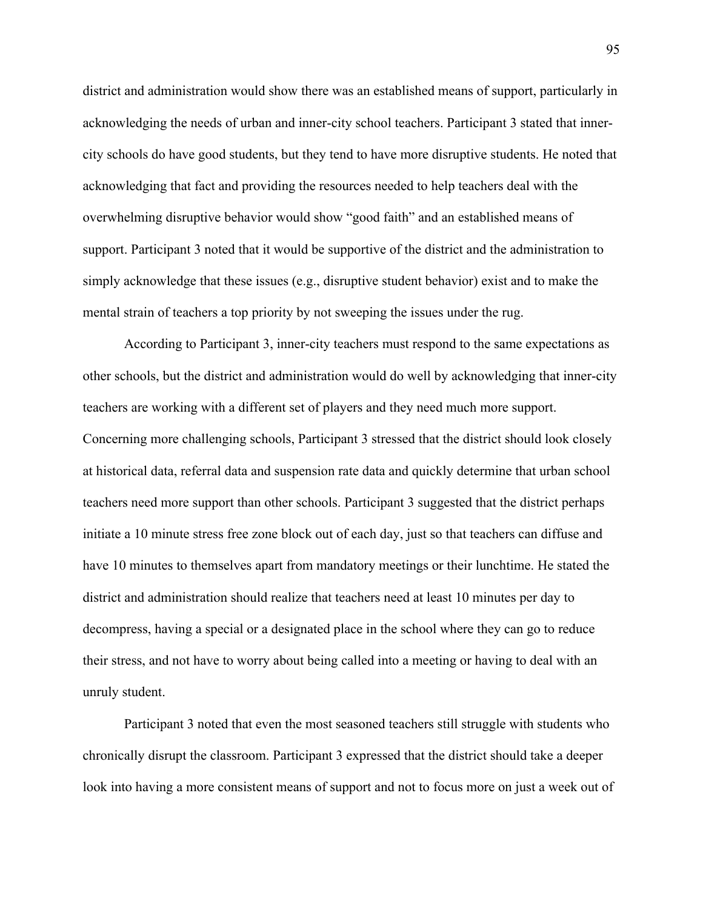district and administration would show there was an established means of support, particularly in acknowledging the needs of urban and inner-city school teachers. Participant 3 stated that innercity schools do have good students, but they tend to have more disruptive students. He noted that acknowledging that fact and providing the resources needed to help teachers deal with the overwhelming disruptive behavior would show "good faith" and an established means of support. Participant 3 noted that it would be supportive of the district and the administration to simply acknowledge that these issues (e.g., disruptive student behavior) exist and to make the mental strain of teachers a top priority by not sweeping the issues under the rug.

According to Participant 3, inner-city teachers must respond to the same expectations as other schools, but the district and administration would do well by acknowledging that inner-city teachers are working with a different set of players and they need much more support. Concerning more challenging schools, Participant 3 stressed that the district should look closely at historical data, referral data and suspension rate data and quickly determine that urban school teachers need more support than other schools. Participant 3 suggested that the district perhaps initiate a 10 minute stress free zone block out of each day, just so that teachers can diffuse and have 10 minutes to themselves apart from mandatory meetings or their lunchtime. He stated the district and administration should realize that teachers need at least 10 minutes per day to decompress, having a special or a designated place in the school where they can go to reduce their stress, and not have to worry about being called into a meeting or having to deal with an unruly student.

Participant 3 noted that even the most seasoned teachers still struggle with students who chronically disrupt the classroom. Participant 3 expressed that the district should take a deeper look into having a more consistent means of support and not to focus more on just a week out of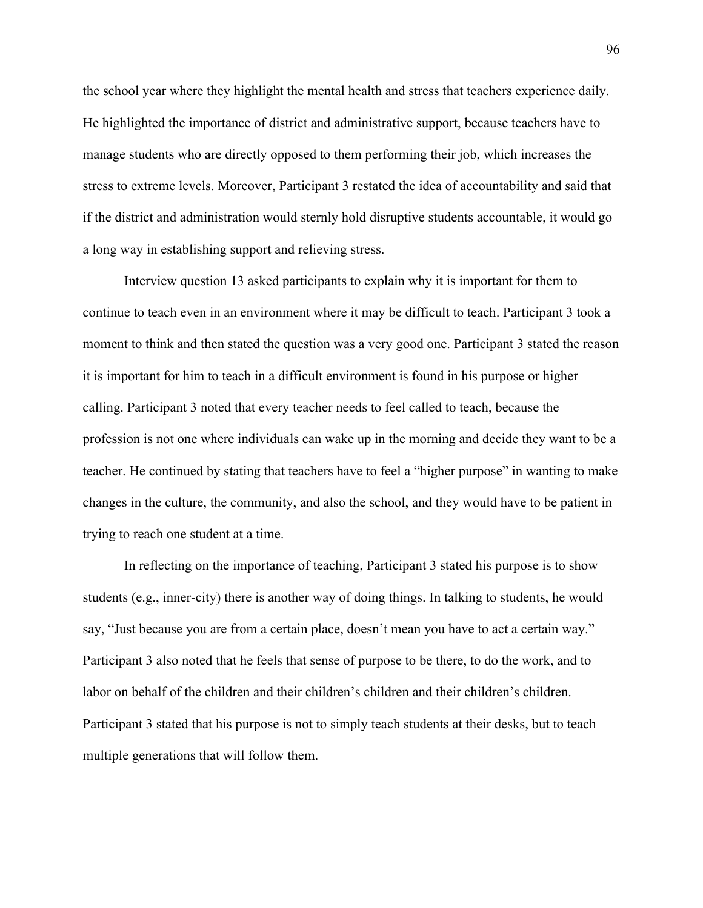the school year where they highlight the mental health and stress that teachers experience daily. He highlighted the importance of district and administrative support, because teachers have to manage students who are directly opposed to them performing their job, which increases the stress to extreme levels. Moreover, Participant 3 restated the idea of accountability and said that if the district and administration would sternly hold disruptive students accountable, it would go a long way in establishing support and relieving stress.

Interview question 13 asked participants to explain why it is important for them to continue to teach even in an environment where it may be difficult to teach. Participant 3 took a moment to think and then stated the question was a very good one. Participant 3 stated the reason it is important for him to teach in a difficult environment is found in his purpose or higher calling. Participant 3 noted that every teacher needs to feel called to teach, because the profession is not one where individuals can wake up in the morning and decide they want to be a teacher. He continued by stating that teachers have to feel a "higher purpose" in wanting to make changes in the culture, the community, and also the school, and they would have to be patient in trying to reach one student at a time.

In reflecting on the importance of teaching, Participant 3 stated his purpose is to show students (e.g., inner-city) there is another way of doing things. In talking to students, he would say, "Just because you are from a certain place, doesn't mean you have to act a certain way." Participant 3 also noted that he feels that sense of purpose to be there, to do the work, and to labor on behalf of the children and their children's children and their children's children. Participant 3 stated that his purpose is not to simply teach students at their desks, but to teach multiple generations that will follow them.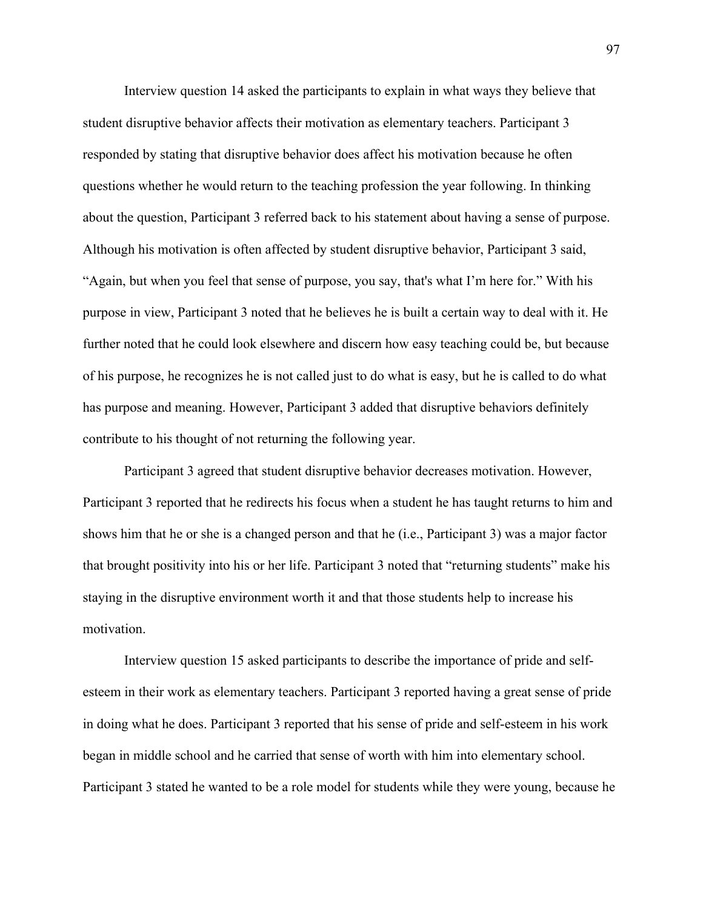Interview question 14 asked the participants to explain in what ways they believe that student disruptive behavior affects their motivation as elementary teachers. Participant 3 responded by stating that disruptive behavior does affect his motivation because he often questions whether he would return to the teaching profession the year following. In thinking about the question, Participant 3 referred back to his statement about having a sense of purpose. Although his motivation is often affected by student disruptive behavior, Participant 3 said, "Again, but when you feel that sense of purpose, you say, that's what I'm here for." With his purpose in view, Participant 3 noted that he believes he is built a certain way to deal with it. He further noted that he could look elsewhere and discern how easy teaching could be, but because of his purpose, he recognizes he is not called just to do what is easy, but he is called to do what has purpose and meaning. However, Participant 3 added that disruptive behaviors definitely contribute to his thought of not returning the following year.

Participant 3 agreed that student disruptive behavior decreases motivation. However, Participant 3 reported that he redirects his focus when a student he has taught returns to him and shows him that he or she is a changed person and that he (i.e., Participant 3) was a major factor that brought positivity into his or her life. Participant 3 noted that "returning students" make his staying in the disruptive environment worth it and that those students help to increase his motivation.

Interview question 15 asked participants to describe the importance of pride and selfesteem in their work as elementary teachers. Participant 3 reported having a great sense of pride in doing what he does. Participant 3 reported that his sense of pride and self-esteem in his work began in middle school and he carried that sense of worth with him into elementary school. Participant 3 stated he wanted to be a role model for students while they were young, because he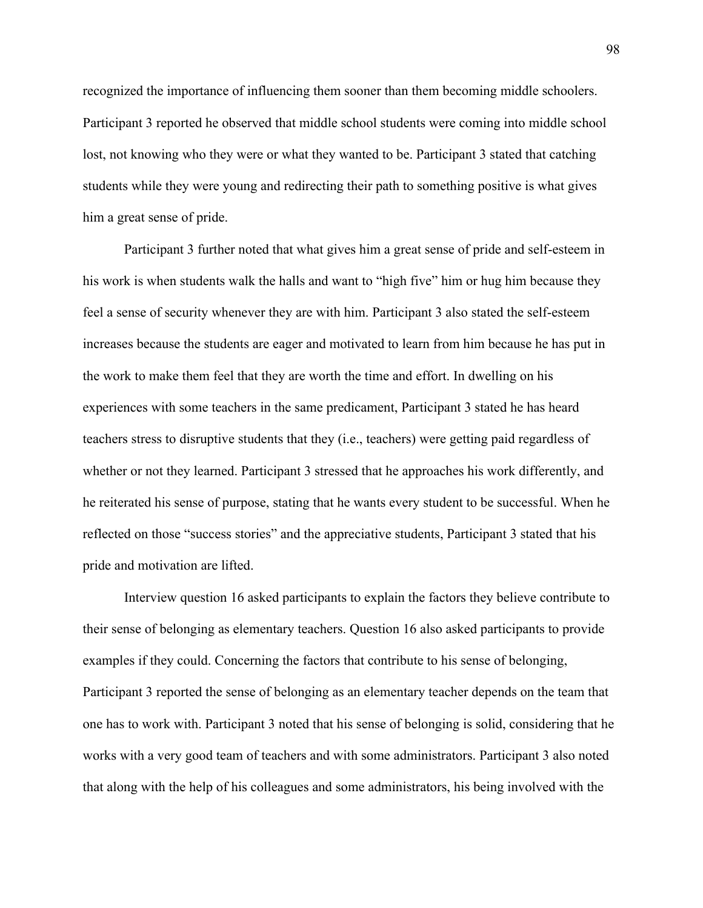recognized the importance of influencing them sooner than them becoming middle schoolers. Participant 3 reported he observed that middle school students were coming into middle school lost, not knowing who they were or what they wanted to be. Participant 3 stated that catching students while they were young and redirecting their path to something positive is what gives him a great sense of pride.

Participant 3 further noted that what gives him a great sense of pride and self-esteem in his work is when students walk the halls and want to "high five" him or hug him because they feel a sense of security whenever they are with him. Participant 3 also stated the self-esteem increases because the students are eager and motivated to learn from him because he has put in the work to make them feel that they are worth the time and effort. In dwelling on his experiences with some teachers in the same predicament, Participant 3 stated he has heard teachers stress to disruptive students that they (i.e., teachers) were getting paid regardless of whether or not they learned. Participant 3 stressed that he approaches his work differently, and he reiterated his sense of purpose, stating that he wants every student to be successful. When he reflected on those "success stories" and the appreciative students, Participant 3 stated that his pride and motivation are lifted.

Interview question 16 asked participants to explain the factors they believe contribute to their sense of belonging as elementary teachers. Question 16 also asked participants to provide examples if they could. Concerning the factors that contribute to his sense of belonging, Participant 3 reported the sense of belonging as an elementary teacher depends on the team that one has to work with. Participant 3 noted that his sense of belonging is solid, considering that he works with a very good team of teachers and with some administrators. Participant 3 also noted that along with the help of his colleagues and some administrators, his being involved with the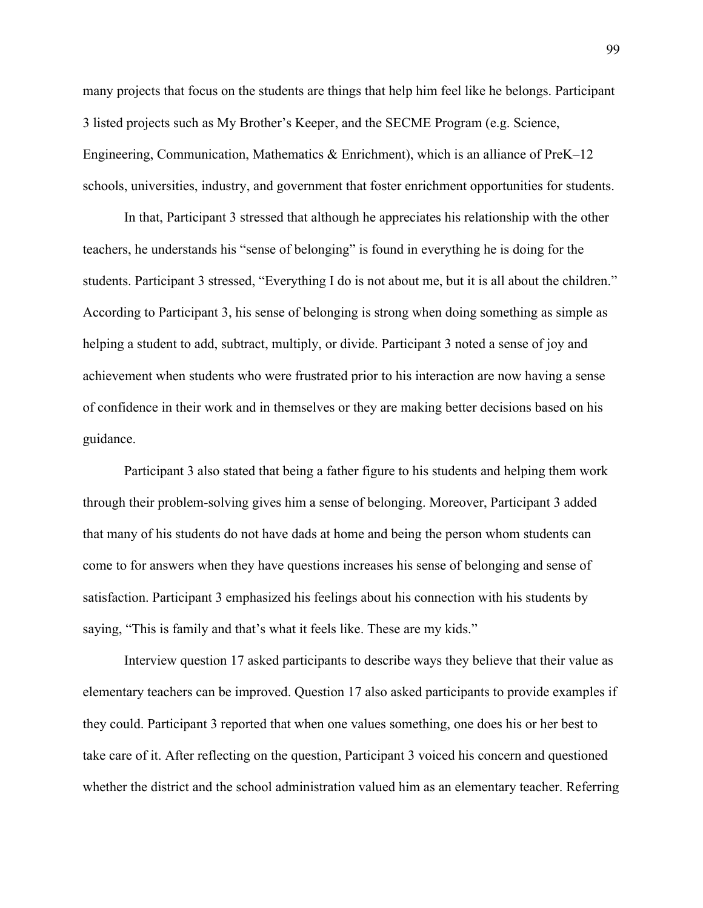many projects that focus on the students are things that help him feel like he belongs. Participant 3 listed projects such as My Brother's Keeper, and the SECME Program (e.g. Science, Engineering, Communication, Mathematics & Enrichment), which is an alliance of PreK–12 schools, universities, industry, and government that foster enrichment opportunities for students.

In that, Participant 3 stressed that although he appreciates his relationship with the other teachers, he understands his "sense of belonging" is found in everything he is doing for the students. Participant 3 stressed, "Everything I do is not about me, but it is all about the children." According to Participant 3, his sense of belonging is strong when doing something as simple as helping a student to add, subtract, multiply, or divide. Participant 3 noted a sense of joy and achievement when students who were frustrated prior to his interaction are now having a sense of confidence in their work and in themselves or they are making better decisions based on his guidance.

Participant 3 also stated that being a father figure to his students and helping them work through their problem-solving gives him a sense of belonging. Moreover, Participant 3 added that many of his students do not have dads at home and being the person whom students can come to for answers when they have questions increases his sense of belonging and sense of satisfaction. Participant 3 emphasized his feelings about his connection with his students by saying, "This is family and that's what it feels like. These are my kids."

Interview question 17 asked participants to describe ways they believe that their value as elementary teachers can be improved. Question 17 also asked participants to provide examples if they could. Participant 3 reported that when one values something, one does his or her best to take care of it. After reflecting on the question, Participant 3 voiced his concern and questioned whether the district and the school administration valued him as an elementary teacher. Referring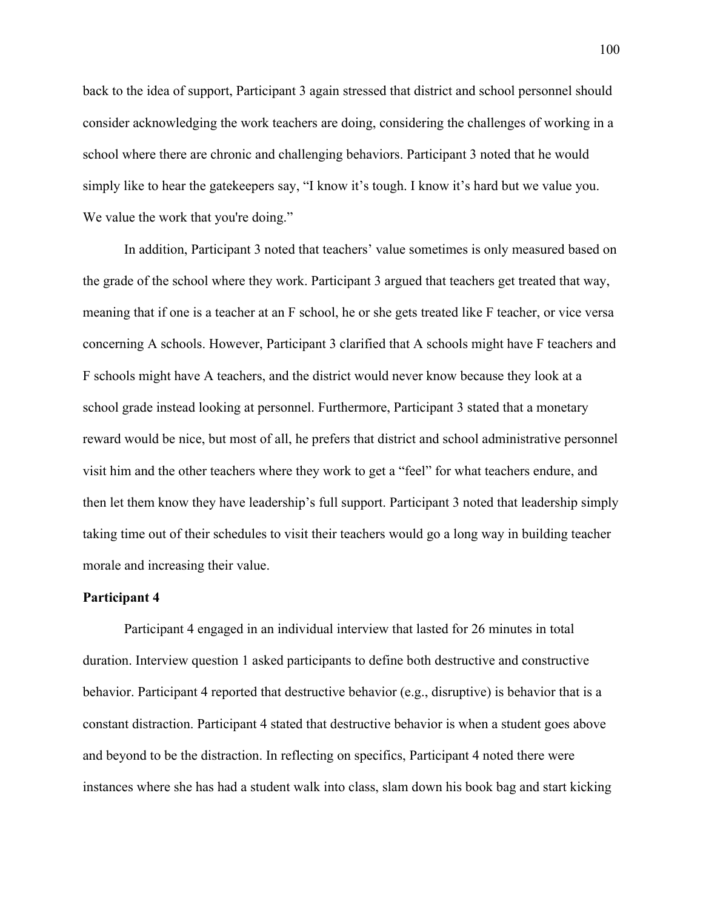back to the idea of support, Participant 3 again stressed that district and school personnel should consider acknowledging the work teachers are doing, considering the challenges of working in a school where there are chronic and challenging behaviors. Participant 3 noted that he would simply like to hear the gatekeepers say, "I know it's tough. I know it's hard but we value you. We value the work that you're doing."

In addition, Participant 3 noted that teachers' value sometimes is only measured based on the grade of the school where they work. Participant 3 argued that teachers get treated that way, meaning that if one is a teacher at an F school, he or she gets treated like F teacher, or vice versa concerning A schools. However, Participant 3 clarified that A schools might have F teachers and F schools might have A teachers, and the district would never know because they look at a school grade instead looking at personnel. Furthermore, Participant 3 stated that a monetary reward would be nice, but most of all, he prefers that district and school administrative personnel visit him and the other teachers where they work to get a "feel" for what teachers endure, and then let them know they have leadership's full support. Participant 3 noted that leadership simply taking time out of their schedules to visit their teachers would go a long way in building teacher morale and increasing their value.

## **Participant 4**

Participant 4 engaged in an individual interview that lasted for 26 minutes in total duration. Interview question 1 asked participants to define both destructive and constructive behavior. Participant 4 reported that destructive behavior (e.g., disruptive) is behavior that is a constant distraction. Participant 4 stated that destructive behavior is when a student goes above and beyond to be the distraction. In reflecting on specifics, Participant 4 noted there were instances where she has had a student walk into class, slam down his book bag and start kicking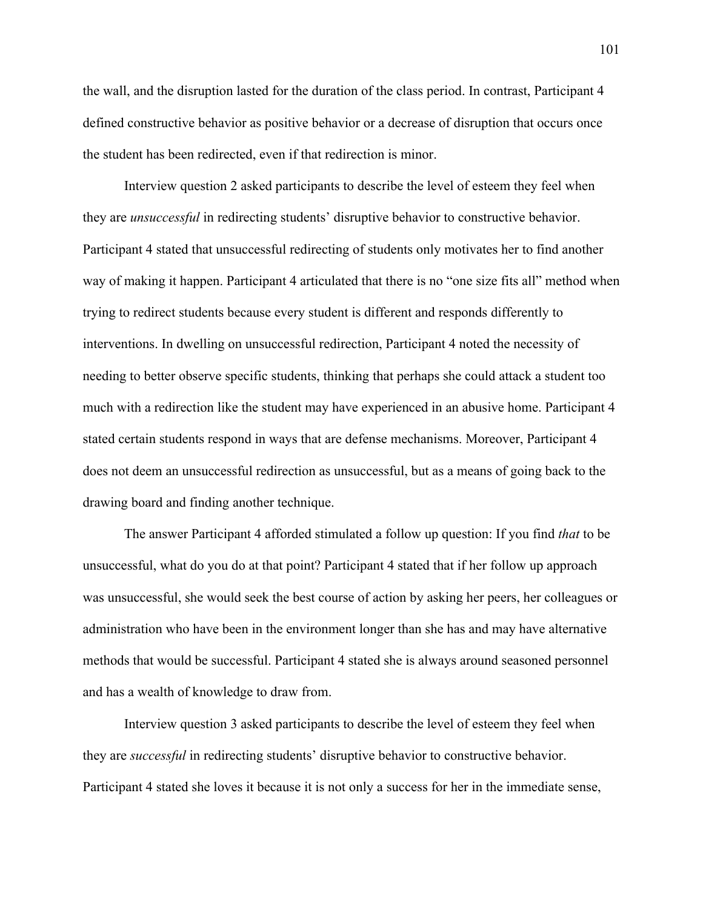the wall, and the disruption lasted for the duration of the class period. In contrast, Participant 4 defined constructive behavior as positive behavior or a decrease of disruption that occurs once the student has been redirected, even if that redirection is minor.

Interview question 2 asked participants to describe the level of esteem they feel when they are *unsuccessful* in redirecting students' disruptive behavior to constructive behavior. Participant 4 stated that unsuccessful redirecting of students only motivates her to find another way of making it happen. Participant 4 articulated that there is no "one size fits all" method when trying to redirect students because every student is different and responds differently to interventions. In dwelling on unsuccessful redirection, Participant 4 noted the necessity of needing to better observe specific students, thinking that perhaps she could attack a student too much with a redirection like the student may have experienced in an abusive home. Participant 4 stated certain students respond in ways that are defense mechanisms. Moreover, Participant 4 does not deem an unsuccessful redirection as unsuccessful, but as a means of going back to the drawing board and finding another technique.

The answer Participant 4 afforded stimulated a follow up question: If you find *that* to be unsuccessful, what do you do at that point? Participant 4 stated that if her follow up approach was unsuccessful, she would seek the best course of action by asking her peers, her colleagues or administration who have been in the environment longer than she has and may have alternative methods that would be successful. Participant 4 stated she is always around seasoned personnel and has a wealth of knowledge to draw from.

Interview question 3 asked participants to describe the level of esteem they feel when they are *successful* in redirecting students' disruptive behavior to constructive behavior. Participant 4 stated she loves it because it is not only a success for her in the immediate sense,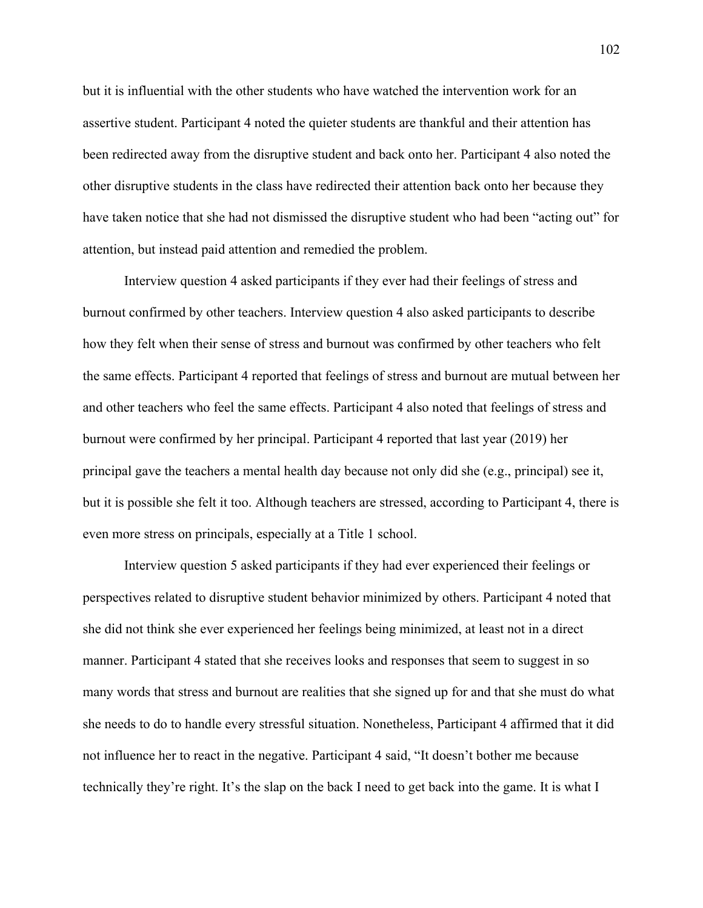but it is influential with the other students who have watched the intervention work for an assertive student. Participant 4 noted the quieter students are thankful and their attention has been redirected away from the disruptive student and back onto her. Participant 4 also noted the other disruptive students in the class have redirected their attention back onto her because they have taken notice that she had not dismissed the disruptive student who had been "acting out" for attention, but instead paid attention and remedied the problem.

Interview question 4 asked participants if they ever had their feelings of stress and burnout confirmed by other teachers. Interview question 4 also asked participants to describe how they felt when their sense of stress and burnout was confirmed by other teachers who felt the same effects. Participant 4 reported that feelings of stress and burnout are mutual between her and other teachers who feel the same effects. Participant 4 also noted that feelings of stress and burnout were confirmed by her principal. Participant 4 reported that last year (2019) her principal gave the teachers a mental health day because not only did she (e.g., principal) see it, but it is possible she felt it too. Although teachers are stressed, according to Participant 4, there is even more stress on principals, especially at a Title 1 school.

Interview question 5 asked participants if they had ever experienced their feelings or perspectives related to disruptive student behavior minimized by others. Participant 4 noted that she did not think she ever experienced her feelings being minimized, at least not in a direct manner. Participant 4 stated that she receives looks and responses that seem to suggest in so many words that stress and burnout are realities that she signed up for and that she must do what she needs to do to handle every stressful situation. Nonetheless, Participant 4 affirmed that it did not influence her to react in the negative. Participant 4 said, "It doesn't bother me because technically they're right. It's the slap on the back I need to get back into the game. It is what I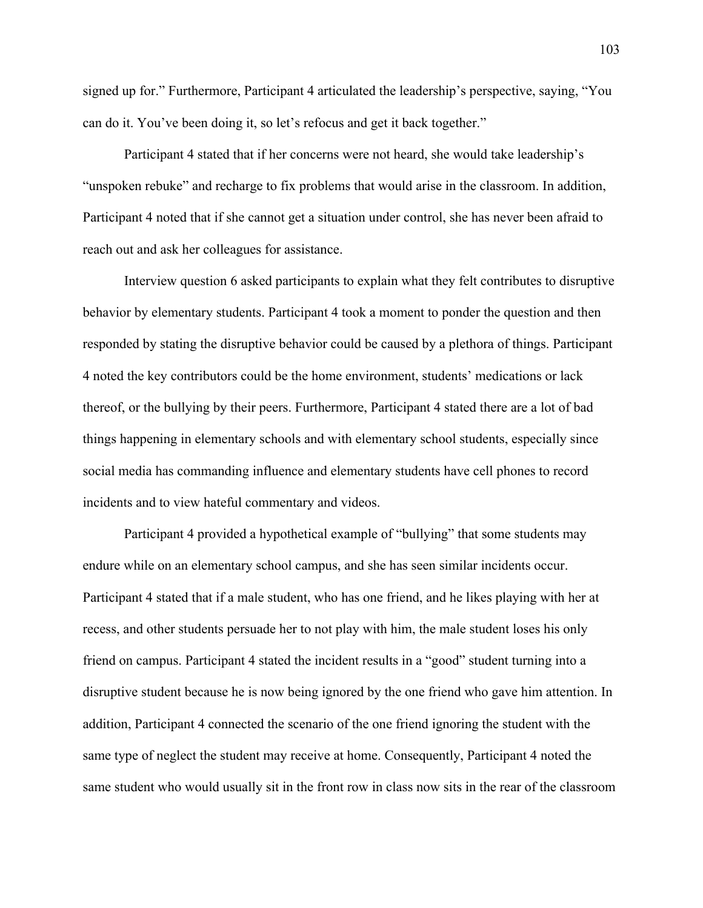signed up for." Furthermore, Participant 4 articulated the leadership's perspective, saying, "You can do it. You've been doing it, so let's refocus and get it back together."

Participant 4 stated that if her concerns were not heard, she would take leadership's "unspoken rebuke" and recharge to fix problems that would arise in the classroom. In addition, Participant 4 noted that if she cannot get a situation under control, she has never been afraid to reach out and ask her colleagues for assistance.

Interview question 6 asked participants to explain what they felt contributes to disruptive behavior by elementary students. Participant 4 took a moment to ponder the question and then responded by stating the disruptive behavior could be caused by a plethora of things. Participant 4 noted the key contributors could be the home environment, students' medications or lack thereof, or the bullying by their peers. Furthermore, Participant 4 stated there are a lot of bad things happening in elementary schools and with elementary school students, especially since social media has commanding influence and elementary students have cell phones to record incidents and to view hateful commentary and videos.

Participant 4 provided a hypothetical example of "bullying" that some students may endure while on an elementary school campus, and she has seen similar incidents occur. Participant 4 stated that if a male student, who has one friend, and he likes playing with her at recess, and other students persuade her to not play with him, the male student loses his only friend on campus. Participant 4 stated the incident results in a "good" student turning into a disruptive student because he is now being ignored by the one friend who gave him attention. In addition, Participant 4 connected the scenario of the one friend ignoring the student with the same type of neglect the student may receive at home. Consequently, Participant 4 noted the same student who would usually sit in the front row in class now sits in the rear of the classroom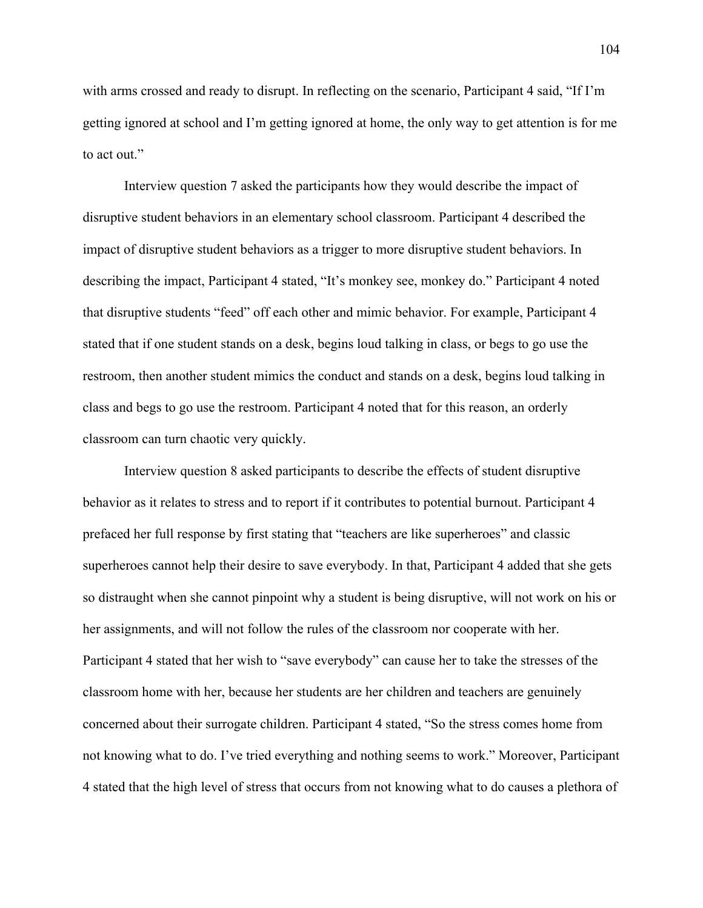with arms crossed and ready to disrupt. In reflecting on the scenario, Participant 4 said, "If I'm getting ignored at school and I'm getting ignored at home, the only way to get attention is for me to act out."

Interview question 7 asked the participants how they would describe the impact of disruptive student behaviors in an elementary school classroom. Participant 4 described the impact of disruptive student behaviors as a trigger to more disruptive student behaviors. In describing the impact, Participant 4 stated, "It's monkey see, monkey do." Participant 4 noted that disruptive students "feed" off each other and mimic behavior. For example, Participant 4 stated that if one student stands on a desk, begins loud talking in class, or begs to go use the restroom, then another student mimics the conduct and stands on a desk, begins loud talking in class and begs to go use the restroom. Participant 4 noted that for this reason, an orderly classroom can turn chaotic very quickly.

Interview question 8 asked participants to describe the effects of student disruptive behavior as it relates to stress and to report if it contributes to potential burnout. Participant 4 prefaced her full response by first stating that "teachers are like superheroes" and classic superheroes cannot help their desire to save everybody. In that, Participant 4 added that she gets so distraught when she cannot pinpoint why a student is being disruptive, will not work on his or her assignments, and will not follow the rules of the classroom nor cooperate with her. Participant 4 stated that her wish to "save everybody" can cause her to take the stresses of the classroom home with her, because her students are her children and teachers are genuinely concerned about their surrogate children. Participant 4 stated, "So the stress comes home from not knowing what to do. I've tried everything and nothing seems to work." Moreover, Participant 4 stated that the high level of stress that occurs from not knowing what to do causes a plethora of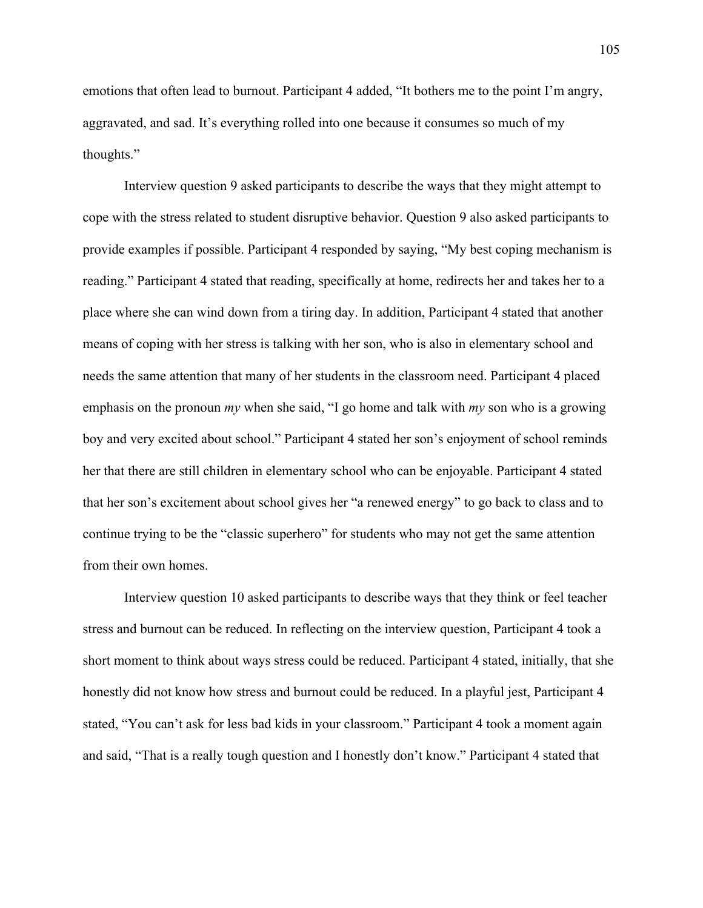emotions that often lead to burnout. Participant 4 added, "It bothers me to the point I'm angry, aggravated, and sad. It's everything rolled into one because it consumes so much of my thoughts."

Interview question 9 asked participants to describe the ways that they might attempt to cope with the stress related to student disruptive behavior. Question 9 also asked participants to provide examples if possible. Participant 4 responded by saying, "My best coping mechanism is reading." Participant 4 stated that reading, specifically at home, redirects her and takes her to a place where she can wind down from a tiring day. In addition, Participant 4 stated that another means of coping with her stress is talking with her son, who is also in elementary school and needs the same attention that many of her students in the classroom need. Participant 4 placed emphasis on the pronoun *my* when she said, "I go home and talk with *my* son who is a growing boy and very excited about school." Participant 4 stated her son's enjoyment of school reminds her that there are still children in elementary school who can be enjoyable. Participant 4 stated that her son's excitement about school gives her "a renewed energy" to go back to class and to continue trying to be the "classic superhero" for students who may not get the same attention from their own homes.

Interview question 10 asked participants to describe ways that they think or feel teacher stress and burnout can be reduced. In reflecting on the interview question, Participant 4 took a short moment to think about ways stress could be reduced. Participant 4 stated, initially, that she honestly did not know how stress and burnout could be reduced. In a playful jest, Participant 4 stated, "You can't ask for less bad kids in your classroom." Participant 4 took a moment again and said, "That is a really tough question and I honestly don't know." Participant 4 stated that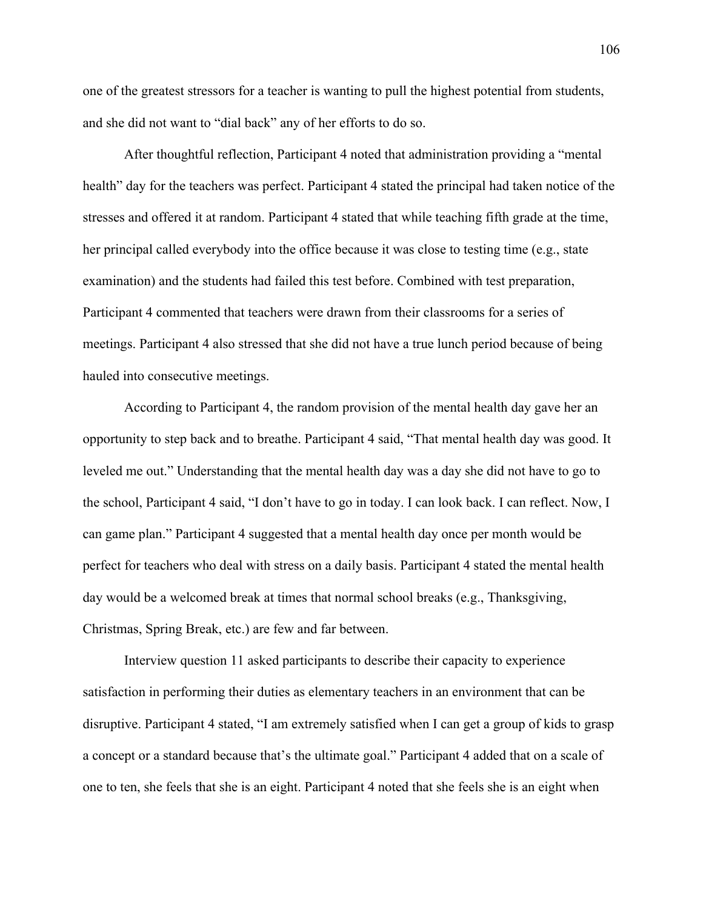one of the greatest stressors for a teacher is wanting to pull the highest potential from students, and she did not want to "dial back" any of her efforts to do so.

After thoughtful reflection, Participant 4 noted that administration providing a "mental health" day for the teachers was perfect. Participant 4 stated the principal had taken notice of the stresses and offered it at random. Participant 4 stated that while teaching fifth grade at the time, her principal called everybody into the office because it was close to testing time (e.g., state examination) and the students had failed this test before. Combined with test preparation, Participant 4 commented that teachers were drawn from their classrooms for a series of meetings. Participant 4 also stressed that she did not have a true lunch period because of being hauled into consecutive meetings.

According to Participant 4, the random provision of the mental health day gave her an opportunity to step back and to breathe. Participant 4 said, "That mental health day was good. It leveled me out." Understanding that the mental health day was a day she did not have to go to the school, Participant 4 said, "I don't have to go in today. I can look back. I can reflect. Now, I can game plan." Participant 4 suggested that a mental health day once per month would be perfect for teachers who deal with stress on a daily basis. Participant 4 stated the mental health day would be a welcomed break at times that normal school breaks (e.g., Thanksgiving, Christmas, Spring Break, etc.) are few and far between.

Interview question 11 asked participants to describe their capacity to experience satisfaction in performing their duties as elementary teachers in an environment that can be disruptive. Participant 4 stated, "I am extremely satisfied when I can get a group of kids to grasp a concept or a standard because that's the ultimate goal." Participant 4 added that on a scale of one to ten, she feels that she is an eight. Participant 4 noted that she feels she is an eight when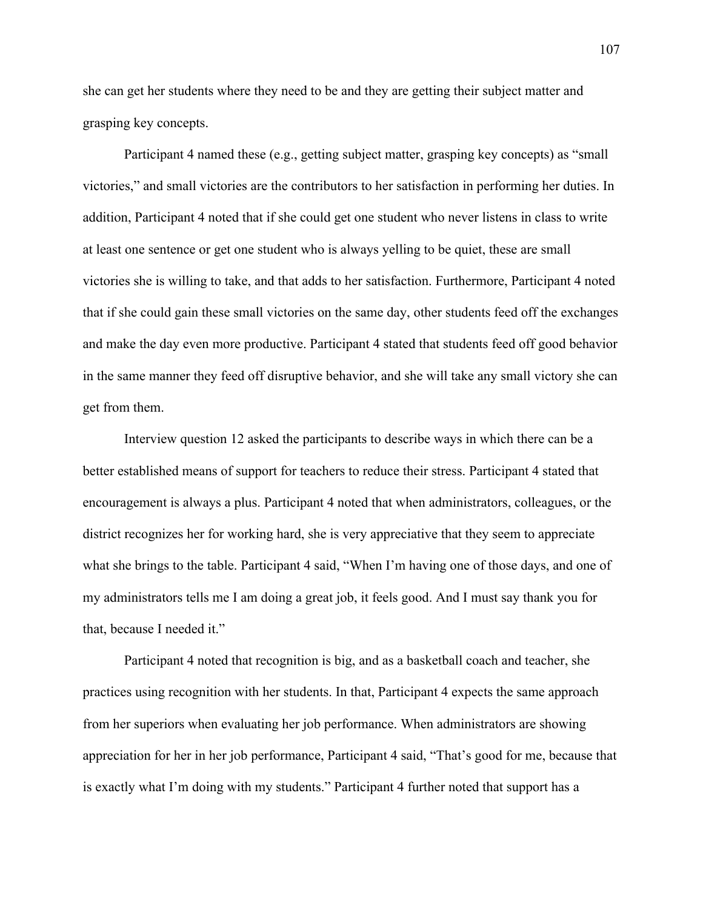she can get her students where they need to be and they are getting their subject matter and grasping key concepts.

Participant 4 named these (e.g., getting subject matter, grasping key concepts) as "small victories," and small victories are the contributors to her satisfaction in performing her duties. In addition, Participant 4 noted that if she could get one student who never listens in class to write at least one sentence or get one student who is always yelling to be quiet, these are small victories she is willing to take, and that adds to her satisfaction. Furthermore, Participant 4 noted that if she could gain these small victories on the same day, other students feed off the exchanges and make the day even more productive. Participant 4 stated that students feed off good behavior in the same manner they feed off disruptive behavior, and she will take any small victory she can get from them.

Interview question 12 asked the participants to describe ways in which there can be a better established means of support for teachers to reduce their stress. Participant 4 stated that encouragement is always a plus. Participant 4 noted that when administrators, colleagues, or the district recognizes her for working hard, she is very appreciative that they seem to appreciate what she brings to the table. Participant 4 said, "When I'm having one of those days, and one of my administrators tells me I am doing a great job, it feels good. And I must say thank you for that, because I needed it."

Participant 4 noted that recognition is big, and as a basketball coach and teacher, she practices using recognition with her students. In that, Participant 4 expects the same approach from her superiors when evaluating her job performance. When administrators are showing appreciation for her in her job performance, Participant 4 said, "That's good for me, because that is exactly what I'm doing with my students." Participant 4 further noted that support has a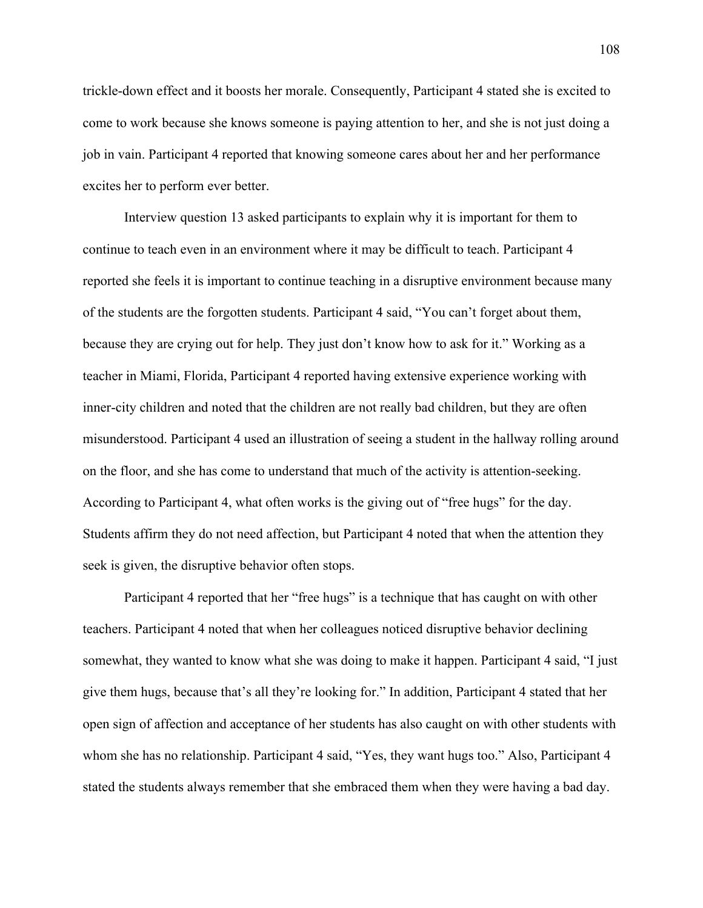trickle-down effect and it boosts her morale. Consequently, Participant 4 stated she is excited to come to work because she knows someone is paying attention to her, and she is not just doing a job in vain. Participant 4 reported that knowing someone cares about her and her performance excites her to perform ever better.

Interview question 13 asked participants to explain why it is important for them to continue to teach even in an environment where it may be difficult to teach. Participant 4 reported she feels it is important to continue teaching in a disruptive environment because many of the students are the forgotten students. Participant 4 said, "You can't forget about them, because they are crying out for help. They just don't know how to ask for it." Working as a teacher in Miami, Florida, Participant 4 reported having extensive experience working with inner-city children and noted that the children are not really bad children, but they are often misunderstood. Participant 4 used an illustration of seeing a student in the hallway rolling around on the floor, and she has come to understand that much of the activity is attention-seeking. According to Participant 4, what often works is the giving out of "free hugs" for the day. Students affirm they do not need affection, but Participant 4 noted that when the attention they seek is given, the disruptive behavior often stops.

Participant 4 reported that her "free hugs" is a technique that has caught on with other teachers. Participant 4 noted that when her colleagues noticed disruptive behavior declining somewhat, they wanted to know what she was doing to make it happen. Participant 4 said, "I just give them hugs, because that's all they're looking for." In addition, Participant 4 stated that her open sign of affection and acceptance of her students has also caught on with other students with whom she has no relationship. Participant 4 said, "Yes, they want hugs too." Also, Participant 4 stated the students always remember that she embraced them when they were having a bad day.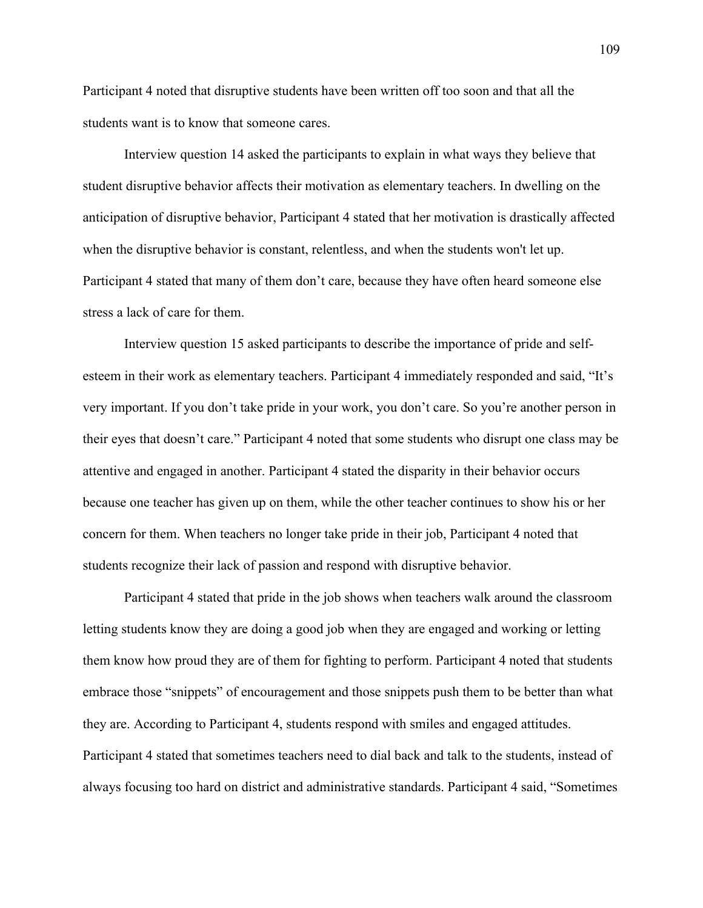Participant 4 noted that disruptive students have been written off too soon and that all the students want is to know that someone cares.

Interview question 14 asked the participants to explain in what ways they believe that student disruptive behavior affects their motivation as elementary teachers. In dwelling on the anticipation of disruptive behavior, Participant 4 stated that her motivation is drastically affected when the disruptive behavior is constant, relentless, and when the students won't let up. Participant 4 stated that many of them don't care, because they have often heard someone else stress a lack of care for them.

Interview question 15 asked participants to describe the importance of pride and selfesteem in their work as elementary teachers. Participant 4 immediately responded and said, "It's very important. If you don't take pride in your work, you don't care. So you're another person in their eyes that doesn't care." Participant 4 noted that some students who disrupt one class may be attentive and engaged in another. Participant 4 stated the disparity in their behavior occurs because one teacher has given up on them, while the other teacher continues to show his or her concern for them. When teachers no longer take pride in their job, Participant 4 noted that students recognize their lack of passion and respond with disruptive behavior.

Participant 4 stated that pride in the job shows when teachers walk around the classroom letting students know they are doing a good job when they are engaged and working or letting them know how proud they are of them for fighting to perform. Participant 4 noted that students embrace those "snippets" of encouragement and those snippets push them to be better than what they are. According to Participant 4, students respond with smiles and engaged attitudes. Participant 4 stated that sometimes teachers need to dial back and talk to the students, instead of always focusing too hard on district and administrative standards. Participant 4 said, "Sometimes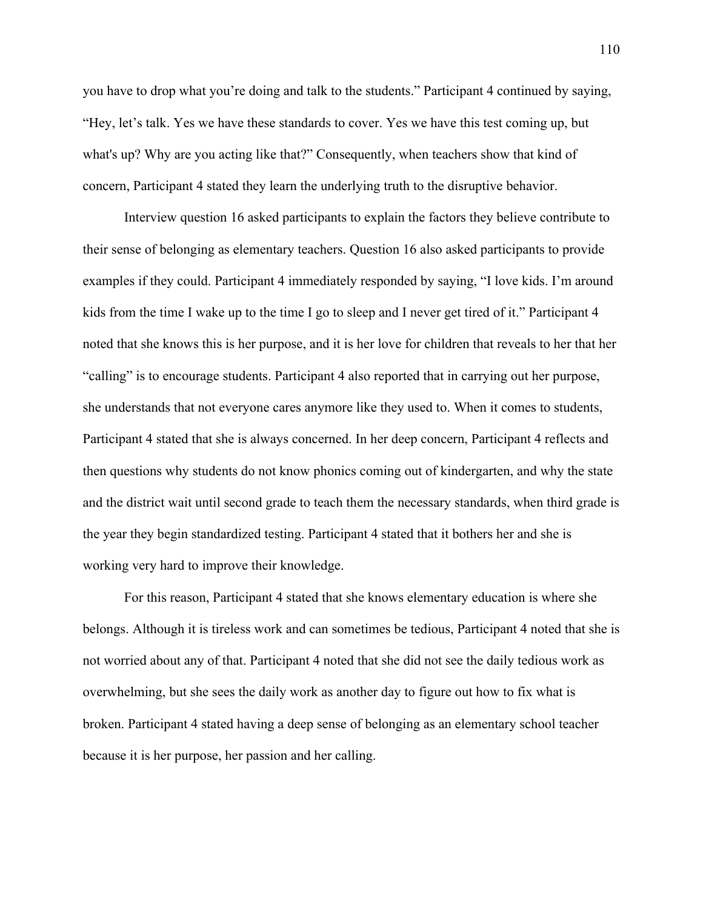you have to drop what you're doing and talk to the students." Participant 4 continued by saying, "Hey, let's talk. Yes we have these standards to cover. Yes we have this test coming up, but what's up? Why are you acting like that?" Consequently, when teachers show that kind of concern, Participant 4 stated they learn the underlying truth to the disruptive behavior.

Interview question 16 asked participants to explain the factors they believe contribute to their sense of belonging as elementary teachers. Question 16 also asked participants to provide examples if they could. Participant 4 immediately responded by saying, "I love kids. I'm around kids from the time I wake up to the time I go to sleep and I never get tired of it." Participant 4 noted that she knows this is her purpose, and it is her love for children that reveals to her that her "calling" is to encourage students. Participant 4 also reported that in carrying out her purpose, she understands that not everyone cares anymore like they used to. When it comes to students, Participant 4 stated that she is always concerned. In her deep concern, Participant 4 reflects and then questions why students do not know phonics coming out of kindergarten, and why the state and the district wait until second grade to teach them the necessary standards, when third grade is the year they begin standardized testing. Participant 4 stated that it bothers her and she is working very hard to improve their knowledge.

For this reason, Participant 4 stated that she knows elementary education is where she belongs. Although it is tireless work and can sometimes be tedious, Participant 4 noted that she is not worried about any of that. Participant 4 noted that she did not see the daily tedious work as overwhelming, but she sees the daily work as another day to figure out how to fix what is broken. Participant 4 stated having a deep sense of belonging as an elementary school teacher because it is her purpose, her passion and her calling.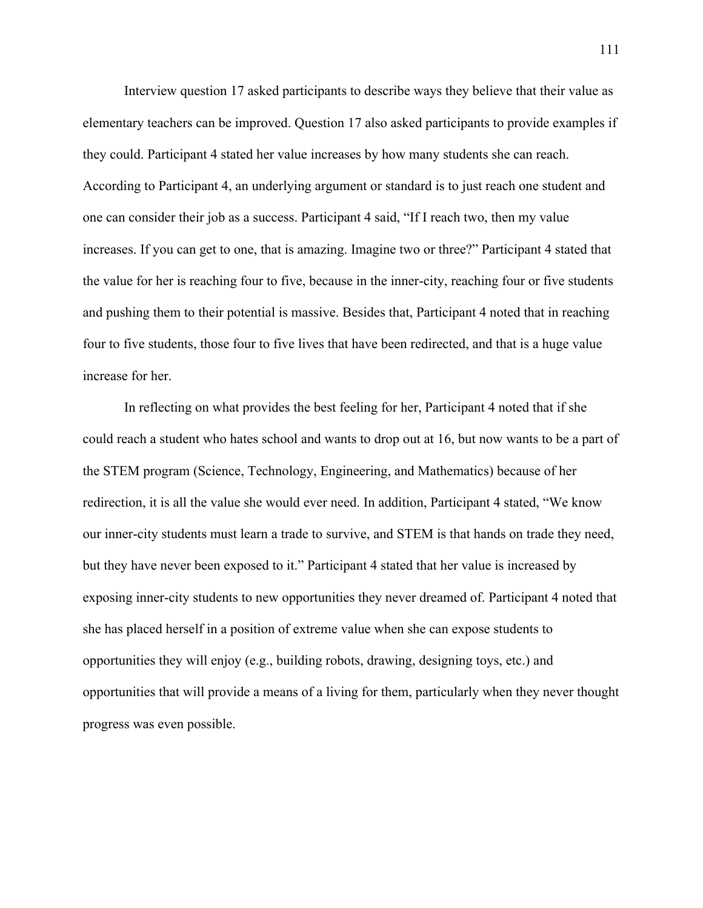Interview question 17 asked participants to describe ways they believe that their value as elementary teachers can be improved. Question 17 also asked participants to provide examples if they could. Participant 4 stated her value increases by how many students she can reach. According to Participant 4, an underlying argument or standard is to just reach one student and one can consider their job as a success. Participant 4 said, "If I reach two, then my value increases. If you can get to one, that is amazing. Imagine two or three?" Participant 4 stated that the value for her is reaching four to five, because in the inner-city, reaching four or five students and pushing them to their potential is massive. Besides that, Participant 4 noted that in reaching four to five students, those four to five lives that have been redirected, and that is a huge value increase for her.

In reflecting on what provides the best feeling for her, Participant 4 noted that if she could reach a student who hates school and wants to drop out at 16, but now wants to be a part of the STEM program (Science, Technology, Engineering, and Mathematics) because of her redirection, it is all the value she would ever need. In addition, Participant 4 stated, "We know our inner-city students must learn a trade to survive, and STEM is that hands on trade they need, but they have never been exposed to it." Participant 4 stated that her value is increased by exposing inner-city students to new opportunities they never dreamed of. Participant 4 noted that she has placed herself in a position of extreme value when she can expose students to opportunities they will enjoy (e.g., building robots, drawing, designing toys, etc.) and opportunities that will provide a means of a living for them, particularly when they never thought progress was even possible.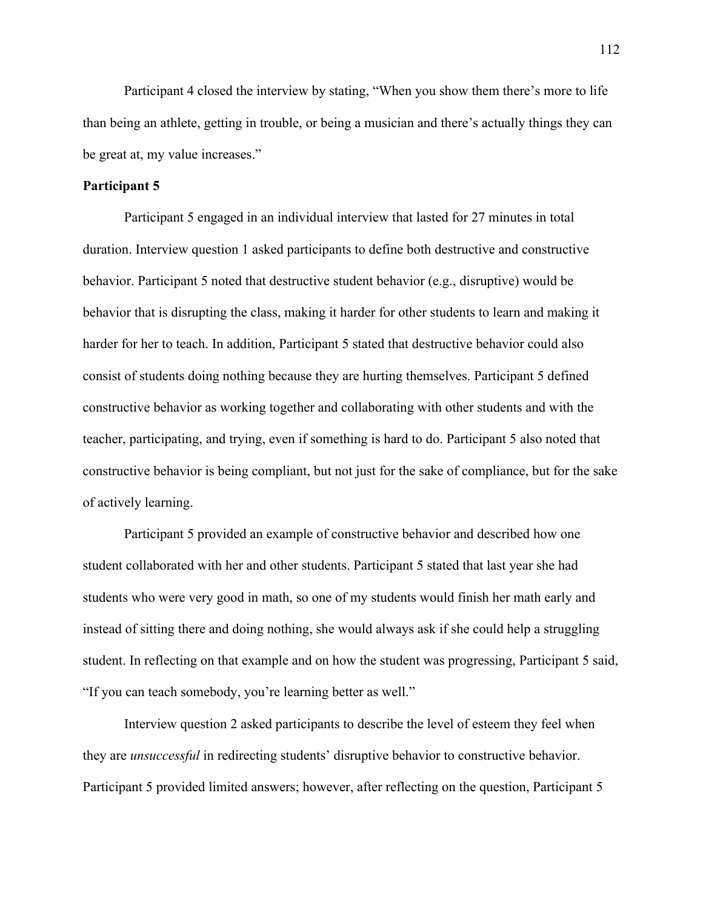Participant 4 closed the interview by stating, "When you show them there's more to life than being an athlete, getting in trouble, or being a musician and there's actually things they can be great at, my value increases."

## **Participant 5**

Participant 5 engaged in an individual interview that lasted for 27 minutes in total duration. Interview question 1 asked participants to define both destructive and constructive behavior. Participant 5 noted that destructive student behavior (e.g., disruptive) would be behavior that is disrupting the class, making it harder for other students to learn and making it harder for her to teach. In addition, Participant 5 stated that destructive behavior could also consist of students doing nothing because they are hurting themselves. Participant 5 defined constructive behavior as working together and collaborating with other students and with the teacher, participating, and trying, even if something is hard to do. Participant 5 also noted that constructive behavior is being compliant, but not just for the sake of compliance, but for the sake of actively learning.

Participant 5 provided an example of constructive behavior and described how one student collaborated with her and other students. Participant 5 stated that last year she had students who were very good in math, so one of my students would finish her math early and instead of sitting there and doing nothing, she would always ask if she could help a struggling student. In reflecting on that example and on how the student was progressing, Participant 5 said, "If you can teach somebody, you're learning better as well."

Interview question 2 asked participants to describe the level of esteem they feel when they are *unsuccessful* in redirecting students' disruptive behavior to constructive behavior. Participant 5 provided limited answers; however, after reflecting on the question, Participant 5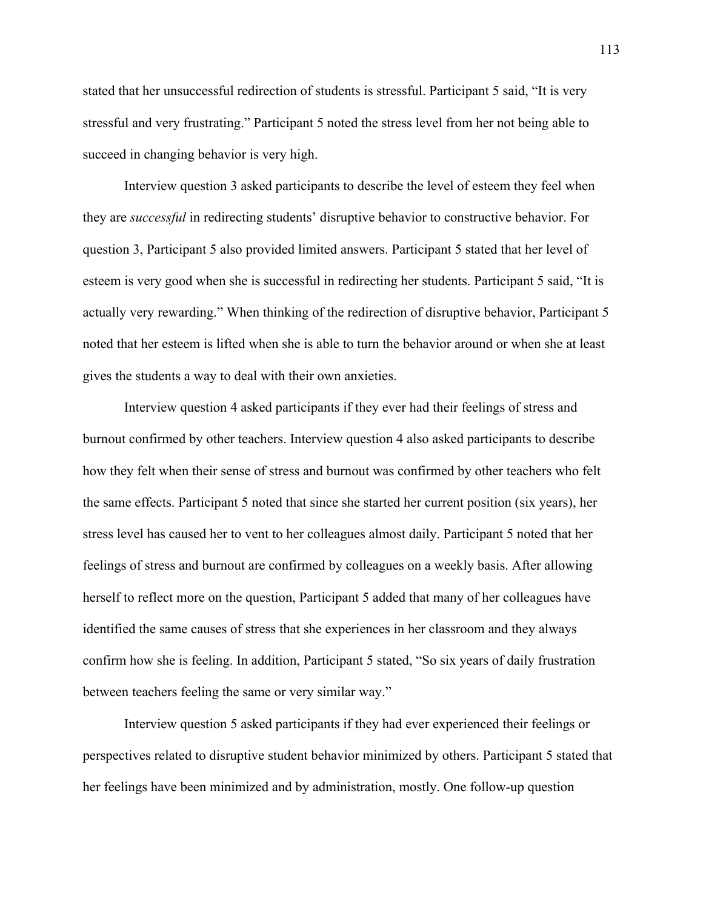stated that her unsuccessful redirection of students is stressful. Participant 5 said, "It is very stressful and very frustrating." Participant 5 noted the stress level from her not being able to succeed in changing behavior is very high.

Interview question 3 asked participants to describe the level of esteem they feel when they are *successful* in redirecting students' disruptive behavior to constructive behavior. For question 3, Participant 5 also provided limited answers. Participant 5 stated that her level of esteem is very good when she is successful in redirecting her students. Participant 5 said, "It is actually very rewarding." When thinking of the redirection of disruptive behavior, Participant 5 noted that her esteem is lifted when she is able to turn the behavior around or when she at least gives the students a way to deal with their own anxieties.

Interview question 4 asked participants if they ever had their feelings of stress and burnout confirmed by other teachers. Interview question 4 also asked participants to describe how they felt when their sense of stress and burnout was confirmed by other teachers who felt the same effects. Participant 5 noted that since she started her current position (six years), her stress level has caused her to vent to her colleagues almost daily. Participant 5 noted that her feelings of stress and burnout are confirmed by colleagues on a weekly basis. After allowing herself to reflect more on the question, Participant 5 added that many of her colleagues have identified the same causes of stress that she experiences in her classroom and they always confirm how she is feeling. In addition, Participant 5 stated, "So six years of daily frustration between teachers feeling the same or very similar way."

Interview question 5 asked participants if they had ever experienced their feelings or perspectives related to disruptive student behavior minimized by others. Participant 5 stated that her feelings have been minimized and by administration, mostly. One follow-up question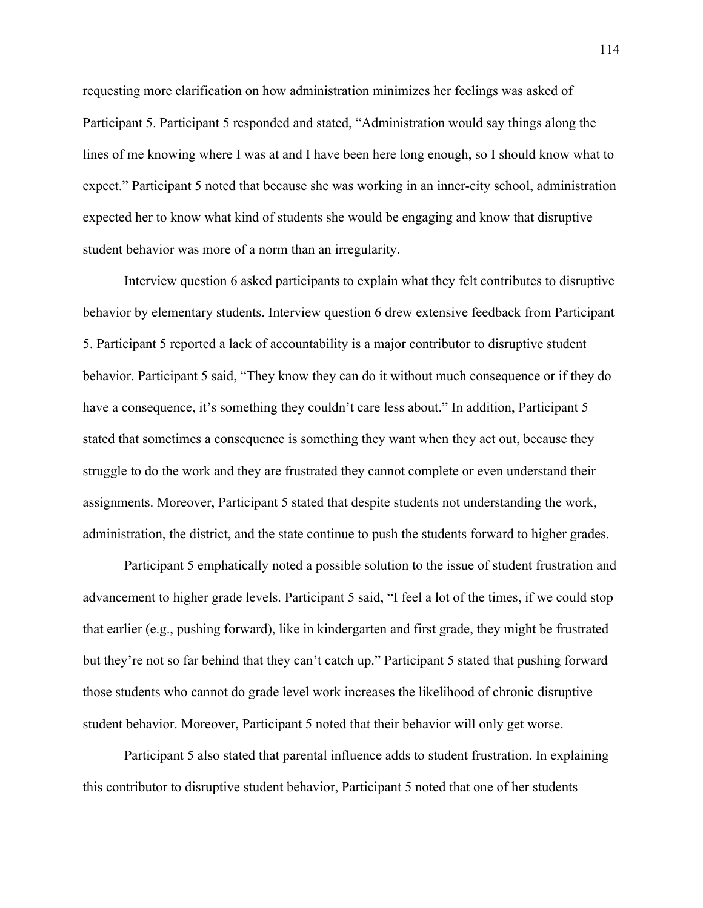requesting more clarification on how administration minimizes her feelings was asked of Participant 5. Participant 5 responded and stated, "Administration would say things along the lines of me knowing where I was at and I have been here long enough, so I should know what to expect." Participant 5 noted that because she was working in an inner-city school, administration expected her to know what kind of students she would be engaging and know that disruptive student behavior was more of a norm than an irregularity.

Interview question 6 asked participants to explain what they felt contributes to disruptive behavior by elementary students. Interview question 6 drew extensive feedback from Participant 5. Participant 5 reported a lack of accountability is a major contributor to disruptive student behavior. Participant 5 said, "They know they can do it without much consequence or if they do have a consequence, it's something they couldn't care less about." In addition, Participant 5 stated that sometimes a consequence is something they want when they act out, because they struggle to do the work and they are frustrated they cannot complete or even understand their assignments. Moreover, Participant 5 stated that despite students not understanding the work, administration, the district, and the state continue to push the students forward to higher grades.

Participant 5 emphatically noted a possible solution to the issue of student frustration and advancement to higher grade levels. Participant 5 said, "I feel a lot of the times, if we could stop that earlier (e.g., pushing forward), like in kindergarten and first grade, they might be frustrated but they're not so far behind that they can't catch up." Participant 5 stated that pushing forward those students who cannot do grade level work increases the likelihood of chronic disruptive student behavior. Moreover, Participant 5 noted that their behavior will only get worse.

Participant 5 also stated that parental influence adds to student frustration. In explaining this contributor to disruptive student behavior, Participant 5 noted that one of her students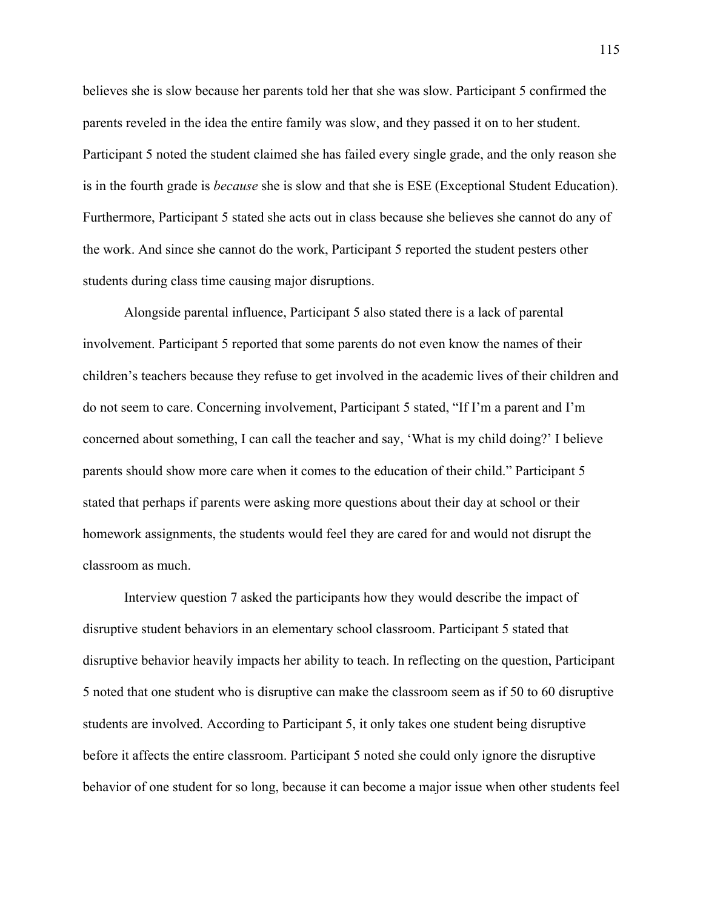believes she is slow because her parents told her that she was slow. Participant 5 confirmed the parents reveled in the idea the entire family was slow, and they passed it on to her student. Participant 5 noted the student claimed she has failed every single grade, and the only reason she is in the fourth grade is *because* she is slow and that she is ESE (Exceptional Student Education). Furthermore, Participant 5 stated she acts out in class because she believes she cannot do any of the work. And since she cannot do the work, Participant 5 reported the student pesters other students during class time causing major disruptions.

Alongside parental influence, Participant 5 also stated there is a lack of parental involvement. Participant 5 reported that some parents do not even know the names of their children's teachers because they refuse to get involved in the academic lives of their children and do not seem to care. Concerning involvement, Participant 5 stated, "If I'm a parent and I'm concerned about something, I can call the teacher and say, 'What is my child doing?' I believe parents should show more care when it comes to the education of their child." Participant 5 stated that perhaps if parents were asking more questions about their day at school or their homework assignments, the students would feel they are cared for and would not disrupt the classroom as much.

Interview question 7 asked the participants how they would describe the impact of disruptive student behaviors in an elementary school classroom. Participant 5 stated that disruptive behavior heavily impacts her ability to teach. In reflecting on the question, Participant 5 noted that one student who is disruptive can make the classroom seem as if 50 to 60 disruptive students are involved. According to Participant 5, it only takes one student being disruptive before it affects the entire classroom. Participant 5 noted she could only ignore the disruptive behavior of one student for so long, because it can become a major issue when other students feel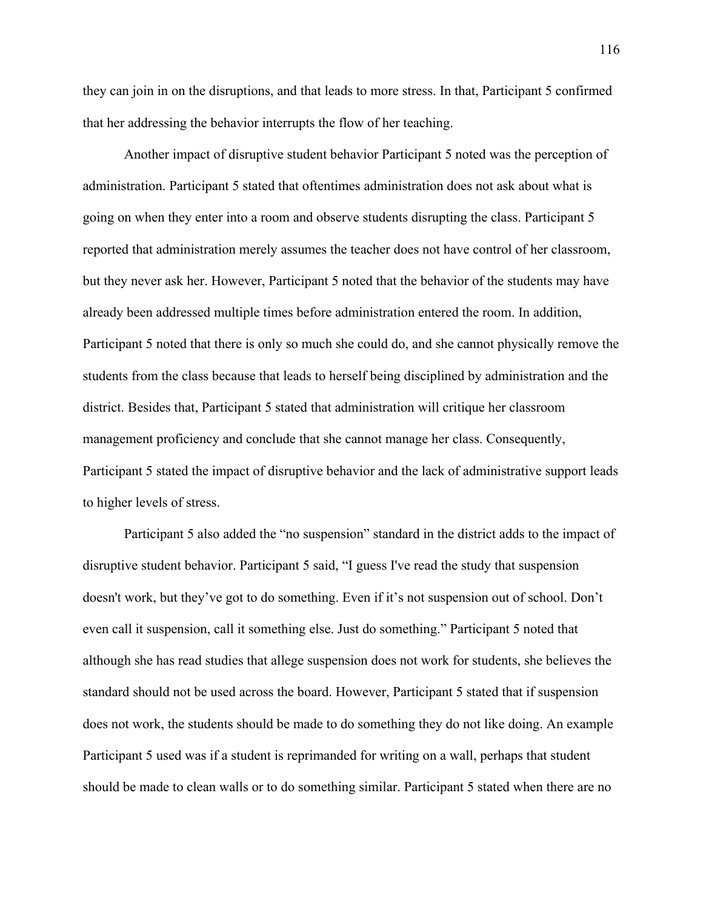they can join in on the disruptions, and that leads to more stress. In that, Participant 5 confirmed that her addressing the behavior interrupts the flow of her teaching.

Another impact of disruptive student behavior Participant 5 noted was the perception of administration. Participant 5 stated that oftentimes administration does not ask about what is going on when they enter into a room and observe students disrupting the class. Participant 5 reported that administration merely assumes the teacher does not have control of her classroom, but they never ask her. However, Participant 5 noted that the behavior of the students may have already been addressed multiple times before administration entered the room. In addition, Participant 5 noted that there is only so much she could do, and she cannot physically remove the students from the class because that leads to herself being disciplined by administration and the district. Besides that, Participant 5 stated that administration will critique her classroom management proficiency and conclude that she cannot manage her class. Consequently, Participant 5 stated the impact of disruptive behavior and the lack of administrative support leads to higher levels of stress.

Participant 5 also added the "no suspension" standard in the district adds to the impact of disruptive student behavior. Participant 5 said, "I guess I've read the study that suspension doesn't work, but they've got to do something. Even if it's not suspension out of school. Don't even call it suspension, call it something else. Just do something." Participant 5 noted that although she has read studies that allege suspension does not work for students, she believes the standard should not be used across the board. However, Participant 5 stated that if suspension does not work, the students should be made to do something they do not like doing. An example Participant 5 used was if a student is reprimanded for writing on a wall, perhaps that student should be made to clean walls or to do something similar. Participant 5 stated when there are no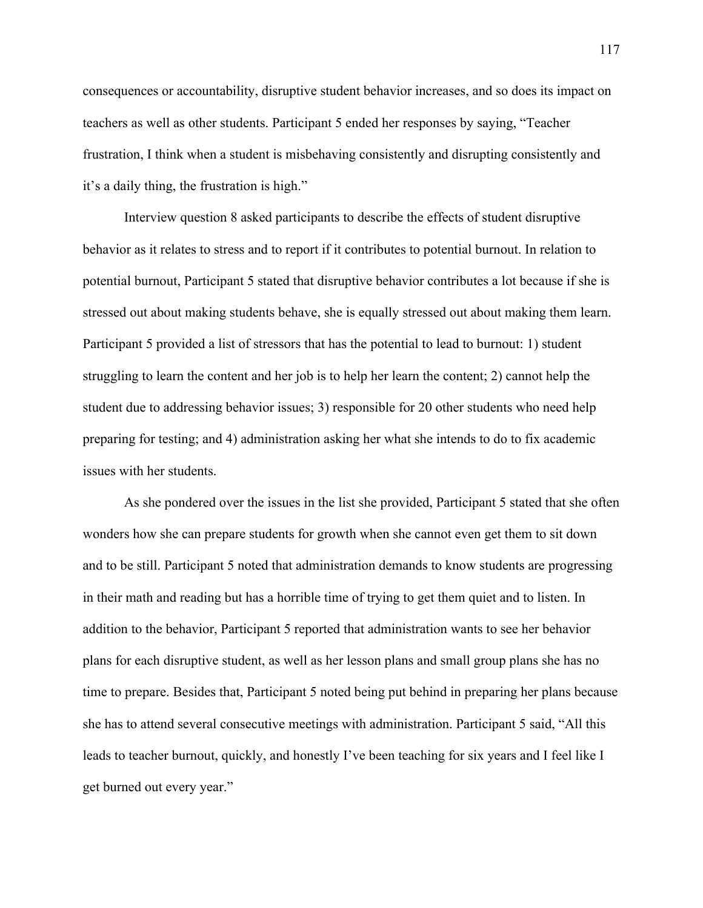consequences or accountability, disruptive student behavior increases, and so does its impact on teachers as well as other students. Participant 5 ended her responses by saying, "Teacher frustration, I think when a student is misbehaving consistently and disrupting consistently and it's a daily thing, the frustration is high."

Interview question 8 asked participants to describe the effects of student disruptive behavior as it relates to stress and to report if it contributes to potential burnout. In relation to potential burnout, Participant 5 stated that disruptive behavior contributes a lot because if she is stressed out about making students behave, she is equally stressed out about making them learn. Participant 5 provided a list of stressors that has the potential to lead to burnout: 1) student struggling to learn the content and her job is to help her learn the content; 2) cannot help the student due to addressing behavior issues; 3) responsible for 20 other students who need help preparing for testing; and 4) administration asking her what she intends to do to fix academic issues with her students.

As she pondered over the issues in the list she provided, Participant 5 stated that she often wonders how she can prepare students for growth when she cannot even get them to sit down and to be still. Participant 5 noted that administration demands to know students are progressing in their math and reading but has a horrible time of trying to get them quiet and to listen. In addition to the behavior, Participant 5 reported that administration wants to see her behavior plans for each disruptive student, as well as her lesson plans and small group plans she has no time to prepare. Besides that, Participant 5 noted being put behind in preparing her plans because she has to attend several consecutive meetings with administration. Participant 5 said, "All this leads to teacher burnout, quickly, and honestly I've been teaching for six years and I feel like I get burned out every year."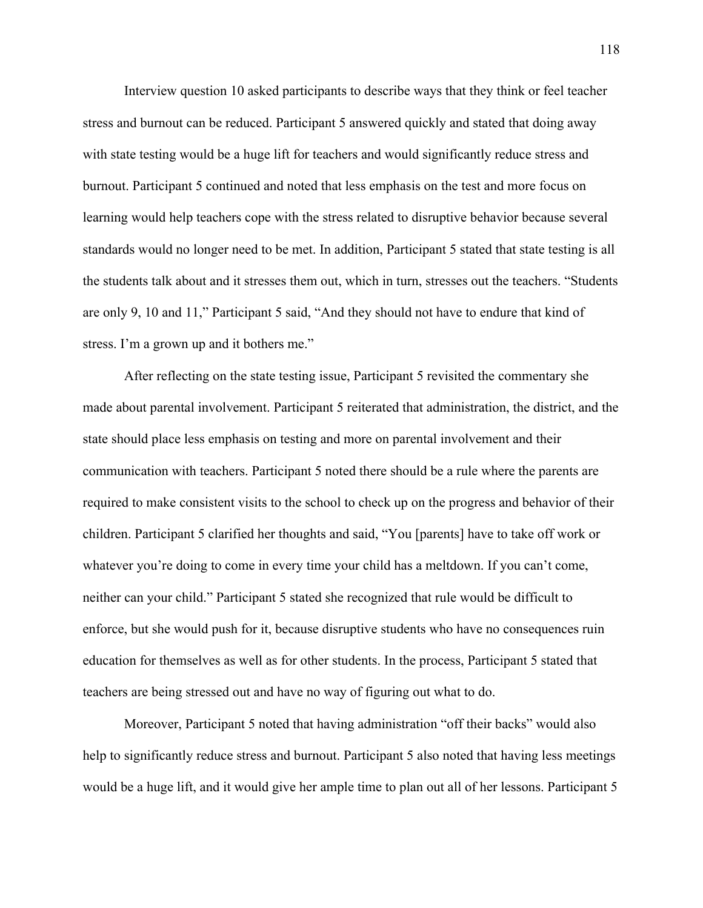Interview question 10 asked participants to describe ways that they think or feel teacher stress and burnout can be reduced. Participant 5 answered quickly and stated that doing away with state testing would be a huge lift for teachers and would significantly reduce stress and burnout. Participant 5 continued and noted that less emphasis on the test and more focus on learning would help teachers cope with the stress related to disruptive behavior because several standards would no longer need to be met. In addition, Participant 5 stated that state testing is all the students talk about and it stresses them out, which in turn, stresses out the teachers. "Students are only 9, 10 and 11," Participant 5 said, "And they should not have to endure that kind of stress. I'm a grown up and it bothers me."

After reflecting on the state testing issue, Participant 5 revisited the commentary she made about parental involvement. Participant 5 reiterated that administration, the district, and the state should place less emphasis on testing and more on parental involvement and their communication with teachers. Participant 5 noted there should be a rule where the parents are required to make consistent visits to the school to check up on the progress and behavior of their children. Participant 5 clarified her thoughts and said, "You [parents] have to take off work or whatever you're doing to come in every time your child has a meltdown. If you can't come, neither can your child." Participant 5 stated she recognized that rule would be difficult to enforce, but she would push for it, because disruptive students who have no consequences ruin education for themselves as well as for other students. In the process, Participant 5 stated that teachers are being stressed out and have no way of figuring out what to do.

Moreover, Participant 5 noted that having administration "off their backs" would also help to significantly reduce stress and burnout. Participant 5 also noted that having less meetings would be a huge lift, and it would give her ample time to plan out all of her lessons. Participant 5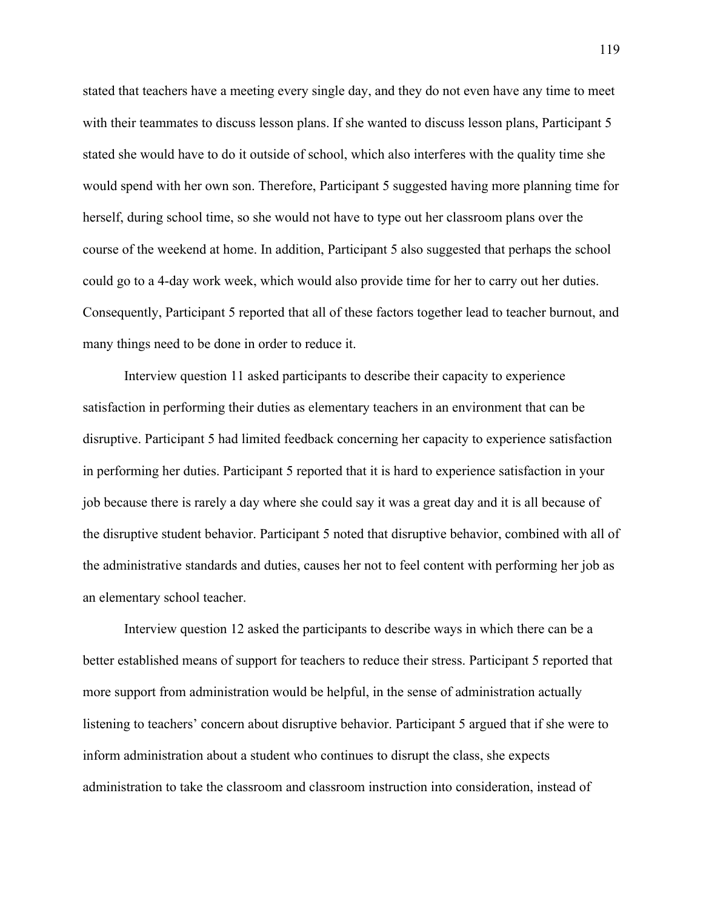stated that teachers have a meeting every single day, and they do not even have any time to meet with their teammates to discuss lesson plans. If she wanted to discuss lesson plans, Participant 5 stated she would have to do it outside of school, which also interferes with the quality time she would spend with her own son. Therefore, Participant 5 suggested having more planning time for herself, during school time, so she would not have to type out her classroom plans over the course of the weekend at home. In addition, Participant 5 also suggested that perhaps the school could go to a 4-day work week, which would also provide time for her to carry out her duties. Consequently, Participant 5 reported that all of these factors together lead to teacher burnout, and many things need to be done in order to reduce it.

Interview question 11 asked participants to describe their capacity to experience satisfaction in performing their duties as elementary teachers in an environment that can be disruptive. Participant 5 had limited feedback concerning her capacity to experience satisfaction in performing her duties. Participant 5 reported that it is hard to experience satisfaction in your job because there is rarely a day where she could say it was a great day and it is all because of the disruptive student behavior. Participant 5 noted that disruptive behavior, combined with all of the administrative standards and duties, causes her not to feel content with performing her job as an elementary school teacher.

Interview question 12 asked the participants to describe ways in which there can be a better established means of support for teachers to reduce their stress. Participant 5 reported that more support from administration would be helpful, in the sense of administration actually listening to teachers' concern about disruptive behavior. Participant 5 argued that if she were to inform administration about a student who continues to disrupt the class, she expects administration to take the classroom and classroom instruction into consideration, instead of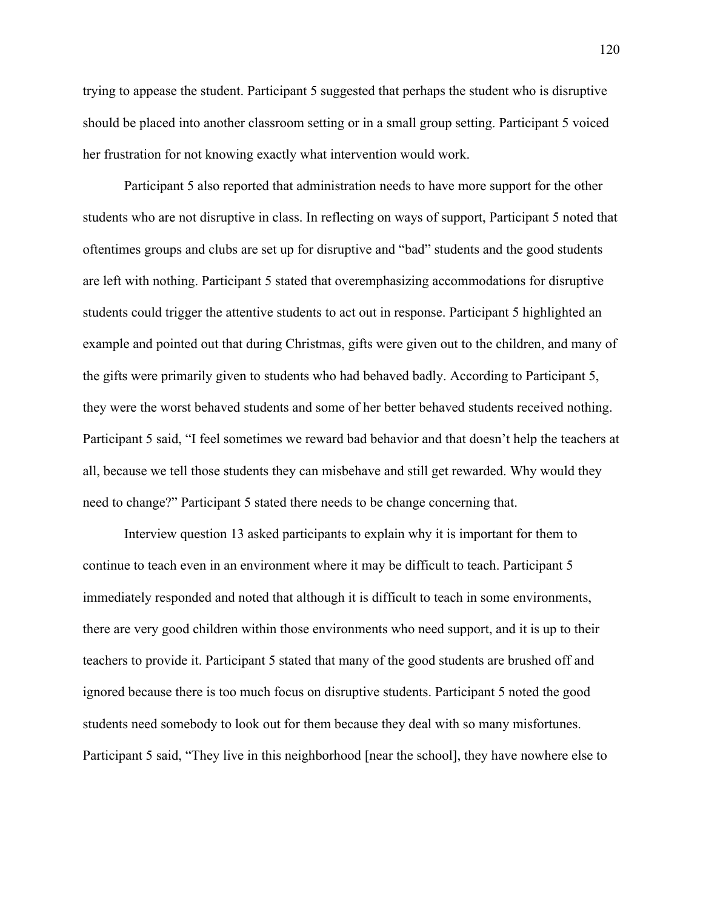trying to appease the student. Participant 5 suggested that perhaps the student who is disruptive should be placed into another classroom setting or in a small group setting. Participant 5 voiced her frustration for not knowing exactly what intervention would work.

Participant 5 also reported that administration needs to have more support for the other students who are not disruptive in class. In reflecting on ways of support, Participant 5 noted that oftentimes groups and clubs are set up for disruptive and "bad" students and the good students are left with nothing. Participant 5 stated that overemphasizing accommodations for disruptive students could trigger the attentive students to act out in response. Participant 5 highlighted an example and pointed out that during Christmas, gifts were given out to the children, and many of the gifts were primarily given to students who had behaved badly. According to Participant 5, they were the worst behaved students and some of her better behaved students received nothing. Participant 5 said, "I feel sometimes we reward bad behavior and that doesn't help the teachers at all, because we tell those students they can misbehave and still get rewarded. Why would they need to change?" Participant 5 stated there needs to be change concerning that.

Interview question 13 asked participants to explain why it is important for them to continue to teach even in an environment where it may be difficult to teach. Participant 5 immediately responded and noted that although it is difficult to teach in some environments, there are very good children within those environments who need support, and it is up to their teachers to provide it. Participant 5 stated that many of the good students are brushed off and ignored because there is too much focus on disruptive students. Participant 5 noted the good students need somebody to look out for them because they deal with so many misfortunes. Participant 5 said, "They live in this neighborhood [near the school], they have nowhere else to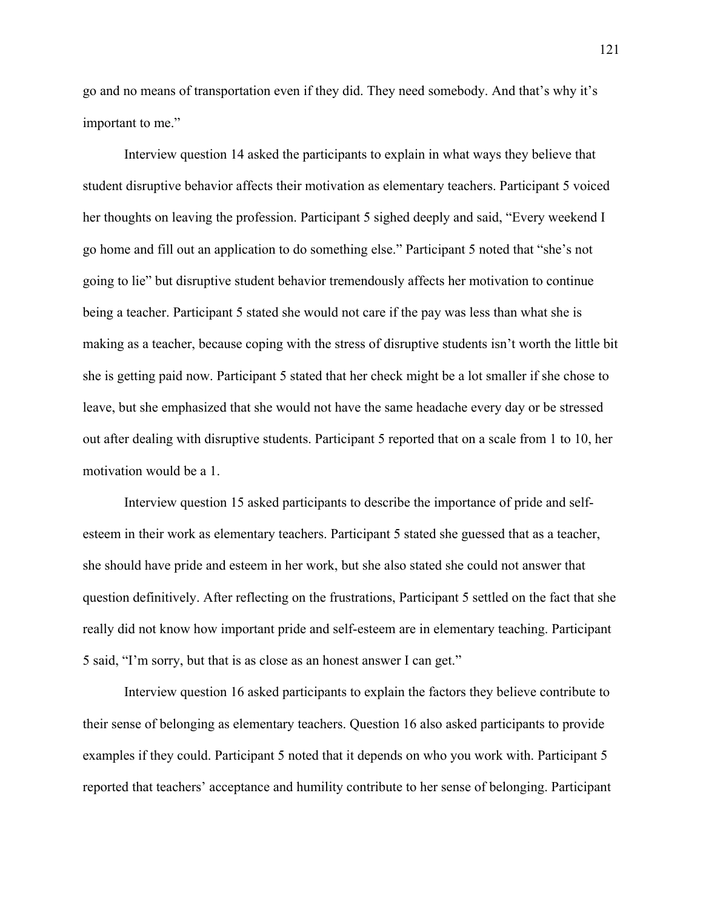go and no means of transportation even if they did. They need somebody. And that's why it's important to me."

Interview question 14 asked the participants to explain in what ways they believe that student disruptive behavior affects their motivation as elementary teachers. Participant 5 voiced her thoughts on leaving the profession. Participant 5 sighed deeply and said, "Every weekend I go home and fill out an application to do something else." Participant 5 noted that "she's not going to lie" but disruptive student behavior tremendously affects her motivation to continue being a teacher. Participant 5 stated she would not care if the pay was less than what she is making as a teacher, because coping with the stress of disruptive students isn't worth the little bit she is getting paid now. Participant 5 stated that her check might be a lot smaller if she chose to leave, but she emphasized that she would not have the same headache every day or be stressed out after dealing with disruptive students. Participant 5 reported that on a scale from 1 to 10, her motivation would be a 1.

Interview question 15 asked participants to describe the importance of pride and selfesteem in their work as elementary teachers. Participant 5 stated she guessed that as a teacher, she should have pride and esteem in her work, but she also stated she could not answer that question definitively. After reflecting on the frustrations, Participant 5 settled on the fact that she really did not know how important pride and self-esteem are in elementary teaching. Participant 5 said, "I'm sorry, but that is as close as an honest answer I can get."

Interview question 16 asked participants to explain the factors they believe contribute to their sense of belonging as elementary teachers. Question 16 also asked participants to provide examples if they could. Participant 5 noted that it depends on who you work with. Participant 5 reported that teachers' acceptance and humility contribute to her sense of belonging. Participant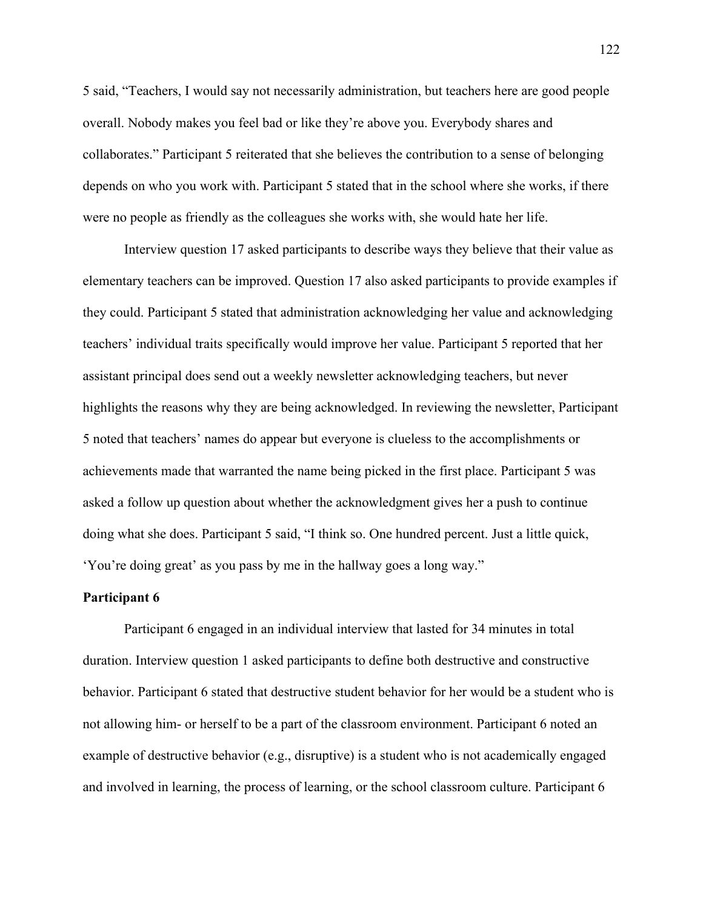5 said, "Teachers, I would say not necessarily administration, but teachers here are good people overall. Nobody makes you feel bad or like they're above you. Everybody shares and collaborates." Participant 5 reiterated that she believes the contribution to a sense of belonging depends on who you work with. Participant 5 stated that in the school where she works, if there were no people as friendly as the colleagues she works with, she would hate her life.

Interview question 17 asked participants to describe ways they believe that their value as elementary teachers can be improved. Question 17 also asked participants to provide examples if they could. Participant 5 stated that administration acknowledging her value and acknowledging teachers' individual traits specifically would improve her value. Participant 5 reported that her assistant principal does send out a weekly newsletter acknowledging teachers, but never highlights the reasons why they are being acknowledged. In reviewing the newsletter, Participant 5 noted that teachers' names do appear but everyone is clueless to the accomplishments or achievements made that warranted the name being picked in the first place. Participant 5 was asked a follow up question about whether the acknowledgment gives her a push to continue doing what she does. Participant 5 said, "I think so. One hundred percent. Just a little quick, 'You're doing great' as you pass by me in the hallway goes a long way."

## **Participant 6**

Participant 6 engaged in an individual interview that lasted for 34 minutes in total duration. Interview question 1 asked participants to define both destructive and constructive behavior. Participant 6 stated that destructive student behavior for her would be a student who is not allowing him- or herself to be a part of the classroom environment. Participant 6 noted an example of destructive behavior (e.g., disruptive) is a student who is not academically engaged and involved in learning, the process of learning, or the school classroom culture. Participant 6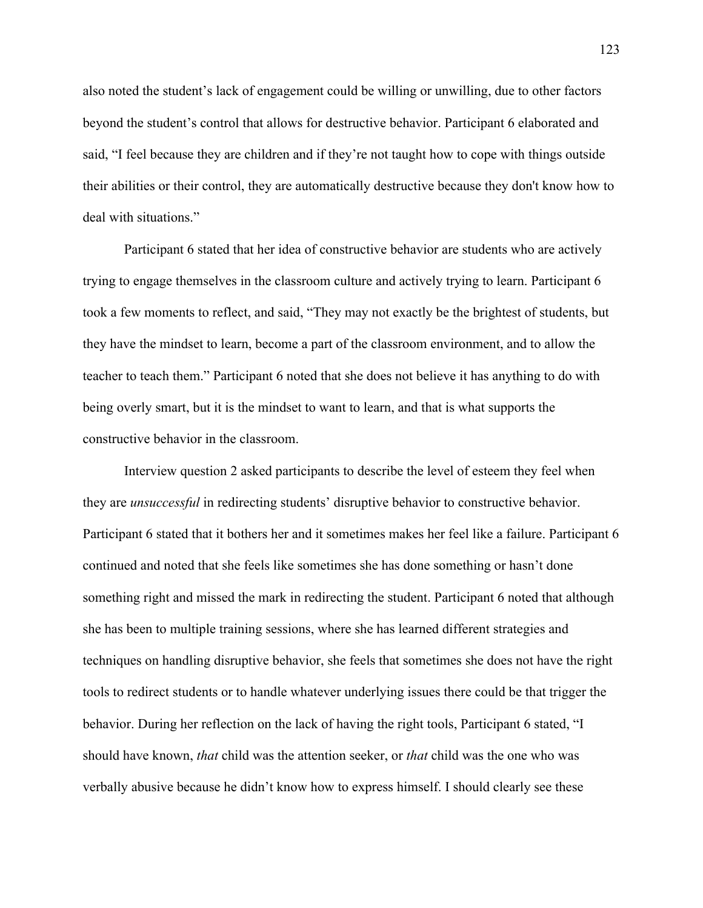also noted the student's lack of engagement could be willing or unwilling, due to other factors beyond the student's control that allows for destructive behavior. Participant 6 elaborated and said, "I feel because they are children and if they're not taught how to cope with things outside their abilities or their control, they are automatically destructive because they don't know how to deal with situations."

Participant 6 stated that her idea of constructive behavior are students who are actively trying to engage themselves in the classroom culture and actively trying to learn. Participant 6 took a few moments to reflect, and said, "They may not exactly be the brightest of students, but they have the mindset to learn, become a part of the classroom environment, and to allow the teacher to teach them." Participant 6 noted that she does not believe it has anything to do with being overly smart, but it is the mindset to want to learn, and that is what supports the constructive behavior in the classroom.

Interview question 2 asked participants to describe the level of esteem they feel when they are *unsuccessful* in redirecting students' disruptive behavior to constructive behavior. Participant 6 stated that it bothers her and it sometimes makes her feel like a failure. Participant 6 continued and noted that she feels like sometimes she has done something or hasn't done something right and missed the mark in redirecting the student. Participant 6 noted that although she has been to multiple training sessions, where she has learned different strategies and techniques on handling disruptive behavior, she feels that sometimes she does not have the right tools to redirect students or to handle whatever underlying issues there could be that trigger the behavior. During her reflection on the lack of having the right tools, Participant 6 stated, "I should have known, *that* child was the attention seeker, or *that* child was the one who was verbally abusive because he didn't know how to express himself. I should clearly see these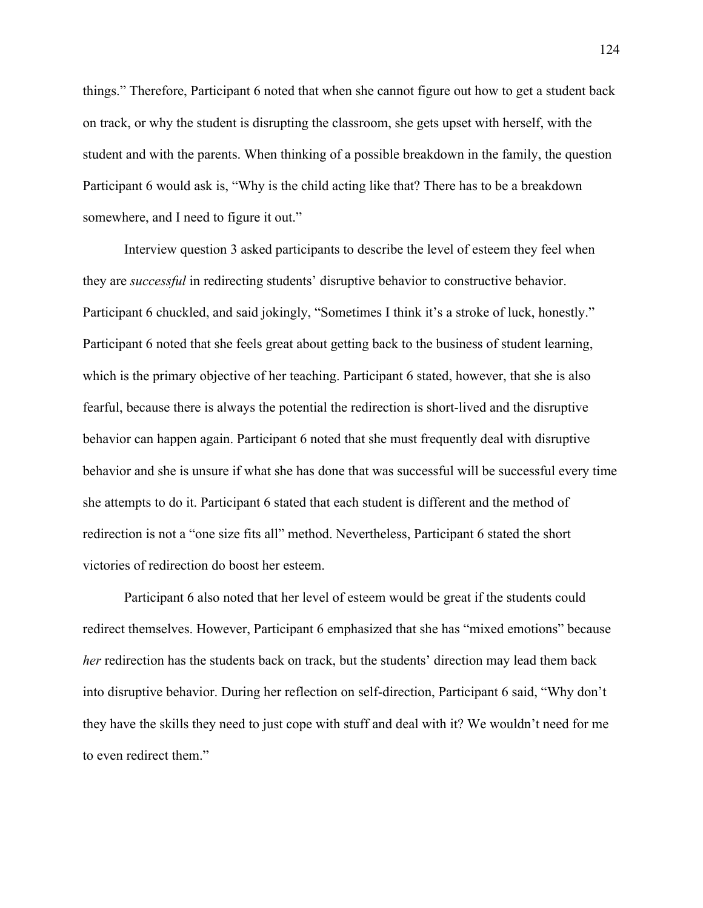things." Therefore, Participant 6 noted that when she cannot figure out how to get a student back on track, or why the student is disrupting the classroom, she gets upset with herself, with the student and with the parents. When thinking of a possible breakdown in the family, the question Participant 6 would ask is, "Why is the child acting like that? There has to be a breakdown somewhere, and I need to figure it out."

Interview question 3 asked participants to describe the level of esteem they feel when they are *successful* in redirecting students' disruptive behavior to constructive behavior. Participant 6 chuckled, and said jokingly, "Sometimes I think it's a stroke of luck, honestly." Participant 6 noted that she feels great about getting back to the business of student learning, which is the primary objective of her teaching. Participant 6 stated, however, that she is also fearful, because there is always the potential the redirection is short-lived and the disruptive behavior can happen again. Participant 6 noted that she must frequently deal with disruptive behavior and she is unsure if what she has done that was successful will be successful every time she attempts to do it. Participant 6 stated that each student is different and the method of redirection is not a "one size fits all" method. Nevertheless, Participant 6 stated the short victories of redirection do boost her esteem.

Participant 6 also noted that her level of esteem would be great if the students could redirect themselves. However, Participant 6 emphasized that she has "mixed emotions" because *her* redirection has the students back on track, but the students' direction may lead them back into disruptive behavior. During her reflection on self-direction, Participant 6 said, "Why don't they have the skills they need to just cope with stuff and deal with it? We wouldn't need for me to even redirect them."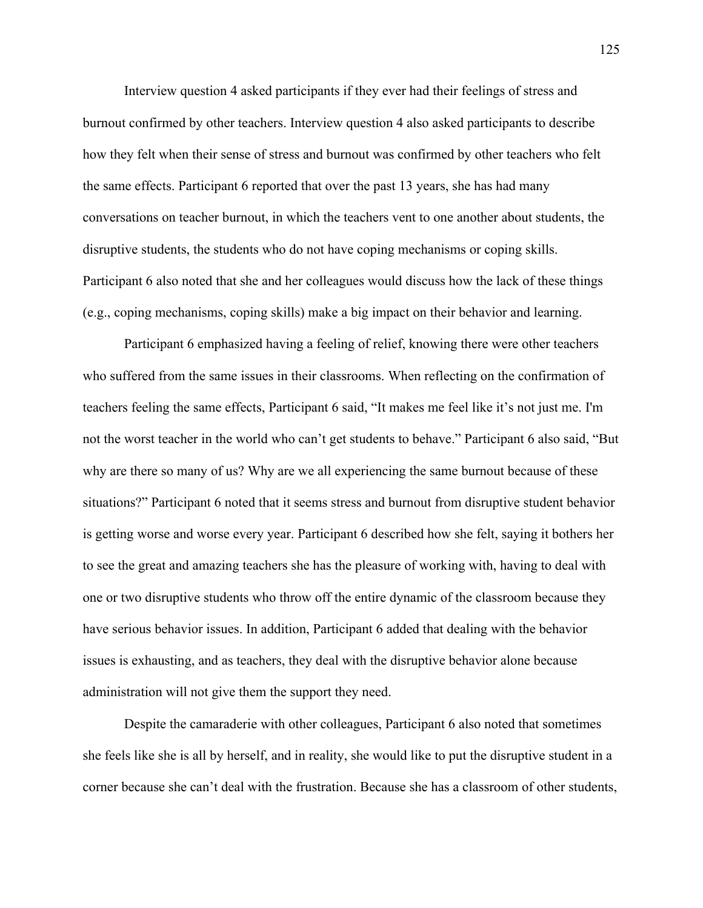Interview question 4 asked participants if they ever had their feelings of stress and burnout confirmed by other teachers. Interview question 4 also asked participants to describe how they felt when their sense of stress and burnout was confirmed by other teachers who felt the same effects. Participant 6 reported that over the past 13 years, she has had many conversations on teacher burnout, in which the teachers vent to one another about students, the disruptive students, the students who do not have coping mechanisms or coping skills. Participant 6 also noted that she and her colleagues would discuss how the lack of these things (e.g., coping mechanisms, coping skills) make a big impact on their behavior and learning.

Participant 6 emphasized having a feeling of relief, knowing there were other teachers who suffered from the same issues in their classrooms. When reflecting on the confirmation of teachers feeling the same effects, Participant 6 said, "It makes me feel like it's not just me. I'm not the worst teacher in the world who can't get students to behave." Participant 6 also said, "But why are there so many of us? Why are we all experiencing the same burnout because of these situations?" Participant 6 noted that it seems stress and burnout from disruptive student behavior is getting worse and worse every year. Participant 6 described how she felt, saying it bothers her to see the great and amazing teachers she has the pleasure of working with, having to deal with one or two disruptive students who throw off the entire dynamic of the classroom because they have serious behavior issues. In addition, Participant 6 added that dealing with the behavior issues is exhausting, and as teachers, they deal with the disruptive behavior alone because administration will not give them the support they need.

Despite the camaraderie with other colleagues, Participant 6 also noted that sometimes she feels like she is all by herself, and in reality, she would like to put the disruptive student in a corner because she can't deal with the frustration. Because she has a classroom of other students,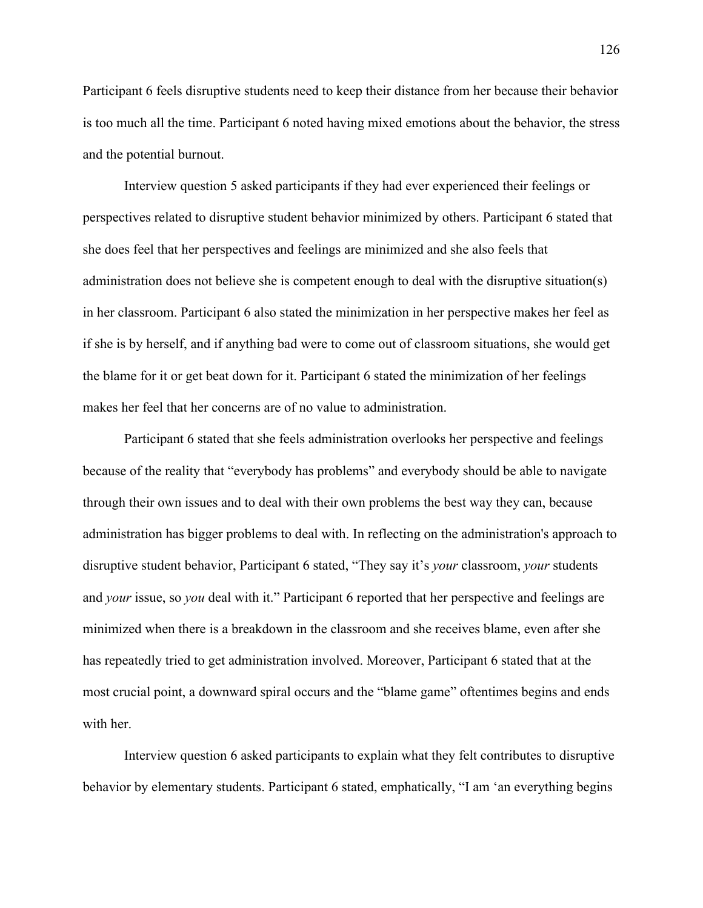Participant 6 feels disruptive students need to keep their distance from her because their behavior is too much all the time. Participant 6 noted having mixed emotions about the behavior, the stress and the potential burnout.

Interview question 5 asked participants if they had ever experienced their feelings or perspectives related to disruptive student behavior minimized by others. Participant 6 stated that she does feel that her perspectives and feelings are minimized and she also feels that administration does not believe she is competent enough to deal with the disruptive situation(s) in her classroom. Participant 6 also stated the minimization in her perspective makes her feel as if she is by herself, and if anything bad were to come out of classroom situations, she would get the blame for it or get beat down for it. Participant 6 stated the minimization of her feelings makes her feel that her concerns are of no value to administration.

Participant 6 stated that she feels administration overlooks her perspective and feelings because of the reality that "everybody has problems" and everybody should be able to navigate through their own issues and to deal with their own problems the best way they can, because administration has bigger problems to deal with. In reflecting on the administration's approach to disruptive student behavior, Participant 6 stated, "They say it's *your* classroom, *your* students and *your* issue, so *you* deal with it." Participant 6 reported that her perspective and feelings are minimized when there is a breakdown in the classroom and she receives blame, even after she has repeatedly tried to get administration involved. Moreover, Participant 6 stated that at the most crucial point, a downward spiral occurs and the "blame game" oftentimes begins and ends with her.

Interview question 6 asked participants to explain what they felt contributes to disruptive behavior by elementary students. Participant 6 stated, emphatically, "I am 'an everything begins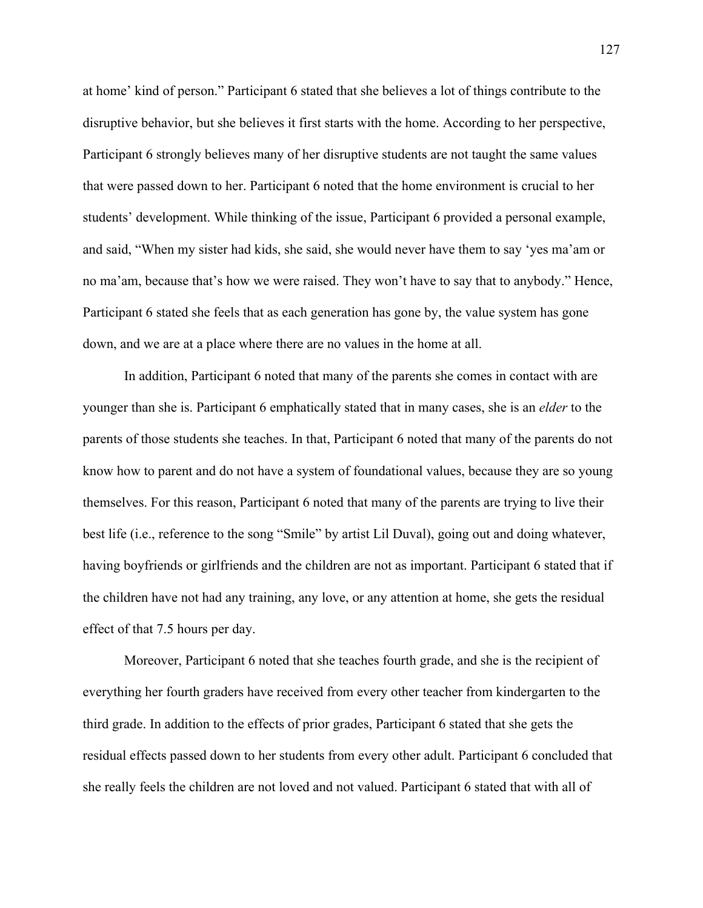at home' kind of person." Participant 6 stated that she believes a lot of things contribute to the disruptive behavior, but she believes it first starts with the home. According to her perspective, Participant 6 strongly believes many of her disruptive students are not taught the same values that were passed down to her. Participant 6 noted that the home environment is crucial to her students' development. While thinking of the issue, Participant 6 provided a personal example, and said, "When my sister had kids, she said, she would never have them to say 'yes ma'am or no ma'am, because that's how we were raised. They won't have to say that to anybody." Hence, Participant 6 stated she feels that as each generation has gone by, the value system has gone down, and we are at a place where there are no values in the home at all.

In addition, Participant 6 noted that many of the parents she comes in contact with are younger than she is. Participant 6 emphatically stated that in many cases, she is an *elder* to the parents of those students she teaches. In that, Participant 6 noted that many of the parents do not know how to parent and do not have a system of foundational values, because they are so young themselves. For this reason, Participant 6 noted that many of the parents are trying to live their best life (i.e., reference to the song "Smile" by artist Lil Duval), going out and doing whatever, having boyfriends or girlfriends and the children are not as important. Participant 6 stated that if the children have not had any training, any love, or any attention at home, she gets the residual effect of that 7.5 hours per day.

Moreover, Participant 6 noted that she teaches fourth grade, and she is the recipient of everything her fourth graders have received from every other teacher from kindergarten to the third grade. In addition to the effects of prior grades, Participant 6 stated that she gets the residual effects passed down to her students from every other adult. Participant 6 concluded that she really feels the children are not loved and not valued. Participant 6 stated that with all of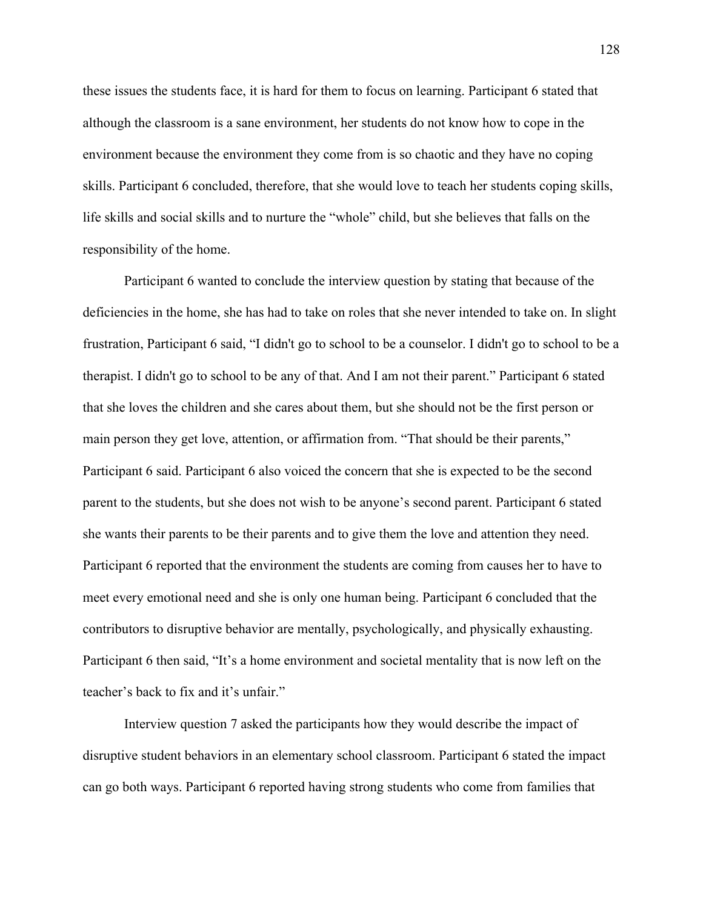these issues the students face, it is hard for them to focus on learning. Participant 6 stated that although the classroom is a sane environment, her students do not know how to cope in the environment because the environment they come from is so chaotic and they have no coping skills. Participant 6 concluded, therefore, that she would love to teach her students coping skills, life skills and social skills and to nurture the "whole" child, but she believes that falls on the responsibility of the home.

Participant 6 wanted to conclude the interview question by stating that because of the deficiencies in the home, she has had to take on roles that she never intended to take on. In slight frustration, Participant 6 said, "I didn't go to school to be a counselor. I didn't go to school to be a therapist. I didn't go to school to be any of that. And I am not their parent." Participant 6 stated that she loves the children and she cares about them, but she should not be the first person or main person they get love, attention, or affirmation from. "That should be their parents," Participant 6 said. Participant 6 also voiced the concern that she is expected to be the second parent to the students, but she does not wish to be anyone's second parent. Participant 6 stated she wants their parents to be their parents and to give them the love and attention they need. Participant 6 reported that the environment the students are coming from causes her to have to meet every emotional need and she is only one human being. Participant 6 concluded that the contributors to disruptive behavior are mentally, psychologically, and physically exhausting. Participant 6 then said, "It's a home environment and societal mentality that is now left on the teacher's back to fix and it's unfair."

Interview question 7 asked the participants how they would describe the impact of disruptive student behaviors in an elementary school classroom. Participant 6 stated the impact can go both ways. Participant 6 reported having strong students who come from families that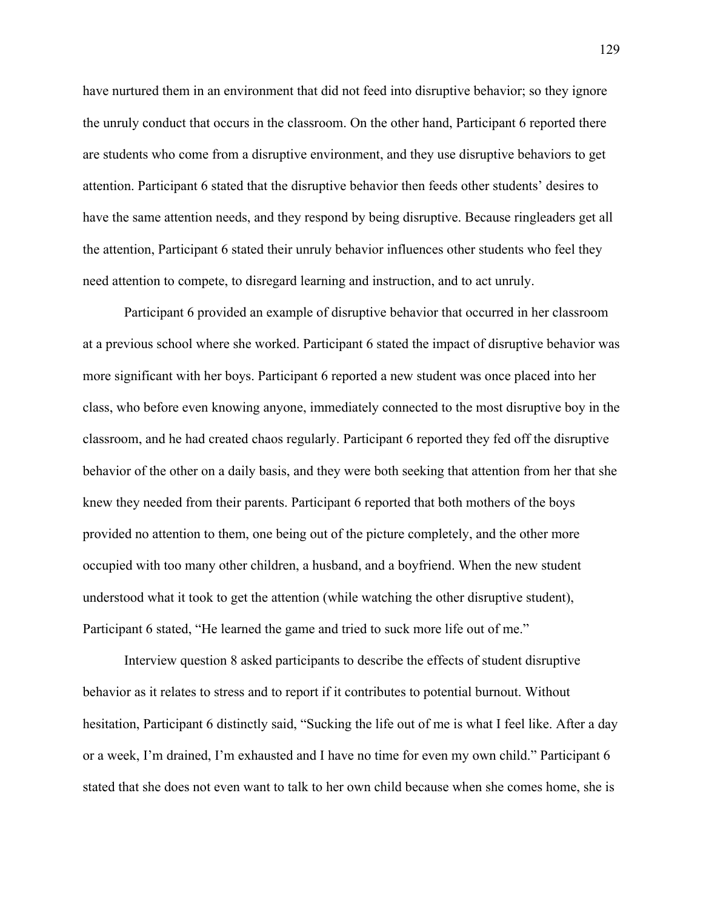have nurtured them in an environment that did not feed into disruptive behavior; so they ignore the unruly conduct that occurs in the classroom. On the other hand, Participant 6 reported there are students who come from a disruptive environment, and they use disruptive behaviors to get attention. Participant 6 stated that the disruptive behavior then feeds other students' desires to have the same attention needs, and they respond by being disruptive. Because ringleaders get all the attention, Participant 6 stated their unruly behavior influences other students who feel they need attention to compete, to disregard learning and instruction, and to act unruly.

Participant 6 provided an example of disruptive behavior that occurred in her classroom at a previous school where she worked. Participant 6 stated the impact of disruptive behavior was more significant with her boys. Participant 6 reported a new student was once placed into her class, who before even knowing anyone, immediately connected to the most disruptive boy in the classroom, and he had created chaos regularly. Participant 6 reported they fed off the disruptive behavior of the other on a daily basis, and they were both seeking that attention from her that she knew they needed from their parents. Participant 6 reported that both mothers of the boys provided no attention to them, one being out of the picture completely, and the other more occupied with too many other children, a husband, and a boyfriend. When the new student understood what it took to get the attention (while watching the other disruptive student), Participant 6 stated, "He learned the game and tried to suck more life out of me."

Interview question 8 asked participants to describe the effects of student disruptive behavior as it relates to stress and to report if it contributes to potential burnout. Without hesitation, Participant 6 distinctly said, "Sucking the life out of me is what I feel like. After a day or a week, I'm drained, I'm exhausted and I have no time for even my own child." Participant 6 stated that she does not even want to talk to her own child because when she comes home, she is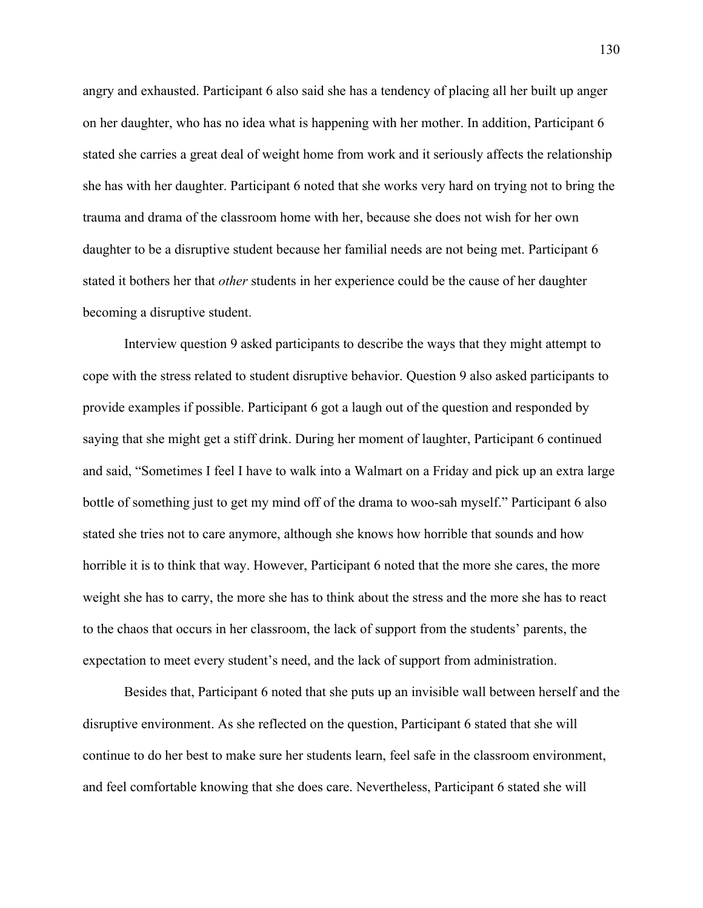angry and exhausted. Participant 6 also said she has a tendency of placing all her built up anger on her daughter, who has no idea what is happening with her mother. In addition, Participant 6 stated she carries a great deal of weight home from work and it seriously affects the relationship she has with her daughter. Participant 6 noted that she works very hard on trying not to bring the trauma and drama of the classroom home with her, because she does not wish for her own daughter to be a disruptive student because her familial needs are not being met. Participant 6 stated it bothers her that *other* students in her experience could be the cause of her daughter becoming a disruptive student.

Interview question 9 asked participants to describe the ways that they might attempt to cope with the stress related to student disruptive behavior. Question 9 also asked participants to provide examples if possible. Participant 6 got a laugh out of the question and responded by saying that she might get a stiff drink. During her moment of laughter, Participant 6 continued and said, "Sometimes I feel I have to walk into a Walmart on a Friday and pick up an extra large bottle of something just to get my mind off of the drama to woo-sah myself." Participant 6 also stated she tries not to care anymore, although she knows how horrible that sounds and how horrible it is to think that way. However, Participant 6 noted that the more she cares, the more weight she has to carry, the more she has to think about the stress and the more she has to react to the chaos that occurs in her classroom, the lack of support from the students' parents, the expectation to meet every student's need, and the lack of support from administration.

Besides that, Participant 6 noted that she puts up an invisible wall between herself and the disruptive environment. As she reflected on the question, Participant 6 stated that she will continue to do her best to make sure her students learn, feel safe in the classroom environment, and feel comfortable knowing that she does care. Nevertheless, Participant 6 stated she will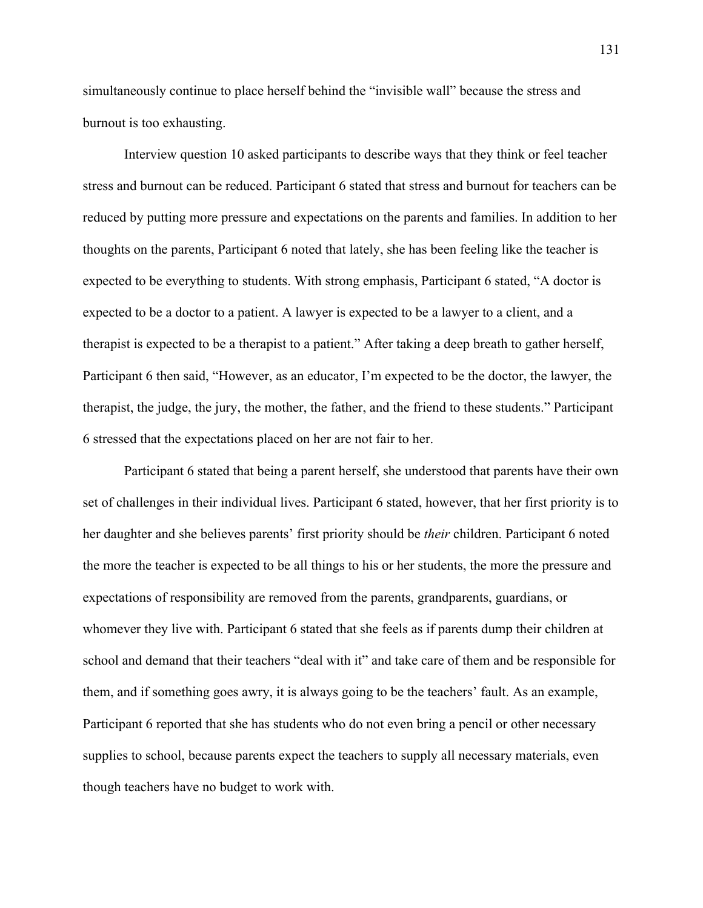simultaneously continue to place herself behind the "invisible wall" because the stress and burnout is too exhausting.

Interview question 10 asked participants to describe ways that they think or feel teacher stress and burnout can be reduced. Participant 6 stated that stress and burnout for teachers can be reduced by putting more pressure and expectations on the parents and families. In addition to her thoughts on the parents, Participant 6 noted that lately, she has been feeling like the teacher is expected to be everything to students. With strong emphasis, Participant 6 stated, "A doctor is expected to be a doctor to a patient. A lawyer is expected to be a lawyer to a client, and a therapist is expected to be a therapist to a patient." After taking a deep breath to gather herself, Participant 6 then said, "However, as an educator, I'm expected to be the doctor, the lawyer, the therapist, the judge, the jury, the mother, the father, and the friend to these students." Participant 6 stressed that the expectations placed on her are not fair to her.

Participant 6 stated that being a parent herself, she understood that parents have their own set of challenges in their individual lives. Participant 6 stated, however, that her first priority is to her daughter and she believes parents' first priority should be *their* children. Participant 6 noted the more the teacher is expected to be all things to his or her students, the more the pressure and expectations of responsibility are removed from the parents, grandparents, guardians, or whomever they live with. Participant 6 stated that she feels as if parents dump their children at school and demand that their teachers "deal with it" and take care of them and be responsible for them, and if something goes awry, it is always going to be the teachers' fault. As an example, Participant 6 reported that she has students who do not even bring a pencil or other necessary supplies to school, because parents expect the teachers to supply all necessary materials, even though teachers have no budget to work with.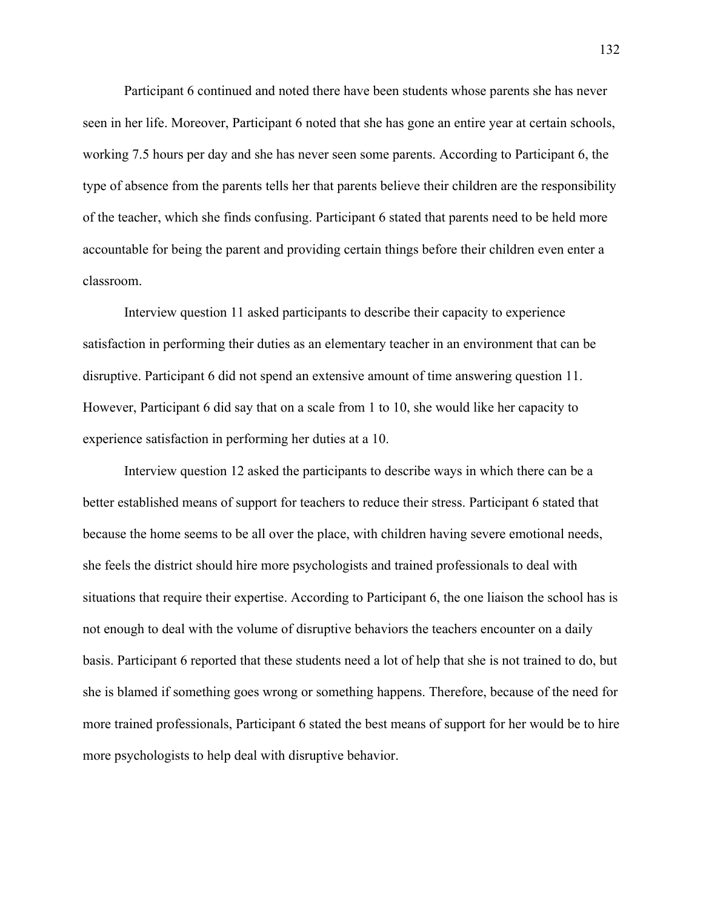Participant 6 continued and noted there have been students whose parents she has never seen in her life. Moreover, Participant 6 noted that she has gone an entire year at certain schools, working 7.5 hours per day and she has never seen some parents. According to Participant 6, the type of absence from the parents tells her that parents believe their children are the responsibility of the teacher, which she finds confusing. Participant 6 stated that parents need to be held more accountable for being the parent and providing certain things before their children even enter a classroom.

Interview question 11 asked participants to describe their capacity to experience satisfaction in performing their duties as an elementary teacher in an environment that can be disruptive. Participant 6 did not spend an extensive amount of time answering question 11. However, Participant 6 did say that on a scale from 1 to 10, she would like her capacity to experience satisfaction in performing her duties at a 10.

Interview question 12 asked the participants to describe ways in which there can be a better established means of support for teachers to reduce their stress. Participant 6 stated that because the home seems to be all over the place, with children having severe emotional needs, she feels the district should hire more psychologists and trained professionals to deal with situations that require their expertise. According to Participant 6, the one liaison the school has is not enough to deal with the volume of disruptive behaviors the teachers encounter on a daily basis. Participant 6 reported that these students need a lot of help that she is not trained to do, but she is blamed if something goes wrong or something happens. Therefore, because of the need for more trained professionals, Participant 6 stated the best means of support for her would be to hire more psychologists to help deal with disruptive behavior.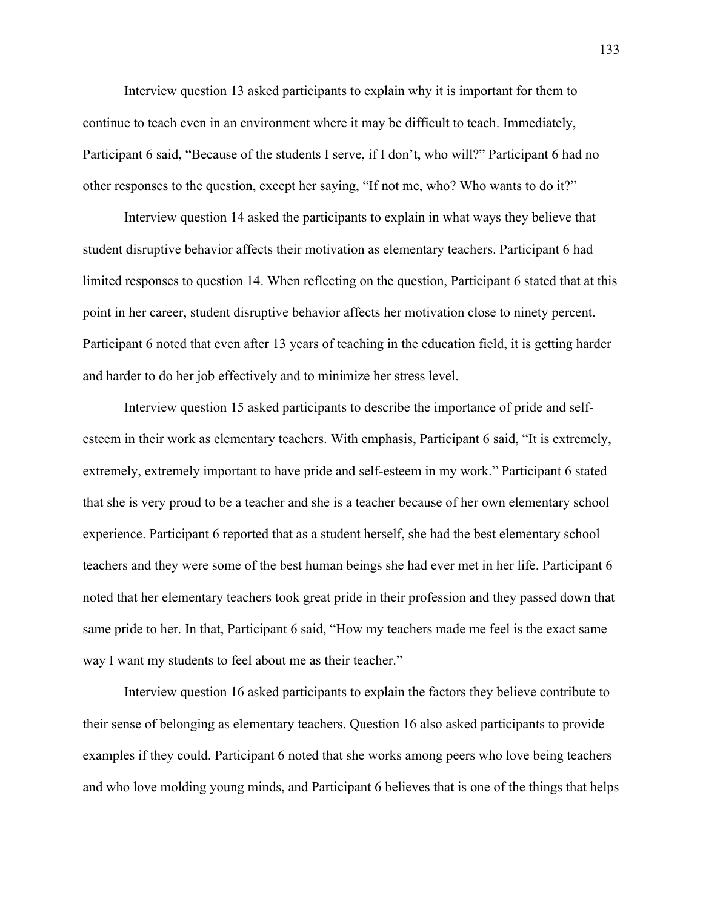Interview question 13 asked participants to explain why it is important for them to continue to teach even in an environment where it may be difficult to teach. Immediately, Participant 6 said, "Because of the students I serve, if I don't, who will?" Participant 6 had no other responses to the question, except her saying, "If not me, who? Who wants to do it?"

Interview question 14 asked the participants to explain in what ways they believe that student disruptive behavior affects their motivation as elementary teachers. Participant 6 had limited responses to question 14. When reflecting on the question, Participant 6 stated that at this point in her career, student disruptive behavior affects her motivation close to ninety percent. Participant 6 noted that even after 13 years of teaching in the education field, it is getting harder and harder to do her job effectively and to minimize her stress level.

Interview question 15 asked participants to describe the importance of pride and selfesteem in their work as elementary teachers. With emphasis, Participant 6 said, "It is extremely, extremely, extremely important to have pride and self-esteem in my work." Participant 6 stated that she is very proud to be a teacher and she is a teacher because of her own elementary school experience. Participant 6 reported that as a student herself, she had the best elementary school teachers and they were some of the best human beings she had ever met in her life. Participant 6 noted that her elementary teachers took great pride in their profession and they passed down that same pride to her. In that, Participant 6 said, "How my teachers made me feel is the exact same way I want my students to feel about me as their teacher."

Interview question 16 asked participants to explain the factors they believe contribute to their sense of belonging as elementary teachers. Question 16 also asked participants to provide examples if they could. Participant 6 noted that she works among peers who love being teachers and who love molding young minds, and Participant 6 believes that is one of the things that helps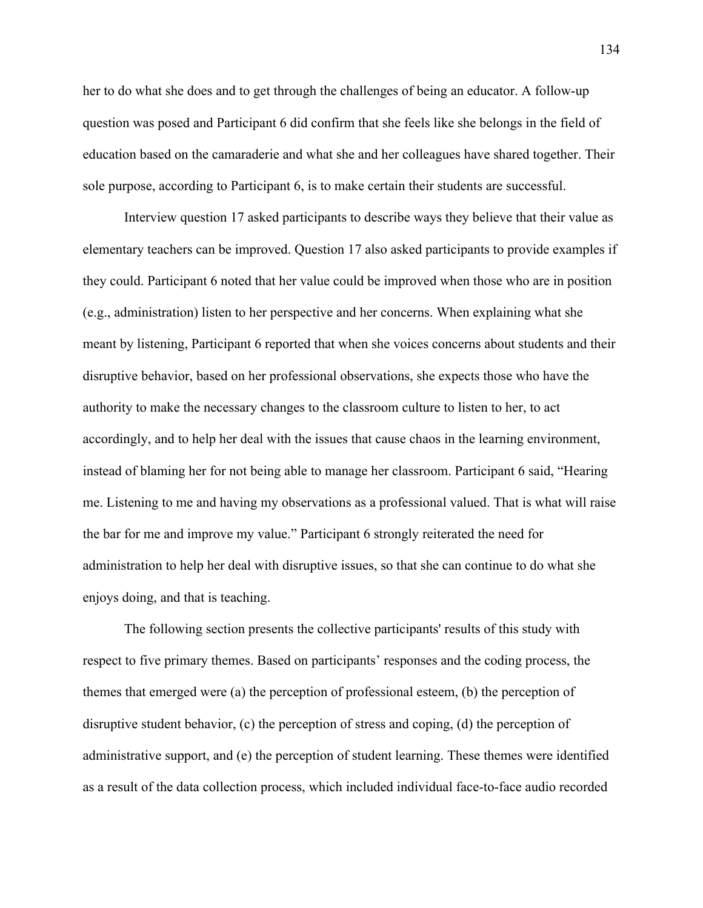her to do what she does and to get through the challenges of being an educator. A follow-up question was posed and Participant 6 did confirm that she feels like she belongs in the field of education based on the camaraderie and what she and her colleagues have shared together. Their sole purpose, according to Participant 6, is to make certain their students are successful.

Interview question 17 asked participants to describe ways they believe that their value as elementary teachers can be improved. Question 17 also asked participants to provide examples if they could. Participant 6 noted that her value could be improved when those who are in position (e.g., administration) listen to her perspective and her concerns. When explaining what she meant by listening, Participant 6 reported that when she voices concerns about students and their disruptive behavior, based on her professional observations, she expects those who have the authority to make the necessary changes to the classroom culture to listen to her, to act accordingly, and to help her deal with the issues that cause chaos in the learning environment, instead of blaming her for not being able to manage her classroom. Participant 6 said, "Hearing me. Listening to me and having my observations as a professional valued. That is what will raise the bar for me and improve my value." Participant 6 strongly reiterated the need for administration to help her deal with disruptive issues, so that she can continue to do what she enjoys doing, and that is teaching.

The following section presents the collective participants' results of this study with respect to five primary themes. Based on participants' responses and the coding process, the themes that emerged were (a) the perception of professional esteem, (b) the perception of disruptive student behavior, (c) the perception of stress and coping, (d) the perception of administrative support, and (e) the perception of student learning. These themes were identified as a result of the data collection process, which included individual face-to-face audio recorded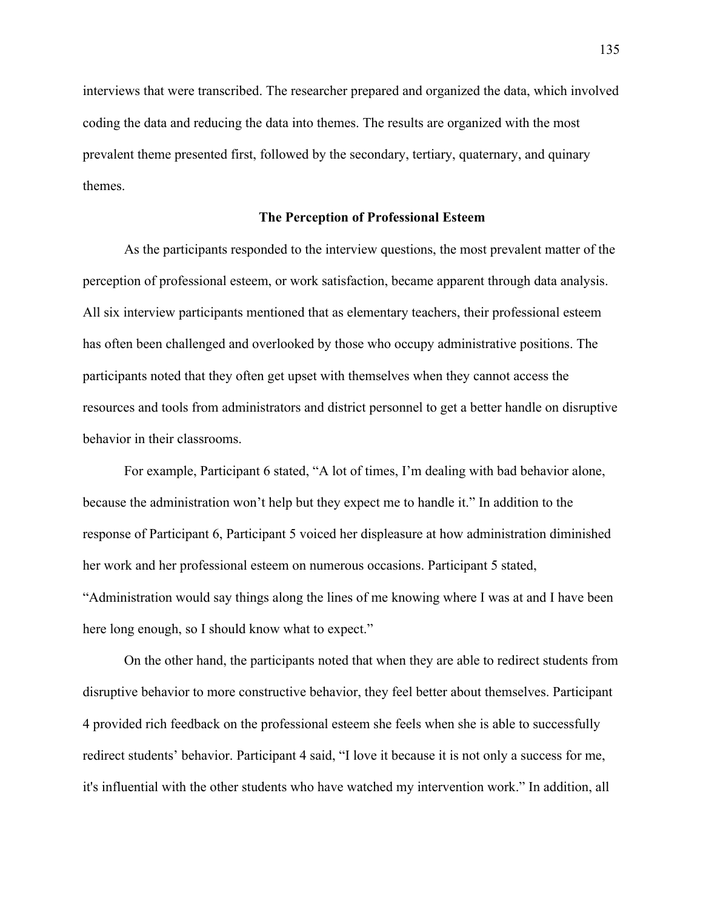interviews that were transcribed. The researcher prepared and organized the data, which involved coding the data and reducing the data into themes. The results are organized with the most prevalent theme presented first, followed by the secondary, tertiary, quaternary, and quinary themes.

### **The Perception of Professional Esteem**

As the participants responded to the interview questions, the most prevalent matter of the perception of professional esteem, or work satisfaction, became apparent through data analysis. All six interview participants mentioned that as elementary teachers, their professional esteem has often been challenged and overlooked by those who occupy administrative positions. The participants noted that they often get upset with themselves when they cannot access the resources and tools from administrators and district personnel to get a better handle on disruptive behavior in their classrooms.

For example, Participant 6 stated, "A lot of times, I'm dealing with bad behavior alone, because the administration won't help but they expect me to handle it." In addition to the response of Participant 6, Participant 5 voiced her displeasure at how administration diminished her work and her professional esteem on numerous occasions. Participant 5 stated, "Administration would say things along the lines of me knowing where I was at and I have been here long enough, so I should know what to expect."

On the other hand, the participants noted that when they are able to redirect students from disruptive behavior to more constructive behavior, they feel better about themselves. Participant 4 provided rich feedback on the professional esteem she feels when she is able to successfully redirect students' behavior. Participant 4 said, "I love it because it is not only a success for me, it's influential with the other students who have watched my intervention work." In addition, all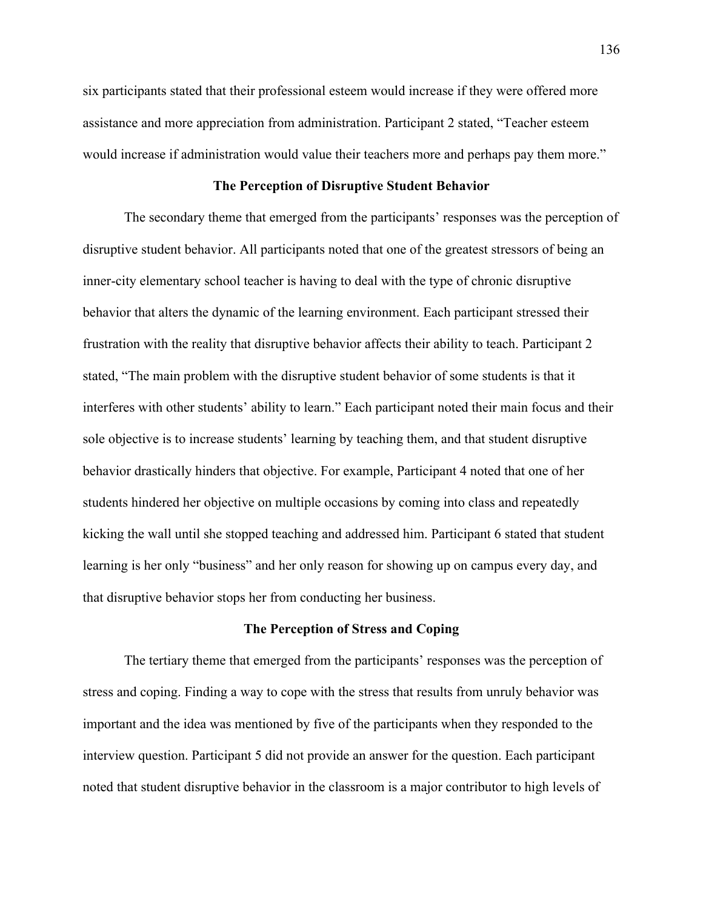six participants stated that their professional esteem would increase if they were offered more assistance and more appreciation from administration. Participant 2 stated, "Teacher esteem would increase if administration would value their teachers more and perhaps pay them more."

# **The Perception of Disruptive Student Behavior**

The secondary theme that emerged from the participants' responses was the perception of disruptive student behavior. All participants noted that one of the greatest stressors of being an inner-city elementary school teacher is having to deal with the type of chronic disruptive behavior that alters the dynamic of the learning environment. Each participant stressed their frustration with the reality that disruptive behavior affects their ability to teach. Participant 2 stated, "The main problem with the disruptive student behavior of some students is that it interferes with other students' ability to learn." Each participant noted their main focus and their sole objective is to increase students' learning by teaching them, and that student disruptive behavior drastically hinders that objective. For example, Participant 4 noted that one of her students hindered her objective on multiple occasions by coming into class and repeatedly kicking the wall until she stopped teaching and addressed him. Participant 6 stated that student learning is her only "business" and her only reason for showing up on campus every day, and that disruptive behavior stops her from conducting her business.

### **The Perception of Stress and Coping**

The tertiary theme that emerged from the participants' responses was the perception of stress and coping. Finding a way to cope with the stress that results from unruly behavior was important and the idea was mentioned by five of the participants when they responded to the interview question. Participant 5 did not provide an answer for the question. Each participant noted that student disruptive behavior in the classroom is a major contributor to high levels of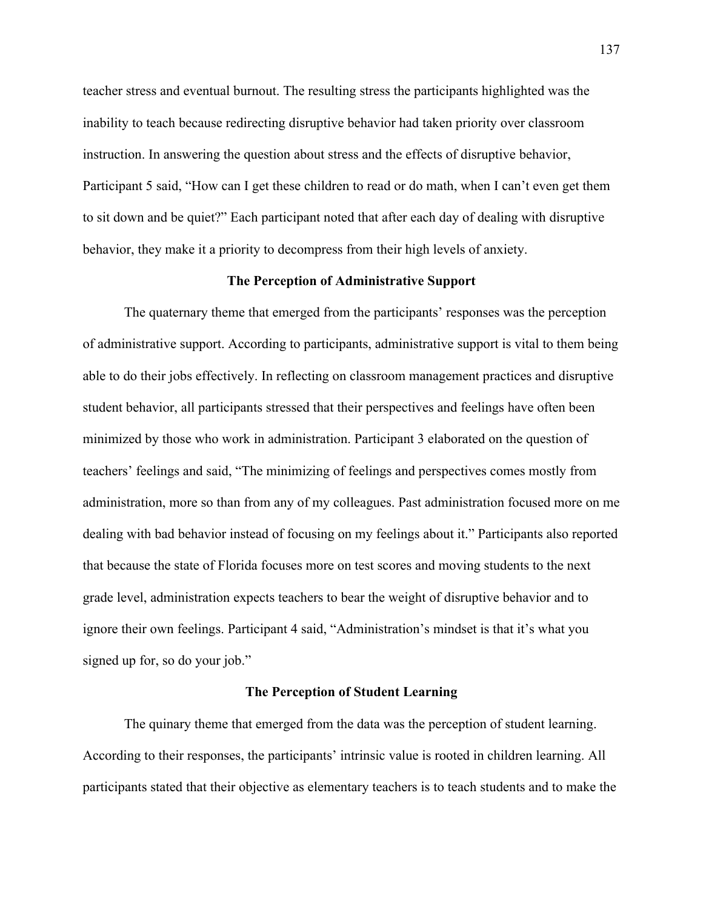teacher stress and eventual burnout. The resulting stress the participants highlighted was the inability to teach because redirecting disruptive behavior had taken priority over classroom instruction. In answering the question about stress and the effects of disruptive behavior, Participant 5 said, "How can I get these children to read or do math, when I can't even get them to sit down and be quiet?" Each participant noted that after each day of dealing with disruptive behavior, they make it a priority to decompress from their high levels of anxiety.

# **The Perception of Administrative Support**

The quaternary theme that emerged from the participants' responses was the perception of administrative support. According to participants, administrative support is vital to them being able to do their jobs effectively. In reflecting on classroom management practices and disruptive student behavior, all participants stressed that their perspectives and feelings have often been minimized by those who work in administration. Participant 3 elaborated on the question of teachers' feelings and said, "The minimizing of feelings and perspectives comes mostly from administration, more so than from any of my colleagues. Past administration focused more on me dealing with bad behavior instead of focusing on my feelings about it." Participants also reported that because the state of Florida focuses more on test scores and moving students to the next grade level, administration expects teachers to bear the weight of disruptive behavior and to ignore their own feelings. Participant 4 said, "Administration's mindset is that it's what you signed up for, so do your job."

#### **The Perception of Student Learning**

The quinary theme that emerged from the data was the perception of student learning. According to their responses, the participants' intrinsic value is rooted in children learning. All participants stated that their objective as elementary teachers is to teach students and to make the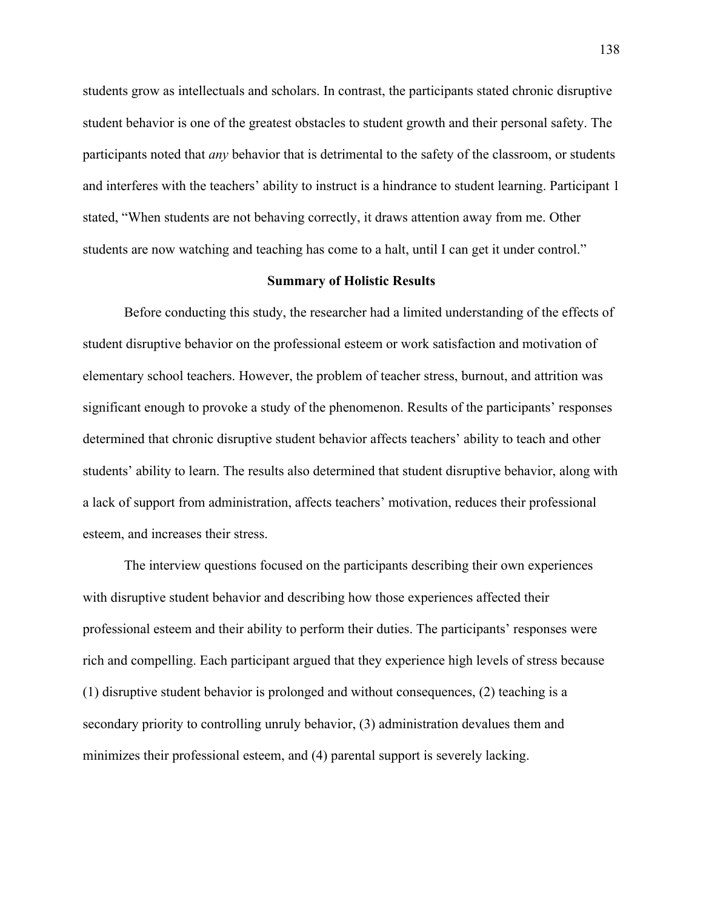students grow as intellectuals and scholars. In contrast, the participants stated chronic disruptive student behavior is one of the greatest obstacles to student growth and their personal safety. The participants noted that *any* behavior that is detrimental to the safety of the classroom, or students and interferes with the teachers' ability to instruct is a hindrance to student learning. Participant 1 stated, "When students are not behaving correctly, it draws attention away from me. Other students are now watching and teaching has come to a halt, until I can get it under control."

#### **Summary of Holistic Results**

Before conducting this study, the researcher had a limited understanding of the effects of student disruptive behavior on the professional esteem or work satisfaction and motivation of elementary school teachers. However, the problem of teacher stress, burnout, and attrition was significant enough to provoke a study of the phenomenon. Results of the participants' responses determined that chronic disruptive student behavior affects teachers' ability to teach and other students' ability to learn. The results also determined that student disruptive behavior, along with a lack of support from administration, affects teachers' motivation, reduces their professional esteem, and increases their stress.

The interview questions focused on the participants describing their own experiences with disruptive student behavior and describing how those experiences affected their professional esteem and their ability to perform their duties. The participants' responses were rich and compelling. Each participant argued that they experience high levels of stress because (1) disruptive student behavior is prolonged and without consequences, (2) teaching is a secondary priority to controlling unruly behavior, (3) administration devalues them and minimizes their professional esteem, and (4) parental support is severely lacking.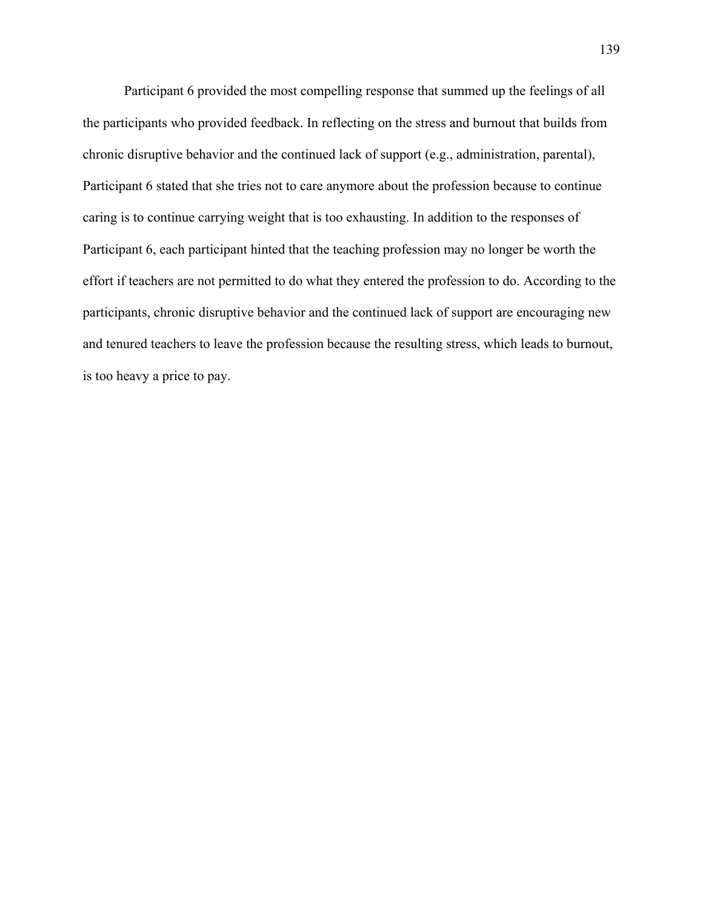Participant 6 provided the most compelling response that summed up the feelings of all the participants who provided feedback. In reflecting on the stress and burnout that builds from chronic disruptive behavior and the continued lack of support (e.g., administration, parental), Participant 6 stated that she tries not to care anymore about the profession because to continue caring is to continue carrying weight that is too exhausting. In addition to the responses of Participant 6, each participant hinted that the teaching profession may no longer be worth the effort if teachers are not permitted to do what they entered the profession to do. According to the participants, chronic disruptive behavior and the continued lack of support are encouraging new and tenured teachers to leave the profession because the resulting stress, which leads to burnout, is too heavy a price to pay.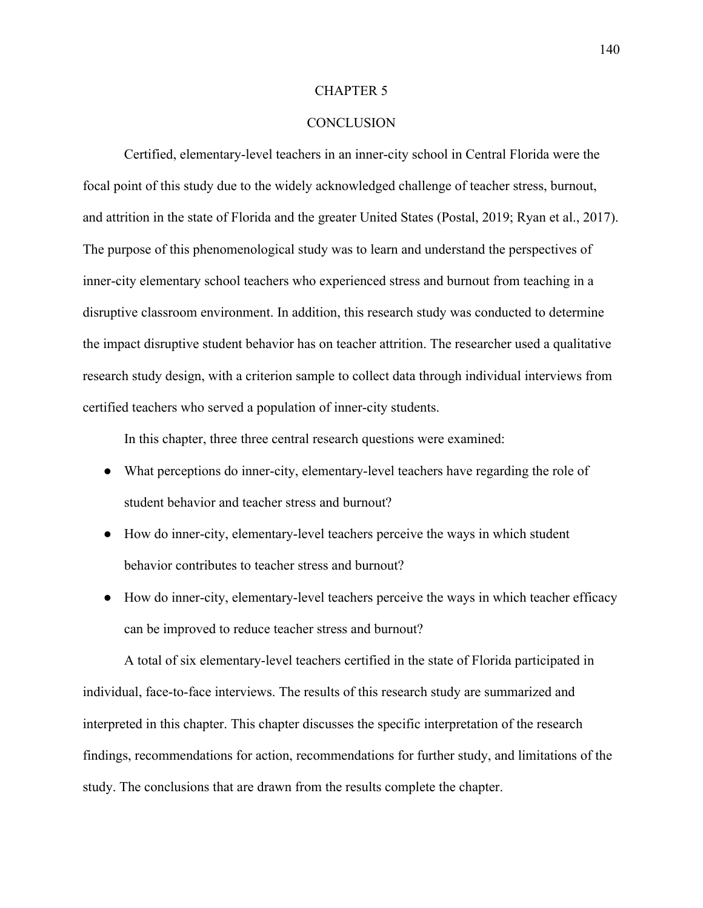### CHAPTER 5

# **CONCLUSION**

Certified, elementary-level teachers in an inner-city school in Central Florida were the focal point of this study due to the widely acknowledged challenge of teacher stress, burnout, and attrition in the state of Florida and the greater United States (Postal, 2019; Ryan et al., 2017). The purpose of this phenomenological study was to learn and understand the perspectives of inner-city elementary school teachers who experienced stress and burnout from teaching in a disruptive classroom environment. In addition, this research study was conducted to determine the impact disruptive student behavior has on teacher attrition. The researcher used a qualitative research study design, with a criterion sample to collect data through individual interviews from certified teachers who served a population of inner-city students.

In this chapter, three three central research questions were examined:

- What perceptions do inner-city, elementary-level teachers have regarding the role of student behavior and teacher stress and burnout?
- How do inner-city, elementary-level teachers perceive the ways in which student behavior contributes to teacher stress and burnout?
- How do inner-city, elementary-level teachers perceive the ways in which teacher efficacy can be improved to reduce teacher stress and burnout?

A total of six elementary-level teachers certified in the state of Florida participated in individual, face-to-face interviews. The results of this research study are summarized and interpreted in this chapter. This chapter discusses the specific interpretation of the research findings, recommendations for action, recommendations for further study, and limitations of the study. The conclusions that are drawn from the results complete the chapter.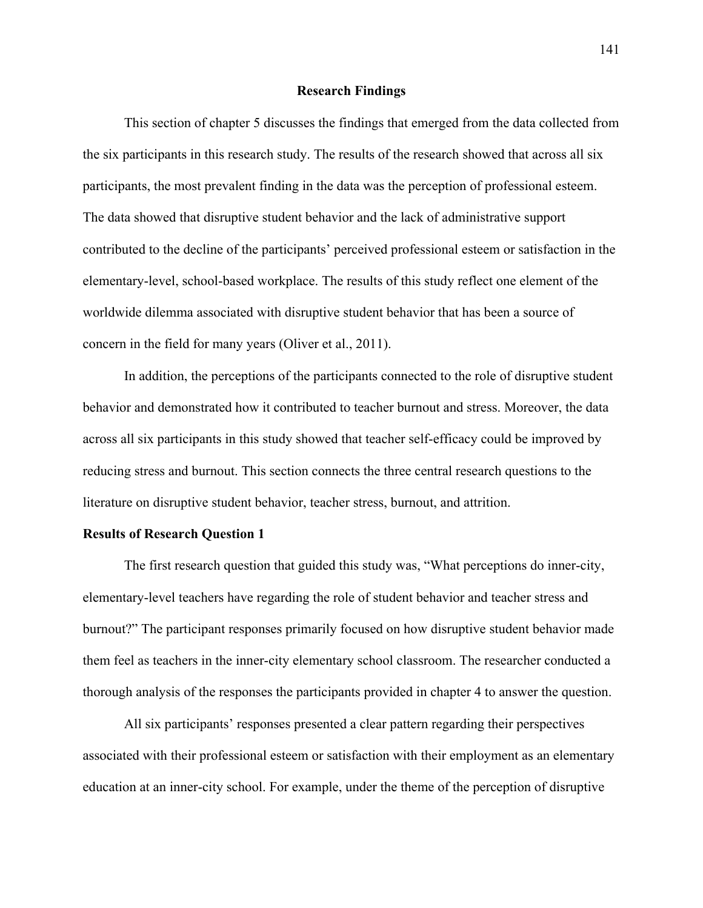## **Research Findings**

This section of chapter 5 discusses the findings that emerged from the data collected from the six participants in this research study. The results of the research showed that across all six participants, the most prevalent finding in the data was the perception of professional esteem. The data showed that disruptive student behavior and the lack of administrative support contributed to the decline of the participants' perceived professional esteem or satisfaction in the elementary-level, school-based workplace. The results of this study reflect one element of the worldwide dilemma associated with disruptive student behavior that has been a source of concern in the field for many years (Oliver et al., 2011).

In addition, the perceptions of the participants connected to the role of disruptive student behavior and demonstrated how it contributed to teacher burnout and stress. Moreover, the data across all six participants in this study showed that teacher self-efficacy could be improved by reducing stress and burnout. This section connects the three central research questions to the literature on disruptive student behavior, teacher stress, burnout, and attrition.

## **Results of Research Question 1**

The first research question that guided this study was, "What perceptions do inner-city, elementary-level teachers have regarding the role of student behavior and teacher stress and burnout?" The participant responses primarily focused on how disruptive student behavior made them feel as teachers in the inner-city elementary school classroom. The researcher conducted a thorough analysis of the responses the participants provided in chapter 4 to answer the question.

All six participants' responses presented a clear pattern regarding their perspectives associated with their professional esteem or satisfaction with their employment as an elementary education at an inner-city school. For example, under the theme of the perception of disruptive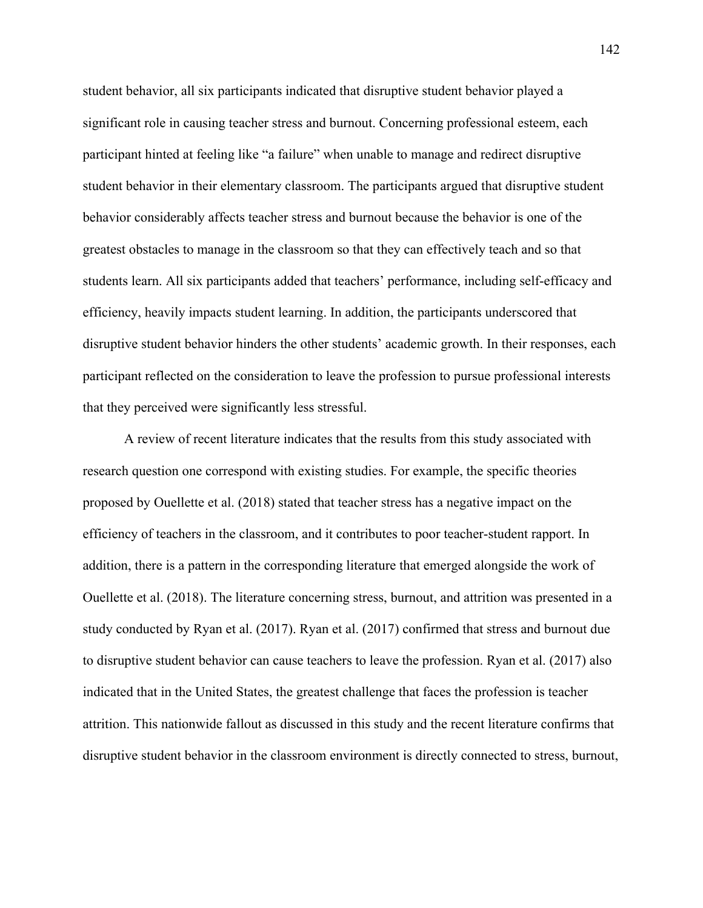student behavior, all six participants indicated that disruptive student behavior played a significant role in causing teacher stress and burnout. Concerning professional esteem, each participant hinted at feeling like "a failure" when unable to manage and redirect disruptive student behavior in their elementary classroom. The participants argued that disruptive student behavior considerably affects teacher stress and burnout because the behavior is one of the greatest obstacles to manage in the classroom so that they can effectively teach and so that students learn. All six participants added that teachers' performance, including self-efficacy and efficiency, heavily impacts student learning. In addition, the participants underscored that disruptive student behavior hinders the other students' academic growth. In their responses, each participant reflected on the consideration to leave the profession to pursue professional interests that they perceived were significantly less stressful.

A review of recent literature indicates that the results from this study associated with research question one correspond with existing studies. For example, the specific theories proposed by Ouellette et al. (2018) stated that teacher stress has a negative impact on the efficiency of teachers in the classroom, and it contributes to poor teacher-student rapport. In addition, there is a pattern in the corresponding literature that emerged alongside the work of Ouellette et al. (2018). The literature concerning stress, burnout, and attrition was presented in a study conducted by Ryan et al. (2017). Ryan et al. (2017) confirmed that stress and burnout due to disruptive student behavior can cause teachers to leave the profession. Ryan et al. (2017) also indicated that in the United States, the greatest challenge that faces the profession is teacher attrition. This nationwide fallout as discussed in this study and the recent literature confirms that disruptive student behavior in the classroom environment is directly connected to stress, burnout,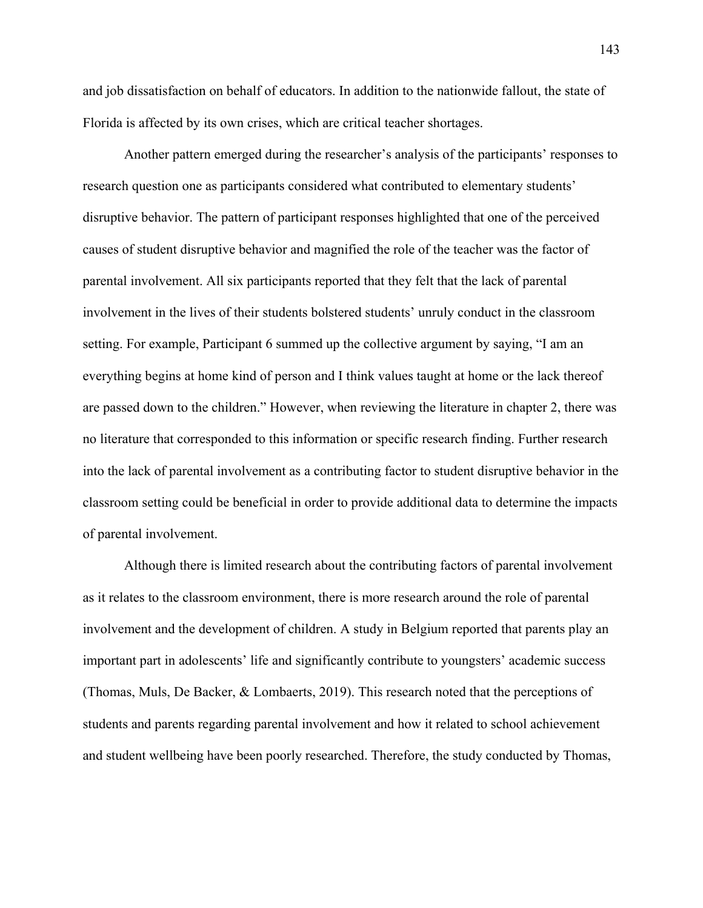and job dissatisfaction on behalf of educators. In addition to the nationwide fallout, the state of Florida is affected by its own crises, which are critical teacher shortages.

Another pattern emerged during the researcher's analysis of the participants' responses to research question one as participants considered what contributed to elementary students' disruptive behavior. The pattern of participant responses highlighted that one of the perceived causes of student disruptive behavior and magnified the role of the teacher was the factor of parental involvement. All six participants reported that they felt that the lack of parental involvement in the lives of their students bolstered students' unruly conduct in the classroom setting. For example, Participant 6 summed up the collective argument by saying, "I am an everything begins at home kind of person and I think values taught at home or the lack thereof are passed down to the children." However, when reviewing the literature in chapter 2, there was no literature that corresponded to this information or specific research finding. Further research into the lack of parental involvement as a contributing factor to student disruptive behavior in the classroom setting could be beneficial in order to provide additional data to determine the impacts of parental involvement.

Although there is limited research about the contributing factors of parental involvement as it relates to the classroom environment, there is more research around the role of parental involvement and the development of children. A study in Belgium reported that parents play an important part in adolescents' life and significantly contribute to youngsters' academic success (Thomas, Muls, De Backer, & Lombaerts, 2019). This research noted that the perceptions of students and parents regarding parental involvement and how it related to school achievement and student wellbeing have been poorly researched. Therefore, the study conducted by Thomas,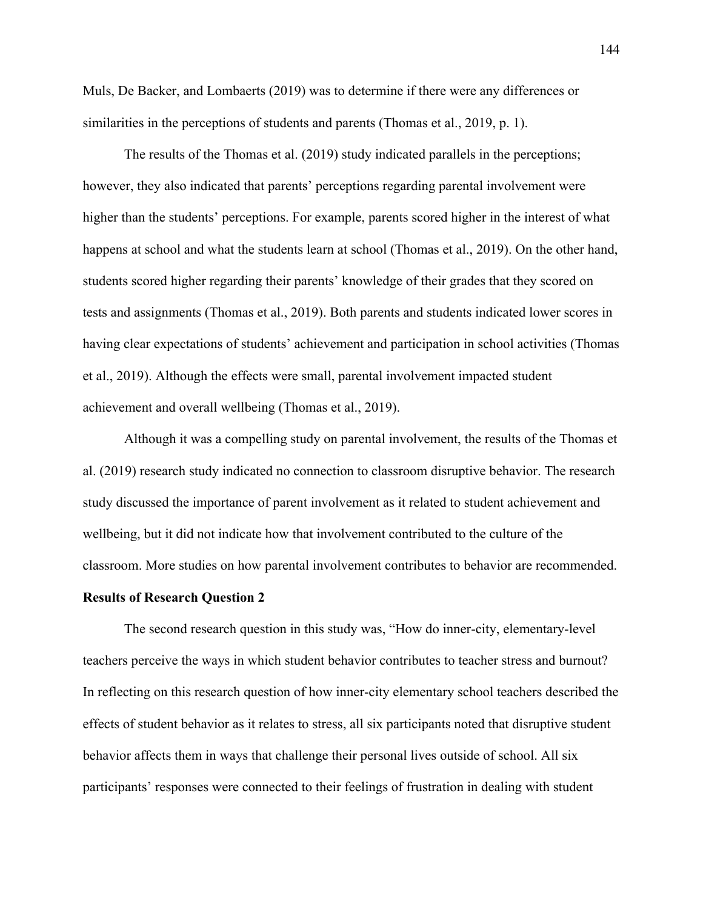Muls, De Backer, and Lombaerts (2019) was to determine if there were any differences or similarities in the perceptions of students and parents (Thomas et al., 2019, p. 1).

The results of the Thomas et al. (2019) study indicated parallels in the perceptions; however, they also indicated that parents' perceptions regarding parental involvement were higher than the students' perceptions. For example, parents scored higher in the interest of what happens at school and what the students learn at school (Thomas et al., 2019). On the other hand, students scored higher regarding their parents' knowledge of their grades that they scored on tests and assignments (Thomas et al., 2019). Both parents and students indicated lower scores in having clear expectations of students' achievement and participation in school activities (Thomas et al., 2019). Although the effects were small, parental involvement impacted student achievement and overall wellbeing (Thomas et al., 2019).

Although it was a compelling study on parental involvement, the results of the Thomas et al. (2019) research study indicated no connection to classroom disruptive behavior. The research study discussed the importance of parent involvement as it related to student achievement and wellbeing, but it did not indicate how that involvement contributed to the culture of the classroom. More studies on how parental involvement contributes to behavior are recommended.

### **Results of Research Question 2**

The second research question in this study was, "How do inner-city, elementary-level teachers perceive the ways in which student behavior contributes to teacher stress and burnout? In reflecting on this research question of how inner-city elementary school teachers described the effects of student behavior as it relates to stress, all six participants noted that disruptive student behavior affects them in ways that challenge their personal lives outside of school. All six participants' responses were connected to their feelings of frustration in dealing with student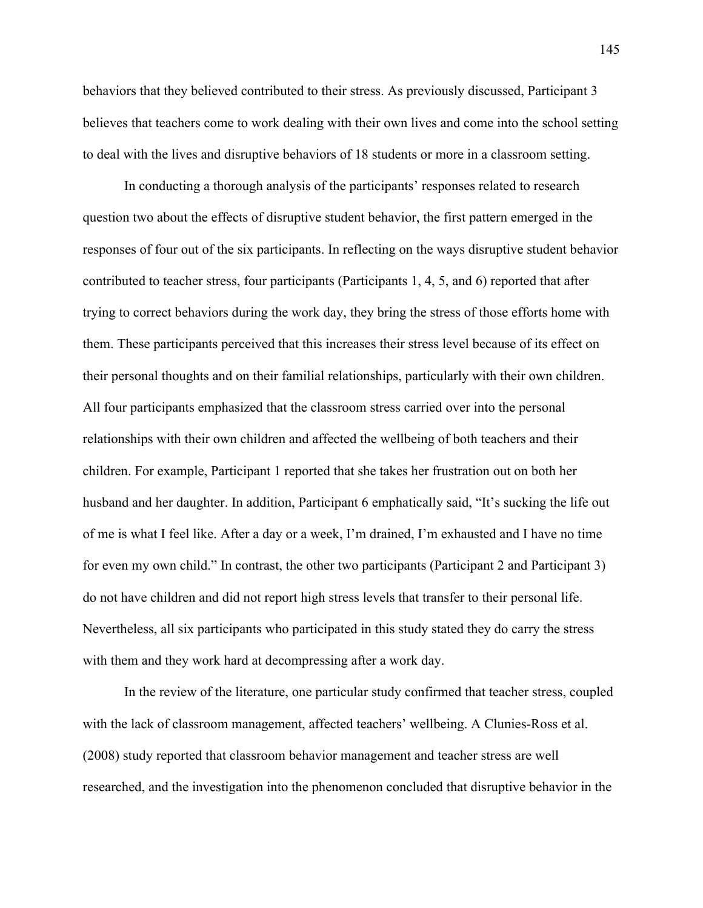behaviors that they believed contributed to their stress. As previously discussed, Participant 3 believes that teachers come to work dealing with their own lives and come into the school setting to deal with the lives and disruptive behaviors of 18 students or more in a classroom setting.

In conducting a thorough analysis of the participants' responses related to research question two about the effects of disruptive student behavior, the first pattern emerged in the responses of four out of the six participants. In reflecting on the ways disruptive student behavior contributed to teacher stress, four participants (Participants 1, 4, 5, and 6) reported that after trying to correct behaviors during the work day, they bring the stress of those efforts home with them. These participants perceived that this increases their stress level because of its effect on their personal thoughts and on their familial relationships, particularly with their own children. All four participants emphasized that the classroom stress carried over into the personal relationships with their own children and affected the wellbeing of both teachers and their children. For example, Participant 1 reported that she takes her frustration out on both her husband and her daughter. In addition, Participant 6 emphatically said, "It's sucking the life out of me is what I feel like. After a day or a week, I'm drained, I'm exhausted and I have no time for even my own child." In contrast, the other two participants (Participant 2 and Participant 3) do not have children and did not report high stress levels that transfer to their personal life. Nevertheless, all six participants who participated in this study stated they do carry the stress with them and they work hard at decompressing after a work day.

In the review of the literature, one particular study confirmed that teacher stress, coupled with the lack of classroom management, affected teachers' wellbeing. A Clunies-Ross et al. (2008) study reported that classroom behavior management and teacher stress are well researched, and the investigation into the phenomenon concluded that disruptive behavior in the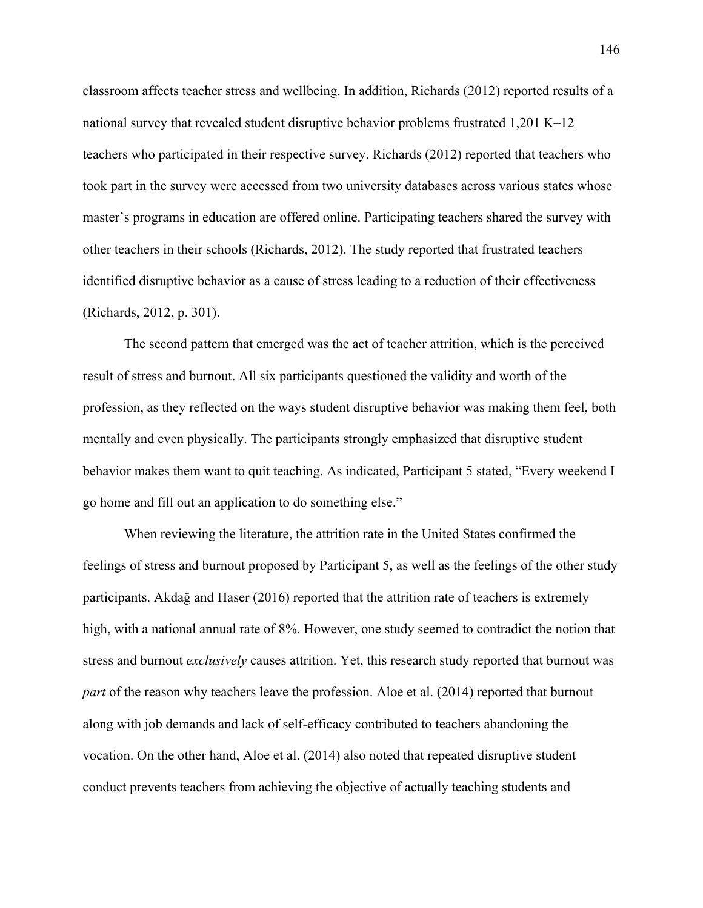classroom affects teacher stress and wellbeing. In addition, Richards (2012) reported results of a national survey that revealed student disruptive behavior problems frustrated 1,201 K–12 teachers who participated in their respective survey. Richards (2012) reported that teachers who took part in the survey were accessed from two university databases across various states whose master's programs in education are offered online. Participating teachers shared the survey with other teachers in their schools (Richards, 2012). The study reported that frustrated teachers identified disruptive behavior as a cause of stress leading to a reduction of their effectiveness (Richards, 2012, p. 301).

The second pattern that emerged was the act of teacher attrition, which is the perceived result of stress and burnout. All six participants questioned the validity and worth of the profession, as they reflected on the ways student disruptive behavior was making them feel, both mentally and even physically. The participants strongly emphasized that disruptive student behavior makes them want to quit teaching. As indicated, Participant 5 stated, "Every weekend I go home and fill out an application to do something else."

When reviewing the literature, the attrition rate in the United States confirmed the feelings of stress and burnout proposed by Participant 5, as well as the feelings of the other study participants. Akdağ and Haser (2016) reported that the attrition rate of teachers is extremely high, with a national annual rate of 8%. However, one study seemed to contradict the notion that stress and burnout *exclusively* causes attrition. Yet, this research study reported that burnout was *part* of the reason why teachers leave the profession. Aloe et al. (2014) reported that burnout along with job demands and lack of self-efficacy contributed to teachers abandoning the vocation. On the other hand, Aloe et al. (2014) also noted that repeated disruptive student conduct prevents teachers from achieving the objective of actually teaching students and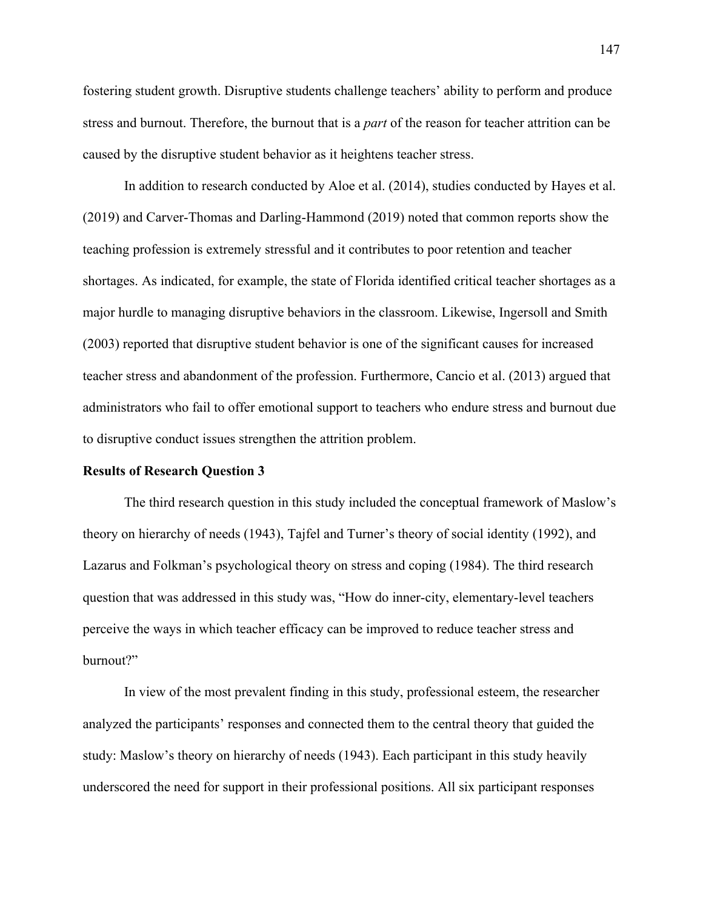fostering student growth. Disruptive students challenge teachers' ability to perform and produce stress and burnout. Therefore, the burnout that is a *part* of the reason for teacher attrition can be caused by the disruptive student behavior as it heightens teacher stress.

In addition to research conducted by Aloe et al. (2014), studies conducted by Hayes et al. (2019) and Carver-Thomas and Darling-Hammond (2019) noted that common reports show the teaching profession is extremely stressful and it contributes to poor retention and teacher shortages. As indicated, for example, the state of Florida identified critical teacher shortages as a major hurdle to managing disruptive behaviors in the classroom. Likewise, Ingersoll and Smith (2003) reported that disruptive student behavior is one of the significant causes for increased teacher stress and abandonment of the profession. Furthermore, Cancio et al. (2013) argued that administrators who fail to offer emotional support to teachers who endure stress and burnout due to disruptive conduct issues strengthen the attrition problem.

### **Results of Research Question 3**

The third research question in this study included the conceptual framework of Maslow's theory on hierarchy of needs (1943), Tajfel and Turner's theory of social identity (1992), and Lazarus and Folkman's psychological theory on stress and coping (1984). The third research question that was addressed in this study was, "How do inner-city, elementary-level teachers perceive the ways in which teacher efficacy can be improved to reduce teacher stress and burnout?"

In view of the most prevalent finding in this study, professional esteem, the researcher analyzed the participants' responses and connected them to the central theory that guided the study: Maslow's theory on hierarchy of needs (1943). Each participant in this study heavily underscored the need for support in their professional positions. All six participant responses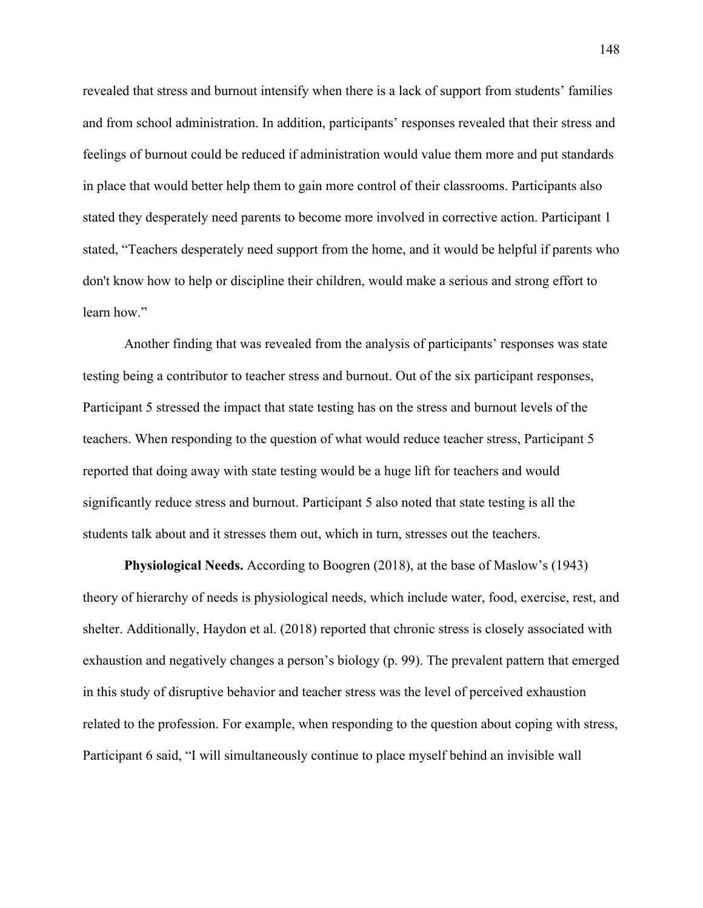revealed that stress and burnout intensify when there is a lack of support from students' families and from school administration. In addition, participants' responses revealed that their stress and feelings of burnout could be reduced if administration would value them more and put standards in place that would better help them to gain more control of their classrooms. Participants also stated they desperately need parents to become more involved in corrective action. Participant 1 stated, "Teachers desperately need support from the home, and it would be helpful if parents who don't know how to help or discipline their children, would make a serious and strong effort to learn how."

Another finding that was revealed from the analysis of participants' responses was state testing being a contributor to teacher stress and burnout. Out of the six participant responses, Participant 5 stressed the impact that state testing has on the stress and burnout levels of the teachers. When responding to the question of what would reduce teacher stress, Participant 5 reported that doing away with state testing would be a huge lift for teachers and would significantly reduce stress and burnout. Participant 5 also noted that state testing is all the students talk about and it stresses them out, which in turn, stresses out the teachers.

**Physiological Needs.** According to Boogren (2018), at the base of Maslow's (1943) theory of hierarchy of needs is physiological needs, which include water, food, exercise, rest, and shelter. Additionally, Haydon et al. (2018) reported that chronic stress is closely associated with exhaustion and negatively changes a person's biology (p. 99). The prevalent pattern that emerged in this study of disruptive behavior and teacher stress was the level of perceived exhaustion related to the profession. For example, when responding to the question about coping with stress, Participant 6 said, "I will simultaneously continue to place myself behind an invisible wall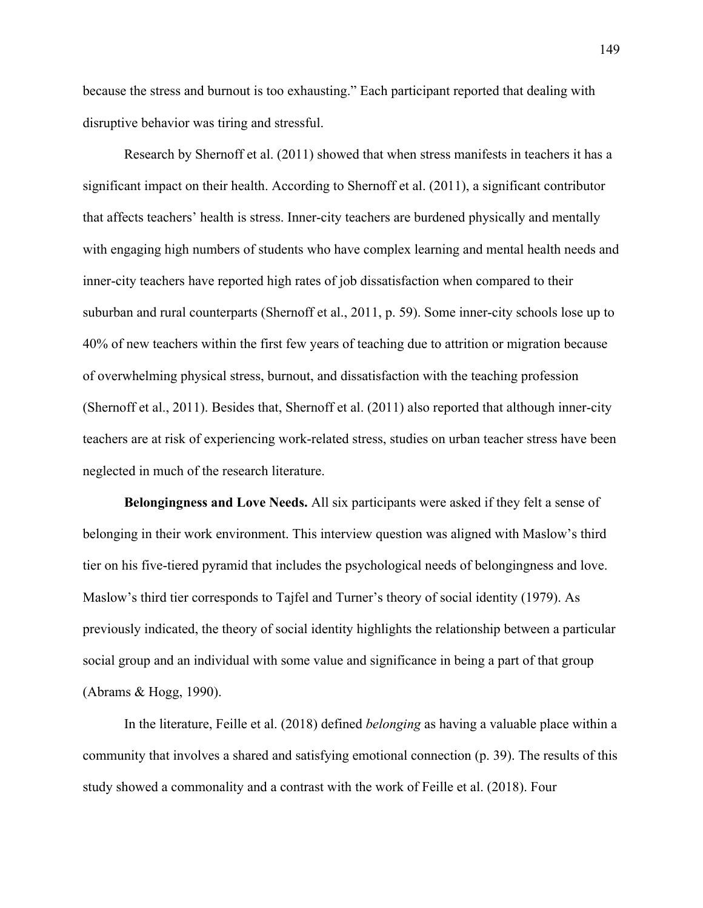because the stress and burnout is too exhausting." Each participant reported that dealing with disruptive behavior was tiring and stressful.

Research by Shernoff et al. (2011) showed that when stress manifests in teachers it has a significant impact on their health. According to Shernoff et al. (2011), a significant contributor that affects teachers' health is stress. Inner-city teachers are burdened physically and mentally with engaging high numbers of students who have complex learning and mental health needs and inner-city teachers have reported high rates of job dissatisfaction when compared to their suburban and rural counterparts (Shernoff et al., 2011, p. 59). Some inner-city schools lose up to 40% of new teachers within the first few years of teaching due to attrition or migration because of overwhelming physical stress, burnout, and dissatisfaction with the teaching profession (Shernoff et al., 2011). Besides that, Shernoff et al. (2011) also reported that although inner-city teachers are at risk of experiencing work-related stress, studies on urban teacher stress have been neglected in much of the research literature.

**Belongingness and Love Needs.** All six participants were asked if they felt a sense of belonging in their work environment. This interview question was aligned with Maslow's third tier on his five-tiered pyramid that includes the psychological needs of belongingness and love. Maslow's third tier corresponds to Tajfel and Turner's theory of social identity (1979). As previously indicated, the theory of social identity highlights the relationship between a particular social group and an individual with some value and significance in being a part of that group (Abrams & Hogg, 1990).

In the literature, Feille et al. (2018) defined *belonging* as having a valuable place within a community that involves a shared and satisfying emotional connection (p. 39). The results of this study showed a commonality and a contrast with the work of Feille et al. (2018). Four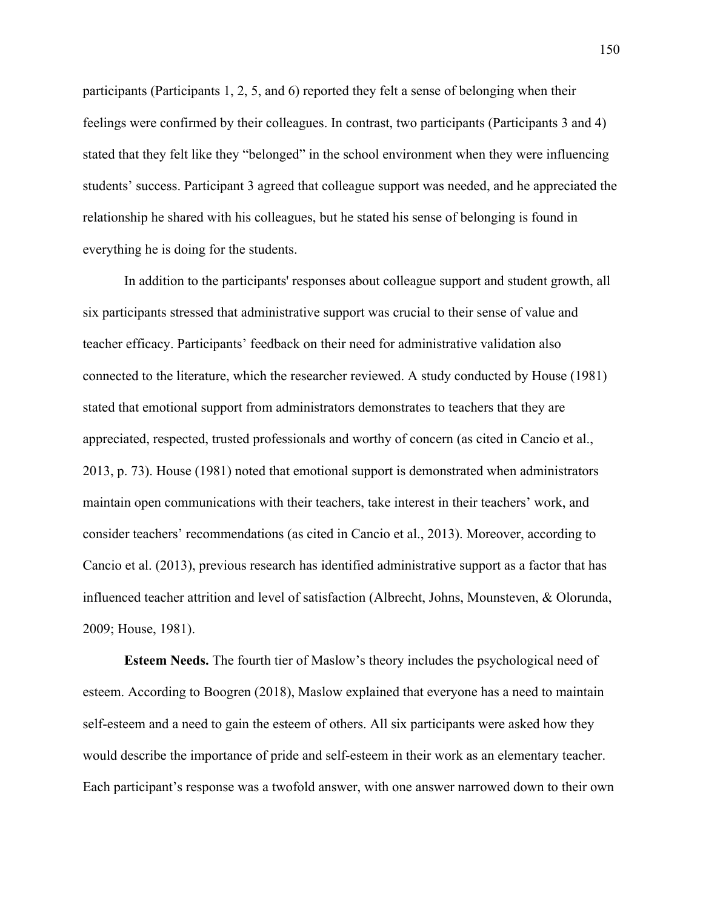participants (Participants 1, 2, 5, and 6) reported they felt a sense of belonging when their feelings were confirmed by their colleagues. In contrast, two participants (Participants 3 and 4) stated that they felt like they "belonged" in the school environment when they were influencing students' success. Participant 3 agreed that colleague support was needed, and he appreciated the relationship he shared with his colleagues, but he stated his sense of belonging is found in everything he is doing for the students.

In addition to the participants' responses about colleague support and student growth, all six participants stressed that administrative support was crucial to their sense of value and teacher efficacy. Participants' feedback on their need for administrative validation also connected to the literature, which the researcher reviewed. A study conducted by House (1981) stated that emotional support from administrators demonstrates to teachers that they are appreciated, respected, trusted professionals and worthy of concern (as cited in Cancio et al., 2013, p. 73). House (1981) noted that emotional support is demonstrated when administrators maintain open communications with their teachers, take interest in their teachers' work, and consider teachers' recommendations (as cited in Cancio et al., 2013). Moreover, according to Cancio et al. (2013), previous research has identified administrative support as a factor that has influenced teacher attrition and level of satisfaction (Albrecht, Johns, Mounsteven, & Olorunda, 2009; House, 1981).

**Esteem Needs.** The fourth tier of Maslow's theory includes the psychological need of esteem. According to Boogren (2018), Maslow explained that everyone has a need to maintain self-esteem and a need to gain the esteem of others. All six participants were asked how they would describe the importance of pride and self-esteem in their work as an elementary teacher. Each participant's response was a twofold answer, with one answer narrowed down to their own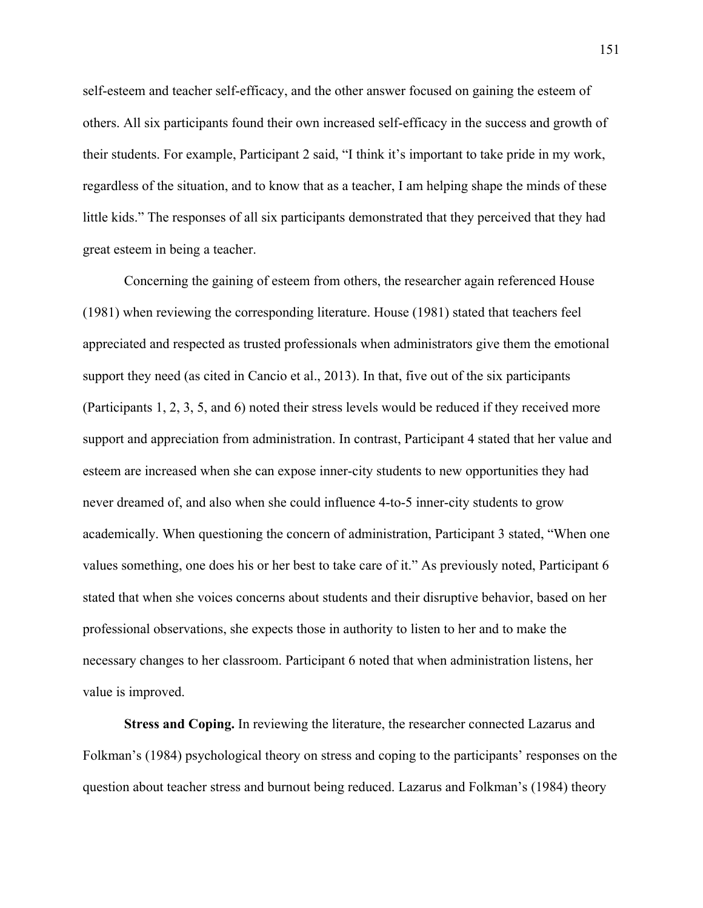self-esteem and teacher self-efficacy, and the other answer focused on gaining the esteem of others. All six participants found their own increased self-efficacy in the success and growth of their students. For example, Participant 2 said, "I think it's important to take pride in my work, regardless of the situation, and to know that as a teacher, I am helping shape the minds of these little kids." The responses of all six participants demonstrated that they perceived that they had great esteem in being a teacher.

Concerning the gaining of esteem from others, the researcher again referenced House (1981) when reviewing the corresponding literature. House (1981) stated that teachers feel appreciated and respected as trusted professionals when administrators give them the emotional support they need (as cited in Cancio et al., 2013). In that, five out of the six participants (Participants 1, 2, 3, 5, and 6) noted their stress levels would be reduced if they received more support and appreciation from administration. In contrast, Participant 4 stated that her value and esteem are increased when she can expose inner-city students to new opportunities they had never dreamed of, and also when she could influence 4-to-5 inner-city students to grow academically. When questioning the concern of administration, Participant 3 stated, "When one values something, one does his or her best to take care of it." As previously noted, Participant 6 stated that when she voices concerns about students and their disruptive behavior, based on her professional observations, she expects those in authority to listen to her and to make the necessary changes to her classroom. Participant 6 noted that when administration listens, her value is improved.

**Stress and Coping.** In reviewing the literature, the researcher connected Lazarus and Folkman's (1984) psychological theory on stress and coping to the participants' responses on the question about teacher stress and burnout being reduced. Lazarus and Folkman's (1984) theory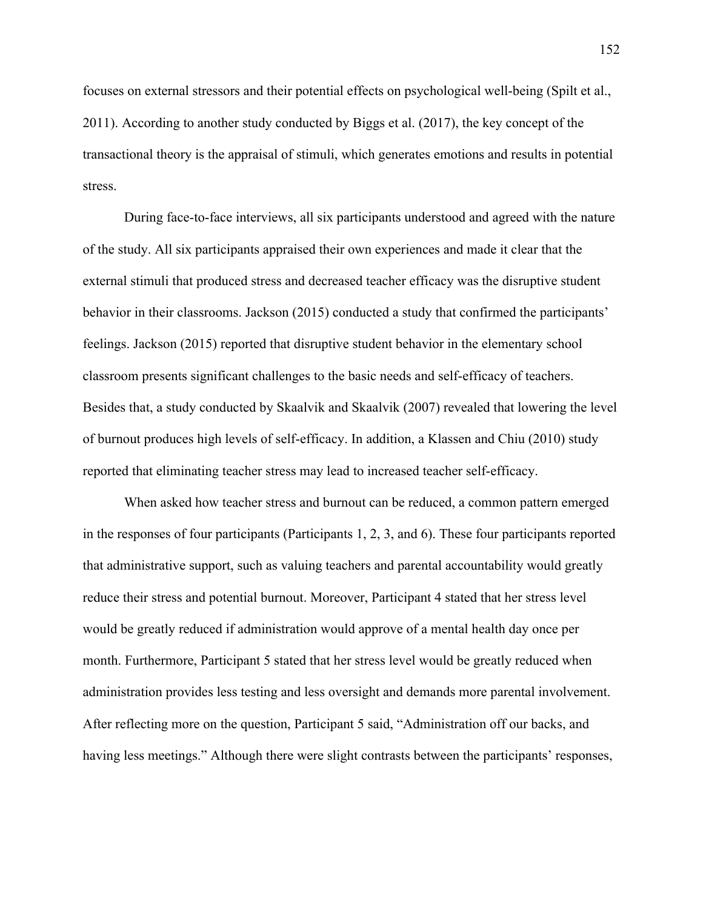focuses on external stressors and their potential effects on psychological well-being (Spilt et al., 2011). According to another study conducted by Biggs et al. (2017), the key concept of the transactional theory is the appraisal of stimuli, which generates emotions and results in potential stress.

During face-to-face interviews, all six participants understood and agreed with the nature of the study. All six participants appraised their own experiences and made it clear that the external stimuli that produced stress and decreased teacher efficacy was the disruptive student behavior in their classrooms. Jackson (2015) conducted a study that confirmed the participants' feelings. Jackson (2015) reported that disruptive student behavior in the elementary school classroom presents significant challenges to the basic needs and self-efficacy of teachers. Besides that, a study conducted by Skaalvik and Skaalvik (2007) revealed that lowering the level of burnout produces high levels of self-efficacy. In addition, a Klassen and Chiu (2010) study reported that eliminating teacher stress may lead to increased teacher self-efficacy.

When asked how teacher stress and burnout can be reduced, a common pattern emerged in the responses of four participants (Participants 1, 2, 3, and 6). These four participants reported that administrative support, such as valuing teachers and parental accountability would greatly reduce their stress and potential burnout. Moreover, Participant 4 stated that her stress level would be greatly reduced if administration would approve of a mental health day once per month. Furthermore, Participant 5 stated that her stress level would be greatly reduced when administration provides less testing and less oversight and demands more parental involvement. After reflecting more on the question, Participant 5 said, "Administration off our backs, and having less meetings." Although there were slight contrasts between the participants' responses,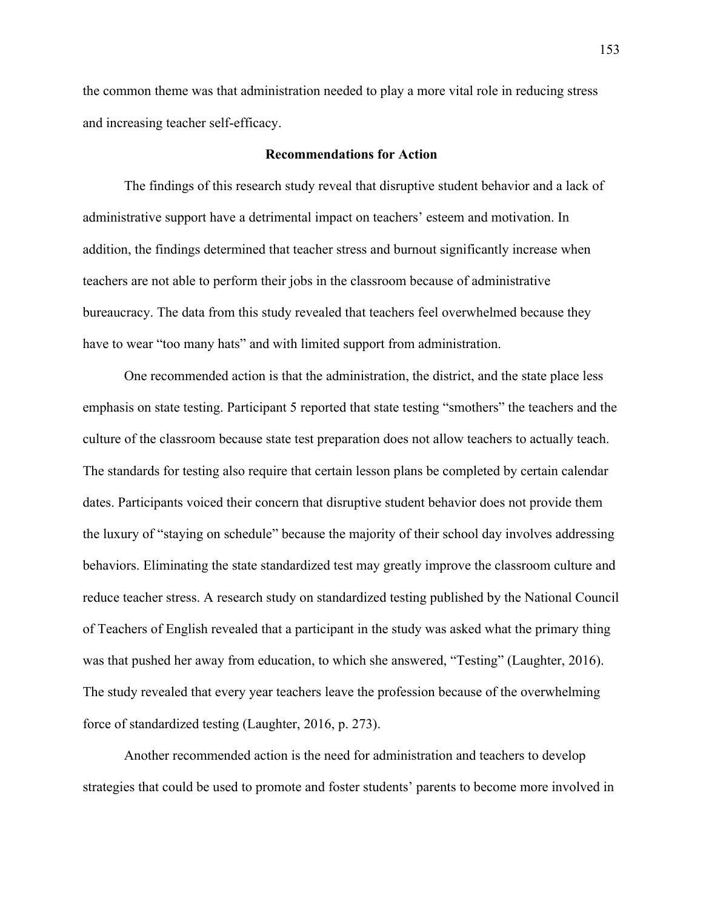the common theme was that administration needed to play a more vital role in reducing stress and increasing teacher self-efficacy.

### **Recommendations for Action**

The findings of this research study reveal that disruptive student behavior and a lack of administrative support have a detrimental impact on teachers' esteem and motivation. In addition, the findings determined that teacher stress and burnout significantly increase when teachers are not able to perform their jobs in the classroom because of administrative bureaucracy. The data from this study revealed that teachers feel overwhelmed because they have to wear "too many hats" and with limited support from administration.

One recommended action is that the administration, the district, and the state place less emphasis on state testing. Participant 5 reported that state testing "smothers" the teachers and the culture of the classroom because state test preparation does not allow teachers to actually teach. The standards for testing also require that certain lesson plans be completed by certain calendar dates. Participants voiced their concern that disruptive student behavior does not provide them the luxury of "staying on schedule" because the majority of their school day involves addressing behaviors. Eliminating the state standardized test may greatly improve the classroom culture and reduce teacher stress. A research study on standardized testing published by the National Council of Teachers of English revealed that a participant in the study was asked what the primary thing was that pushed her away from education, to which she answered, "Testing" (Laughter, 2016). The study revealed that every year teachers leave the profession because of the overwhelming force of standardized testing (Laughter, 2016, p. 273).

Another recommended action is the need for administration and teachers to develop strategies that could be used to promote and foster students' parents to become more involved in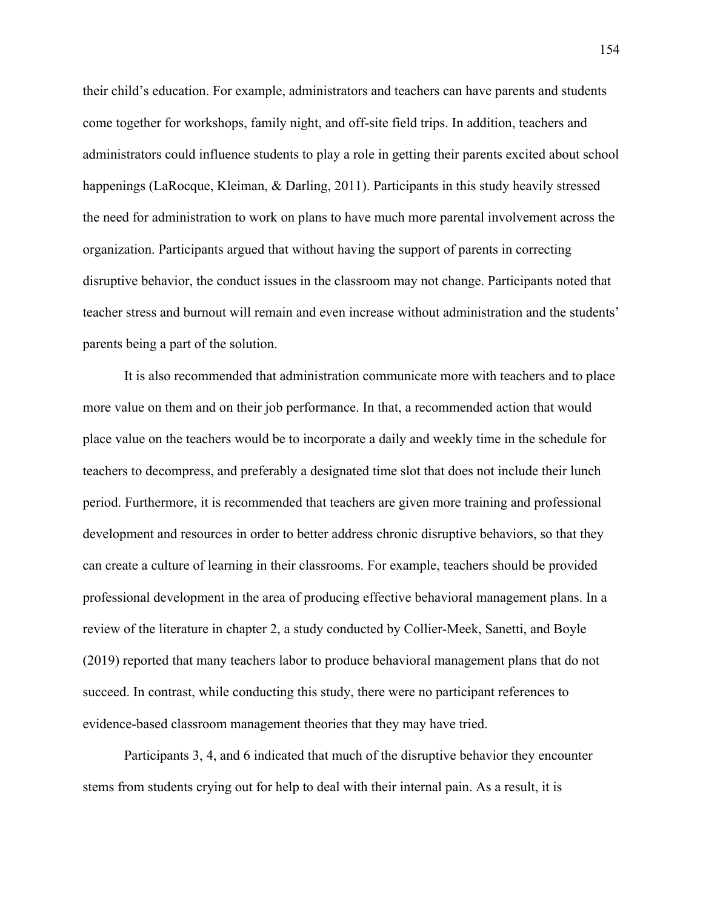their child's education. For example, administrators and teachers can have parents and students come together for workshops, family night, and off-site field trips. In addition, teachers and administrators could influence students to play a role in getting their parents excited about school happenings (LaRocque, Kleiman, & Darling, 2011). Participants in this study heavily stressed the need for administration to work on plans to have much more parental involvement across the organization. Participants argued that without having the support of parents in correcting disruptive behavior, the conduct issues in the classroom may not change. Participants noted that teacher stress and burnout will remain and even increase without administration and the students' parents being a part of the solution.

It is also recommended that administration communicate more with teachers and to place more value on them and on their job performance. In that, a recommended action that would place value on the teachers would be to incorporate a daily and weekly time in the schedule for teachers to decompress, and preferably a designated time slot that does not include their lunch period. Furthermore, it is recommended that teachers are given more training and professional development and resources in order to better address chronic disruptive behaviors, so that they can create a culture of learning in their classrooms. For example, teachers should be provided professional development in the area of producing effective behavioral management plans. In a review of the literature in chapter 2, a study conducted by Collier-Meek, Sanetti, and Boyle (2019) reported that many teachers labor to produce behavioral management plans that do not succeed. In contrast, while conducting this study, there were no participant references to evidence-based classroom management theories that they may have tried.

Participants 3, 4, and 6 indicated that much of the disruptive behavior they encounter stems from students crying out for help to deal with their internal pain. As a result, it is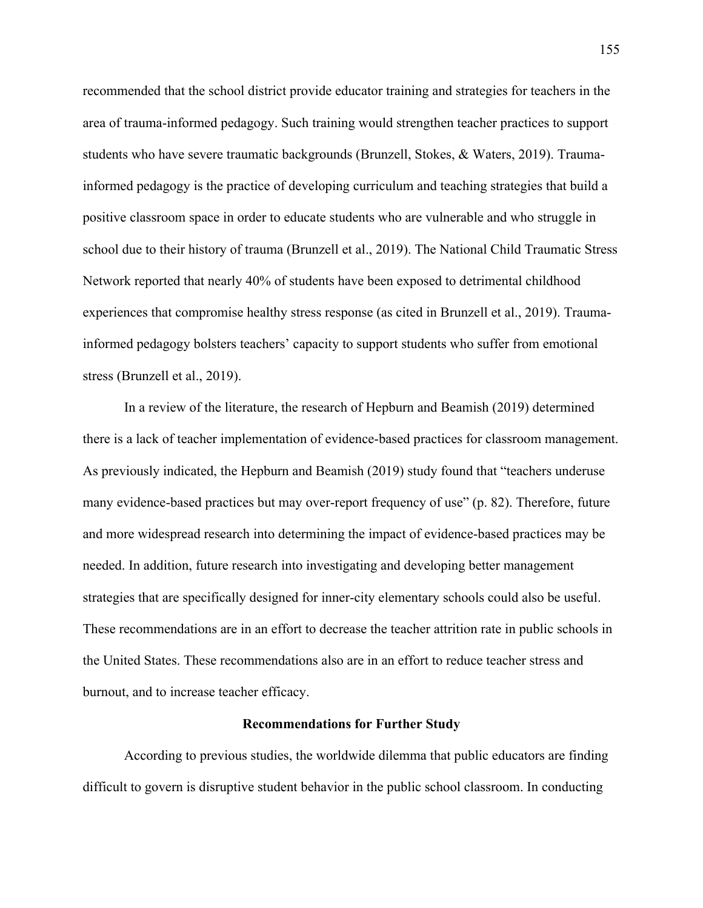recommended that the school district provide educator training and strategies for teachers in the area of trauma-informed pedagogy. Such training would strengthen teacher practices to support students who have severe traumatic backgrounds (Brunzell, Stokes, & Waters, 2019). Traumainformed pedagogy is the practice of developing curriculum and teaching strategies that build a positive classroom space in order to educate students who are vulnerable and who struggle in school due to their history of trauma (Brunzell et al., 2019). The National Child Traumatic Stress Network reported that nearly 40% of students have been exposed to detrimental childhood experiences that compromise healthy stress response (as cited in Brunzell et al., 2019). Traumainformed pedagogy bolsters teachers' capacity to support students who suffer from emotional stress (Brunzell et al., 2019).

In a review of the literature, the research of Hepburn and Beamish (2019) determined there is a lack of teacher implementation of evidence-based practices for classroom management. As previously indicated, the Hepburn and Beamish (2019) study found that "teachers underuse many evidence-based practices but may over-report frequency of use" (p. 82). Therefore, future and more widespread research into determining the impact of evidence-based practices may be needed. In addition, future research into investigating and developing better management strategies that are specifically designed for inner-city elementary schools could also be useful. These recommendations are in an effort to decrease the teacher attrition rate in public schools in the United States. These recommendations also are in an effort to reduce teacher stress and burnout, and to increase teacher efficacy.

#### **Recommendations for Further Study**

According to previous studies, the worldwide dilemma that public educators are finding difficult to govern is disruptive student behavior in the public school classroom. In conducting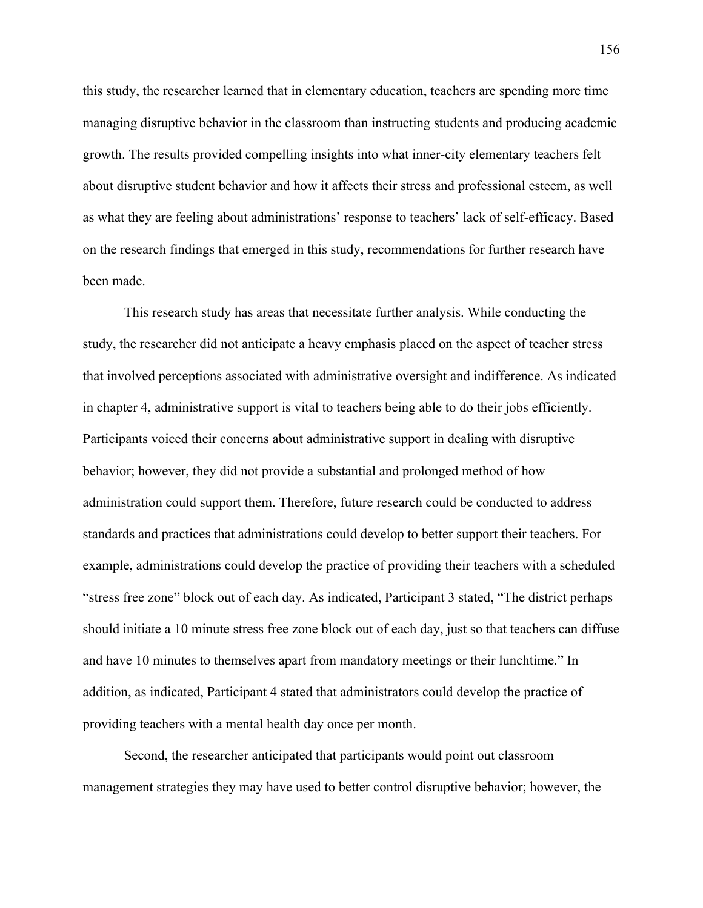this study, the researcher learned that in elementary education, teachers are spending more time managing disruptive behavior in the classroom than instructing students and producing academic growth. The results provided compelling insights into what inner-city elementary teachers felt about disruptive student behavior and how it affects their stress and professional esteem, as well as what they are feeling about administrations' response to teachers' lack of self-efficacy. Based on the research findings that emerged in this study, recommendations for further research have been made.

This research study has areas that necessitate further analysis. While conducting the study, the researcher did not anticipate a heavy emphasis placed on the aspect of teacher stress that involved perceptions associated with administrative oversight and indifference. As indicated in chapter 4, administrative support is vital to teachers being able to do their jobs efficiently. Participants voiced their concerns about administrative support in dealing with disruptive behavior; however, they did not provide a substantial and prolonged method of how administration could support them. Therefore, future research could be conducted to address standards and practices that administrations could develop to better support their teachers. For example, administrations could develop the practice of providing their teachers with a scheduled "stress free zone" block out of each day. As indicated, Participant 3 stated, "The district perhaps should initiate a 10 minute stress free zone block out of each day, just so that teachers can diffuse and have 10 minutes to themselves apart from mandatory meetings or their lunchtime." In addition, as indicated, Participant 4 stated that administrators could develop the practice of providing teachers with a mental health day once per month.

Second, the researcher anticipated that participants would point out classroom management strategies they may have used to better control disruptive behavior; however, the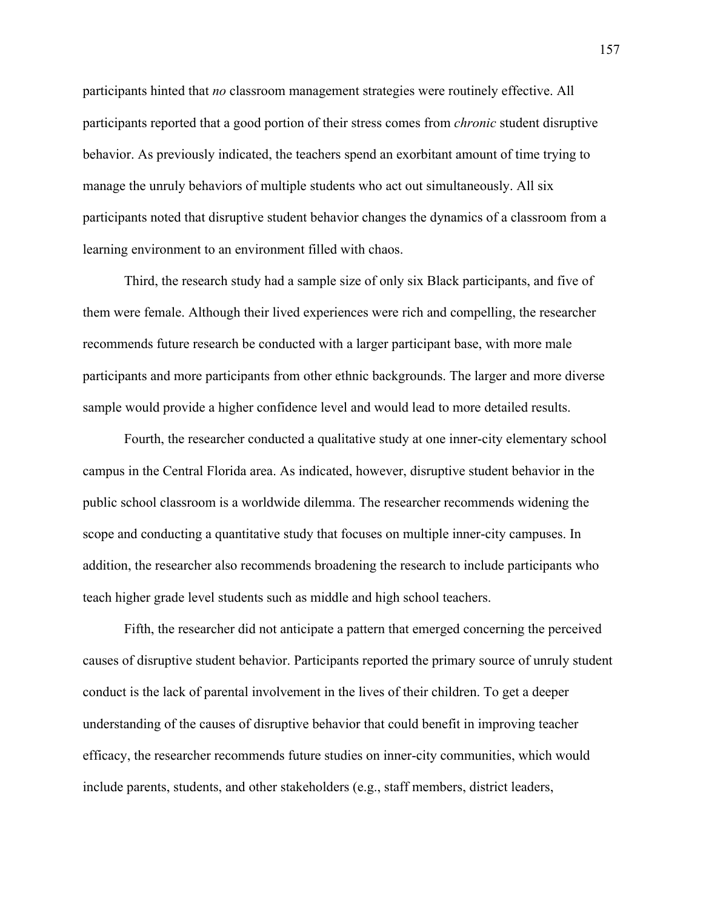participants hinted that *no* classroom management strategies were routinely effective. All participants reported that a good portion of their stress comes from *chronic* student disruptive behavior. As previously indicated, the teachers spend an exorbitant amount of time trying to manage the unruly behaviors of multiple students who act out simultaneously. All six participants noted that disruptive student behavior changes the dynamics of a classroom from a learning environment to an environment filled with chaos.

Third, the research study had a sample size of only six Black participants, and five of them were female. Although their lived experiences were rich and compelling, the researcher recommends future research be conducted with a larger participant base, with more male participants and more participants from other ethnic backgrounds. The larger and more diverse sample would provide a higher confidence level and would lead to more detailed results.

Fourth, the researcher conducted a qualitative study at one inner-city elementary school campus in the Central Florida area. As indicated, however, disruptive student behavior in the public school classroom is a worldwide dilemma. The researcher recommends widening the scope and conducting a quantitative study that focuses on multiple inner-city campuses. In addition, the researcher also recommends broadening the research to include participants who teach higher grade level students such as middle and high school teachers.

Fifth, the researcher did not anticipate a pattern that emerged concerning the perceived causes of disruptive student behavior. Participants reported the primary source of unruly student conduct is the lack of parental involvement in the lives of their children. To get a deeper understanding of the causes of disruptive behavior that could benefit in improving teacher efficacy, the researcher recommends future studies on inner-city communities, which would include parents, students, and other stakeholders (e.g., staff members, district leaders,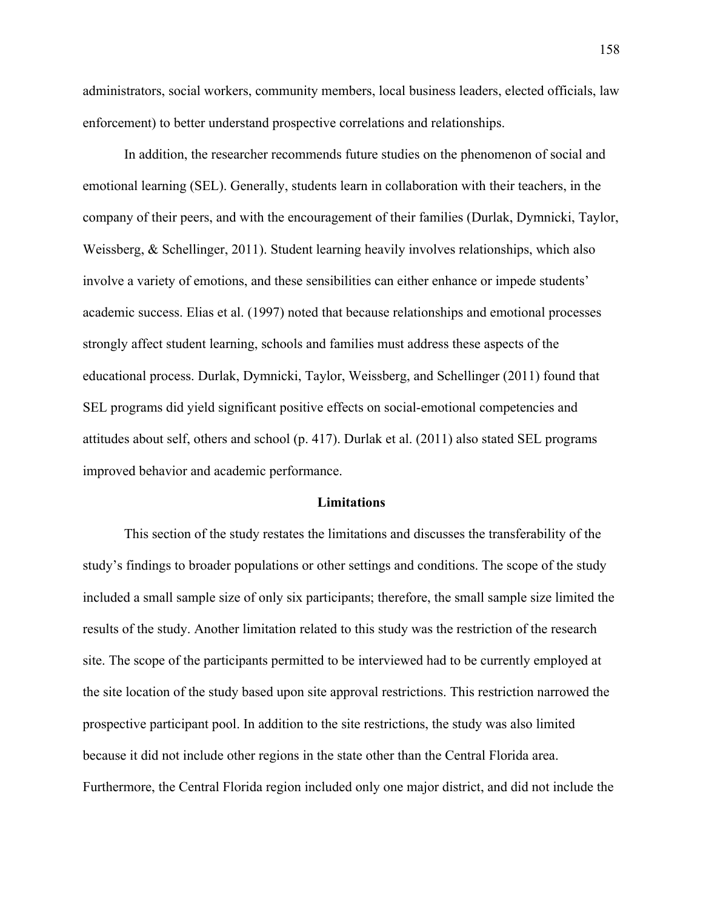administrators, social workers, community members, local business leaders, elected officials, law enforcement) to better understand prospective correlations and relationships.

In addition, the researcher recommends future studies on the phenomenon of social and emotional learning (SEL). Generally, students learn in collaboration with their teachers, in the company of their peers, and with the encouragement of their families (Durlak, Dymnicki, Taylor, Weissberg, & Schellinger, 2011). Student learning heavily involves relationships, which also involve a variety of emotions, and these sensibilities can either enhance or impede students' academic success. Elias et al. (1997) noted that because relationships and emotional processes strongly affect student learning, schools and families must address these aspects of the educational process. Durlak, Dymnicki, Taylor, Weissberg, and Schellinger (2011) found that SEL programs did yield significant positive effects on social-emotional competencies and attitudes about self, others and school (p. 417). Durlak et al. (2011) also stated SEL programs improved behavior and academic performance.

### **Limitations**

This section of the study restates the limitations and discusses the transferability of the study's findings to broader populations or other settings and conditions. The scope of the study included a small sample size of only six participants; therefore, the small sample size limited the results of the study. Another limitation related to this study was the restriction of the research site. The scope of the participants permitted to be interviewed had to be currently employed at the site location of the study based upon site approval restrictions. This restriction narrowed the prospective participant pool. In addition to the site restrictions, the study was also limited because it did not include other regions in the state other than the Central Florida area. Furthermore, the Central Florida region included only one major district, and did not include the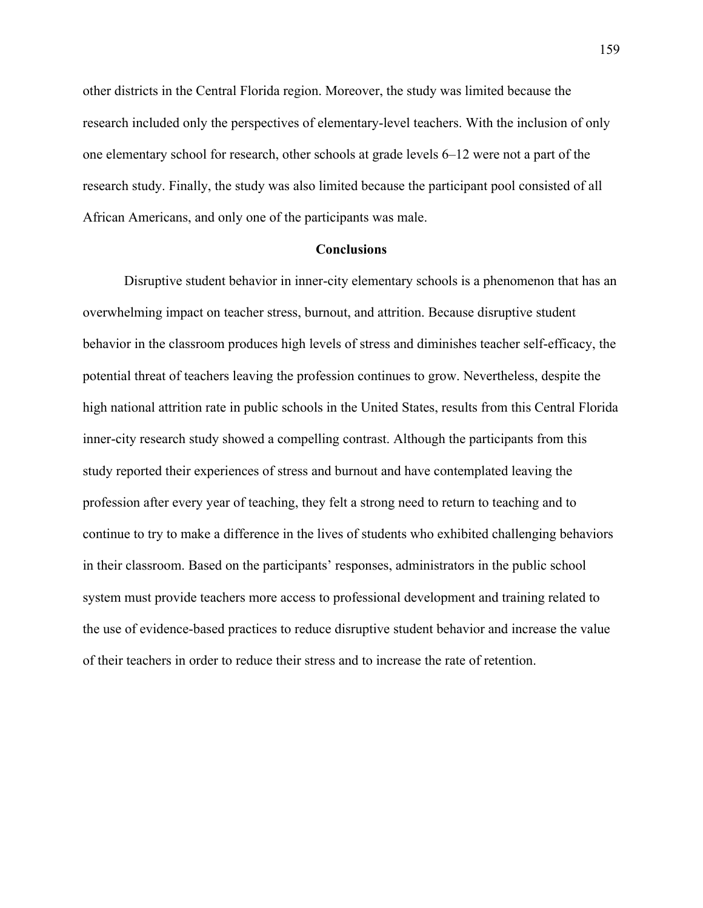other districts in the Central Florida region. Moreover, the study was limited because the research included only the perspectives of elementary-level teachers. With the inclusion of only one elementary school for research, other schools at grade levels 6–12 were not a part of the research study. Finally, the study was also limited because the participant pool consisted of all African Americans, and only one of the participants was male.

### **Conclusions**

Disruptive student behavior in inner-city elementary schools is a phenomenon that has an overwhelming impact on teacher stress, burnout, and attrition. Because disruptive student behavior in the classroom produces high levels of stress and diminishes teacher self-efficacy, the potential threat of teachers leaving the profession continues to grow. Nevertheless, despite the high national attrition rate in public schools in the United States, results from this Central Florida inner-city research study showed a compelling contrast. Although the participants from this study reported their experiences of stress and burnout and have contemplated leaving the profession after every year of teaching, they felt a strong need to return to teaching and to continue to try to make a difference in the lives of students who exhibited challenging behaviors in their classroom. Based on the participants' responses, administrators in the public school system must provide teachers more access to professional development and training related to the use of evidence-based practices to reduce disruptive student behavior and increase the value of their teachers in order to reduce their stress and to increase the rate of retention.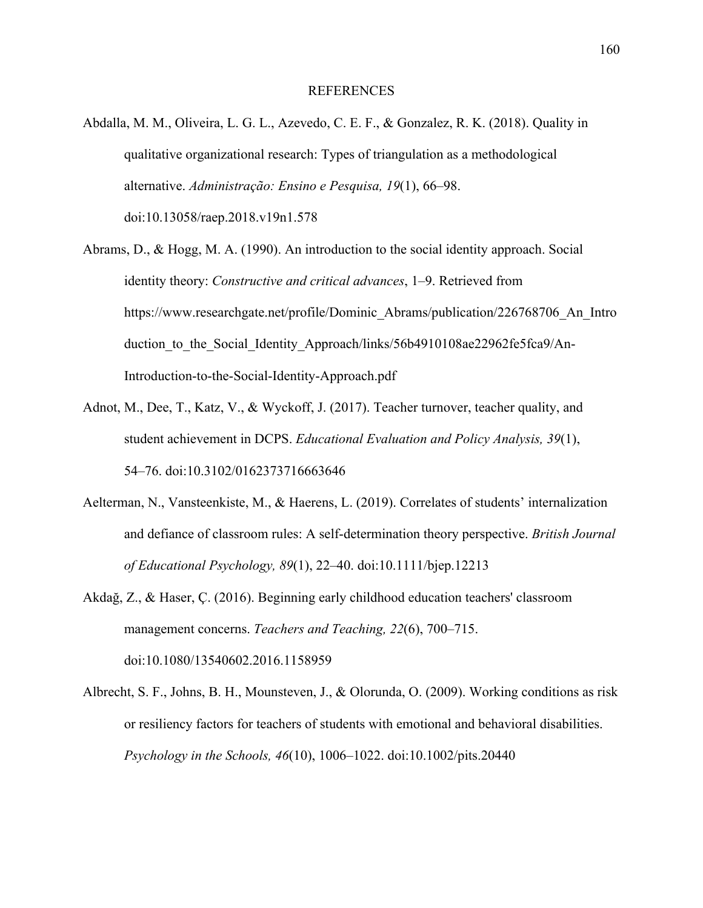### REFERENCES

- Abdalla, M. M., Oliveira, L. G. L., Azevedo, C. E. F., & Gonzalez, R. K. (2018). Quality in qualitative organizational research: Types of triangulation as a methodological alternative. *Administração: Ensino e Pesquisa, 19*(1), 66–98. doi:10.13058/raep.2018.v19n1.578
- Abrams, D., & Hogg, M. A. (1990). An introduction to the social identity approach. Social identity theory: *Constructive and critical advances*, 1–9. Retrieved from https://www.researchgate.net/profile/Dominic\_Abrams/publication/226768706\_An\_Intro duction to the Social Identity Approach/links/56b4910108ae22962fe5fca9/An-Introduction-to-the-Social-Identity-Approach.pdf
- Adnot, M., Dee, T., Katz, V., & Wyckoff, J. (2017). Teacher turnover, teacher quality, and student achievement in DCPS. *Educational Evaluation and Policy Analysis, 39*(1), 54–76. doi:10.3102/0162373716663646
- Aelterman, N., Vansteenkiste, M., & Haerens, L. (2019). Correlates of students' internalization and defiance of classroom rules: A self‐determination theory perspective. *British Journal of Educational Psychology, 89*(1), 22–40. doi:10.1111/bjep.12213
- Akdağ, Z., & Haser, Ç. (2016). Beginning early childhood education teachers' classroom management concerns. *Teachers and Teaching, 22*(6), 700–715. doi:10.1080/13540602.2016.1158959
- Albrecht, S. F., Johns, B. H., Mounsteven, J., & Olorunda, O. (2009). Working conditions as risk or resiliency factors for teachers of students with emotional and behavioral disabilities. *Psychology in the Schools, 46*(10), 1006–1022. doi:10.1002/pits.20440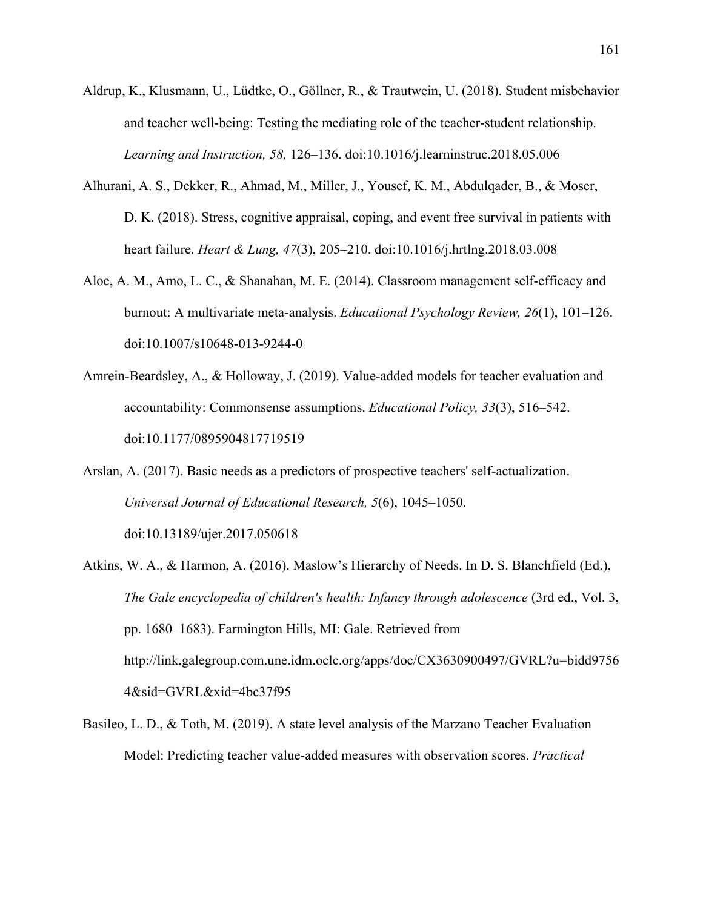- Aldrup, K., Klusmann, U., Lüdtke, O., Göllner, R., & Trautwein, U. (2018). Student misbehavior and teacher well-being: Testing the mediating role of the teacher-student relationship. *Learning and Instruction, 58,* 126–136. doi:10.1016/j.learninstruc.2018.05.006
- Alhurani, A. S., Dekker, R., Ahmad, M., Miller, J., Yousef, K. M., Abdulqader, B., & Moser, D. K. (2018). Stress, cognitive appraisal, coping, and event free survival in patients with heart failure. *Heart & Lung, 47*(3), 205–210. doi:10.1016/j.hrtlng.2018.03.008
- Aloe, A. M., Amo, L. C., & Shanahan, M. E. (2014). Classroom management self-efficacy and burnout: A multivariate meta-analysis. *Educational Psychology Review, 26*(1), 101–126. doi:10.1007/s10648-013-9244-0
- Amrein-Beardsley, A., & Holloway, J. (2019). Value-added models for teacher evaluation and accountability: Commonsense assumptions. *Educational Policy, 33*(3), 516–542. doi:10.1177/0895904817719519
- Arslan, A. (2017). Basic needs as a predictors of prospective teachers' self-actualization. *Universal Journal of Educational Research, 5*(6), 1045–1050. doi:10.13189/ujer.2017.050618
- Atkins, W. A., & Harmon, A. (2016). Maslow's Hierarchy of Needs. In D. S. Blanchfield (Ed.), *The Gale encyclopedia of children's health: Infancy through adolescence* (3rd ed., Vol. 3, pp. 1680–1683). Farmington Hills, MI: Gale. Retrieved from http://link.galegroup.com.une.idm.oclc.org/apps/doc/CX3630900497/GVRL?u=bidd9756 4&sid=GVRL&xid=4bc37f95
- Basileo, L. D., & Toth, M. (2019). A state level analysis of the Marzano Teacher Evaluation Model: Predicting teacher value-added measures with observation scores. *Practical*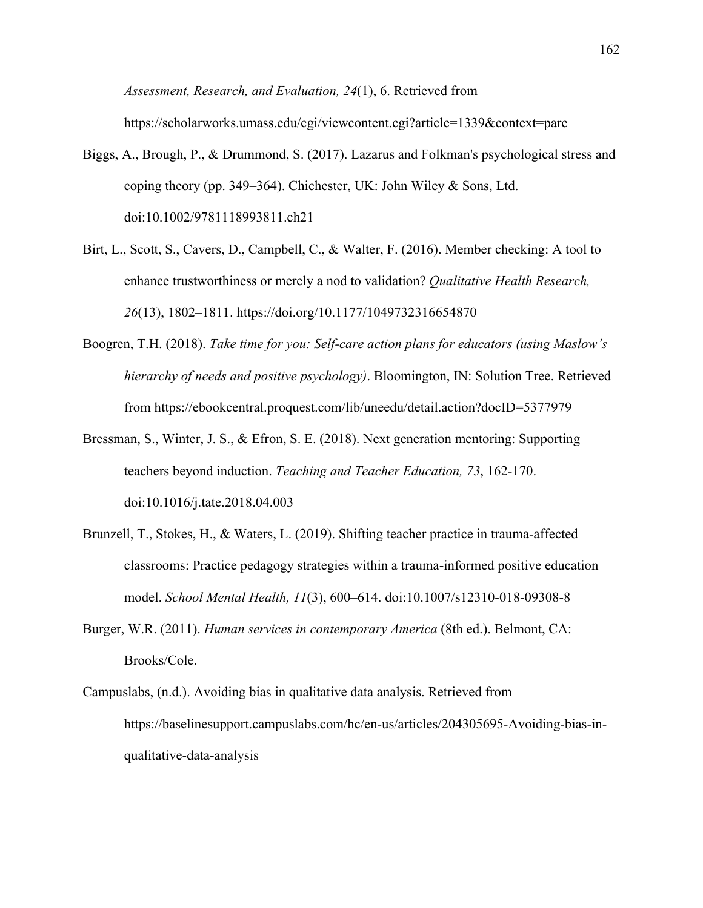*Assessment, Research, and Evaluation, 24*(1), 6. Retrieved from https://scholarworks.umass.edu/cgi/viewcontent.cgi?article=1339&context=pare

- Biggs, A., Brough, P., & Drummond, S. (2017). Lazarus and Folkman's psychological stress and coping theory (pp. 349–364). Chichester, UK: John Wiley & Sons, Ltd. doi:10.1002/9781118993811.ch21
- Birt, L., Scott, S., Cavers, D., Campbell, C., & Walter, F. (2016). Member checking: A tool to enhance trustworthiness or merely a nod to validation? *Qualitative Health Research, 26*(13), 1802–1811. https://doi.org/10.1177/1049732316654870
- Boogren, T.H. (2018). *Take time for you: Self-care action plans for educators (using Maslow's hierarchy of needs and positive psychology)*. Bloomington, IN: Solution Tree. Retrieved from https://ebookcentral.proquest.com/lib/uneedu/detail.action?docID=5377979
- Bressman, S., Winter, J. S., & Efron, S. E. (2018). Next generation mentoring: Supporting teachers beyond induction. *Teaching and Teacher Education, 73*, 162-170. doi:10.1016/j.tate.2018.04.003
- Brunzell, T., Stokes, H., & Waters, L. (2019). Shifting teacher practice in trauma-affected classrooms: Practice pedagogy strategies within a trauma-informed positive education model. *School Mental Health, 11*(3), 600–614. doi:10.1007/s12310-018-09308-8
- Burger, W.R. (2011). *Human services in contemporary America* (8th ed.). Belmont, CA: Brooks/Cole.
- Campuslabs, (n.d.). Avoiding bias in qualitative data analysis. Retrieved from https://baselinesupport.campuslabs.com/hc/en-us/articles/204305695-Avoiding-bias-inqualitative-data-analysis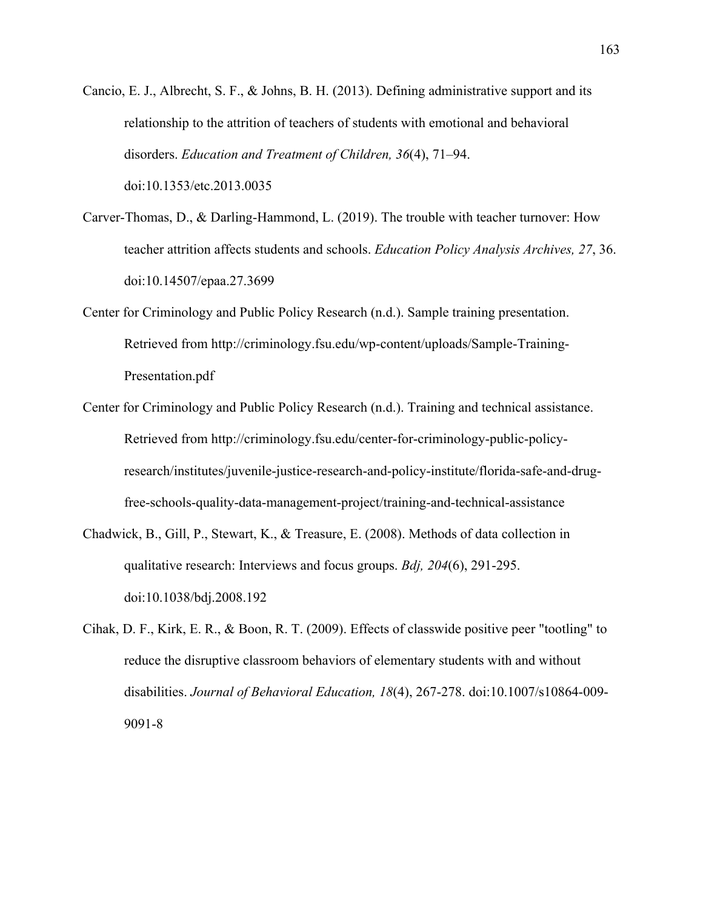- Cancio, E. J., Albrecht, S. F., & Johns, B. H. (2013). Defining administrative support and its relationship to the attrition of teachers of students with emotional and behavioral disorders. *Education and Treatment of Children, 36*(4), 71–94. doi:10.1353/etc.2013.0035
- Carver-Thomas, D., & Darling-Hammond, L. (2019). The trouble with teacher turnover: How teacher attrition affects students and schools. *Education Policy Analysis Archives, 27*, 36. doi:10.14507/epaa.27.3699
- Center for Criminology and Public Policy Research (n.d.). Sample training presentation. Retrieved from http://criminology.fsu.edu/wp-content/uploads/Sample-Training-Presentation.pdf
- Center for Criminology and Public Policy Research (n.d.). Training and technical assistance. Retrieved from http://criminology.fsu.edu/center-for-criminology-public-policyresearch/institutes/juvenile-justice-research-and-policy-institute/florida-safe-and-drugfree-schools-quality-data-management-project/training-and-technical-assistance
- Chadwick, B., Gill, P., Stewart, K., & Treasure, E. (2008). Methods of data collection in qualitative research: Interviews and focus groups. *Bdj, 204*(6), 291-295. doi:10.1038/bdj.2008.192
- Cihak, D. F., Kirk, E. R., & Boon, R. T. (2009). Effects of classwide positive peer "tootling" to reduce the disruptive classroom behaviors of elementary students with and without disabilities. *Journal of Behavioral Education, 18*(4), 267-278. doi:10.1007/s10864-009- 9091-8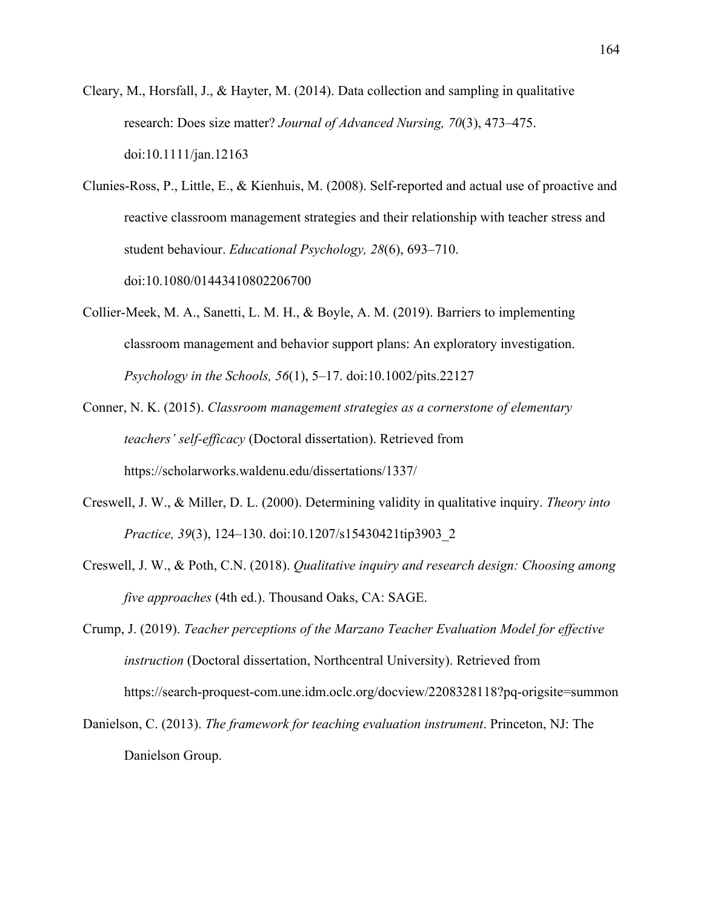- Cleary, M., Horsfall, J., & Hayter, M. (2014). Data collection and sampling in qualitative research: Does size matter? *Journal of Advanced Nursing, 70*(3), 473–475. doi:10.1111/jan.12163
- Clunies-Ross, P., Little, E., & Kienhuis, M. (2008). Self-reported and actual use of proactive and reactive classroom management strategies and their relationship with teacher stress and student behaviour. *Educational Psychology, 28*(6), 693–710. doi:10.1080/01443410802206700
- Collier‐Meek, M. A., Sanetti, L. M. H., & Boyle, A. M. (2019). Barriers to implementing classroom management and behavior support plans: An exploratory investigation. *Psychology in the Schools, 56*(1), 5–17. doi:10.1002/pits.22127
- Conner, N. K. (2015). *Classroom management strategies as a cornerstone of elementary teachers' self-efficacy* (Doctoral dissertation). Retrieved from https://scholarworks.waldenu.edu/dissertations/1337/
- Creswell, J. W., & Miller, D. L. (2000). Determining validity in qualitative inquiry. *Theory into Practice, 39*(3), 124–130. doi:10.1207/s15430421tip3903\_2
- Creswell, J. W., & Poth, C.N. (2018). *Qualitative inquiry and research design: Choosing among five approaches* (4th ed.). Thousand Oaks, CA: SAGE.
- Crump, J. (2019). *Teacher perceptions of the Marzano Teacher Evaluation Model for effective instruction* (Doctoral dissertation, Northcentral University). Retrieved from https://search-proquest-com.une.idm.oclc.org/docview/2208328118?pq-origsite=summon
- Danielson, C. (2013). *The framework for teaching evaluation instrument*. Princeton, NJ: The Danielson Group.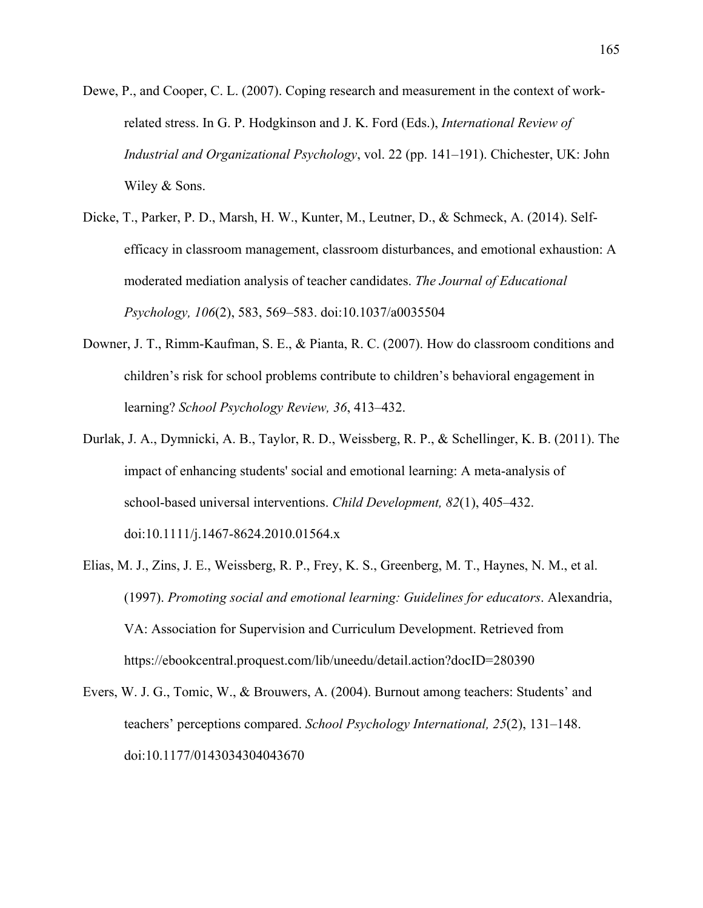- Dewe, P., and Cooper, C. L. (2007). Coping research and measurement in the context of workrelated stress. In G. P. Hodgkinson and J. K. Ford (Eds.), *International Review of Industrial and Organizational Psychology*, vol. 22 (pp. 141–191). Chichester, UK: John Wiley & Sons.
- Dicke, T., Parker, P. D., Marsh, H. W., Kunter, M., Leutner, D., & Schmeck, A. (2014). Selfefficacy in classroom management, classroom disturbances, and emotional exhaustion: A moderated mediation analysis of teacher candidates. *The Journal of Educational Psychology, 106*(2), 583, 569–583. doi:10.1037/a0035504
- Downer, J. T., Rimm-Kaufman, S. E., & Pianta, R. C. (2007). How do classroom conditions and children's risk for school problems contribute to children's behavioral engagement in learning? *School Psychology Review, 36*, 413–432.
- Durlak, J. A., Dymnicki, A. B., Taylor, R. D., Weissberg, R. P., & Schellinger, K. B. (2011). The impact of enhancing students' social and emotional learning: A meta-analysis of school-based universal interventions. *Child Development, 82*(1), 405–432. doi:10.1111/j.1467-8624.2010.01564.x
- Elias, M. J., Zins, J. E., Weissberg, R. P., Frey, K. S., Greenberg, M. T., Haynes, N. M., et al. (1997). *Promoting social and emotional learning: Guidelines for educators*. Alexandria, VA: Association for Supervision and Curriculum Development. Retrieved from https://ebookcentral.proquest.com/lib/uneedu/detail.action?docID=280390
- Evers, W. J. G., Tomic, W., & Brouwers, A. (2004). Burnout among teachers: Students' and teachers' perceptions compared. *School Psychology International, 25*(2), 131–148. doi:10.1177/0143034304043670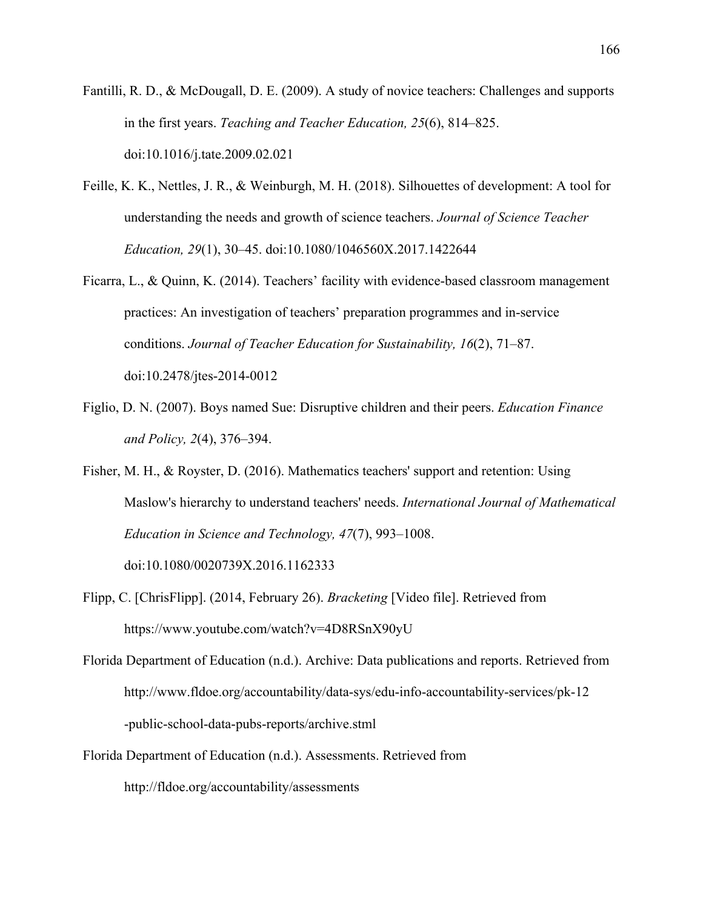Fantilli, R. D., & McDougall, D. E. (2009). A study of novice teachers: Challenges and supports in the first years. *Teaching and Teacher Education, 25*(6), 814–825. doi:10.1016/j.tate.2009.02.021

- Feille, K. K., Nettles, J. R., & Weinburgh, M. H. (2018). Silhouettes of development: A tool for understanding the needs and growth of science teachers. *Journal of Science Teacher Education, 29*(1), 30–45. doi:10.1080/1046560X.2017.1422644
- Ficarra, L., & Quinn, K. (2014). Teachers' facility with evidence-based classroom management practices: An investigation of teachers' preparation programmes and in-service conditions. *Journal of Teacher Education for Sustainability, 16*(2), 71–87. doi:10.2478/jtes-2014-0012
- Figlio, D. N. (2007). Boys named Sue: Disruptive children and their peers. *Education Finance and Policy, 2*(4), 376–394.
- Fisher, M. H., & Royster, D. (2016). Mathematics teachers' support and retention: Using Maslow's hierarchy to understand teachers' needs. *International Journal of Mathematical Education in Science and Technology, 47*(7), 993–1008.

doi:10.1080/0020739X.2016.1162333

- Flipp, C. [ChrisFlipp]. (2014, February 26). *Bracketing* [Video file]. Retrieved from https://www.youtube.com/watch?v=4D8RSnX90yU
- Florida Department of Education (n.d.). Archive: Data publications and reports. Retrieved from http://www.fldoe.org/accountability/data-sys/edu-info-accountability-services/pk-12 -public-school-data-pubs-reports/archive.stml
- Florida Department of Education (n.d.). Assessments. Retrieved from http://fldoe.org/accountability/assessments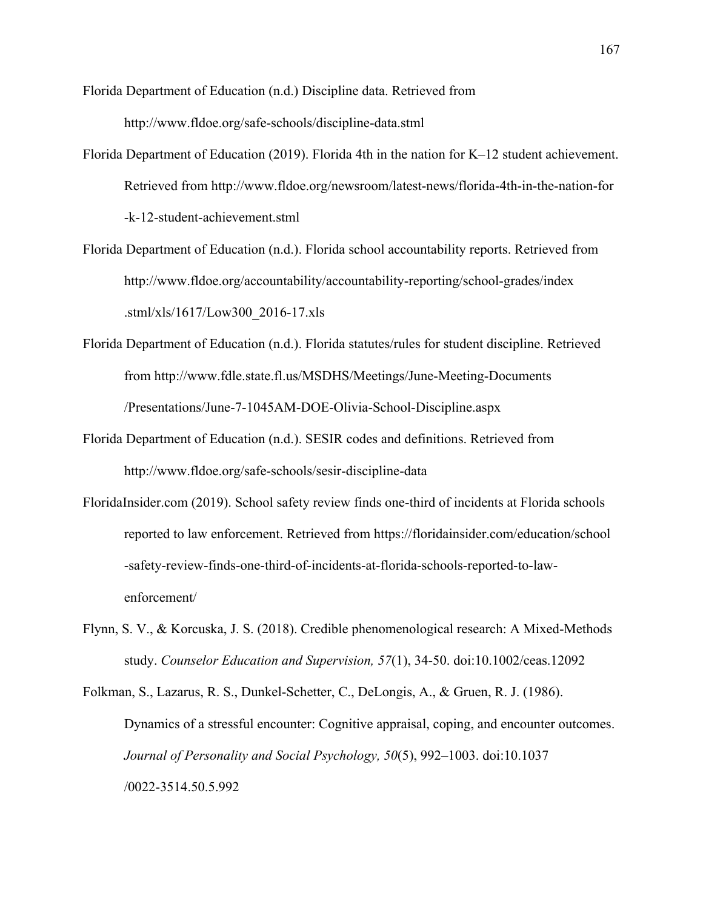Florida Department of Education (n.d.) Discipline data. Retrieved from http://www.fldoe.org/safe-schools/discipline-data.stml

- Florida Department of Education (2019). Florida 4th in the nation for K–12 student achievement. Retrieved from http://www.fldoe.org/newsroom/latest-news/florida-4th-in-the-nation-for -k-12-student-achievement.stml
- Florida Department of Education (n.d.). Florida school accountability reports. Retrieved from http://www.fldoe.org/accountability/accountability-reporting/school-grades/index .stml/xls/1617/Low300\_2016-17.xls
- Florida Department of Education (n.d.). Florida statutes/rules for student discipline. Retrieved from http://www.fdle.state.fl.us/MSDHS/Meetings/June-Meeting-Documents /Presentations/June-7-1045AM-DOE-Olivia-School-Discipline.aspx
- Florida Department of Education (n.d.). SESIR codes and definitions. Retrieved from http://www.fldoe.org/safe-schools/sesir-discipline-data
- FloridaInsider.com (2019). School safety review finds one-third of incidents at Florida schools reported to law enforcement. Retrieved from https://floridainsider.com/education/school -safety-review-finds-one-third-of-incidents-at-florida-schools-reported-to-lawenforcement/
- Flynn, S. V., & Korcuska, J. S. (2018). Credible phenomenological research: A Mixed‐Methods study. *Counselor Education and Supervision, 57*(1), 34-50. doi:10.1002/ceas.12092

Folkman, S., Lazarus, R. S., Dunkel-Schetter, C., DeLongis, A., & Gruen, R. J. (1986). Dynamics of a stressful encounter: Cognitive appraisal, coping, and encounter outcomes. *Journal of Personality and Social Psychology, 50*(5), 992–1003. doi:10.1037 /0022-3514.50.5.992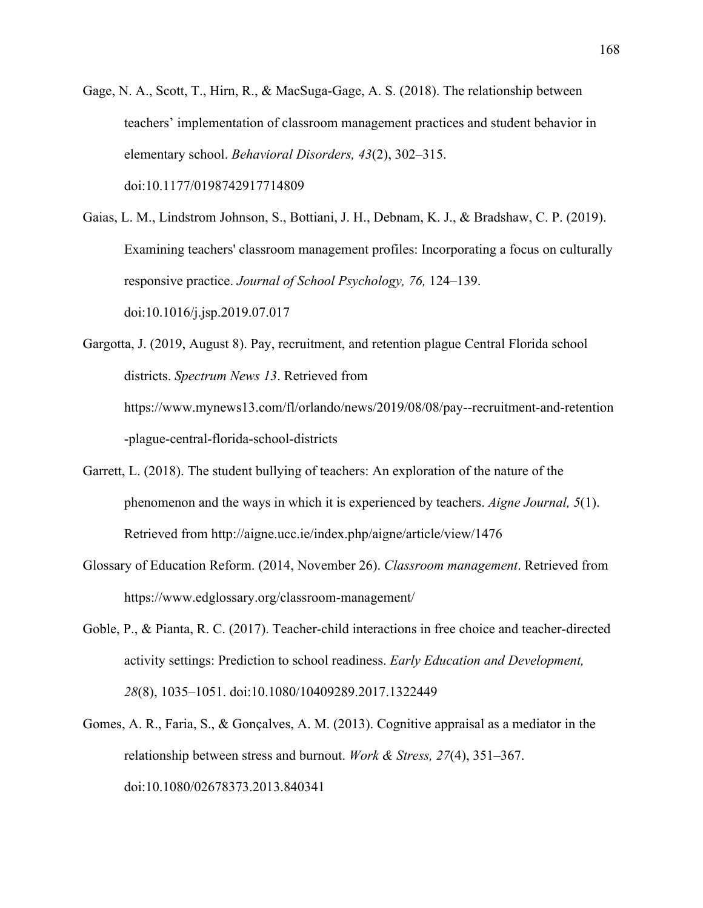- Gage, N. A., Scott, T., Hirn, R., & MacSuga-Gage, A. S. (2018). The relationship between teachers' implementation of classroom management practices and student behavior in elementary school. *Behavioral Disorders, 43*(2), 302–315. doi:10.1177/0198742917714809
- Gaias, L. M., Lindstrom Johnson, S., Bottiani, J. H., Debnam, K. J., & Bradshaw, C. P. (2019). Examining teachers' classroom management profiles: Incorporating a focus on culturally responsive practice. *Journal of School Psychology, 76,* 124–139. doi:10.1016/j.jsp.2019.07.017
- Gargotta, J. (2019, August 8). Pay, recruitment, and retention plague Central Florida school districts. *Spectrum News 13*. Retrieved from https://www.mynews13.com/fl/orlando/news/2019/08/08/pay--recruitment-and-retention -plague-central-florida-school-districts
- Garrett, L. (2018). The student bullying of teachers: An exploration of the nature of the phenomenon and the ways in which it is experienced by teachers. *Aigne Journal, 5*(1). Retrieved from http://aigne.ucc.ie/index.php/aigne/article/view/1476
- Glossary of Education Reform. (2014, November 26). *Classroom management*. Retrieved from https://www.edglossary.org/classroom-management/
- Goble, P., & Pianta, R. C. (2017). Teacher-child interactions in free choice and teacher-directed activity settings: Prediction to school readiness. *Early Education and Development, 28*(8), 1035–1051. doi:10.1080/10409289.2017.1322449
- Gomes, A. R., Faria, S., & Gonçalves, A. M. (2013). Cognitive appraisal as a mediator in the relationship between stress and burnout. *Work & Stress, 27*(4), 351–367. doi:10.1080/02678373.2013.840341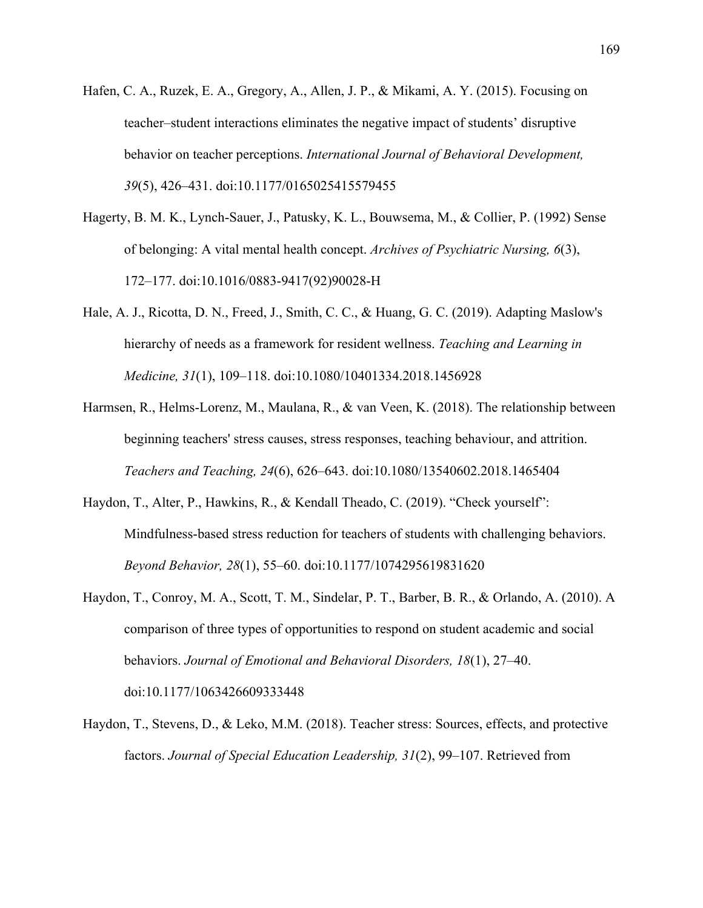- Hafen, C. A., Ruzek, E. A., Gregory, A., Allen, J. P., & Mikami, A. Y. (2015). Focusing on teacher–student interactions eliminates the negative impact of students' disruptive behavior on teacher perceptions. *International Journal of Behavioral Development, 39*(5), 426–431. doi:10.1177/0165025415579455
- Hagerty, B. M. K., Lynch-Sauer, J., Patusky, K. L., Bouwsema, M., & Collier, P. (1992) Sense of belonging: A vital mental health concept. *Archives of Psychiatric Nursing, 6*(3), 172–177. doi:10.1016/0883-9417(92)90028-H
- Hale, A. J., Ricotta, D. N., Freed, J., Smith, C. C., & Huang, G. C. (2019). Adapting Maslow's hierarchy of needs as a framework for resident wellness. *Teaching and Learning in Medicine, 31*(1), 109–118. doi:10.1080/10401334.2018.1456928
- Harmsen, R., Helms-Lorenz, M., Maulana, R., & van Veen, K. (2018). The relationship between beginning teachers' stress causes, stress responses, teaching behaviour, and attrition. *Teachers and Teaching, 24*(6), 626–643. doi:10.1080/13540602.2018.1465404
- Haydon, T., Alter, P., Hawkins, R., & Kendall Theado, C. (2019). "Check yourself": Mindfulness-based stress reduction for teachers of students with challenging behaviors. *Beyond Behavior, 28*(1), 55–60. doi:10.1177/1074295619831620
- Haydon, T., Conroy, M. A., Scott, T. M., Sindelar, P. T., Barber, B. R., & Orlando, A. (2010). A comparison of three types of opportunities to respond on student academic and social behaviors. *Journal of Emotional and Behavioral Disorders, 18*(1), 27–40. doi:10.1177/1063426609333448
- Haydon, T., Stevens, D., & Leko, M.M. (2018). Teacher stress: Sources, effects, and protective factors. *Journal of Special Education Leadership, 31*(2), 99–107. Retrieved from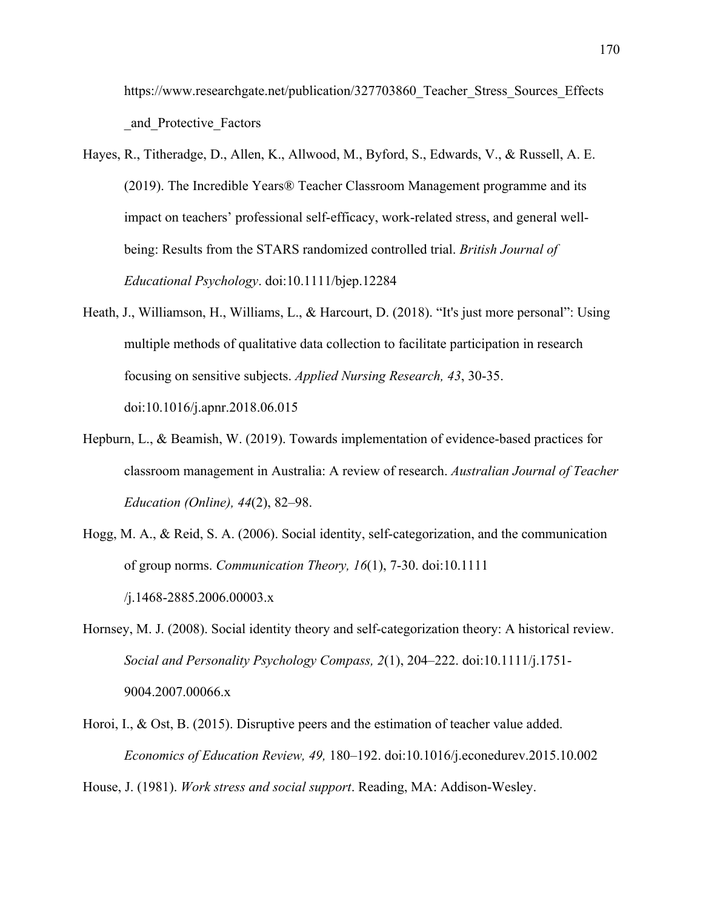https://www.researchgate.net/publication/327703860 Teacher Stress Sources Effects \_and\_Protective\_Factors

- Hayes, R., Titheradge, D., Allen, K., Allwood, M., Byford, S., Edwards, V., & Russell, A. E. (2019). The Incredible Years® Teacher Classroom Management programme and its impact on teachers' professional self-efficacy, work-related stress, and general wellbeing: Results from the STARS randomized controlled trial. *British Journal of Educational Psychology*. doi:10.1111/bjep.12284
- Heath, J., Williamson, H., Williams, L., & Harcourt, D. (2018). "It's just more personal": Using multiple methods of qualitative data collection to facilitate participation in research focusing on sensitive subjects. *Applied Nursing Research, 43*, 30-35. doi:10.1016/j.apnr.2018.06.015
- Hepburn, L., & Beamish, W. (2019). Towards implementation of evidence-based practices for classroom management in Australia: A review of research. *Australian Journal of Teacher Education (Online), 44*(2), 82–98.
- Hogg, M. A., & Reid, S. A. (2006). Social identity, self-categorization, and the communication of group norms. *Communication Theory, 16*(1), 7-30. doi:10.1111 /j.1468-2885.2006.00003.x
- Hornsey, M. J. (2008). Social identity theory and self-categorization theory: A historical review. *Social and Personality Psychology Compass, 2*(1), 204–222. doi:10.1111/j.1751- 9004.2007.00066.x
- Horoi, I., & Ost, B. (2015). Disruptive peers and the estimation of teacher value added. *Economics of Education Review, 49,* 180–192. doi:10.1016/j.econedurev.2015.10.002

House, J. (1981). *Work stress and social support*. Reading, MA: Addison-Wesley.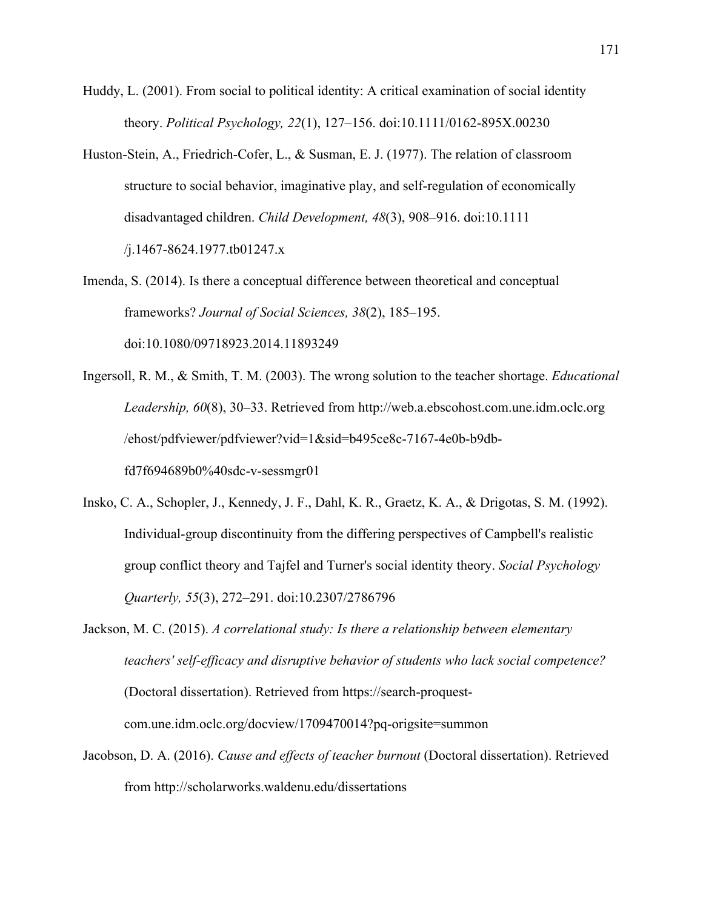- Huddy, L. (2001). From social to political identity: A critical examination of social identity theory. *Political Psychology, 22*(1), 127–156. doi:10.1111/0162-895X.00230
- Huston-Stein, A., Friedrich-Cofer, L., & Susman, E. J. (1977). The relation of classroom structure to social behavior, imaginative play, and self-regulation of economically disadvantaged children. *Child Development, 48*(3), 908–916. doi:10.1111 /j.1467-8624.1977.tb01247.x
- Imenda, S. (2014). Is there a conceptual difference between theoretical and conceptual frameworks? *Journal of Social Sciences, 38*(2), 185–195. doi:10.1080/09718923.2014.11893249
- Ingersoll, R. M., & Smith, T. M. (2003). The wrong solution to the teacher shortage. *Educational Leadership, 60*(8), 30–33. Retrieved from http://web.a.ebscohost.com.une.idm.oclc.org /ehost/pdfviewer/pdfviewer?vid=1&sid=b495ce8c-7167-4e0b-b9dbfd7f694689b0%40sdc-v-sessmgr01
- Insko, C. A., Schopler, J., Kennedy, J. F., Dahl, K. R., Graetz, K. A., & Drigotas, S. M. (1992). Individual-group discontinuity from the differing perspectives of Campbell's realistic group conflict theory and Tajfel and Turner's social identity theory. *Social Psychology Quarterly, 55*(3), 272–291. doi:10.2307/2786796
- Jackson, M. C. (2015). *A correlational study: Is there a relationship between elementary teachers' self-efficacy and disruptive behavior of students who lack social competence?* (Doctoral dissertation). Retrieved from https://search-proquestcom.une.idm.oclc.org/docview/1709470014?pq-origsite=summon
- Jacobson, D. A. (2016). *Cause and effects of teacher burnout* (Doctoral dissertation). Retrieved from http://scholarworks.waldenu.edu/dissertations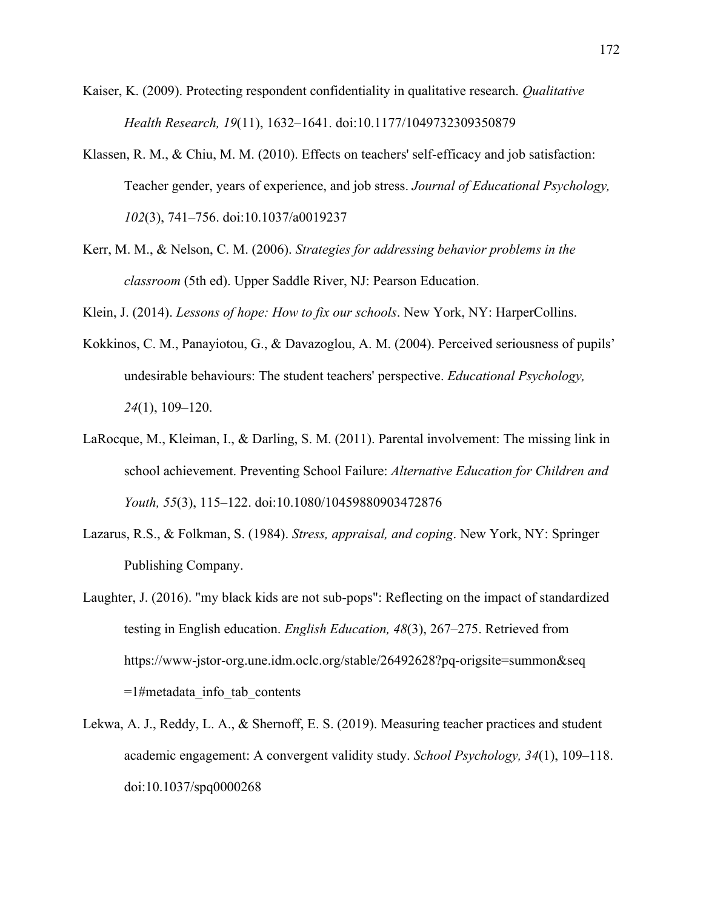- Kaiser, K. (2009). Protecting respondent confidentiality in qualitative research. *Qualitative Health Research, 19*(11), 1632–1641. doi:10.1177/1049732309350879
- Klassen, R. M., & Chiu, M. M. (2010). Effects on teachers' self-efficacy and job satisfaction: Teacher gender, years of experience, and job stress. *Journal of Educational Psychology, 102*(3), 741–756. doi:10.1037/a0019237
- Kerr, M. M., & Nelson, C. M. (2006). *Strategies for addressing behavior problems in the classroom* (5th ed). Upper Saddle River, NJ: Pearson Education.

Klein, J. (2014). *Lessons of hope: How to fix our schools*. New York, NY: HarperCollins.

- Kokkinos, C. M., Panayiotou, G., & Davazoglou, A. M. (2004). Perceived seriousness of pupils' undesirable behaviours: The student teachers' perspective. *Educational Psychology, 24*(1), 109–120.
- LaRocque, M., Kleiman, I., & Darling, S. M. (2011). Parental involvement: The missing link in school achievement. Preventing School Failure: *Alternative Education for Children and Youth, 55*(3), 115–122. doi:10.1080/10459880903472876
- Lazarus, R.S., & Folkman, S. (1984). *Stress, appraisal, and coping*. New York, NY: Springer Publishing Company.
- Laughter, J. (2016). "my black kids are not sub-pops": Reflecting on the impact of standardized testing in English education. *English Education, 48*(3), 267–275. Retrieved from https://www-jstor-org.une.idm.oclc.org/stable/26492628?pq-origsite=summon&seq  $=1$ #metadata info tab contents
- Lekwa, A. J., Reddy, L. A., & Shernoff, E. S. (2019). Measuring teacher practices and student academic engagement: A convergent validity study. *School Psychology, 34*(1), 109–118. doi:10.1037/spq0000268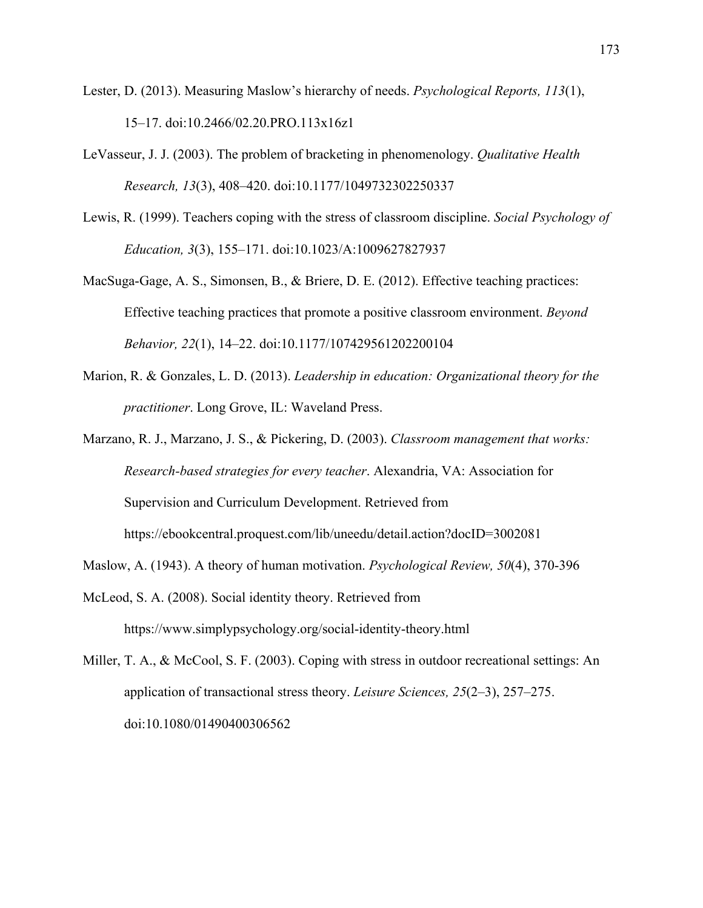- Lester, D. (2013). Measuring Maslow's hierarchy of needs. *Psychological Reports, 113*(1), 15–17. doi:10.2466/02.20.PRO.113x16z1
- LeVasseur, J. J. (2003). The problem of bracketing in phenomenology. *Qualitative Health Research, 13*(3), 408–420. doi:10.1177/1049732302250337
- Lewis, R. (1999). Teachers coping with the stress of classroom discipline. *Social Psychology of Education, 3*(3), 155–171. doi:10.1023/A:1009627827937
- MacSuga-Gage, A. S., Simonsen, B., & Briere, D. E. (2012). Effective teaching practices: Effective teaching practices that promote a positive classroom environment. *Beyond Behavior, 22*(1), 14–22. doi:10.1177/107429561202200104
- Marion, R. & Gonzales, L. D. (2013). *Leadership in education: Organizational theory for the practitioner*. Long Grove, IL: Waveland Press.
- Marzano, R. J., Marzano, J. S., & Pickering, D. (2003). *Classroom management that works: Research-based strategies for every teacher*. Alexandria, VA: Association for Supervision and Curriculum Development. Retrieved from https://ebookcentral.proquest.com/lib/uneedu/detail.action?docID=3002081
- Maslow, A. (1943). A theory of human motivation. *Psychological Review, 50*(4), 370-396
- McLeod, S. A. (2008). Social identity theory. Retrieved from https://www.simplypsychology.org/social-identity-theory.html

Miller, T. A., & McCool, S. F. (2003). Coping with stress in outdoor recreational settings: An application of transactional stress theory. *Leisure Sciences, 25*(2–3), 257–275. doi:10.1080/01490400306562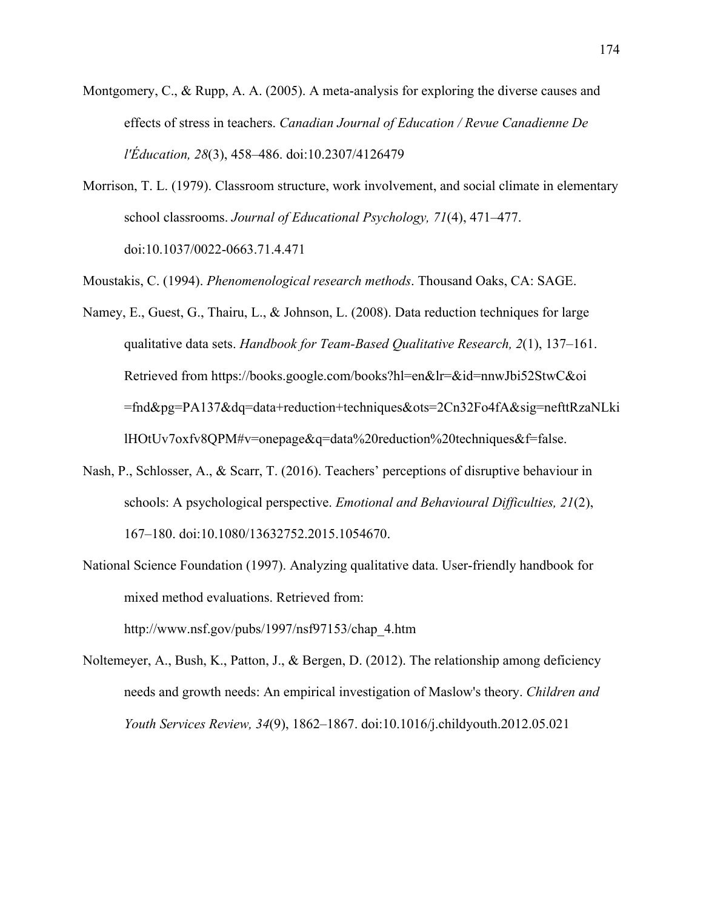- Montgomery, C., & Rupp, A. A. (2005). A meta-analysis for exploring the diverse causes and effects of stress in teachers. *Canadian Journal of Education / Revue Canadienne De l'Éducation, 28*(3), 458–486. doi:10.2307/4126479
- Morrison, T. L. (1979). Classroom structure, work involvement, and social climate in elementary school classrooms. *Journal of Educational Psychology, 71*(4), 471–477. doi:10.1037/0022-0663.71.4.471

Moustakis, C. (1994). *Phenomenological research methods*. Thousand Oaks, CA: SAGE.

- Namey, E., Guest, G., Thairu, L., & Johnson, L. (2008). Data reduction techniques for large qualitative data sets. *Handbook for Team-Based Qualitative Research, 2*(1), 137–161. Retrieved from https://books.google.com/books?hl=en&lr=&id=nnwJbi52StwC&oi =fnd&pg=PA137&dq=data+reduction+techniques&ots=2Cn32Fo4fA&sig=nefttRzaNLki lHOtUv7oxfv8QPM#v=onepage&q=data%20reduction%20techniques&f=false.
- Nash, P., Schlosser, A., & Scarr, T. (2016). Teachers' perceptions of disruptive behaviour in schools: A psychological perspective. *Emotional and Behavioural Difficulties, 21*(2), 167–180. doi:10.1080/13632752.2015.1054670.
- National Science Foundation (1997). Analyzing qualitative data. User-friendly handbook for mixed method evaluations. Retrieved from:

http://www.nsf.gov/pubs/1997/nsf97153/chap\_4.htm

Noltemeyer, A., Bush, K., Patton, J., & Bergen, D. (2012). The relationship among deficiency needs and growth needs: An empirical investigation of Maslow's theory. *Children and Youth Services Review, 34*(9), 1862–1867. doi:10.1016/j.childyouth.2012.05.021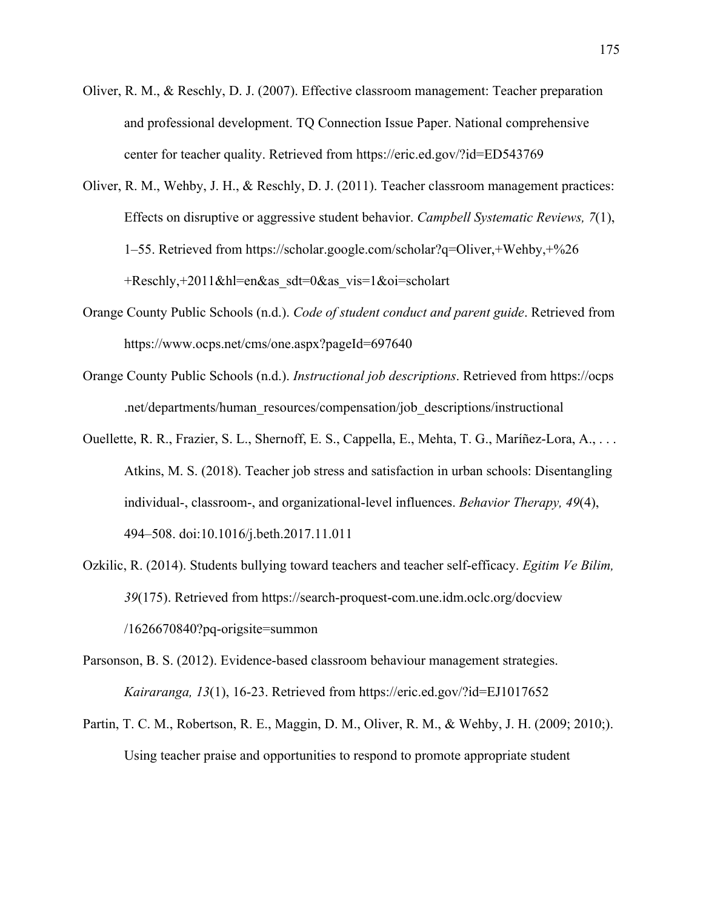- Oliver, R. M., & Reschly, D. J. (2007). Effective classroom management: Teacher preparation and professional development. TQ Connection Issue Paper. National comprehensive center for teacher quality. Retrieved from https://eric.ed.gov/?id=ED543769
- Oliver, R. M., Wehby, J. H., & Reschly, D. J. (2011). Teacher classroom management practices: Effects on disruptive or aggressive student behavior. *Campbell Systematic Reviews, 7*(1), 1–55. Retrieved from https://scholar.google.com/scholar?q=Oliver,+Wehby,+%26  $+$ Reschly, $+2011$ &hl=en&as sdt=0&as vis=1&oi=scholart
- Orange County Public Schools (n.d.). *Code of student conduct and parent guide*. Retrieved from https://www.ocps.net/cms/one.aspx?pageId=697640
- Orange County Public Schools (n.d.). *Instructional job descriptions*. Retrieved from https://ocps .net/departments/human\_resources/compensation/job\_descriptions/instructional
- Ouellette, R. R., Frazier, S. L., Shernoff, E. S., Cappella, E., Mehta, T. G., Maríñez-Lora, A., . . . Atkins, M. S. (2018). Teacher job stress and satisfaction in urban schools: Disentangling individual-, classroom-, and organizational-level influences. *Behavior Therapy, 49*(4), 494–508. doi:10.1016/j.beth.2017.11.011
- Ozkilic, R. (2014). Students bullying toward teachers and teacher self-efficacy. *Egitim Ve Bilim, 39*(175). Retrieved from https://search-proquest-com.une.idm.oclc.org/docview /1626670840?pq-origsite=summon
- Parsonson, B. S. (2012). Evidence-based classroom behaviour management strategies. *Kairaranga, 13*(1), 16-23. Retrieved from https://eric.ed.gov/?id=EJ1017652
- Partin, T. C. M., Robertson, R. E., Maggin, D. M., Oliver, R. M., & Wehby, J. H. (2009; 2010;). Using teacher praise and opportunities to respond to promote appropriate student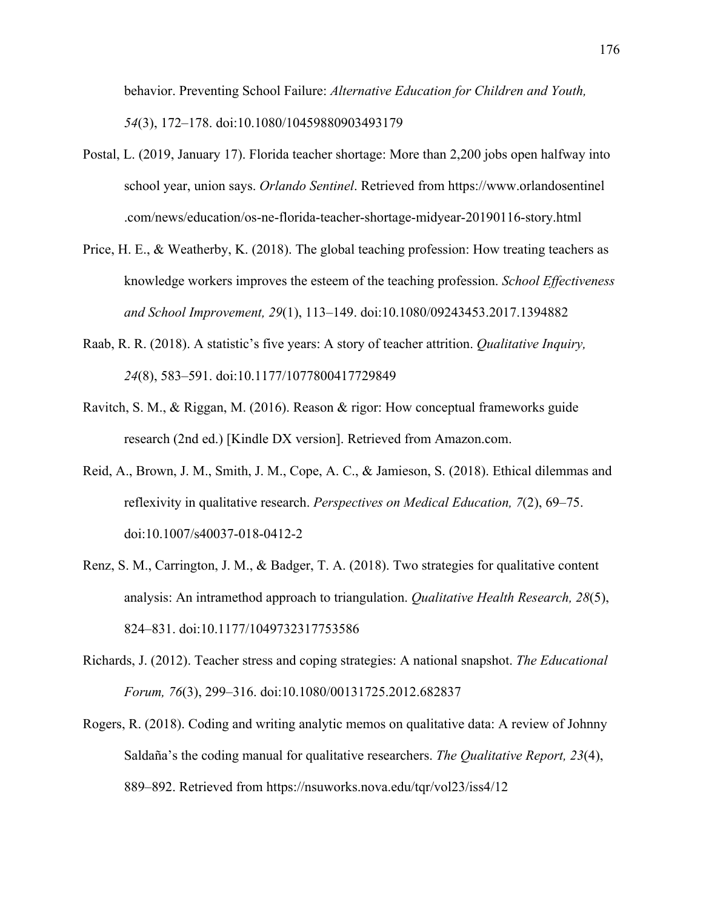behavior. Preventing School Failure: *Alternative Education for Children and Youth, 54*(3), 172–178. doi:10.1080/10459880903493179

- Postal, L. (2019, January 17). Florida teacher shortage: More than 2,200 jobs open halfway into school year, union says. *Orlando Sentinel*. Retrieved from https://www.orlandosentinel .com/news/education/os-ne-florida-teacher-shortage-midyear-20190116-story.html
- Price, H. E., & Weatherby, K. (2018). The global teaching profession: How treating teachers as knowledge workers improves the esteem of the teaching profession. *School Effectiveness and School Improvement, 29*(1), 113–149. doi:10.1080/09243453.2017.1394882
- Raab, R. R. (2018). A statistic's five years: A story of teacher attrition. *Qualitative Inquiry, 24*(8), 583–591. doi:10.1177/1077800417729849
- Ravitch, S. M., & Riggan, M. (2016). Reason & rigor: How conceptual frameworks guide research (2nd ed.) [Kindle DX version]. Retrieved from Amazon.com.
- Reid, A., Brown, J. M., Smith, J. M., Cope, A. C., & Jamieson, S. (2018). Ethical dilemmas and reflexivity in qualitative research. *Perspectives on Medical Education, 7*(2), 69–75. doi:10.1007/s40037-018-0412-2
- Renz, S. M., Carrington, J. M., & Badger, T. A. (2018). Two strategies for qualitative content analysis: An intramethod approach to triangulation. *Qualitative Health Research, 28*(5), 824–831. doi:10.1177/1049732317753586
- Richards, J. (2012). Teacher stress and coping strategies: A national snapshot. *The Educational Forum, 76*(3), 299–316. doi:10.1080/00131725.2012.682837
- Rogers, R. (2018). Coding and writing analytic memos on qualitative data: A review of Johnny Saldaña's the coding manual for qualitative researchers. *The Qualitative Report, 23*(4), 889–892. Retrieved from https://nsuworks.nova.edu/tqr/vol23/iss4/12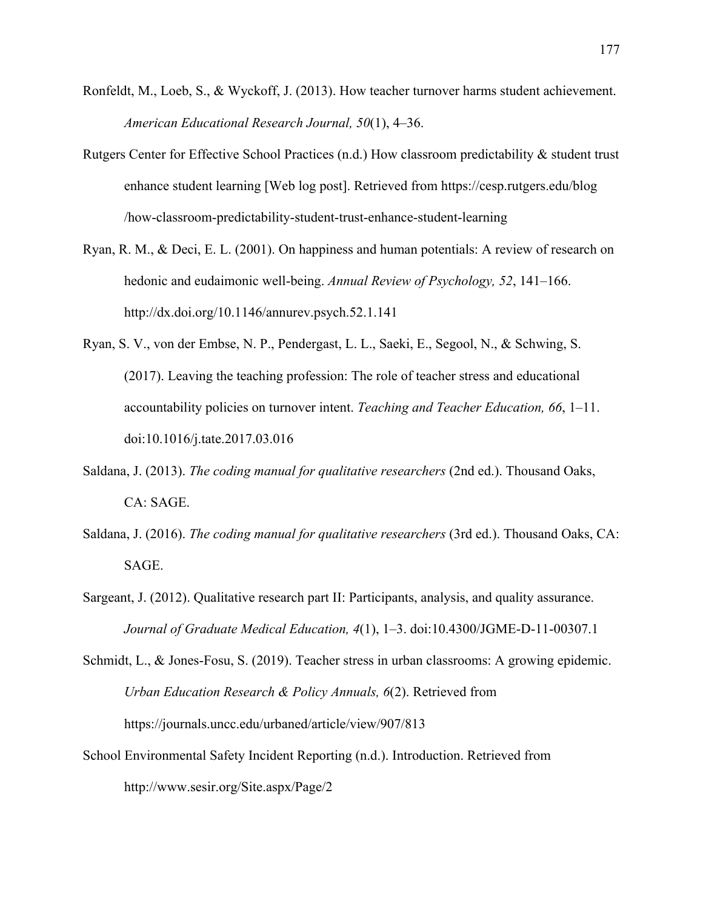- Ronfeldt, M., Loeb, S., & Wyckoff, J. (2013). How teacher turnover harms student achievement. *American Educational Research Journal, 50*(1), 4–36.
- Rutgers Center for Effective School Practices (n.d.) How classroom predictability & student trust enhance student learning [Web log post]. Retrieved from https://cesp.rutgers.edu/blog /how-classroom-predictability-student-trust-enhance-student-learning
- Ryan, R. M., & Deci, E. L. (2001). On happiness and human potentials: A review of research on hedonic and eudaimonic well-being. *Annual Review of Psychology, 52*, 141–166. http://dx.doi.org/10.1146/annurev.psych.52.1.141
- Ryan, S. V., von der Embse, N. P., Pendergast, L. L., Saeki, E., Segool, N., & Schwing, S. (2017). Leaving the teaching profession: The role of teacher stress and educational accountability policies on turnover intent. *Teaching and Teacher Education, 66*, 1–11. doi:10.1016/j.tate.2017.03.016
- Saldana, J. (2013). *The coding manual for qualitative researchers* (2nd ed.). Thousand Oaks, CA: SAGE.
- Saldana, J. (2016). *The coding manual for qualitative researchers* (3rd ed.). Thousand Oaks, CA: SAGE.
- Sargeant, J. (2012). Qualitative research part II: Participants, analysis, and quality assurance. *Journal of Graduate Medical Education, 4*(1), 1–3. doi:10.4300/JGME-D-11-00307.1
- Schmidt, L., & Jones-Fosu, S. (2019). Teacher stress in urban classrooms: A growing epidemic. *Urban Education Research & Policy Annuals, 6*(2). Retrieved from https://journals.uncc.edu/urbaned/article/view/907/813
- School Environmental Safety Incident Reporting (n.d.). Introduction. Retrieved from http://www.sesir.org/Site.aspx/Page/2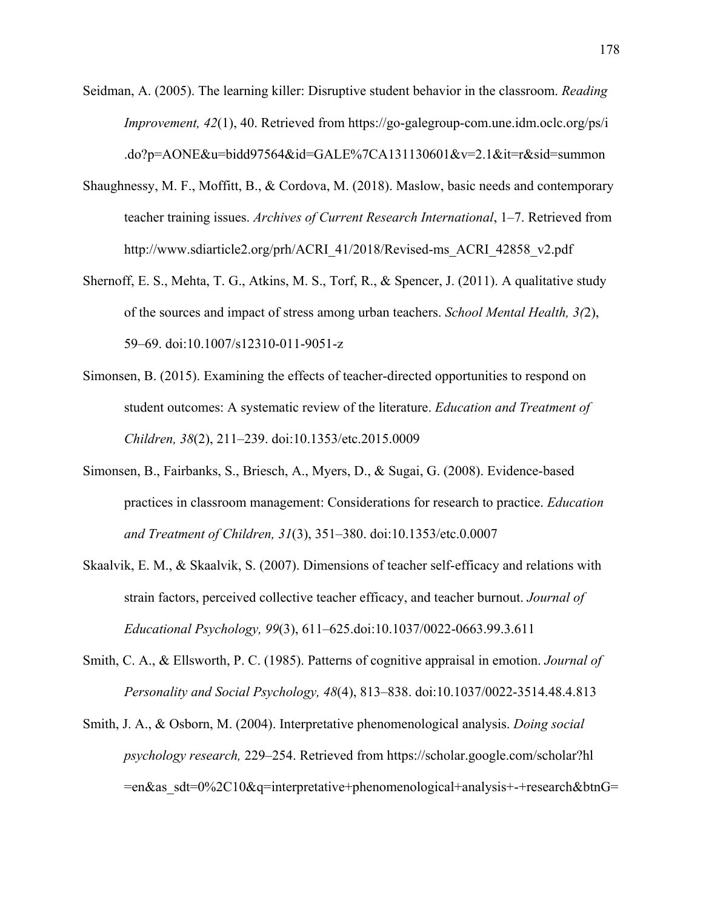Seidman, A. (2005). The learning killer: Disruptive student behavior in the classroom. *Reading Improvement, 42*(1), 40. Retrieved from https://go-galegroup-com.une.idm.oclc.org/ps/i .do?p=AONE&u=bidd97564&id=GALE%7CA131130601&v=2.1&it=r&sid=summon

- Shaughnessy, M. F., Moffitt, B., & Cordova, M. (2018). Maslow, basic needs and contemporary teacher training issues. *Archives of Current Research International*, 1–7. Retrieved from http://www.sdiarticle2.org/prh/ACRI\_41/2018/Revised-ms\_ACRI\_42858\_v2.pdf
- Shernoff, E. S., Mehta, T. G., Atkins, M. S., Torf, R., & Spencer, J. (2011). A qualitative study of the sources and impact of stress among urban teachers. *School Mental Health, 3(*2), 59–69. doi:10.1007/s12310-011-9051-z
- Simonsen, B. (2015). Examining the effects of teacher-directed opportunities to respond on student outcomes: A systematic review of the literature. *Education and Treatment of Children, 38*(2), 211–239. doi:10.1353/etc.2015.0009
- Simonsen, B., Fairbanks, S., Briesch, A., Myers, D., & Sugai, G. (2008). Evidence-based practices in classroom management: Considerations for research to practice. *Education and Treatment of Children, 31*(3), 351–380. doi:10.1353/etc.0.0007
- Skaalvik, E. M., & Skaalvik, S. (2007). Dimensions of teacher self-efficacy and relations with strain factors, perceived collective teacher efficacy, and teacher burnout. *Journal of Educational Psychology, 99*(3), 611–625.doi:10.1037/0022-0663.99.3.611
- Smith, C. A., & Ellsworth, P. C. (1985). Patterns of cognitive appraisal in emotion. *Journal of Personality and Social Psychology, 48*(4), 813–838. doi:10.1037/0022-3514.48.4.813
- Smith, J. A., & Osborn, M. (2004). Interpretative phenomenological analysis. *Doing social psychology research,* 229–254. Retrieved from https://scholar.google.com/scholar?hl =en&as\_sdt=0%2C10&q=interpretative+phenomenological+analysis+-+research&btnG=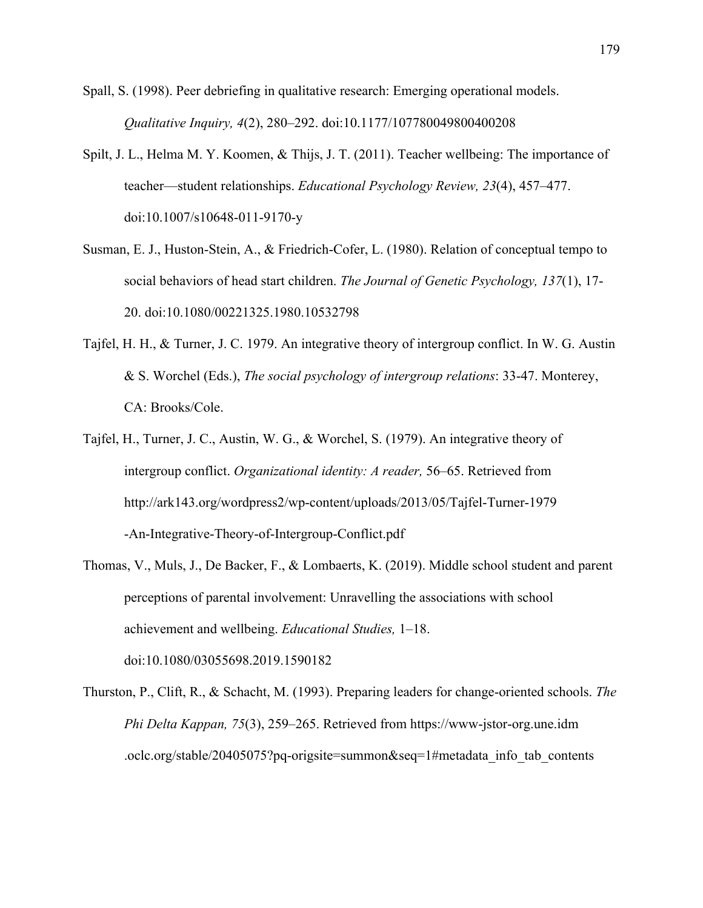- Spall, S. (1998). Peer debriefing in qualitative research: Emerging operational models. *Qualitative Inquiry, 4*(2), 280–292. doi:10.1177/107780049800400208
- Spilt, J. L., Helma M. Y. Koomen, & Thijs, J. T. (2011). Teacher wellbeing: The importance of teacher—student relationships. *Educational Psychology Review, 23*(4), 457–477. doi:10.1007/s10648-011-9170-y
- Susman, E. J., Huston-Stein, A., & Friedrich-Cofer, L. (1980). Relation of conceptual tempo to social behaviors of head start children. *The Journal of Genetic Psychology, 137*(1), 17- 20. doi:10.1080/00221325.1980.10532798
- Tajfel, H. H., & Turner, J. C. 1979. An integrative theory of intergroup conflict. In W. G. Austin & S. Worchel (Eds.), *The social psychology of intergroup relations*: 33-47. Monterey, CA: Brooks/Cole.
- Tajfel, H., Turner, J. C., Austin, W. G., & Worchel, S. (1979). An integrative theory of intergroup conflict. *Organizational identity: A reader,* 56–65. Retrieved from http://ark143.org/wordpress2/wp-content/uploads/2013/05/Tajfel-Turner-1979 -An-Integrative-Theory-of-Intergroup-Conflict.pdf
- Thomas, V., Muls, J., De Backer, F., & Lombaerts, K. (2019). Middle school student and parent perceptions of parental involvement: Unravelling the associations with school achievement and wellbeing. *Educational Studies,* 1–18. doi:10.1080/03055698.2019.1590182
- Thurston, P., Clift, R., & Schacht, M. (1993). Preparing leaders for change-oriented schools. *The Phi Delta Kappan, 75*(3), 259–265. Retrieved from https://www-jstor-org.une.idm .oclc.org/stable/20405075?pq-origsite=summon&seq=1#metadata\_info\_tab\_contents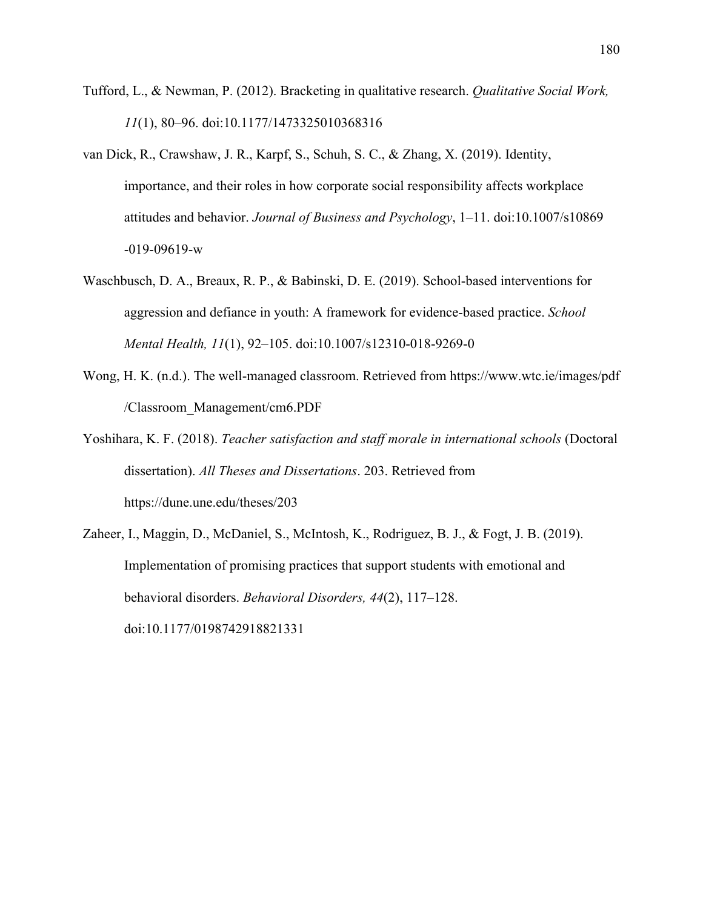- Tufford, L., & Newman, P. (2012). Bracketing in qualitative research. *Qualitative Social Work, 11*(1), 80–96. doi:10.1177/1473325010368316
- van Dick, R., Crawshaw, J. R., Karpf, S., Schuh, S. C., & Zhang, X. (2019). Identity, importance, and their roles in how corporate social responsibility affects workplace attitudes and behavior. *Journal of Business and Psychology*, 1–11. doi:10.1007/s10869 -019-09619-w
- Waschbusch, D. A., Breaux, R. P., & Babinski, D. E. (2019). School-based interventions for aggression and defiance in youth: A framework for evidence-based practice. *School Mental Health, 11*(1), 92–105. doi:10.1007/s12310-018-9269-0
- Wong, H. K. (n.d.). The well-managed classroom. Retrieved from https://www.wtc.ie/images/pdf /Classroom\_Management/cm6.PDF
- Yoshihara, K. F. (2018). *Teacher satisfaction and staff morale in international schools* (Doctoral dissertation). *All Theses and Dissertations*. 203. Retrieved from https://dune.une.edu/theses/203
- Zaheer, I., Maggin, D., McDaniel, S., McIntosh, K., Rodriguez, B. J., & Fogt, J. B. (2019). Implementation of promising practices that support students with emotional and behavioral disorders. *Behavioral Disorders, 44*(2), 117–128. doi:10.1177/0198742918821331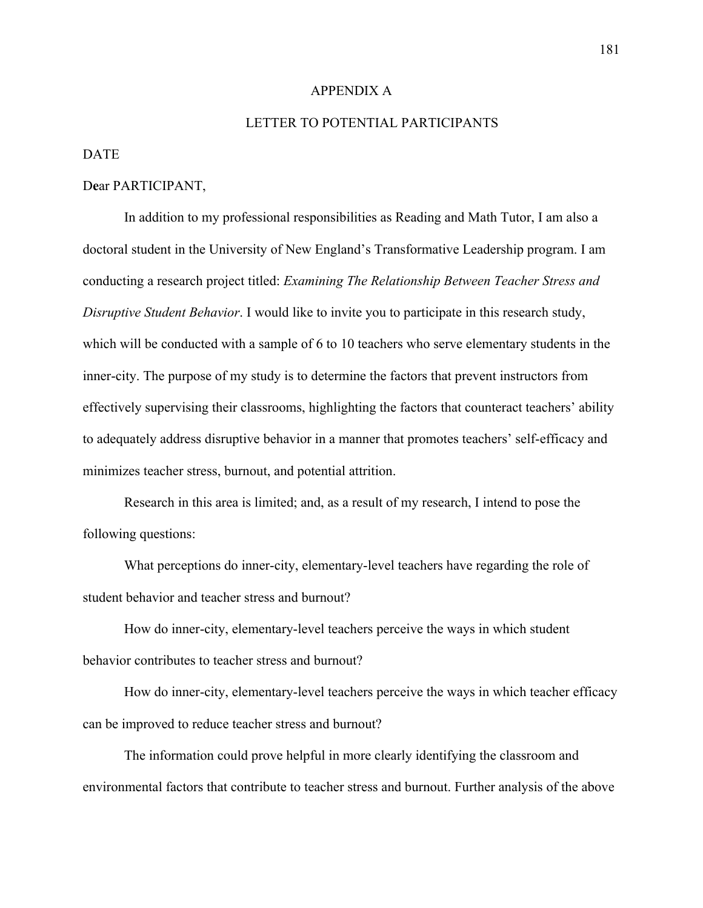#### APPENDIX A

### LETTER TO POTENTIAL PARTICIPANTS

### DATE

#### D**e**ar PARTICIPANT,

In addition to my professional responsibilities as Reading and Math Tutor, I am also a doctoral student in the University of New England's Transformative Leadership program. I am conducting a research project titled: *Examining The Relationship Between Teacher Stress and Disruptive Student Behavior*. I would like to invite you to participate in this research study, which will be conducted with a sample of 6 to 10 teachers who serve elementary students in the inner-city. The purpose of my study is to determine the factors that prevent instructors from effectively supervising their classrooms, highlighting the factors that counteract teachers' ability to adequately address disruptive behavior in a manner that promotes teachers' self-efficacy and minimizes teacher stress, burnout, and potential attrition.

Research in this area is limited; and, as a result of my research, I intend to pose the following questions:

What perceptions do inner-city, elementary-level teachers have regarding the role of student behavior and teacher stress and burnout?

How do inner-city, elementary-level teachers perceive the ways in which student behavior contributes to teacher stress and burnout?

How do inner-city, elementary-level teachers perceive the ways in which teacher efficacy can be improved to reduce teacher stress and burnout?

The information could prove helpful in more clearly identifying the classroom and environmental factors that contribute to teacher stress and burnout. Further analysis of the above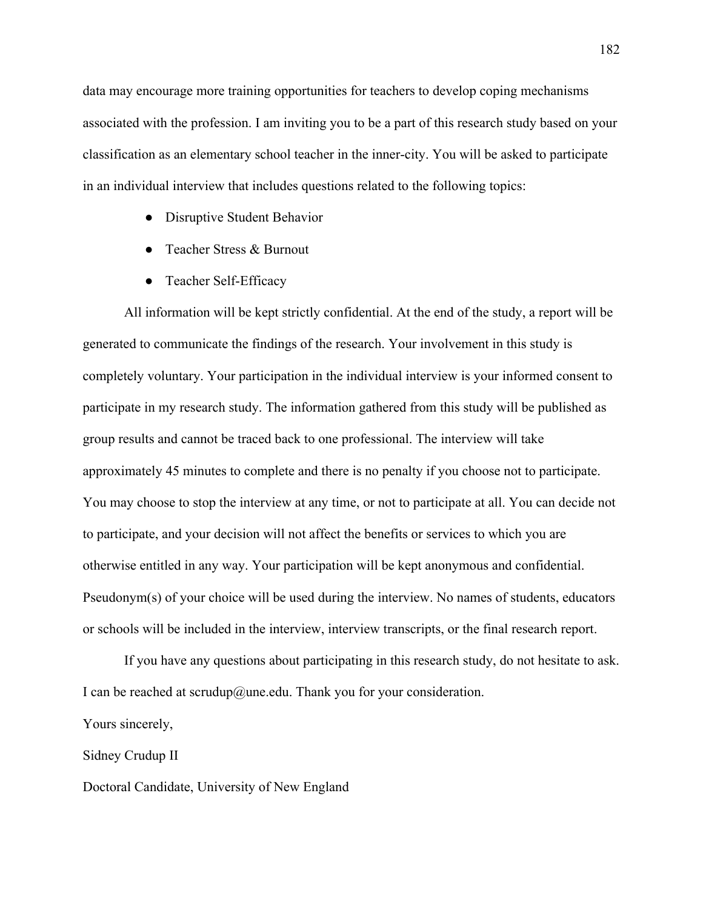data may encourage more training opportunities for teachers to develop coping mechanisms associated with the profession. I am inviting you to be a part of this research study based on your classification as an elementary school teacher in the inner-city. You will be asked to participate in an individual interview that includes questions related to the following topics:

- Disruptive Student Behavior
- Teacher Stress & Burnout
- Teacher Self-Efficacy

All information will be kept strictly confidential. At the end of the study, a report will be generated to communicate the findings of the research. Your involvement in this study is completely voluntary. Your participation in the individual interview is your informed consent to participate in my research study. The information gathered from this study will be published as group results and cannot be traced back to one professional. The interview will take approximately 45 minutes to complete and there is no penalty if you choose not to participate. You may choose to stop the interview at any time, or not to participate at all. You can decide not to participate, and your decision will not affect the benefits or services to which you are otherwise entitled in any way. Your participation will be kept anonymous and confidential. Pseudonym(s) of your choice will be used during the interview. No names of students, educators or schools will be included in the interview, interview transcripts, or the final research report.

If you have any questions about participating in this research study, do not hesitate to ask. I can be reached at scrudup@une.edu. Thank you for your consideration.

Yours sincerely,

Sidney Crudup II

Doctoral Candidate, University of New England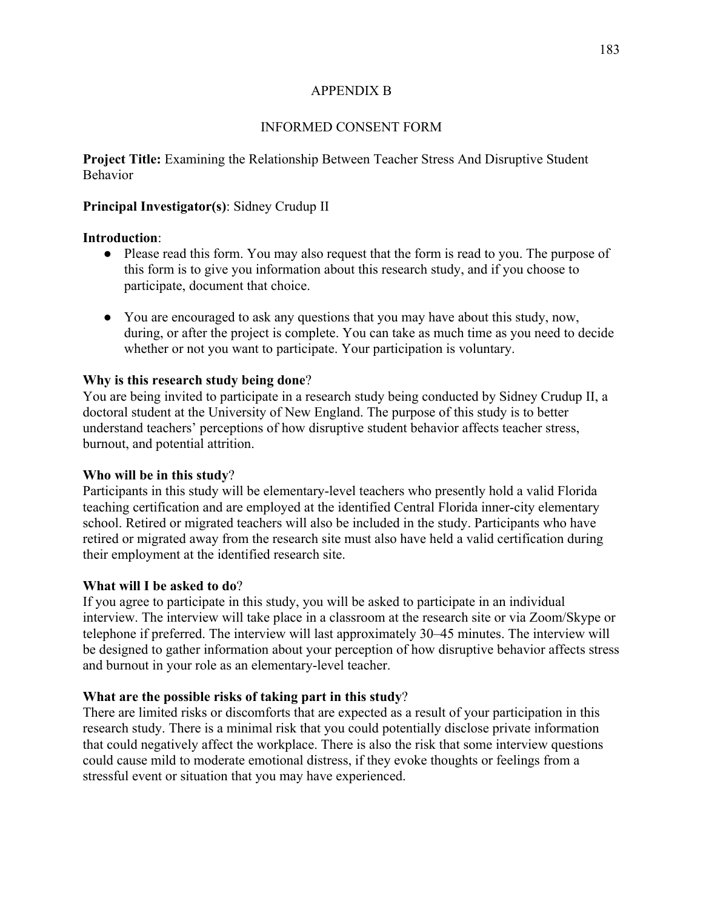## APPENDIX B

## INFORMED CONSENT FORM

**Project Title:** Examining the Relationship Between Teacher Stress And Disruptive Student Behavior

## **Principal Investigator(s)**: Sidney Crudup II

## **Introduction**:

- Please read this form. You may also request that the form is read to you. The purpose of this form is to give you information about this research study, and if you choose to participate, document that choice.
- You are encouraged to ask any questions that you may have about this study, now, during, or after the project is complete. You can take as much time as you need to decide whether or not you want to participate. Your participation is voluntary.

## **Why is this research study being done**?

You are being invited to participate in a research study being conducted by Sidney Crudup II, a doctoral student at the University of New England. The purpose of this study is to better understand teachers' perceptions of how disruptive student behavior affects teacher stress, burnout, and potential attrition.

## **Who will be in this study**?

Participants in this study will be elementary-level teachers who presently hold a valid Florida teaching certification and are employed at the identified Central Florida inner-city elementary school. Retired or migrated teachers will also be included in the study. Participants who have retired or migrated away from the research site must also have held a valid certification during their employment at the identified research site.

# **What will I be asked to do**?

If you agree to participate in this study, you will be asked to participate in an individual interview. The interview will take place in a classroom at the research site or via Zoom/Skype or telephone if preferred. The interview will last approximately 30–45 minutes. The interview will be designed to gather information about your perception of how disruptive behavior affects stress and burnout in your role as an elementary-level teacher.

# **What are the possible risks of taking part in this study**?

There are limited risks or discomforts that are expected as a result of your participation in this research study. There is a minimal risk that you could potentially disclose private information that could negatively affect the workplace. There is also the risk that some interview questions could cause mild to moderate emotional distress, if they evoke thoughts or feelings from a stressful event or situation that you may have experienced.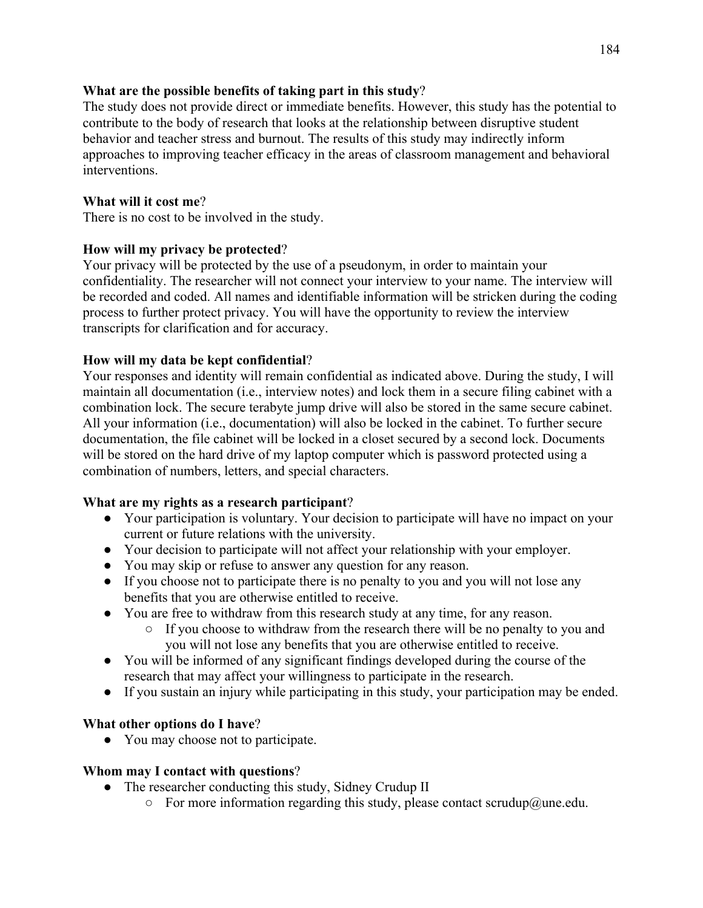## **What are the possible benefits of taking part in this study**?

The study does not provide direct or immediate benefits. However, this study has the potential to contribute to the body of research that looks at the relationship between disruptive student behavior and teacher stress and burnout. The results of this study may indirectly inform approaches to improving teacher efficacy in the areas of classroom management and behavioral interventions.

# **What will it cost me**?

There is no cost to be involved in the study.

# **How will my privacy be protected**?

Your privacy will be protected by the use of a pseudonym, in order to maintain your confidentiality. The researcher will not connect your interview to your name. The interview will be recorded and coded. All names and identifiable information will be stricken during the coding process to further protect privacy. You will have the opportunity to review the interview transcripts for clarification and for accuracy.

# **How will my data be kept confidential**?

Your responses and identity will remain confidential as indicated above. During the study, I will maintain all documentation (i.e., interview notes) and lock them in a secure filing cabinet with a combination lock. The secure terabyte jump drive will also be stored in the same secure cabinet. All your information (i.e., documentation) will also be locked in the cabinet. To further secure documentation, the file cabinet will be locked in a closet secured by a second lock. Documents will be stored on the hard drive of my laptop computer which is password protected using a combination of numbers, letters, and special characters.

# **What are my rights as a research participant**?

- Your participation is voluntary. Your decision to participate will have no impact on your current or future relations with the university.
- Your decision to participate will not affect your relationship with your employer.
- You may skip or refuse to answer any question for any reason.
- If you choose not to participate there is no penalty to you and you will not lose any benefits that you are otherwise entitled to receive.
- You are free to withdraw from this research study at any time, for any reason.
	- If you choose to withdraw from the research there will be no penalty to you and you will not lose any benefits that you are otherwise entitled to receive.
- You will be informed of any significant findings developed during the course of the research that may affect your willingness to participate in the research.
- If you sustain an injury while participating in this study, your participation may be ended.

# **What other options do I have**?

● You may choose not to participate.

# **Whom may I contact with questions**?

- The researcher conducting this study, Sidney Crudup II
	- $\circ$  For more information regarding this study, please contact scrudup@une.edu.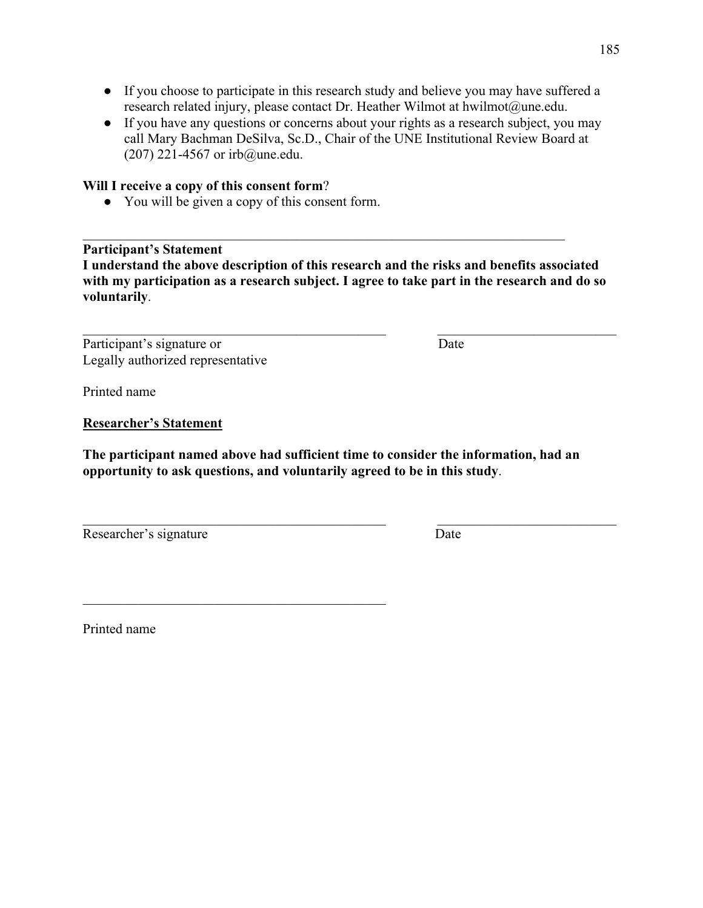- If you choose to participate in this research study and believe you may have suffered a research related injury, please contact Dr. Heather Wilmot at hwilmot@une.edu.
- If you have any questions or concerns about your rights as a research subject, you may call Mary Bachman DeSilva, Sc.D., Chair of the UNE Institutional Review Board at (207) 221-4567 or irb@une.edu.

## **Will I receive a copy of this consent form**?

● You will be given a copy of this consent form.

## **Participant's Statement**

**I understand the above description of this research and the risks and benefits associated with my participation as a research subject. I agree to take part in the research and do so voluntarily**.

Participant's signature or Date Legally authorized representative

Printed name

**Researcher's Statement**

**The participant named above had sufficient time to consider the information, had an opportunity to ask questions, and voluntarily agreed to be in this study**.

Researcher's signature Date

Printed name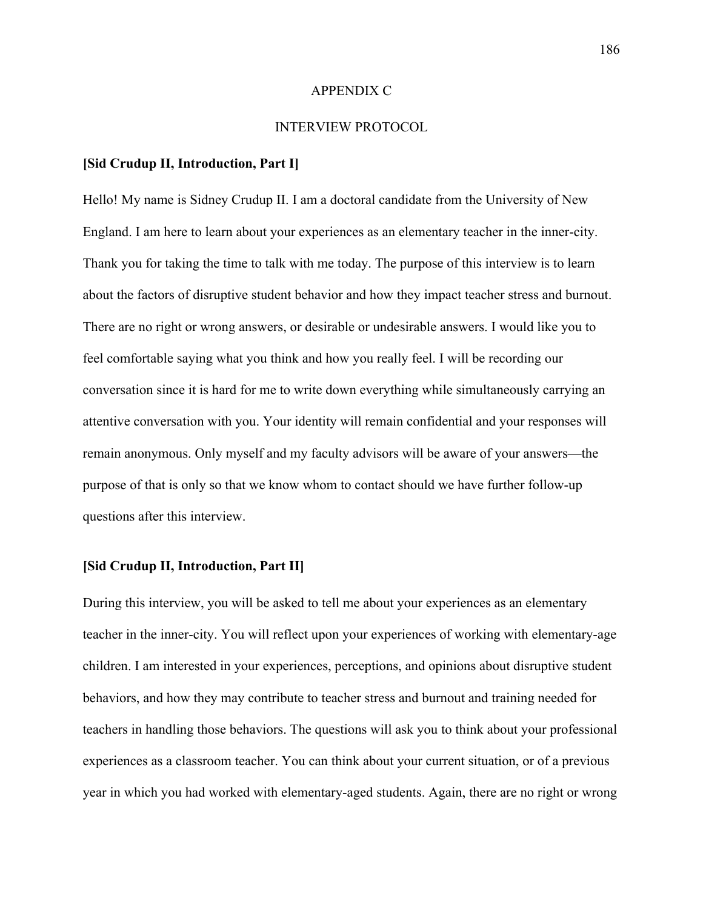#### APPENDIX C

### INTERVIEW PROTOCOL

### **[Sid Crudup II, Introduction, Part I]**

Hello! My name is Sidney Crudup II. I am a doctoral candidate from the University of New England. I am here to learn about your experiences as an elementary teacher in the inner-city. Thank you for taking the time to talk with me today. The purpose of this interview is to learn about the factors of disruptive student behavior and how they impact teacher stress and burnout. There are no right or wrong answers, or desirable or undesirable answers. I would like you to feel comfortable saying what you think and how you really feel. I will be recording our conversation since it is hard for me to write down everything while simultaneously carrying an attentive conversation with you. Your identity will remain confidential and your responses will remain anonymous. Only myself and my faculty advisors will be aware of your answers—the purpose of that is only so that we know whom to contact should we have further follow-up questions after this interview.

### **[Sid Crudup II, Introduction, Part II]**

During this interview, you will be asked to tell me about your experiences as an elementary teacher in the inner-city. You will reflect upon your experiences of working with elementary-age children. I am interested in your experiences, perceptions, and opinions about disruptive student behaviors, and how they may contribute to teacher stress and burnout and training needed for teachers in handling those behaviors. The questions will ask you to think about your professional experiences as a classroom teacher. You can think about your current situation, or of a previous year in which you had worked with elementary-aged students. Again, there are no right or wrong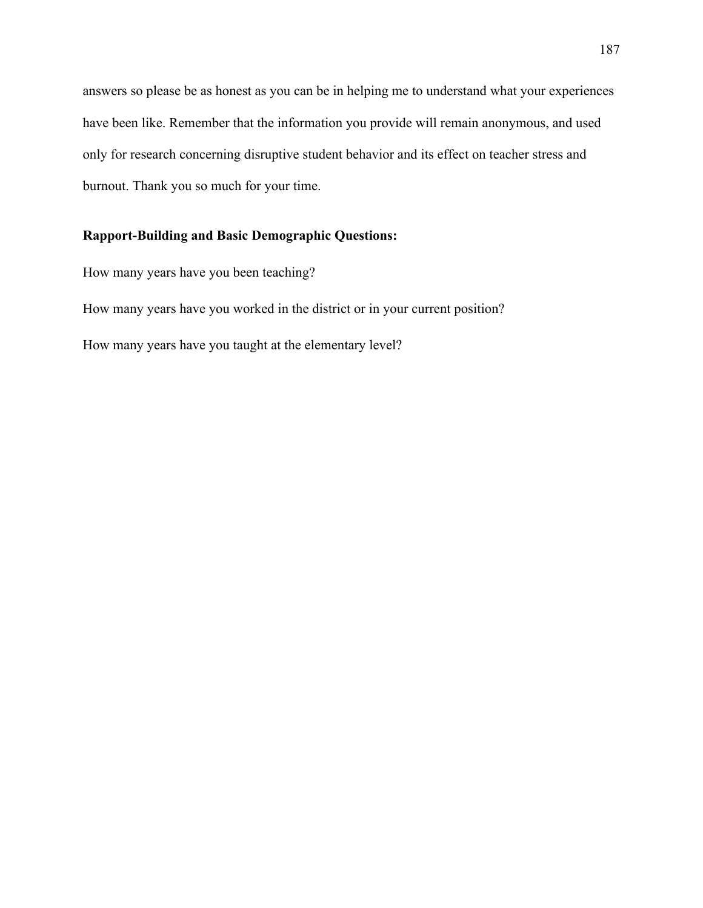answers so please be as honest as you can be in helping me to understand what your experiences have been like. Remember that the information you provide will remain anonymous, and used only for research concerning disruptive student behavior and its effect on teacher stress and burnout. Thank you so much for your time.

# **Rapport-Building and Basic Demographic Questions:**

How many years have you been teaching?

How many years have you worked in the district or in your current position?

How many years have you taught at the elementary level?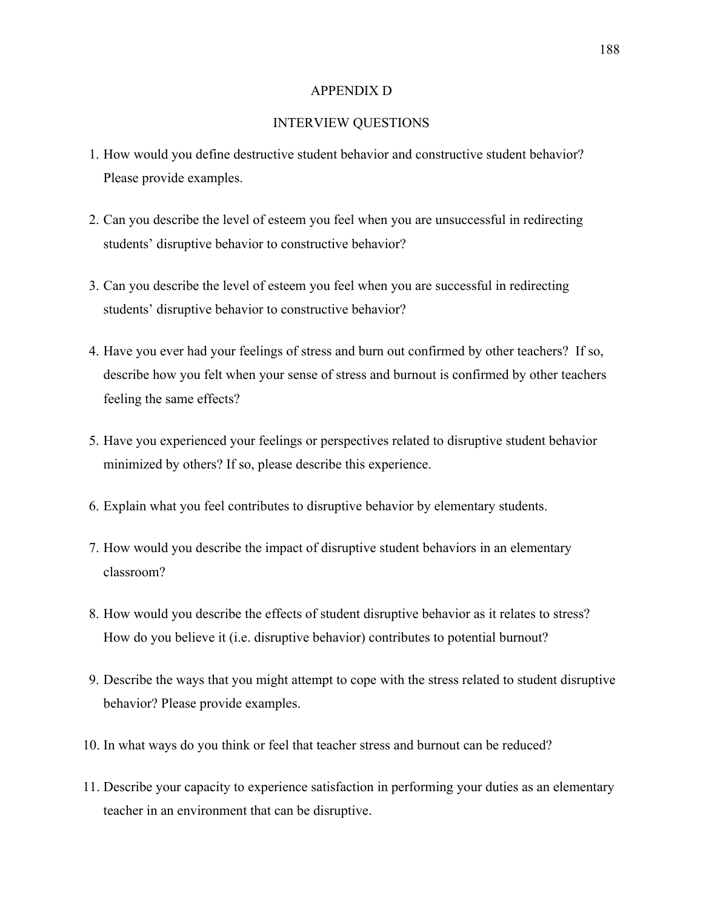### APPENDIX D

### INTERVIEW QUESTIONS

- 1. How would you define destructive student behavior and constructive student behavior? Please provide examples.
- 2. Can you describe the level of esteem you feel when you are unsuccessful in redirecting students' disruptive behavior to constructive behavior?
- 3. Can you describe the level of esteem you feel when you are successful in redirecting students' disruptive behavior to constructive behavior?
- 4. Have you ever had your feelings of stress and burn out confirmed by other teachers? If so, describe how you felt when your sense of stress and burnout is confirmed by other teachers feeling the same effects?
- 5. Have you experienced your feelings or perspectives related to disruptive student behavior minimized by others? If so, please describe this experience.
- 6. Explain what you feel contributes to disruptive behavior by elementary students.
- 7. How would you describe the impact of disruptive student behaviors in an elementary classroom?
- 8. How would you describe the effects of student disruptive behavior as it relates to stress? How do you believe it (i.e. disruptive behavior) contributes to potential burnout?
- 9. Describe the ways that you might attempt to cope with the stress related to student disruptive behavior? Please provide examples.
- 10. In what ways do you think or feel that teacher stress and burnout can be reduced?
- 11. Describe your capacity to experience satisfaction in performing your duties as an elementary teacher in an environment that can be disruptive.